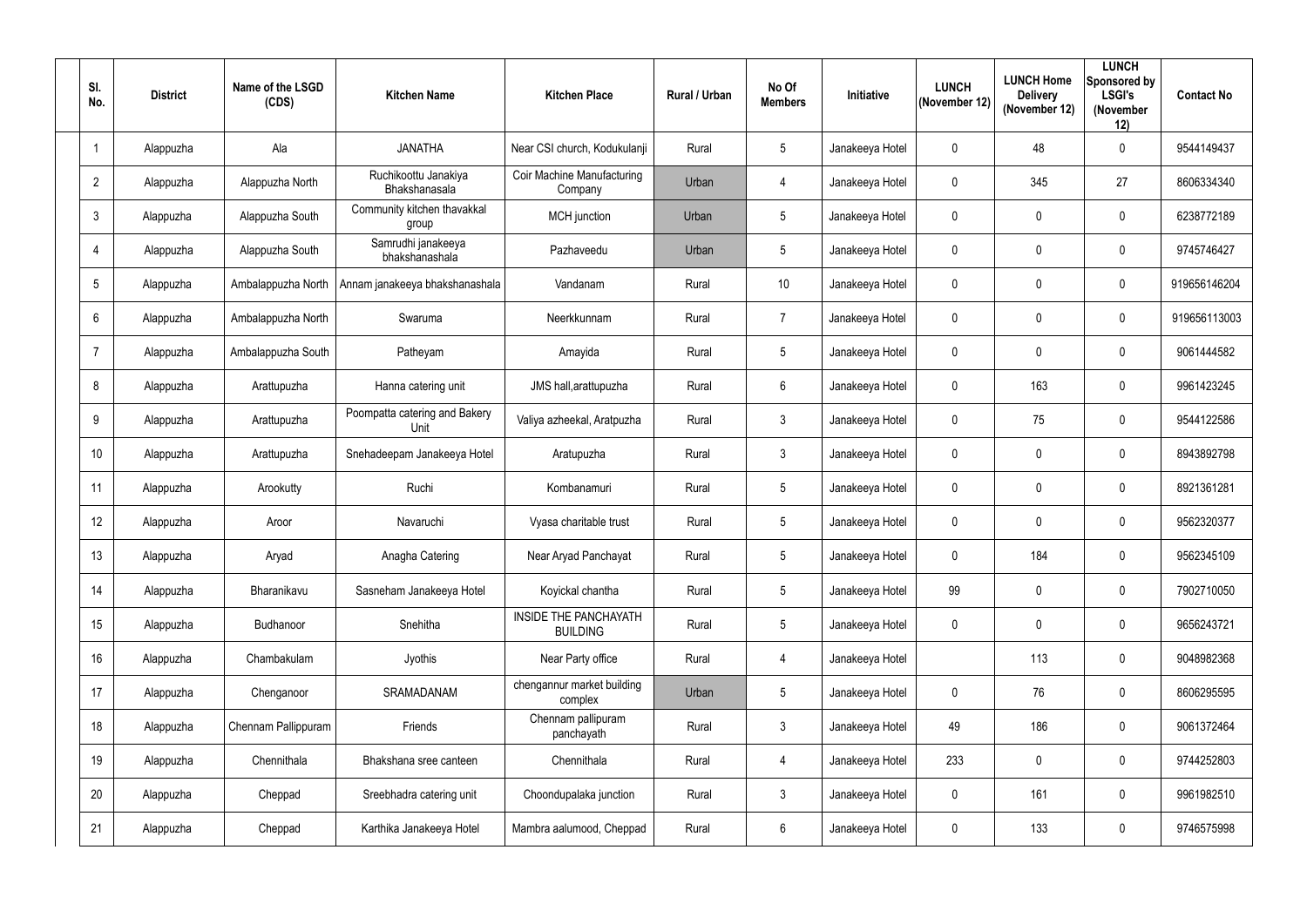| SI.<br>No.      | <b>District</b> | Name of the LSGD<br>(CDS) | <b>Kitchen Name</b>                   | <b>Kitchen Place</b>                            | <b>Rural / Urban</b> | No Of<br><b>Members</b> | Initiative      | <b>LUNCH</b><br>(November 12) | <b>LUNCH Home</b><br><b>Delivery</b><br>(November 12) | <b>LUNCH</b><br>Sponsored by<br><b>LSGI's</b><br>(November<br>12) | <b>Contact No</b> |
|-----------------|-----------------|---------------------------|---------------------------------------|-------------------------------------------------|----------------------|-------------------------|-----------------|-------------------------------|-------------------------------------------------------|-------------------------------------------------------------------|-------------------|
|                 | Alappuzha       | Ala                       | <b>JANATHA</b>                        | Near CSI church, Kodukulanji                    | Rural                | $5\phantom{.0}$         | Janakeeya Hotel | $\mathbf 0$                   | 48                                                    | $\mathbf 0$                                                       | 9544149437        |
| $\overline{2}$  | Alappuzha       | Alappuzha North           | Ruchikoottu Janakiya<br>Bhakshanasala | <b>Coir Machine Manufacturing</b><br>Company    | Urban                | $\overline{4}$          | Janakeeya Hotel | $\mathbf 0$                   | 345                                                   | 27                                                                | 8606334340        |
| 3               | Alappuzha       | Alappuzha South           | Community kitchen thavakkal<br>group  | MCH junction                                    | Urban                | $\sqrt{5}$              | Janakeeya Hotel | $\mathbf 0$                   | 0                                                     | $\mathbf 0$                                                       | 6238772189        |
| 4               | Alappuzha       | Alappuzha South           | Samrudhi janakeeya<br>bhakshanashala  | Pazhaveedu                                      | Urban                | $5\phantom{.0}$         | Janakeeya Hotel | $\mathbf 0$                   | 0                                                     | $\mathbf 0$                                                       | 9745746427        |
| $5\phantom{.0}$ | Alappuzha       | Ambalappuzha North        | Annam janakeeya bhakshanashala        | Vandanam                                        | Rural                | 10                      | Janakeeya Hotel | $\mathbf 0$                   | 0                                                     | $\mathbf 0$                                                       | 919656146204      |
| 6               | Alappuzha       | Ambalappuzha North        | Swaruma                               | Neerkkunnam                                     | Rural                | $\overline{7}$          | Janakeeya Hotel | $\mathbf 0$                   | 0                                                     | $\mathbf 0$                                                       | 919656113003      |
| $\overline{7}$  | Alappuzha       | Ambalappuzha South        | Patheyam                              | Amayida                                         | Rural                | $5\phantom{.0}$         | Janakeeya Hotel | $\mathbf 0$                   | 0                                                     | $\mathbf 0$                                                       | 9061444582        |
| 8               | Alappuzha       | Arattupuzha               | Hanna catering unit                   | JMS hall, arattupuzha                           | Rural                | $6\phantom{.}6$         | Janakeeya Hotel | $\mathbf 0$                   | 163                                                   | $\mathbf 0$                                                       | 9961423245        |
| 9               | Alappuzha       | Arattupuzha               | Poompatta catering and Bakery<br>Unit | Valiya azheekal, Aratpuzha                      | Rural                | $\mathfrak{Z}$          | Janakeeya Hotel | $\mathbf 0$                   | 75                                                    | $\mathbf 0$                                                       | 9544122586        |
| 10 <sup>°</sup> | Alappuzha       | Arattupuzha               | Snehadeepam Janakeeya Hotel           | Aratupuzha                                      | Rural                | $\mathbf{3}$            | Janakeeya Hotel | $\overline{0}$                | 0                                                     | $\mathbf 0$                                                       | 8943892798        |
| 11              | Alappuzha       | Arookutty                 | Ruchi                                 | Kombanamuri                                     | Rural                | $5\phantom{.0}$         | Janakeeya Hotel | $\mathbf 0$                   | 0                                                     | $\mathbf 0$                                                       | 8921361281        |
| 12              | Alappuzha       | Aroor                     | Navaruchi                             | Vyasa charitable trust                          | Rural                | $5\overline{)}$         | Janakeeya Hotel | $\mathbf 0$                   | 0                                                     | $\mathbf 0$                                                       | 9562320377        |
| 13              | Alappuzha       | Aryad                     | Anagha Catering                       | Near Aryad Panchayat                            | Rural                | $5\phantom{.0}$         | Janakeeya Hotel | $\boldsymbol{0}$              | 184                                                   | $\mathbf 0$                                                       | 9562345109        |
| 14              | Alappuzha       | Bharanikavu               | Sasneham Janakeeya Hotel              | Koyickal chantha                                | Rural                | $5\overline{)}$         | Janakeeya Hotel | 99                            | $\mathbf 0$                                           | $\mathbf 0$                                                       | 7902710050        |
| 15              | Alappuzha       | Budhanoor                 | Snehitha                              | <b>INSIDE THE PANCHAYATH</b><br><b>BUILDING</b> | Rural                | $5\overline{)}$         | Janakeeya Hotel | $\pmb{0}$                     | 0                                                     | $\mathbf 0$                                                       | 9656243721        |
| 16              | Alappuzha       | Chambakulam               | Jyothis                               | Near Party office                               | Rural                | 4                       | Janakeeya Hotel |                               | 113                                                   | $\mathbf 0$                                                       | 9048982368        |
| 17              | Alappuzha       | Chenganoor                | SRAMADANAM                            | chengannur market building<br>complex           | Urban                | $5\phantom{.0}$         | Janakeeya Hotel | $\mathbf 0$                   | 76                                                    | $\mathbf 0$                                                       | 8606295595        |
| 18              | Alappuzha       | Chennam Pallippuram       | Friends                               | Chennam pallipuram<br>panchayath                | Rural                | $\mathbf{3}$            | Janakeeya Hotel | 49                            | 186                                                   | $\mathbf 0$                                                       | 9061372464        |
| 19              | Alappuzha       | Chennithala               | Bhakshana sree canteen                | Chennithala                                     | Rural                | $\overline{4}$          | Janakeeya Hotel | 233                           | $\mathbf 0$                                           | $\mathbf 0$                                                       | 9744252803        |
| 20              | Alappuzha       | Cheppad                   | Sreebhadra catering unit              | Choondupalaka junction                          | Rural                | $\mathbf{3}$            | Janakeeya Hotel | $\pmb{0}$                     | 161                                                   | $\mathbf 0$                                                       | 9961982510        |
| 21              | Alappuzha       | Cheppad                   | Karthika Janakeeya Hotel              | Mambra aalumood, Cheppad                        | Rural                | $6\phantom{.0}$         | Janakeeya Hotel | $\pmb{0}$                     | 133                                                   | $\mathbf 0$                                                       | 9746575998        |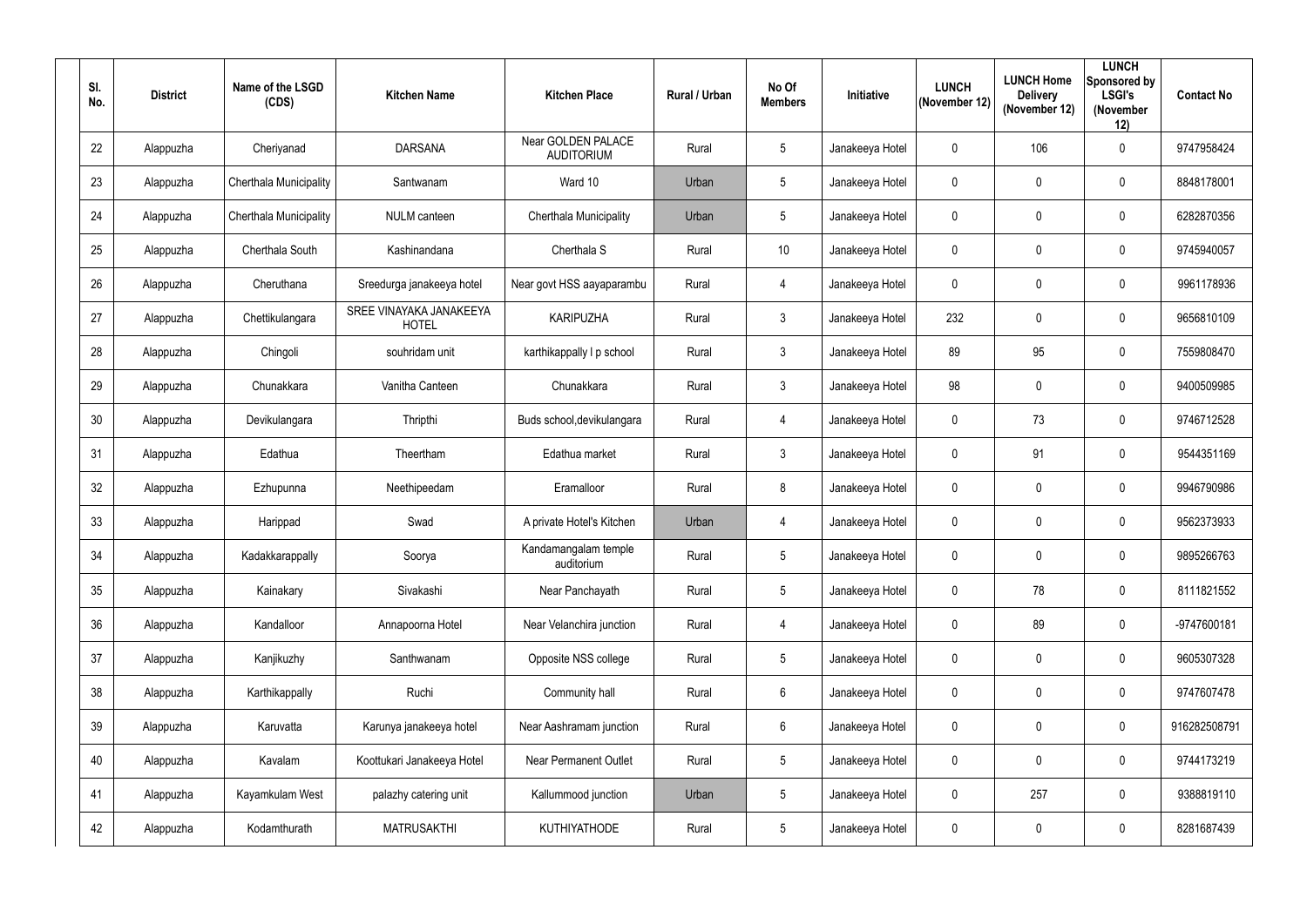| SI.<br>No. | <b>District</b> | Name of the LSGD<br>(CDS) | <b>Kitchen Name</b>                     | <b>Kitchen Place</b>                           | <b>Rural / Urban</b> | No Of<br><b>Members</b> | <b>Initiative</b> | <b>LUNCH</b><br>(November 12) | <b>LUNCH Home</b><br><b>Delivery</b><br>(November 12) | <b>LUNCH</b><br>Sponsored by<br><b>LSGI's</b><br>(November<br>12) | <b>Contact No</b> |
|------------|-----------------|---------------------------|-----------------------------------------|------------------------------------------------|----------------------|-------------------------|-------------------|-------------------------------|-------------------------------------------------------|-------------------------------------------------------------------|-------------------|
| 22         | Alappuzha       | Cheriyanad                | <b>DARSANA</b>                          | <b>Near GOLDEN PALACE</b><br><b>AUDITORIUM</b> | Rural                | $5\phantom{.0}$         | Janakeeya Hotel   | $\mathbf 0$                   | 106                                                   | $\mathbf 0$                                                       | 9747958424        |
| 23         | Alappuzha       | Cherthala Municipality    | Santwanam                               | Ward 10                                        | Urban                | $5\phantom{.0}$         | Janakeeya Hotel   | $\mathbf 0$                   | 0                                                     | $\mathbf 0$                                                       | 8848178001        |
| 24         | Alappuzha       | Cherthala Municipality    | <b>NULM</b> canteen                     | Cherthala Municipality                         | Urban                | $5\phantom{.0}$         | Janakeeya Hotel   | $\mathbf 0$                   | $\mathbf 0$                                           | $\mathbf 0$                                                       | 6282870356        |
| 25         | Alappuzha       | Cherthala South           | Kashinandana                            | Cherthala S                                    | Rural                | 10                      | Janakeeya Hotel   | $\mathbf 0$                   | $\overline{0}$                                        | $\boldsymbol{0}$                                                  | 9745940057        |
| 26         | Alappuzha       | Cheruthana                | Sreedurga janakeeya hotel               | Near govt HSS aayaparambu                      | Rural                | 4                       | Janakeeya Hotel   | $\mathbf 0$                   | 0                                                     | $\mathbf 0$                                                       | 9961178936        |
| 27         | Alappuzha       | Chettikulangara           | SREE VINAYAKA JANAKEEYA<br><b>HOTEL</b> | <b>KARIPUZHA</b>                               | Rural                | $\mathbf{3}$            | Janakeeya Hotel   | 232                           | $\overline{0}$                                        | $\mathbf 0$                                                       | 9656810109        |
| 28         | Alappuzha       | Chingoli                  | souhridam unit                          | karthikappally I p school                      | Rural                | 3 <sup>1</sup>          | Janakeeya Hotel   | 89                            | 95                                                    | $\mathbf 0$                                                       | 7559808470        |
| 29         | Alappuzha       | Chunakkara                | Vanitha Canteen                         | Chunakkara                                     | Rural                | $\mathbf{3}$            | Janakeeya Hotel   | 98                            | $\mathbf 0$                                           | $\mathbf 0$                                                       | 9400509985        |
| 30         | Alappuzha       | Devikulangara             | Thripthi                                | Buds school, devikulangara                     | Rural                | $\overline{4}$          | Janakeeya Hotel   | $\mathbf 0$                   | 73                                                    | $\mathbf 0$                                                       | 9746712528        |
| 31         | Alappuzha       | Edathua                   | Theertham                               | Edathua market                                 | Rural                | 3 <sup>1</sup>          | Janakeeya Hotel   | $\mathbf 0$                   | 91                                                    | $\mathbf 0$                                                       | 9544351169        |
| 32         | Alappuzha       | Ezhupunna                 | Neethipeedam                            | Eramalloor                                     | Rural                | $8\,$                   | Janakeeya Hotel   | $\mathbf 0$                   | $\overline{0}$                                        | $\mathbf 0$                                                       | 9946790986        |
| 33         | Alappuzha       | Harippad                  | Swad                                    | A private Hotel's Kitchen                      | Urban                | 4                       | Janakeeya Hotel   | $\pmb{0}$                     | $\overline{0}$                                        | $\mathbf 0$                                                       | 9562373933        |
| 34         | Alappuzha       | Kadakkarappally           | Soorya                                  | Kandamangalam temple<br>auditorium             | Rural                | $5\phantom{.0}$         | Janakeeya Hotel   | $\boldsymbol{0}$              | $\mathbf 0$                                           | $\mathbf 0$                                                       | 9895266763        |
| 35         | Alappuzha       | Kainakary                 | Sivakashi                               | Near Panchayath                                | Rural                | $5\phantom{.0}$         | Janakeeya Hotel   | $\mathbf 0$                   | 78                                                    | $\mathbf 0$                                                       | 8111821552        |
| 36         | Alappuzha       | Kandalloor                | Annapoorna Hotel                        | Near Velanchira junction                       | Rural                | $\overline{4}$          | Janakeeya Hotel   | $\pmb{0}$                     | 89                                                    | $\mathbf 0$                                                       | -9747600181       |
| 37         | Alappuzha       | Kanjikuzhy                | Santhwanam                              | Opposite NSS college                           | Rural                | $5\overline{)}$         | Janakeeya Hotel   | $\pmb{0}$                     | $\mathbf 0$                                           | $\mathbf 0$                                                       | 9605307328        |
| 38         | Alappuzha       | Karthikappally            | Ruchi                                   | Community hall                                 | Rural                | $6\overline{6}$         | Janakeeya Hotel   | $\pmb{0}$                     | $\mathbf 0$                                           | $\pmb{0}$                                                         | 9747607478        |
| 39         | Alappuzha       | Karuvatta                 | Karunya janakeeya hotel                 | Near Aashramam junction                        | Rural                | $6\overline{6}$         | Janakeeya Hotel   | $\pmb{0}$                     | $\mathbf 0$                                           | $\mathbf 0$                                                       | 916282508791      |
| 40         | Alappuzha       | Kavalam                   | Koottukari Janakeeya Hotel              | Near Permanent Outlet                          | Rural                | 5 <sub>5</sub>          | Janakeeya Hotel   | $\pmb{0}$                     | $\mathbf 0$                                           | $\mathbf 0$                                                       | 9744173219        |
| 41         | Alappuzha       | Kayamkulam West           | palazhy catering unit                   | Kallummood junction                            | Urban                | $5\phantom{.0}$         | Janakeeya Hotel   | $\boldsymbol{0}$              | 257                                                   | $\pmb{0}$                                                         | 9388819110        |
| 42         | Alappuzha       | Kodamthurath              | <b>MATRUSAKTHI</b>                      | KUTHIYATHODE                                   | Rural                | $5\overline{)}$         | Janakeeya Hotel   | $\boldsymbol{0}$              | $\mathbf 0$                                           | $\bm{0}$                                                          | 8281687439        |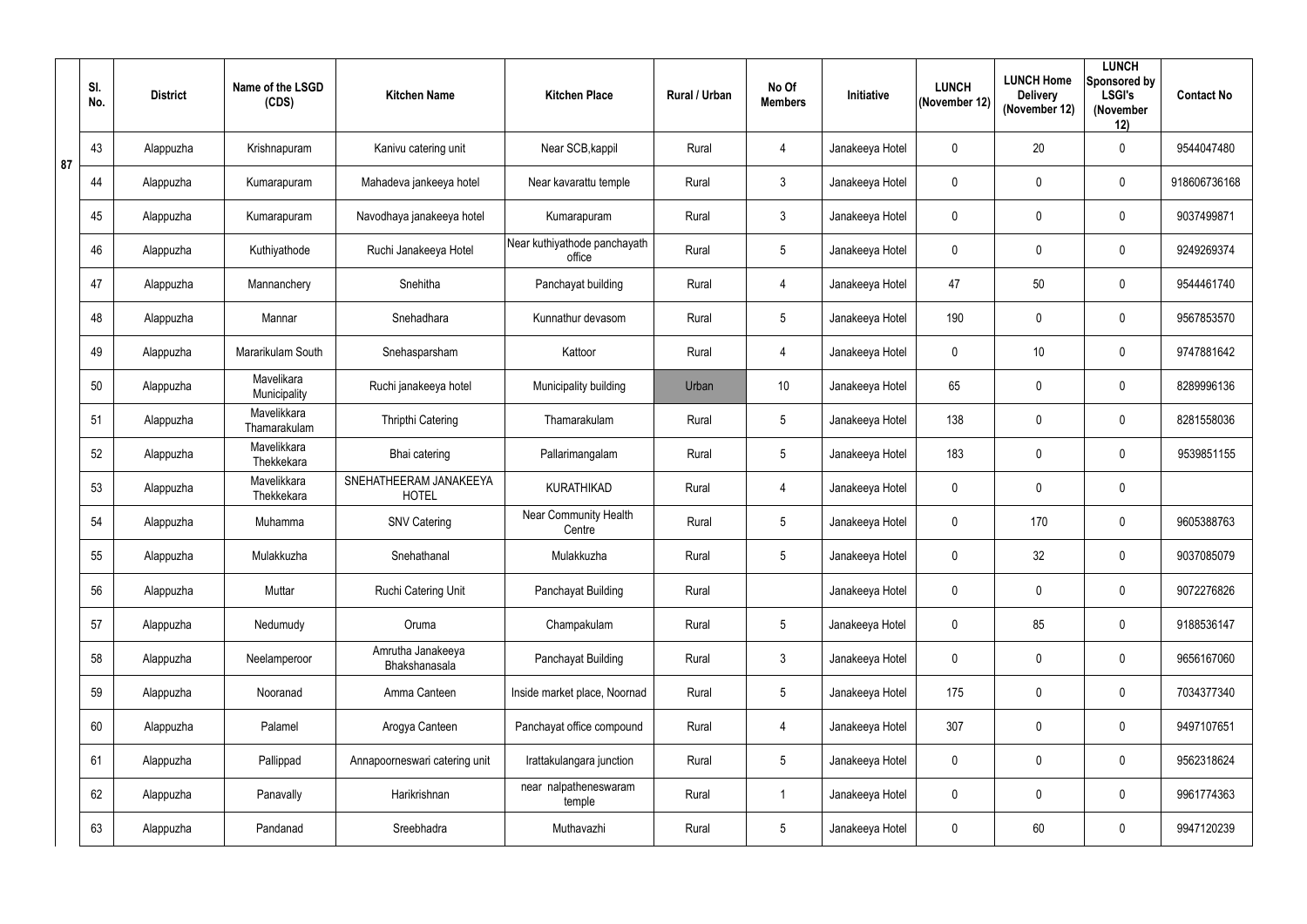|    | SI.<br>No. | <b>District</b> | Name of the LSGD<br>(CDS)   | <b>Kitchen Name</b>                    | <b>Kitchen Place</b>                   | <b>Rural / Urban</b> | No Of<br><b>Members</b> | Initiative      | <b>LUNCH</b><br>(November 12) | <b>LUNCH Home</b><br><b>Delivery</b><br>(November 12) | <b>LUNCH</b><br>Sponsored by<br><b>LSGI's</b><br>(November<br>12) | <b>Contact No</b> |
|----|------------|-----------------|-----------------------------|----------------------------------------|----------------------------------------|----------------------|-------------------------|-----------------|-------------------------------|-------------------------------------------------------|-------------------------------------------------------------------|-------------------|
| 87 | 43         | Alappuzha       | Krishnapuram                | Kanivu catering unit                   | Near SCB, kappil                       | Rural                | 4                       | Janakeeya Hotel | $\mathbf 0$                   | 20                                                    | $\mathbf 0$                                                       | 9544047480        |
|    | 44         | Alappuzha       | Kumarapuram                 | Mahadeva jankeeya hotel                | Near kavarattu temple                  | Rural                | $\mathbf{3}$            | Janakeeya Hotel | $\mathbf 0$                   | 0                                                     | $\mathbf 0$                                                       | 918606736168      |
|    | 45         | Alappuzha       | Kumarapuram                 | Navodhaya janakeeya hotel              | Kumarapuram                            | Rural                | $\mathfrak{Z}$          | Janakeeya Hotel | $\mathbf 0$                   | 0                                                     | $\mathbf 0$                                                       | 9037499871        |
|    | 46         | Alappuzha       | Kuthiyathode                | Ruchi Janakeeya Hotel                  | Near kuthiyathode panchayath<br>office | Rural                | $5\overline{)}$         | Janakeeya Hotel | $\mathbf 0$                   | 0                                                     | $\mathbf 0$                                                       | 9249269374        |
|    | 47         | Alappuzha       | Mannanchery                 | Snehitha                               | Panchayat building                     | Rural                | $\overline{4}$          | Janakeeya Hotel | 47                            | 50                                                    | $\mathbf 0$                                                       | 9544461740        |
|    | 48         | Alappuzha       | Mannar                      | Snehadhara                             | Kunnathur devasom                      | Rural                | $5\phantom{.0}$         | Janakeeya Hotel | 190                           | 0                                                     | $\mathbf 0$                                                       | 9567853570        |
|    | 49         | Alappuzha       | Mararikulam South           | Snehasparsham                          | Kattoor                                | Rural                | $\overline{4}$          | Janakeeya Hotel | $\mathbf 0$                   | 10                                                    | $\mathbf 0$                                                       | 9747881642        |
|    | 50         | Alappuzha       | Mavelikara<br>Municipality  | Ruchi janakeeya hotel                  | Municipality building                  | Urban                | 10                      | Janakeeya Hotel | 65                            | 0                                                     | $\mathbf 0$                                                       | 8289996136        |
|    | 51         | Alappuzha       | Mavelikkara<br>Thamarakulam | Thripthi Catering                      | Thamarakulam                           | Rural                | $5\phantom{.0}$         | Janakeeya Hotel | 138                           | 0                                                     | $\mathbf 0$                                                       | 8281558036        |
|    | 52         | Alappuzha       | Mavelikkara<br>Thekkekara   | Bhai catering                          | Pallarimangalam                        | Rural                | $5\phantom{.0}$         | Janakeeya Hotel | 183                           | 0                                                     | $\mathbf 0$                                                       | 9539851155        |
|    | 53         | Alappuzha       | Mavelikkara<br>Thekkekara   | SNEHATHEERAM JANAKEEYA<br><b>HOTEL</b> | KURATHIKAD                             | Rural                | 4                       | Janakeeya Hotel | $\mathbf 0$                   | 0                                                     | $\mathbf 0$                                                       |                   |
|    | 54         | Alappuzha       | Muhamma                     | <b>SNV Catering</b>                    | Near Community Health<br>Centre        | Rural                | $5\phantom{.0}$         | Janakeeya Hotel | $\mathbf 0$                   | 170                                                   | $\mathbf 0$                                                       | 9605388763        |
|    | 55         | Alappuzha       | Mulakkuzha                  | Snehathanal                            | Mulakkuzha                             | Rural                | $5\phantom{.0}$         | Janakeeya Hotel | $\mathbf 0$                   | 32                                                    | $\mathbf 0$                                                       | 9037085079        |
|    | 56         | Alappuzha       | Muttar                      | Ruchi Catering Unit                    | Panchayat Building                     | Rural                |                         | Janakeeya Hotel | $\mathbf 0$                   | $\mathbf 0$                                           | $\mathbf 0$                                                       | 9072276826        |
|    | 57         | Alappuzha       | Nedumudy                    | Oruma                                  | Champakulam                            | Rural                | $5\phantom{.0}$         | Janakeeya Hotel | $\pmb{0}$                     | 85                                                    | $\mathbf 0$                                                       | 9188536147        |
|    | 58         | Alappuzha       | Neelamperoor                | Amrutha Janakeeya<br>Bhakshanasala     | Panchayat Building                     | Rural                | $\mathbf{3}$            | Janakeeya Hotel | $\mathbf 0$                   | 0                                                     | $\mathbf 0$                                                       | 9656167060        |
|    | 59         | Alappuzha       | Nooranad                    | Amma Canteen                           | Inside market place, Noornad           | Rural                | $5\phantom{.0}$         | Janakeeya Hotel | 175                           | $\pmb{0}$                                             | $\mathbf 0$                                                       | 7034377340        |
|    | 60         | Alappuzha       | Palamel                     | Arogya Canteen                         | Panchayat office compound              | Rural                | $\overline{4}$          | Janakeeya Hotel | 307                           | 0                                                     | $\mathbf 0$                                                       | 9497107651        |
|    | 61         | Alappuzha       | Pallippad                   | Annapoorneswari catering unit          | Irattakulangara junction               | Rural                | $5\overline{)}$         | Janakeeya Hotel | $\pmb{0}$                     | 0                                                     | $\mathbf 0$                                                       | 9562318624        |
|    | 62         | Alappuzha       | Panavally                   | Harikrishnan                           | near nalpatheneswaram<br>temple        | Rural                | $\mathbf 1$             | Janakeeya Hotel | $\pmb{0}$                     | 0                                                     | $\mathbf 0$                                                       | 9961774363        |
|    | 63         | Alappuzha       | Pandanad                    | Sreebhadra                             | Muthavazhi                             | Rural                | $5\overline{)}$         | Janakeeya Hotel | $\pmb{0}$                     | 60                                                    | $\mathbf 0$                                                       | 9947120239        |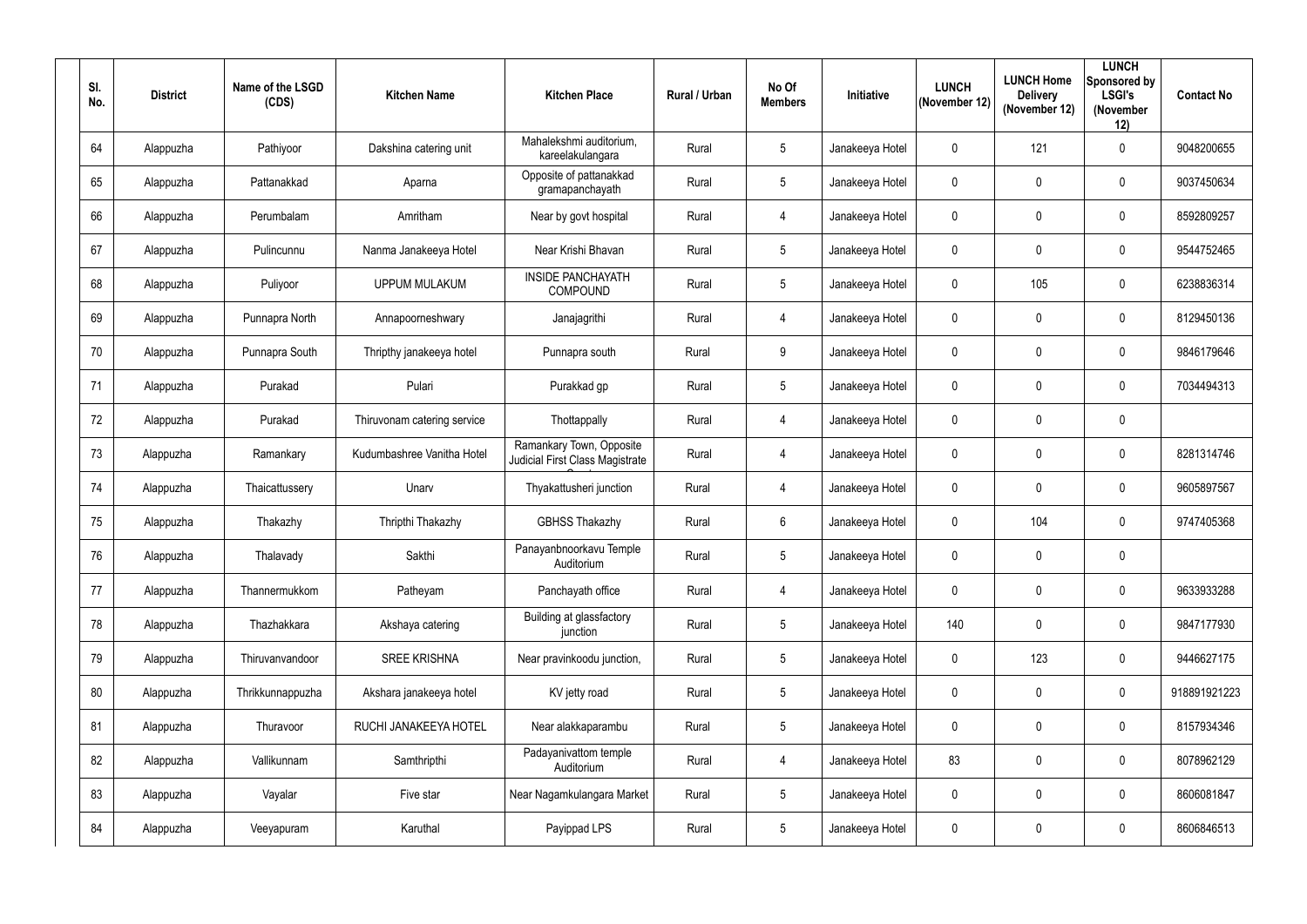| SI.<br>No. | <b>District</b> | Name of the LSGD<br>(CDS) | <b>Kitchen Name</b>         | <b>Kitchen Place</b>                                        | <b>Rural / Urban</b> | No Of<br><b>Members</b> | Initiative      | <b>LUNCH</b><br>(November 12) | <b>LUNCH Home</b><br><b>Delivery</b><br>(November 12) | <b>LUNCH</b><br>Sponsored by<br><b>LSGI's</b><br>(November<br>12) | <b>Contact No</b> |
|------------|-----------------|---------------------------|-----------------------------|-------------------------------------------------------------|----------------------|-------------------------|-----------------|-------------------------------|-------------------------------------------------------|-------------------------------------------------------------------|-------------------|
| 64         | Alappuzha       | Pathiyoor                 | Dakshina catering unit      | Mahalekshmi auditorium,<br>kareelakulangara                 | Rural                | $5\overline{)}$         | Janakeeya Hotel | $\mathbf 0$                   | 121                                                   | $\mathbf 0$                                                       | 9048200655        |
| 65         | Alappuzha       | Pattanakkad               | Aparna                      | Opposite of pattanakkad<br>gramapanchayath                  | Rural                | $5\phantom{.0}$         | Janakeeya Hotel | $\mathbf 0$                   | $\mathbf 0$                                           | $\mathbf 0$                                                       | 9037450634        |
| 66         | Alappuzha       | Perumbalam                | Amritham                    | Near by govt hospital                                       | Rural                | $\overline{4}$          | Janakeeya Hotel | $\mathbf 0$                   | $\mathbf 0$                                           | $\mathbf 0$                                                       | 8592809257        |
| 67         | Alappuzha       | Pulincunnu                | Nanma Janakeeya Hotel       | Near Krishi Bhavan                                          | Rural                | $5\phantom{.0}$         | Janakeeya Hotel | $\mathbf 0$                   | 0                                                     | $\boldsymbol{0}$                                                  | 9544752465        |
| 68         | Alappuzha       | Puliyoor                  | <b>UPPUM MULAKUM</b>        | <b>INSIDE PANCHAYATH</b><br><b>COMPOUND</b>                 | Rural                | $5\phantom{.0}$         | Janakeeya Hotel | $\mathbf 0$                   | 105                                                   | $\mathbf 0$                                                       | 6238836314        |
| 69         | Alappuzha       | Punnapra North            | Annapoorneshwary            | Janajagrithi                                                | Rural                | $\overline{4}$          | Janakeeya Hotel | $\mathbf 0$                   | $\overline{0}$                                        | $\mathbf 0$                                                       | 8129450136        |
| 70         | Alappuzha       | Punnapra South            | Thripthy janakeeya hotel    | Punnapra south                                              | Rural                | 9                       | Janakeeya Hotel | $\mathbf 0$                   | $\mathbf 0$                                           | $\mathbf 0$                                                       | 9846179646        |
| 71         | Alappuzha       | Purakad                   | Pulari                      | Purakkad gp                                                 | Rural                | $5\phantom{.0}$         | Janakeeya Hotel | $\mathbf 0$                   | $\mathbf 0$                                           | $\mathbf 0$                                                       | 7034494313        |
| 72         | Alappuzha       | Purakad                   | Thiruvonam catering service | Thottappally                                                | Rural                | $\overline{4}$          | Janakeeya Hotel | $\pmb{0}$                     | $\overline{0}$                                        | $\mathbf 0$                                                       |                   |
| 73         | Alappuzha       | Ramankary                 | Kudumbashree Vanitha Hotel  | Ramankary Town, Opposite<br>Judicial First Class Magistrate | Rural                | 4                       | Janakeeya Hotel | $\mathbf 0$                   | $\mathbf 0$                                           | $\mathbf 0$                                                       | 8281314746        |
| 74         | Alappuzha       | Thaicattussery            | Unarv                       | Thyakattusheri junction                                     | Rural                | $\overline{4}$          | Janakeeya Hotel | $\mathbf 0$                   | $\overline{0}$                                        | $\mathbf 0$                                                       | 9605897567        |
| 75         | Alappuzha       | Thakazhy                  | Thripthi Thakazhy           | <b>GBHSS Thakazhy</b>                                       | Rural                | $6\phantom{.}$          | Janakeeya Hotel | $\mathbf 0$                   | 104                                                   | $\mathbf 0$                                                       | 9747405368        |
| 76         | Alappuzha       | Thalavady                 | Sakthi                      | Panayanbnoorkavu Temple<br>Auditorium                       | Rural                | 5 <sup>5</sup>          | Janakeeya Hotel | $\boldsymbol{0}$              | $\mathbf 0$                                           | $\mathbf 0$                                                       |                   |
| 77         | Alappuzha       | Thannermukkom             | Patheyam                    | Panchayath office                                           | Rural                | $\overline{4}$          | Janakeeya Hotel | $\mathbf 0$                   | $\mathbf 0$                                           | $\mathbf 0$                                                       | 9633933288        |
| 78         | Alappuzha       | Thazhakkara               | Akshaya catering            | Building at glassfactory<br>junction                        | Rural                | $5\overline{)}$         | Janakeeya Hotel | 140                           | $\mathbf 0$                                           | $\mathbf 0$                                                       | 9847177930        |
| 79         | Alappuzha       | Thiruvanvandoor           | <b>SREE KRISHNA</b>         | Near pravinkoodu junction,                                  | Rural                | $5\overline{)}$         | Janakeeya Hotel | $\mathbf 0$                   | 123                                                   | $\mathbf 0$                                                       | 9446627175        |
| 80         | Alappuzha       | Thrikkunnappuzha          | Akshara janakeeya hotel     | KV jetty road                                               | Rural                | $5\overline{)}$         | Janakeeya Hotel | $\mathbf 0$                   | $\mathbf 0$                                           | $\pmb{0}$                                                         | 918891921223      |
| 81         | Alappuzha       | Thuravoor                 | RUCHI JANAKEEYA HOTEL       | Near alakkaparambu                                          | Rural                | $5\overline{)}$         | Janakeeya Hotel | $\mathbf 0$                   | $\mathbf 0$                                           | $\mathbf 0$                                                       | 8157934346        |
| 82         | Alappuzha       | Vallikunnam               | Samthripthi                 | Padayanivattom temple<br>Auditorium                         | Rural                | $\overline{4}$          | Janakeeya Hotel | 83                            | $\mathbf 0$                                           | $\mathbf 0$                                                       | 8078962129        |
| 83         | Alappuzha       | Vayalar                   | Five star                   | Near Nagamkulangara Market                                  | Rural                | $5\phantom{.0}$         | Janakeeya Hotel | $\boldsymbol{0}$              | $\mathbf 0$                                           | $\mathbf 0$                                                       | 8606081847        |
| 84         | Alappuzha       | Veeyapuram                | Karuthal                    | Payippad LPS                                                | Rural                | $5\overline{)}$         | Janakeeya Hotel | $\pmb{0}$                     | $\mathbf 0$                                           | $\pmb{0}$                                                         | 8606846513        |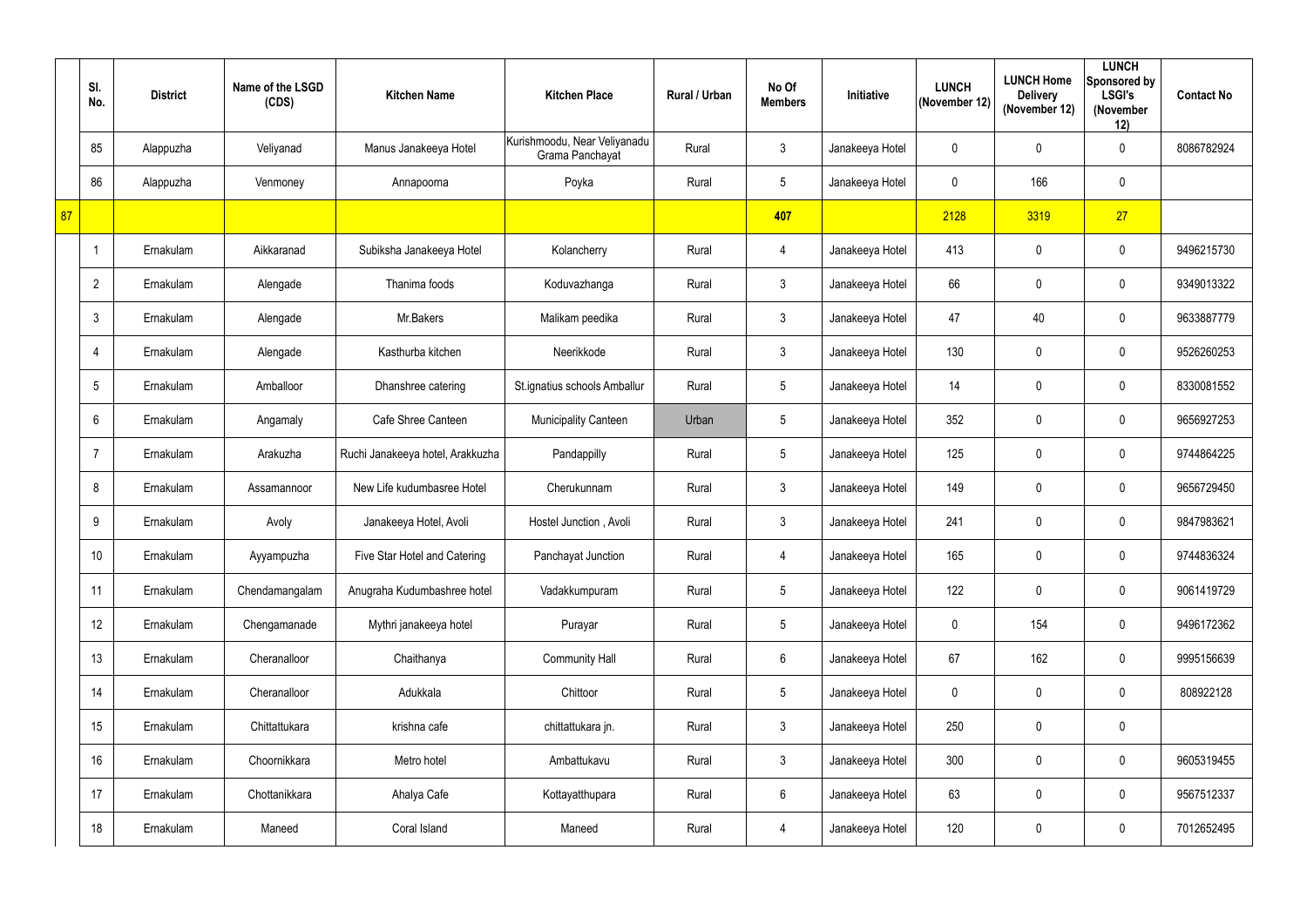|    | SI.<br>No.     | <b>District</b> | Name of the LSGD<br>(CDS) | <b>Kitchen Name</b>              | <b>Kitchen Place</b>                            | <b>Rural / Urban</b> | No Of<br><b>Members</b> | Initiative      | <b>LUNCH</b><br>(November 12) | <b>LUNCH Home</b><br><b>Delivery</b><br>(November 12) | <b>LUNCH</b><br>Sponsored by<br><b>LSGI's</b><br>(November<br>12) | <b>Contact No</b> |
|----|----------------|-----------------|---------------------------|----------------------------------|-------------------------------------------------|----------------------|-------------------------|-----------------|-------------------------------|-------------------------------------------------------|-------------------------------------------------------------------|-------------------|
|    | 85             | Alappuzha       | Veliyanad                 | Manus Janakeeya Hotel            | Kurishmoodu, Near Veliyanadu<br>Grama Panchayat | Rural                | $\mathfrak{Z}$          | Janakeeya Hotel | $\mathbf 0$                   | 0                                                     | $\mathbf 0$                                                       | 8086782924        |
|    | 86             | Alappuzha       | Venmoney                  | Annapoorna                       | Poyka                                           | Rural                | 5                       | Janakeeya Hotel | $\mathbf 0$                   | 166                                                   | $\mathbf 0$                                                       |                   |
| 87 |                |                 |                           |                                  |                                                 |                      | 407                     |                 | 2128                          | 3319                                                  | 27                                                                |                   |
|    |                | Ernakulam       | Aikkaranad                | Subiksha Janakeeya Hotel         | Kolancherry                                     | Rural                | $\overline{4}$          | Janakeeya Hotel | 413                           | 0                                                     | $\overline{0}$                                                    | 9496215730        |
|    | $\overline{2}$ | Ernakulam       | Alengade                  | Thanima foods                    | Koduvazhanga                                    | Rural                | $3\overline{3}$         | Janakeeya Hotel | 66                            | 0                                                     | $\mathbf 0$                                                       | 9349013322        |
|    | $\mathbf{3}$   | Ernakulam       | Alengade                  | Mr.Bakers                        | Malikam peedika                                 | Rural                | $\mathfrak{Z}$          | Janakeeya Hotel | 47                            | 40                                                    | $\overline{0}$                                                    | 9633887779        |
|    | 4              | Ernakulam       | Alengade                  | Kasthurba kitchen                | Neerikkode                                      | Rural                | $\mathfrak{Z}$          | Janakeeya Hotel | 130                           | 0                                                     | $\overline{0}$                                                    | 9526260253        |
|    | 5              | Ernakulam       | Amballoor                 | Dhanshree catering               | St.ignatius schools Amballur                    | Rural                | 5                       | Janakeeya Hotel | 14                            | $\boldsymbol{0}$                                      | $\mathbf 0$                                                       | 8330081552        |
|    | 6              | Ernakulam       | Angamaly                  | Cafe Shree Canteen               | <b>Municipality Canteen</b>                     | Urban                | 5                       | Janakeeya Hotel | 352                           | $\mathbf 0$                                           | $\mathbf 0$                                                       | 9656927253        |
|    | -7             | Ernakulam       | Arakuzha                  | Ruchi Janakeeya hotel, Arakkuzha | Pandappilly                                     | Rural                | 5                       | Janakeeya Hotel | 125                           | 0                                                     | $\mathbf 0$                                                       | 9744864225        |
|    | 8              | Ernakulam       | Assamannoor               | New Life kudumbasree Hotel       | Cherukunnam                                     | Rural                | $\mathfrak{Z}$          | Janakeeya Hotel | 149                           | $\pmb{0}$                                             | $\overline{0}$                                                    | 9656729450        |
|    | 9              | Ernakulam       | Avoly                     | Janakeeya Hotel, Avoli           | Hostel Junction, Avoli                          | Rural                | $\mathfrak{Z}$          | Janakeeya Hotel | 241                           | 0                                                     | $\mathbf 0$                                                       | 9847983621        |
|    | 10             | Ernakulam       | Ayyampuzha                | Five Star Hotel and Catering     | Panchayat Junction                              | Rural                | 4                       | Janakeeya Hotel | 165                           | 0                                                     | $\mathbf 0$                                                       | 9744836324        |
|    | 11             | Ernakulam       | Chendamangalam            | Anugraha Kudumbashree hotel      | Vadakkumpuram                                   | Rural                | 5                       | Janakeeya Hotel | 122                           | 0                                                     | $\overline{0}$                                                    | 9061419729        |
|    | 12             | Ernakulam       | Chengamanade              | Mythri janakeeya hotel           | Purayar                                         | Rural                | 5                       | Janakeeya Hotel | $\mathbf 0$                   | 154                                                   | $\overline{0}$                                                    | 9496172362        |
|    | 13             | Ernakulam       | Cheranalloor              | Chaithanya                       | <b>Community Hall</b>                           | Rural                | $6\overline{6}$         | Janakeeya Hotel | 67                            | 162                                                   | $\overline{0}$                                                    | 9995156639        |
|    | 14             | Ernakulam       | Cheranalloor              | Adukkala                         | Chittoor                                        | Rural                | 5                       | Janakeeya Hotel | $\mathbf 0$                   | $\pmb{0}$                                             | $\overline{0}$                                                    | 808922128         |
|    | 15             | Ernakulam       | Chittattukara             | krishna cafe                     | chittattukara jn.                               | Rural                | $\mathfrak{Z}$          | Janakeeya Hotel | 250                           | 0                                                     | $\mathbf 0$                                                       |                   |
|    | 16             | Ernakulam       | Choornikkara              | Metro hotel                      | Ambattukavu                                     | Rural                | $\mathfrak{Z}$          | Janakeeya Hotel | 300                           | 0                                                     | $\overline{0}$                                                    | 9605319455        |
|    | 17             | Ernakulam       | Chottanikkara             | Ahalya Cafe                      | Kottayatthupara                                 | Rural                | $6\overline{6}$         | Janakeeya Hotel | 63                            | 0                                                     | $\overline{0}$                                                    | 9567512337        |
|    | 18             | Ernakulam       | Maneed                    | Coral Island                     | Maneed                                          | Rural                | $\overline{4}$          | Janakeeya Hotel | 120                           | $\boldsymbol{0}$                                      | $\overline{0}$                                                    | 7012652495        |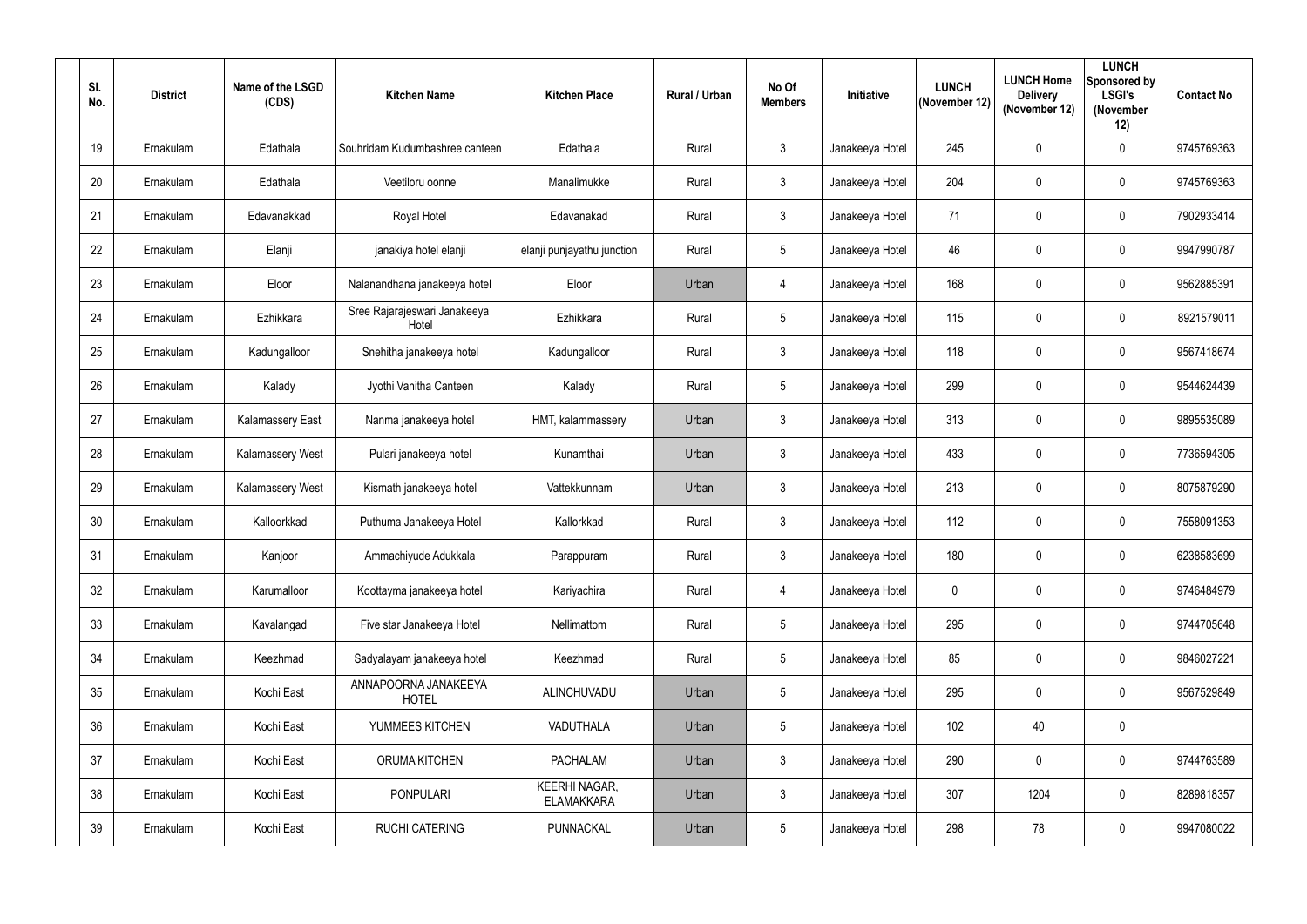| SI.<br>No. | <b>District</b> | Name of the LSGD<br>(CDS) | <b>Kitchen Name</b>                   | <b>Kitchen Place</b>                      | Rural / Urban | No Of<br><b>Members</b> | Initiative      | <b>LUNCH</b><br>(November 12) | <b>LUNCH Home</b><br><b>Delivery</b><br>(November 12) | <b>LUNCH</b><br>Sponsored by<br><b>LSGI's</b><br>(November<br>12) | <b>Contact No</b> |
|------------|-----------------|---------------------------|---------------------------------------|-------------------------------------------|---------------|-------------------------|-----------------|-------------------------------|-------------------------------------------------------|-------------------------------------------------------------------|-------------------|
| 19         | Ernakulam       | Edathala                  | Souhridam Kudumbashree canteen        | Edathala                                  | Rural         | $\mathbf{3}$            | Janakeeya Hotel | 245                           | $\mathbf 0$                                           | $\overline{0}$                                                    | 9745769363        |
| 20         | Ernakulam       | Edathala                  | Veetiloru oonne                       | Manalimukke                               | Rural         | $\mathbf{3}$            | Janakeeya Hotel | 204                           | $\mathbf 0$                                           | $\overline{0}$                                                    | 9745769363        |
| 21         | Ernakulam       | Edavanakkad               | Royal Hotel                           | Edavanakad                                | Rural         | $\mathbf{3}$            | Janakeeya Hotel | 71                            | 0                                                     | $\overline{0}$                                                    | 7902933414        |
| 22         | Ernakulam       | Elanji                    | janakiya hotel elanji                 | elanji punjayathu junction                | Rural         | $5\overline{)}$         | Janakeeya Hotel | 46                            | $\overline{0}$                                        | $\overline{0}$                                                    | 9947990787        |
| 23         | Ernakulam       | Eloor                     | Nalanandhana janakeeya hotel          | Eloor                                     | Urban         | 4                       | Janakeeya Hotel | 168                           | $\overline{0}$                                        | $\overline{0}$                                                    | 9562885391        |
| 24         | Ernakulam       | Ezhikkara                 | Sree Rajarajeswari Janakeeya<br>Hotel | Ezhikkara                                 | Rural         | $5\phantom{.0}$         | Janakeeya Hotel | 115                           | $\mathbf 0$                                           | $\overline{0}$                                                    | 8921579011        |
| 25         | Ernakulam       | Kadungalloor              | Snehitha janakeeya hotel              | Kadungalloor                              | Rural         | $\mathbf{3}$            | Janakeeya Hotel | 118                           | $\mathbf 0$                                           | $\overline{0}$                                                    | 9567418674        |
| 26         | Ernakulam       | Kalady                    | Jyothi Vanitha Canteen                | Kalady                                    | Rural         | $5\phantom{.0}$         | Janakeeya Hotel | 299                           | $\mathbf 0$                                           | $\overline{0}$                                                    | 9544624439        |
| 27         | Ernakulam       | <b>Kalamassery East</b>   | Nanma janakeeya hotel                 | HMT, kalammassery                         | Urban         | $\mathfrak{Z}$          | Janakeeya Hotel | 313                           | $\mathbf 0$                                           | $\mathbf 0$                                                       | 9895535089        |
| 28         | Ernakulam       | <b>Kalamassery West</b>   | Pulari janakeeya hotel                | Kunamthai                                 | Urban         | $\mathbf{3}$            | Janakeeya Hotel | 433                           | 0                                                     | $\overline{0}$                                                    | 7736594305        |
| 29         | Ernakulam       | Kalamassery West          | Kismath janakeeya hotel               | Vattekkunnam                              | Urban         | $\mathfrak{Z}$          | Janakeeya Hotel | 213                           | $\overline{0}$                                        | $\overline{0}$                                                    | 8075879290        |
| 30         | Ernakulam       | Kalloorkkad               | Puthuma Janakeeya Hotel               | Kallorkkad                                | Rural         | 3                       | Janakeeya Hotel | 112                           | $\overline{0}$                                        | $\overline{0}$                                                    | 7558091353        |
| 31         | Ernakulam       | Kanjoor                   | Ammachiyude Adukkala                  | Parappuram                                | Rural         | $\mathbf{3}$            | Janakeeya Hotel | 180                           | $\mathbf 0$                                           | $\mathbf 0$                                                       | 6238583699        |
| 32         | Ernakulam       | Karumalloor               | Koottayma janakeeya hotel             | Kariyachira                               | Rural         | $\overline{4}$          | Janakeeya Hotel | $\mathbf 0$                   | $\mathbf 0$                                           | $\mathbf 0$                                                       | 9746484979        |
| 33         | Ernakulam       | Kavalangad                | Five star Janakeeya Hotel             | Nellimattom                               | Rural         | $5\phantom{.0}$         | Janakeeya Hotel | 295                           | $\mathbf 0$                                           | $\mathbf 0$                                                       | 9744705648        |
| 34         | Ernakulam       | Keezhmad                  | Sadyalayam janakeeya hotel            | Keezhmad                                  | Rural         | $5\overline{)}$         | Janakeeya Hotel | 85                            | $\mathbf 0$                                           | $\mathbf 0$                                                       | 9846027221        |
| 35         | Ernakulam       | Kochi East                | ANNAPOORNA JANAKEEYA<br><b>HOTEL</b>  | ALINCHUVADU                               | Urban         | $5\phantom{.0}$         | Janakeeya Hotel | 295                           | $\mathbf 0$                                           | $\mathbf 0$                                                       | 9567529849        |
| 36         | Ernakulam       | Kochi East                | YUMMEES KITCHEN                       | VADUTHALA                                 | Urban         | $5\phantom{.0}$         | Janakeeya Hotel | 102                           | 40                                                    | $\mathbf 0$                                                       |                   |
| 37         | Ernakulam       | Kochi East                | ORUMA KITCHEN                         | <b>PACHALAM</b>                           | Urban         | 3 <sup>1</sup>          | Janakeeya Hotel | 290                           | $\mathbf 0$                                           | $\mathbf 0$                                                       | 9744763589        |
| 38         | Ernakulam       | Kochi East                | <b>PONPULARI</b>                      | <b>KEERHI NAGAR,</b><br><b>ELAMAKKARA</b> | Urban         | 3                       | Janakeeya Hotel | 307                           | 1204                                                  | $\pmb{0}$                                                         | 8289818357        |
| 39         | Ernakulam       | Kochi East                | <b>RUCHI CATERING</b>                 | PUNNACKAL                                 | Urban         | $5\phantom{.0}$         | Janakeeya Hotel | 298                           | 78                                                    | $\boldsymbol{0}$                                                  | 9947080022        |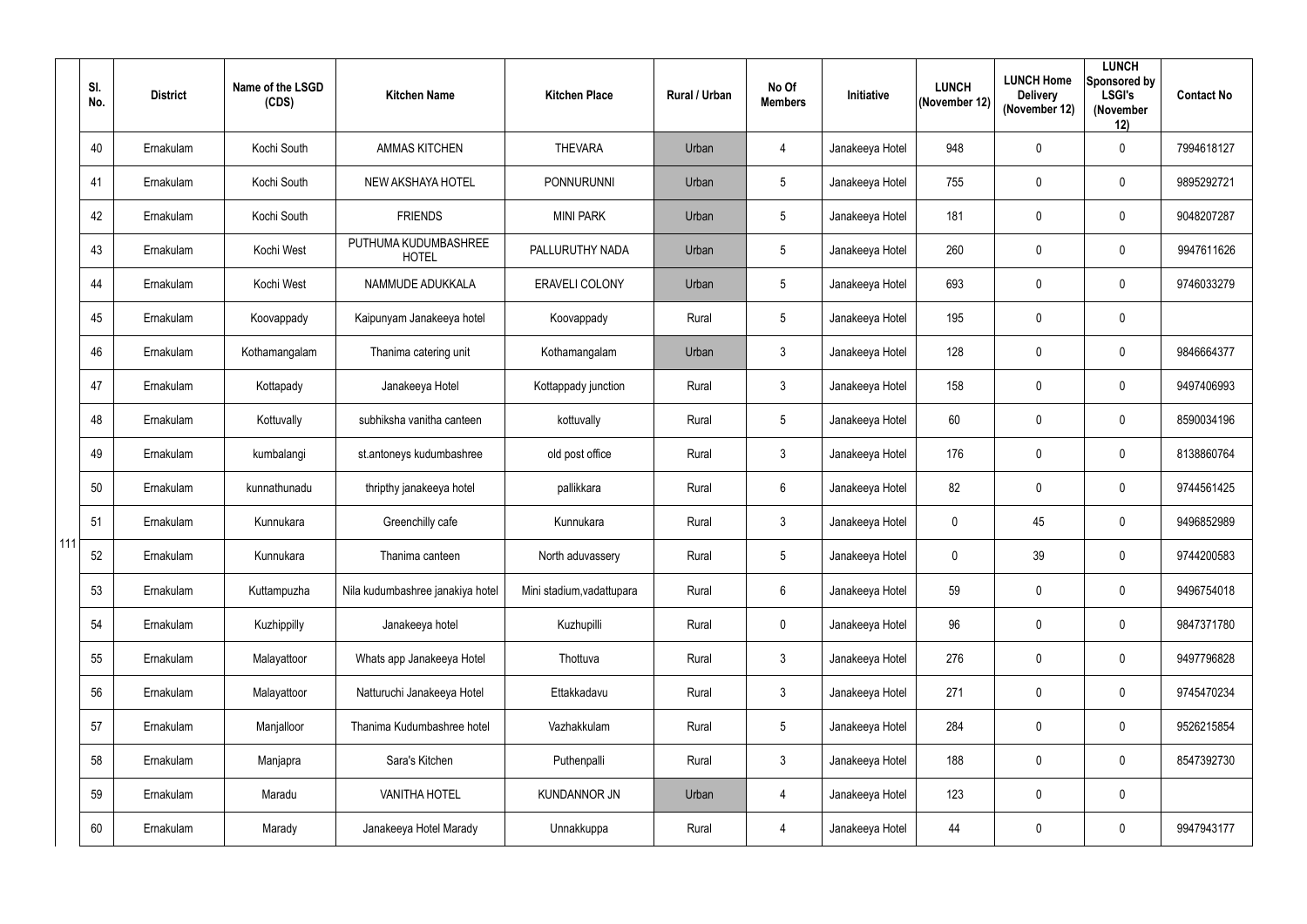|       | SI.<br>No. | <b>District</b> | Name of the LSGD<br>(CDS) | <b>Kitchen Name</b>                  | <b>Kitchen Place</b>      | <b>Rural / Urban</b> | No Of<br><b>Members</b> | Initiative      | <b>LUNCH</b><br>(November 12) | <b>LUNCH Home</b><br><b>Delivery</b><br>(November 12) | <b>LUNCH</b><br>Sponsored by<br><b>LSGI's</b><br>(November<br>12) | <b>Contact No</b> |
|-------|------------|-----------------|---------------------------|--------------------------------------|---------------------------|----------------------|-------------------------|-----------------|-------------------------------|-------------------------------------------------------|-------------------------------------------------------------------|-------------------|
|       | 40         | Ernakulam       | Kochi South               | <b>AMMAS KITCHEN</b>                 | <b>THEVARA</b>            | Urban                | $\overline{4}$          | Janakeeya Hotel | 948                           | 0                                                     | $\overline{0}$                                                    | 7994618127        |
|       | 41         | Ernakulam       | Kochi South               | NEW AKSHAYA HOTEL                    | <b>PONNURUNNI</b>         | Urban                | $5\phantom{.0}$         | Janakeeya Hotel | 755                           | 0                                                     | $\mathbf 0$                                                       | 9895292721        |
|       | 42         | Ernakulam       | Kochi South               | <b>FRIENDS</b>                       | <b>MINI PARK</b>          | Urban                | $5\phantom{.0}$         | Janakeeya Hotel | 181                           | 0                                                     | $\overline{0}$                                                    | 9048207287        |
|       | 43         | Ernakulam       | Kochi West                | PUTHUMA KUDUMBASHREE<br><b>HOTEL</b> | PALLURUTHY NADA           | Urban                | $5\overline{)}$         | Janakeeya Hotel | 260                           | 0                                                     | $\overline{0}$                                                    | 9947611626        |
|       | 44         | Ernakulam       | Kochi West                | NAMMUDE ADUKKALA                     | <b>ERAVELI COLONY</b>     | Urban                | $5\phantom{.0}$         | Janakeeya Hotel | 693                           | 0                                                     | $\overline{0}$                                                    | 9746033279        |
|       | 45         | Ernakulam       | Koovappady                | Kaipunyam Janakeeya hotel            | Koovappady                | Rural                | $5\phantom{.0}$         | Janakeeya Hotel | 195                           | 0                                                     | $\mathbf 0$                                                       |                   |
|       | 46         | Ernakulam       | Kothamangalam             | Thanima catering unit                | Kothamangalam             | Urban                | 3                       | Janakeeya Hotel | 128                           | 0                                                     | $\overline{0}$                                                    | 9846664377        |
|       | 47         | Ernakulam       | Kottapady                 | Janakeeya Hotel                      | Kottappady junction       | Rural                | $\mathfrak{Z}$          | Janakeeya Hotel | 158                           | 0                                                     | $\overline{0}$                                                    | 9497406993        |
|       | 48         | Ernakulam       | Kottuvally                | subhiksha vanitha canteen            | kottuvally                | Rural                | $5\phantom{.0}$         | Janakeeya Hotel | 60                            | 0                                                     | $\overline{0}$                                                    | 8590034196        |
|       | 49         | Ernakulam       | kumbalangi                | st.antoneys kudumbashree             | old post office           | Rural                | $\mathbf{3}$            | Janakeeya Hotel | 176                           | 0                                                     | $\overline{0}$                                                    | 8138860764        |
|       | 50         | Ernakulam       | kunnathunadu              | thripthy janakeeya hotel             | pallikkara                | Rural                | $6\overline{6}$         | Janakeeya Hotel | 82                            | 0                                                     | $\overline{0}$                                                    | 9744561425        |
|       | 51         | Ernakulam       | Kunnukara                 | Greenchilly cafe                     | Kunnukara                 | Rural                | $\mathbf{3}$            | Janakeeya Hotel | $\boldsymbol{0}$              | 45                                                    | $\overline{0}$                                                    | 9496852989        |
| 111 t | 52         | Ernakulam       | Kunnukara                 | Thanima canteen                      | North aduvassery          | Rural                | $5\overline{)}$         | Janakeeya Hotel | $\mathbf 0$                   | 39                                                    | $\mathbf 0$                                                       | 9744200583        |
|       | 53         | Ernakulam       | Kuttampuzha               | Nila kudumbashree janakiya hotel     | Mini stadium, vadattupara | Rural                | $6\overline{6}$         | Janakeeya Hotel | 59                            | $\mathbf 0$                                           | $\mathbf 0$                                                       | 9496754018        |
|       | 54         | Ernakulam       | Kuzhippilly               | Janakeeya hotel                      | Kuzhupilli                | Rural                | $\mathbf 0$             | Janakeeya Hotel | 96                            | 0                                                     | $\mathbf 0$                                                       | 9847371780        |
|       | 55         | Ernakulam       | Malayattoor               | Whats app Janakeeya Hotel            | Thottuva                  | Rural                | $\mathbf{3}$            | Janakeeya Hotel | 276                           | $\mathbf 0$                                           | $\mathbf 0$                                                       | 9497796828        |
|       | 56         | Ernakulam       | Malayattoor               | Natturuchi Janakeeya Hotel           | Ettakkadavu               | Rural                | $3\overline{3}$         | Janakeeya Hotel | 271                           | $\mathbf 0$                                           | $\mathbf 0$                                                       | 9745470234        |
|       | 57         | Ernakulam       | Manjalloor                | Thanima Kudumbashree hotel           | Vazhakkulam               | Rural                | $5\phantom{.0}$         | Janakeeya Hotel | 284                           | 0                                                     | $\mathbf 0$                                                       | 9526215854        |
|       | 58         | Ernakulam       | Manjapra                  | Sara's Kitchen                       | Puthenpalli               | Rural                | $\mathbf{3}$            | Janakeeya Hotel | 188                           | $\mathbf 0$                                           | $\mathbf 0$                                                       | 8547392730        |
|       | 59         | Ernakulam       | Maradu                    | <b>VANITHA HOTEL</b>                 | <b>KUNDANNOR JN</b>       | Urban                | 4                       | Janakeeya Hotel | 123                           | $\mathbf 0$                                           | $\boldsymbol{0}$                                                  |                   |
|       | 60         | Ernakulam       | Marady                    | Janakeeya Hotel Marady               | Unnakkuppa                | Rural                | $\overline{4}$          | Janakeeya Hotel | 44                            | 0                                                     | $\boldsymbol{0}$                                                  | 9947943177        |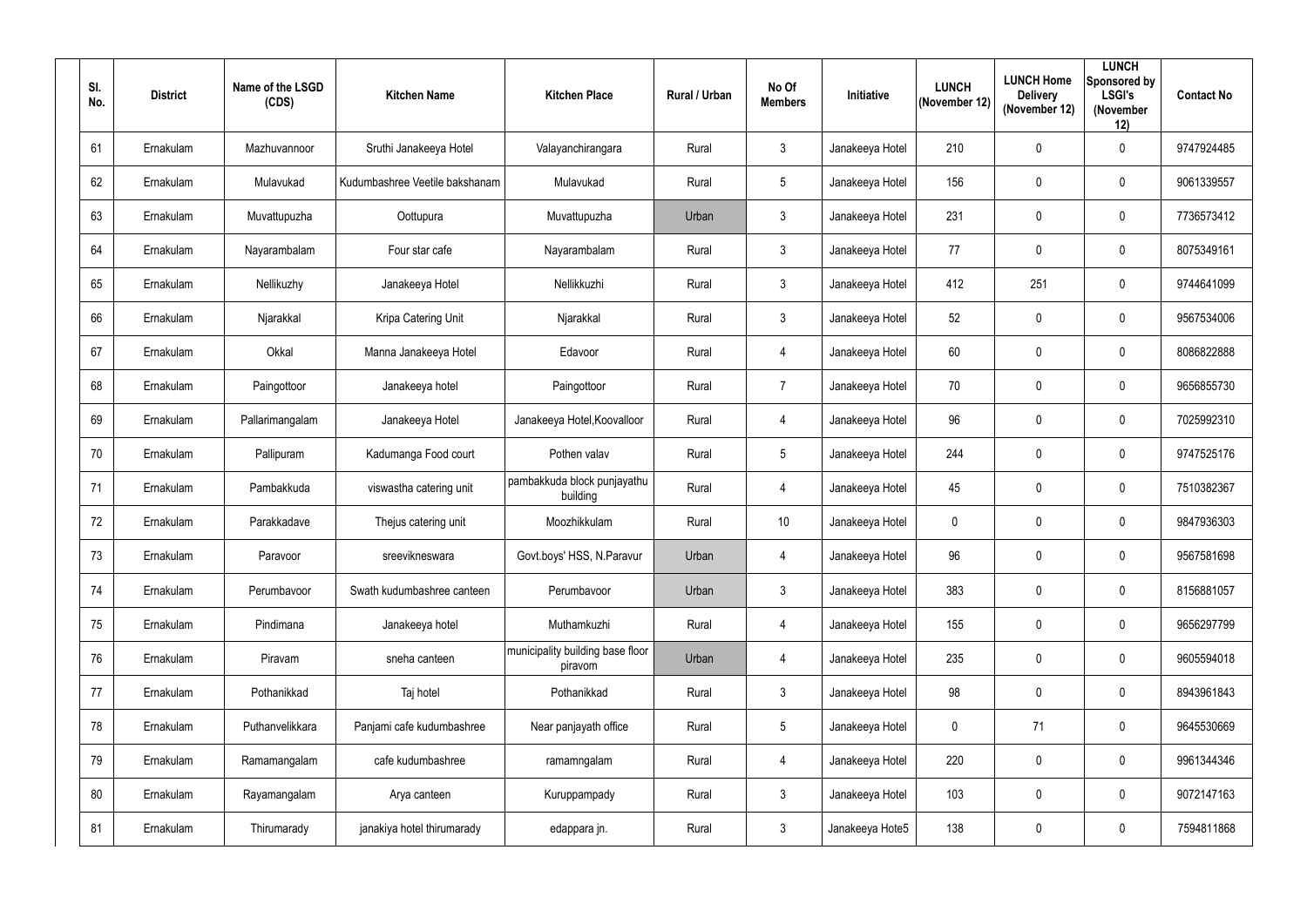| SI.<br>No. | <b>District</b> | Name of the LSGD<br>(CDS) | <b>Kitchen Name</b>            | <b>Kitchen Place</b>                        | <b>Rural / Urban</b> | No Of<br><b>Members</b> | Initiative      | <b>LUNCH</b><br>(November 12) | <b>LUNCH Home</b><br><b>Delivery</b><br>(November 12) | <b>LUNCH</b><br>Sponsored by<br><b>LSGI's</b><br>(November<br>12) | <b>Contact No</b> |
|------------|-----------------|---------------------------|--------------------------------|---------------------------------------------|----------------------|-------------------------|-----------------|-------------------------------|-------------------------------------------------------|-------------------------------------------------------------------|-------------------|
| 61         | Ernakulam       | Mazhuvannoor              | Sruthi Janakeeya Hotel         | Valayanchirangara                           | Rural                | $\mathbf{3}$            | Janakeeya Hotel | 210                           | $\mathbf 0$                                           | $\mathbf 0$                                                       | 9747924485        |
| 62         | Ernakulam       | Mulavukad                 | Kudumbashree Veetile bakshanam | Mulavukad                                   | Rural                | $5\phantom{.0}$         | Janakeeya Hotel | 156                           | $\mathbf 0$                                           | $\mathbf 0$                                                       | 9061339557        |
| 63         | Ernakulam       | Muvattupuzha              | Oottupura                      | Muvattupuzha                                | Urban                | $\mathbf{3}$            | Janakeeya Hotel | 231                           | $\mathbf 0$                                           | $\mathbf 0$                                                       | 7736573412        |
| 64         | Ernakulam       | Nayarambalam              | Four star cafe                 | Nayarambalam                                | Rural                | 3 <sup>1</sup>          | Janakeeya Hotel | 77                            | 0                                                     | $\mathbf 0$                                                       | 8075349161        |
| 65         | Ernakulam       | Nellikuzhy                | Janakeeya Hotel                | Nellikkuzhi                                 | Rural                | $\mathbf{3}$            | Janakeeya Hotel | 412                           | 251                                                   | $\mathbf 0$                                                       | 9744641099        |
| 66         | Ernakulam       | Njarakkal                 | Kripa Catering Unit            | Njarakkal                                   | Rural                | $\mathbf{3}$            | Janakeeya Hotel | 52                            | $\mathbf 0$                                           | $\mathbf 0$                                                       | 9567534006        |
| 67         | Ernakulam       | Okkal                     | Manna Janakeeya Hotel          | Edavoor                                     | Rural                | $\overline{4}$          | Janakeeya Hotel | 60                            | $\mathbf 0$                                           | $\mathbf 0$                                                       | 8086822888        |
| 68         | Ernakulam       | Paingottoor               | Janakeeya hotel                | Paingottoor                                 | Rural                | $\overline{7}$          | Janakeeya Hotel | 70                            | $\mathbf 0$                                           | $\mathbf 0$                                                       | 9656855730        |
| 69         | Ernakulam       | Pallarimangalam           | Janakeeya Hotel                | Janakeeya Hotel, Koovalloor                 | Rural                | $\overline{4}$          | Janakeeya Hotel | 96                            | $\mathbf 0$                                           | $\mathbf 0$                                                       | 7025992310        |
| 70         | Ernakulam       | Pallipuram                | Kadumanga Food court           | Pothen valav                                | Rural                | $5\phantom{.0}$         | Janakeeya Hotel | 244                           | $\mathbf 0$                                           | $\mathbf 0$                                                       | 9747525176        |
| 71         | Ernakulam       | Pambakkuda                | viswastha catering unit        | pambakkuda block punjayathu<br>building     | Rural                | $\overline{4}$          | Janakeeya Hotel | 45                            | $\overline{0}$                                        | $\mathbf 0$                                                       | 7510382367        |
| 72         | Ernakulam       | Parakkadave               | Thejus catering unit           | Moozhikkulam                                | Rural                | 10                      | Janakeeya Hotel | $\mathbf 0$                   | $\overline{0}$                                        | $\mathbf 0$                                                       | 9847936303        |
| 73         | Ernakulam       | Paravoor                  | sreevikneswara                 | Govt.boys' HSS, N.Paravur                   | Urban                | 4                       | Janakeeya Hotel | 96                            | $\mathbf{0}$                                          | $\mathbf 0$                                                       | 9567581698        |
| 74         | Ernakulam       | Perumbavoor               | Swath kudumbashree canteen     | Perumbavoor                                 | Urban                | 3 <sup>1</sup>          | Janakeeya Hotel | 383                           | $\mathbf 0$                                           | $\mathbf 0$                                                       | 8156881057        |
| 75         | Ernakulam       | Pindimana                 | Janakeeya hotel                | Muthamkuzhi                                 | Rural                | $\overline{4}$          | Janakeeya Hotel | 155                           | $\mathbf 0$                                           | $\mathbf 0$                                                       | 9656297799        |
| 76         | Ernakulam       | Piravam                   | sneha canteen                  | municipality building base floor<br>piravom | Urban                | $\overline{4}$          | Janakeeya Hotel | 235                           | $\mathbf 0$                                           | $\mathbf 0$                                                       | 9605594018        |
| 77         | Ernakulam       | Pothanikkad               | Taj hotel                      | Pothanikkad                                 | Rural                | 3 <sup>1</sup>          | Janakeeya Hotel | 98                            | $\mathbf 0$                                           | $\pmb{0}$                                                         | 8943961843        |
| 78         | Ernakulam       | Puthanvelikkara           | Panjami cafe kudumbashree      | Near panjayath office                       | Rural                | $5\overline{)}$         | Janakeeya Hotel | $\mathbf 0$                   | 71                                                    | $\mathbf 0$                                                       | 9645530669        |
| 79         | Ernakulam       | Ramamangalam              | cafe kudumbashree              | ramamngalam                                 | Rural                | $\overline{4}$          | Janakeeya Hotel | 220                           | $\mathbf 0$                                           | $\mathbf 0$                                                       | 9961344346        |
| 80         | Ernakulam       | Rayamangalam              | Arya canteen                   | Kuruppampady                                | Rural                | 3 <sup>1</sup>          | Janakeeya Hotel | 103                           | $\mathbf 0$                                           | $\pmb{0}$                                                         | 9072147163        |
| 81         | Ernakulam       | Thirumarady               | janakiya hotel thirumarady     | edappara jn.                                | Rural                | 3 <sup>1</sup>          | Janakeeya Hote5 | 138                           | $\boldsymbol{0}$                                      | $\bm{0}$                                                          | 7594811868        |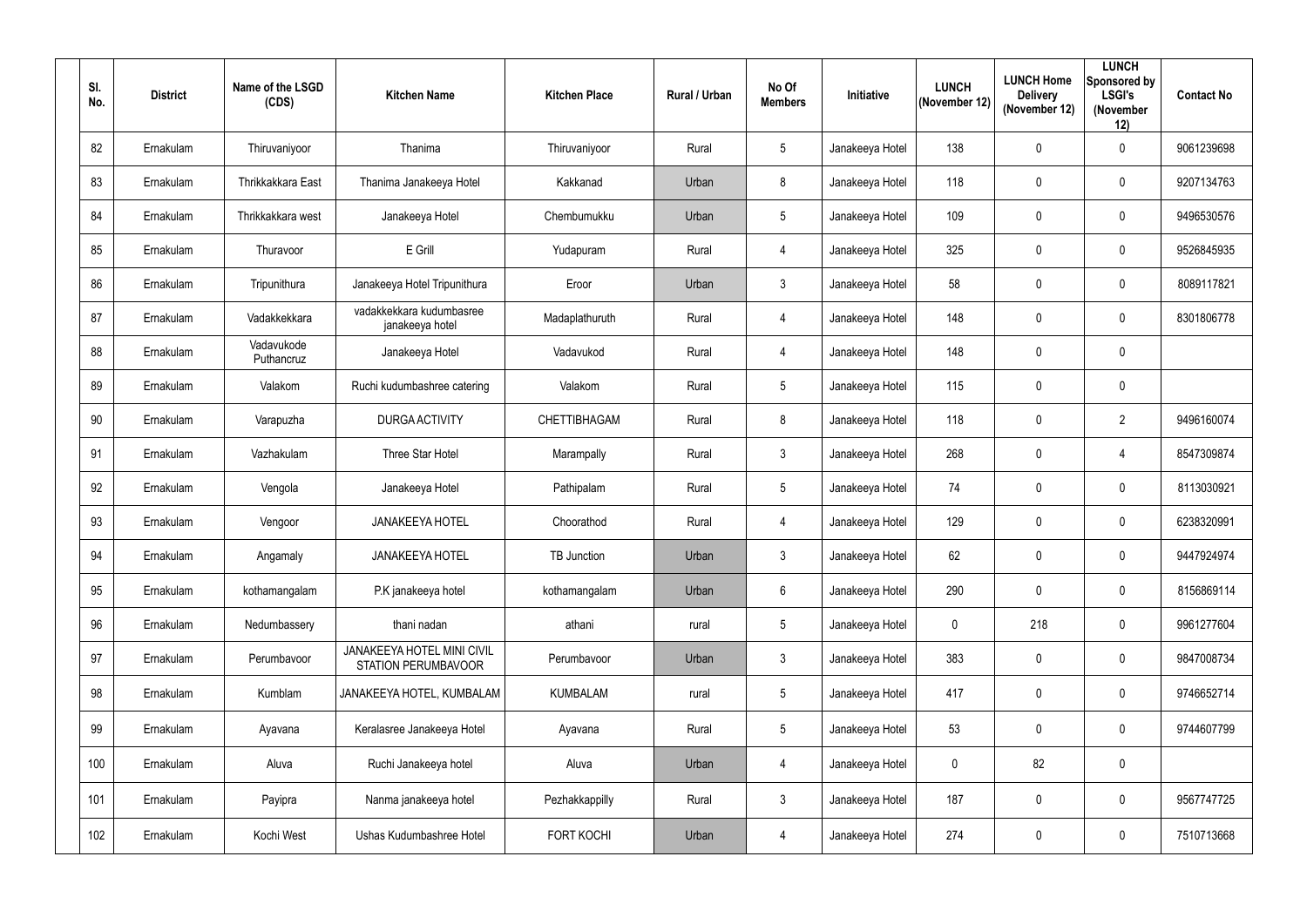| SI.<br>No. | <b>District</b> | Name of the LSGD<br>(CDS) | <b>Kitchen Name</b>                               | <b>Kitchen Place</b> | Rural / Urban | No Of<br><b>Members</b> | Initiative      | <b>LUNCH</b><br>(November 12) | <b>LUNCH Home</b><br><b>Delivery</b><br>(November 12) | <b>LUNCH</b><br>Sponsored by<br><b>LSGI's</b><br>(November<br>12) | <b>Contact No</b> |
|------------|-----------------|---------------------------|---------------------------------------------------|----------------------|---------------|-------------------------|-----------------|-------------------------------|-------------------------------------------------------|-------------------------------------------------------------------|-------------------|
| 82         | Ernakulam       | Thiruvaniyoor             | Thanima                                           | Thiruvaniyoor        | Rural         | $5\phantom{.0}$         | Janakeeya Hotel | 138                           | $\mathbf 0$                                           | $\mathbf 0$                                                       | 9061239698        |
| 83         | Ernakulam       | <b>Thrikkakkara East</b>  | Thanima Janakeeya Hotel                           | Kakkanad             | Urban         | 8                       | Janakeeya Hotel | 118                           | $\mathbf 0$                                           | $\mathbf 0$                                                       | 9207134763        |
| 84         | Ernakulam       | Thrikkakkara west         | Janakeeya Hotel                                   | Chembumukku          | Urban         | $5\phantom{.0}$         | Janakeeya Hotel | 109                           | $\mathbf 0$                                           | $\mathbf 0$                                                       | 9496530576        |
| 85         | Ernakulam       | Thuravoor                 | E Grill                                           | Yudapuram            | Rural         | 4                       | Janakeeya Hotel | 325                           | 0                                                     | $\mathbf 0$                                                       | 9526845935        |
| 86         | Ernakulam       | Tripunithura              | Janakeeya Hotel Tripunithura                      | Eroor                | Urban         | $\mathbf{3}$            | Janakeeya Hotel | 58                            | 0                                                     | $\mathbf 0$                                                       | 8089117821        |
| 87         | Ernakulam       | Vadakkekkara              | vadakkekkara kudumbasree<br>janakeeya hotel       | Madaplathuruth       | Rural         | 4                       | Janakeeya Hotel | 148                           | $\mathbf 0$                                           | $\mathbf 0$                                                       | 8301806778        |
| 88         | Ernakulam       | Vadavukode<br>Puthancruz  | Janakeeya Hotel                                   | Vadavukod            | Rural         | 4                       | Janakeeya Hotel | 148                           | $\mathbf 0$                                           | $\mathbf 0$                                                       |                   |
| 89         | Ernakulam       | Valakom                   | Ruchi kudumbashree catering                       | Valakom              | Rural         | $5\phantom{.0}$         | Janakeeya Hotel | 115                           | $\mathbf 0$                                           | $\mathbf 0$                                                       |                   |
| 90         | Ernakulam       | Varapuzha                 | <b>DURGA ACTIVITY</b>                             | CHETTIBHAGAM         | Rural         | 8                       | Janakeeya Hotel | 118                           | $\mathbf 0$                                           | $\overline{2}$                                                    | 9496160074        |
| 91         | Ernakulam       | Vazhakulam                | Three Star Hotel                                  | Marampally           | Rural         | 3                       | Janakeeya Hotel | 268                           | 0                                                     | $\overline{4}$                                                    | 8547309874        |
| 92         | Ernakulam       | Vengola                   | Janakeeya Hotel                                   | Pathipalam           | Rural         | $5\phantom{.0}$         | Janakeeya Hotel | 74                            | $\overline{0}$                                        | $\mathbf 0$                                                       | 8113030921        |
| 93         | Ernakulam       | Vengoor                   | <b>JANAKEEYA HOTEL</b>                            | Choorathod           | Rural         | 4                       | Janakeeya Hotel | 129                           | 0                                                     | $\mathbf 0$                                                       | 6238320991        |
| 94         | Ernakulam       | Angamaly                  | <b>JANAKEEYA HOTEL</b>                            | TB Junction          | Urban         | 3                       | Janakeeya Hotel | 62                            | $\mathbf 0$                                           | $\mathbf 0$                                                       | 9447924974        |
| 95         | Ernakulam       | kothamangalam             | P.K janakeeya hotel                               | kothamangalam        | Urban         | $6\overline{6}$         | Janakeeya Hotel | 290                           | $\mathbf 0$                                           | $\mathbf 0$                                                       | 8156869114        |
| 96         | Ernakulam       | Nedumbassery              | thani nadan                                       | athani               | rural         | 5 <sub>5</sub>          | Janakeeya Hotel | $\overline{0}$                | 218                                                   | $\mathbf 0$                                                       | 9961277604        |
| 97         | Ernakulam       | Perumbavoor               | JANAKEEYA HOTEL MINI CIVIL<br>STATION PERUMBAVOOR | Perumbavoor          | Urban         | 3 <sup>1</sup>          | Janakeeya Hotel | 383                           | $\mathbf 0$                                           | $\overline{0}$                                                    | 9847008734        |
| 98         | Ernakulam       | Kumblam                   | JANAKEEYA HOTEL, KUMBALAM                         | <b>KUMBALAM</b>      | rural         | $5\overline{)}$         | Janakeeya Hotel | 417                           | $\mathbf 0$                                           | $\pmb{0}$                                                         | 9746652714        |
| 99         | Ernakulam       | Ayavana                   | Keralasree Janakeeya Hotel                        | Ayavana              | Rural         | $5\phantom{.0}$         | Janakeeya Hotel | 53                            | $\mathbf 0$                                           | $\mathbf 0$                                                       | 9744607799        |
| 100        | Ernakulam       | Aluva                     | Ruchi Janakeeya hotel                             | Aluva                | Urban         | $\overline{4}$          | Janakeeya Hotel | $\mathbf 0$                   | 82                                                    | $\mathbf 0$                                                       |                   |
| 101        | Ernakulam       | Payipra                   | Nanma janakeeya hotel                             | Pezhakkappilly       | Rural         | 3 <sup>1</sup>          | Janakeeya Hotel | 187                           | $\mathbf 0$                                           | $\mathbf 0$                                                       | 9567747725        |
| 102        | Ernakulam       | Kochi West                | Ushas Kudumbashree Hotel                          | <b>FORT KOCHI</b>    | Urban         | $\overline{4}$          | Janakeeya Hotel | 274                           | $\mathbf 0$                                           | $\bm{0}$                                                          | 7510713668        |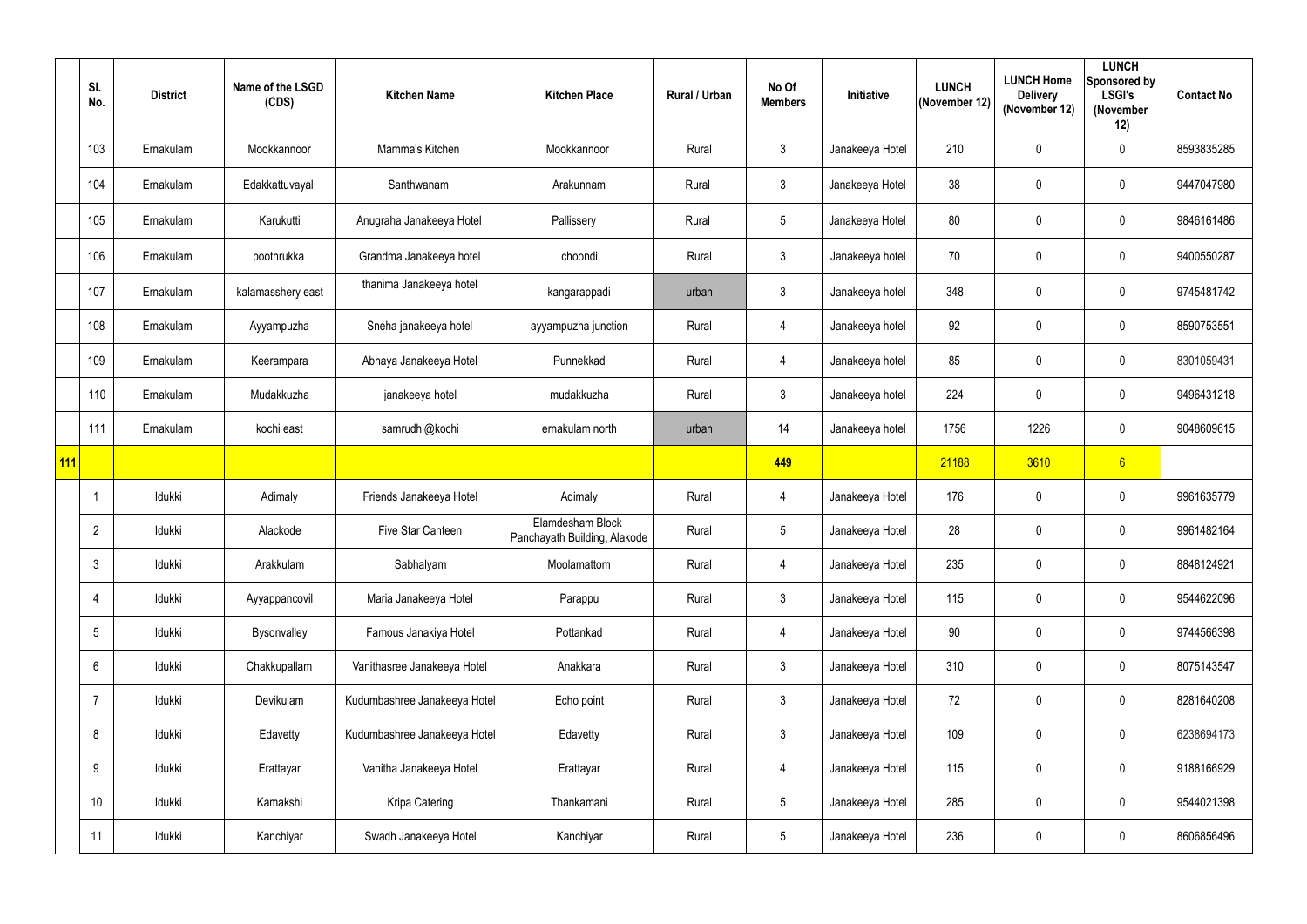|     | SI.<br>No.      | <b>District</b> | Name of the LSGD<br>(CDS) | <b>Kitchen Name</b>          | <b>Kitchen Place</b>                             | Rural / Urban | No Of<br><b>Members</b> | Initiative      | <b>LUNCH</b><br>(November 12) | <b>LUNCH Home</b><br><b>Delivery</b><br>(November 12) | <b>LUNCH</b><br>Sponsored by<br><b>LSGI's</b><br>(November<br>12) | <b>Contact No</b> |
|-----|-----------------|-----------------|---------------------------|------------------------------|--------------------------------------------------|---------------|-------------------------|-----------------|-------------------------------|-------------------------------------------------------|-------------------------------------------------------------------|-------------------|
|     | 103             | Ernakulam       | Mookkannoor               | Mamma's Kitchen              | Mookkannoor                                      | Rural         | $\mathfrak{Z}$          | Janakeeya Hotel | 210                           | 0                                                     | $\mathbf 0$                                                       | 8593835285        |
|     | 104             | Ernakulam       | Edakkattuvayal            | Santhwanam                   | Arakunnam                                        | Rural         | 3                       | Janakeeya Hotel | 38                            | 0                                                     | $\boldsymbol{0}$                                                  | 9447047980        |
|     | 105             | Ernakulam       | Karukutti                 | Anugraha Janakeeya Hotel     | Pallissery                                       | Rural         | 5                       | Janakeeya Hotel | 80                            | 0                                                     | $\mathbf 0$                                                       | 9846161486        |
|     | 106             | Ernakulam       | poothrukka                | Grandma Janakeeya hotel      | choondi                                          | Rural         | $\mathfrak{Z}$          | Janakeeya hotel | 70                            | 0                                                     | $\mathbf 0$                                                       | 9400550287        |
|     | 107             | Ernakulam       | kalamasshery east         | thanima Janakeeya hotel      | kangarappadi                                     | urban         | $\mathfrak{Z}$          | Janakeeya hotel | 348                           | 0                                                     | $\boldsymbol{0}$                                                  | 9745481742        |
|     | 108             | Ernakulam       | Ayyampuzha                | Sneha janakeeya hotel        | ayyampuzha junction                              | Rural         | $\overline{4}$          | Janakeeya hotel | 92                            | 0                                                     | $\mathbf 0$                                                       | 8590753551        |
|     | 109             | Ernakulam       | Keerampara                | Abhaya Janakeeya Hotel       | Punnekkad                                        | Rural         | $\overline{4}$          | Janakeeya hotel | 85                            | 0                                                     | $\mathbf 0$                                                       | 8301059431        |
|     | 110             | Ernakulam       | Mudakkuzha                | janakeeya hotel              | mudakkuzha                                       | Rural         | $\mathfrak{Z}$          | Janakeeya hotel | 224                           | 0                                                     | $\boldsymbol{0}$                                                  | 9496431218        |
|     | 111             | Ernakulam       | kochi east                | samrudhi@kochi               | ernakulam north                                  | urban         | 14                      | Janakeeya hotel | 1756                          | 1226                                                  | $\mathbf 0$                                                       | 9048609615        |
| 111 |                 |                 |                           |                              |                                                  |               | 449                     |                 | 21188                         | 3610                                                  | 6 <sup>1</sup>                                                    |                   |
|     |                 | Idukki          | Adimaly                   | Friends Janakeeya Hotel      | Adimaly                                          | Rural         | $\overline{4}$          | Janakeeya Hotel | 176                           | 0                                                     | $\mathbf 0$                                                       | 9961635779        |
|     | $\overline{2}$  | Idukki          | Alackode                  | <b>Five Star Canteen</b>     | Elamdesham Block<br>Panchayath Building, Alakode | Rural         | 5                       | Janakeeya Hotel | 28                            | 0                                                     | $\mathbf 0$                                                       | 9961482164        |
|     | $\mathfrak{Z}$  | Idukki          | Arakkulam                 | Sabhalyam                    | Moolamattom                                      | Rural         | $\overline{4}$          | Janakeeya Hotel | 235                           | 0                                                     | $\mathbf 0$                                                       | 8848124921        |
|     | 4               | Idukki          | Ayyappancovil             | Maria Janakeeya Hotel        | Parappu                                          | Rural         | $\mathfrak{Z}$          | Janakeeya Hotel | 115                           | 0                                                     | $\mathbf 0$                                                       | 9544622096        |
|     | $5\phantom{.0}$ | Idukki          | Bysonvalley               | Famous Janakiya Hotel        | Pottankad                                        | Rural         | $\overline{4}$          | Janakeeya Hotel | 90                            | 0                                                     | $\mathbf 0$                                                       | 9744566398        |
|     | $6\phantom{.}$  | Idukki          | Chakkupallam              | Vanithasree Janakeeya Hotel  | Anakkara                                         | Rural         | $\mathfrak{Z}$          | Janakeeya Hotel | 310                           | 0                                                     | $\pmb{0}$                                                         | 8075143547        |
|     | $\overline{7}$  | Idukki          | Devikulam                 | Kudumbashree Janakeeya Hotel | Echo point                                       | Rural         | $\mathfrak{Z}$          | Janakeeya Hotel | 72                            | 0                                                     | $\mathbf 0$                                                       | 8281640208        |
|     | 8               | Idukki          | Edavetty                  | Kudumbashree Janakeeya Hotel | Edavetty                                         | Rural         | 3 <sup>1</sup>          | Janakeeya Hotel | 109                           | 0                                                     | $\mathbf 0$                                                       | 6238694173        |
|     | 9               | Idukki          | Erattayar                 | Vanitha Janakeeya Hotel      | Erattayar                                        | Rural         | $\overline{4}$          | Janakeeya Hotel | 115                           | 0                                                     | $\mathbf 0$                                                       | 9188166929        |
|     | 10              | Idukki          | Kamakshi                  | Kripa Catering               | Thankamani                                       | Rural         | 5                       | Janakeeya Hotel | 285                           | 0                                                     | $\mathbf 0$                                                       | 9544021398        |
|     | 11              | Idukki          | Kanchiyar                 | Swadh Janakeeya Hotel        | Kanchiyar                                        | Rural         | $5\phantom{.0}$         | Janakeeya Hotel | 236                           | 0                                                     | $\bm{0}$                                                          | 8606856496        |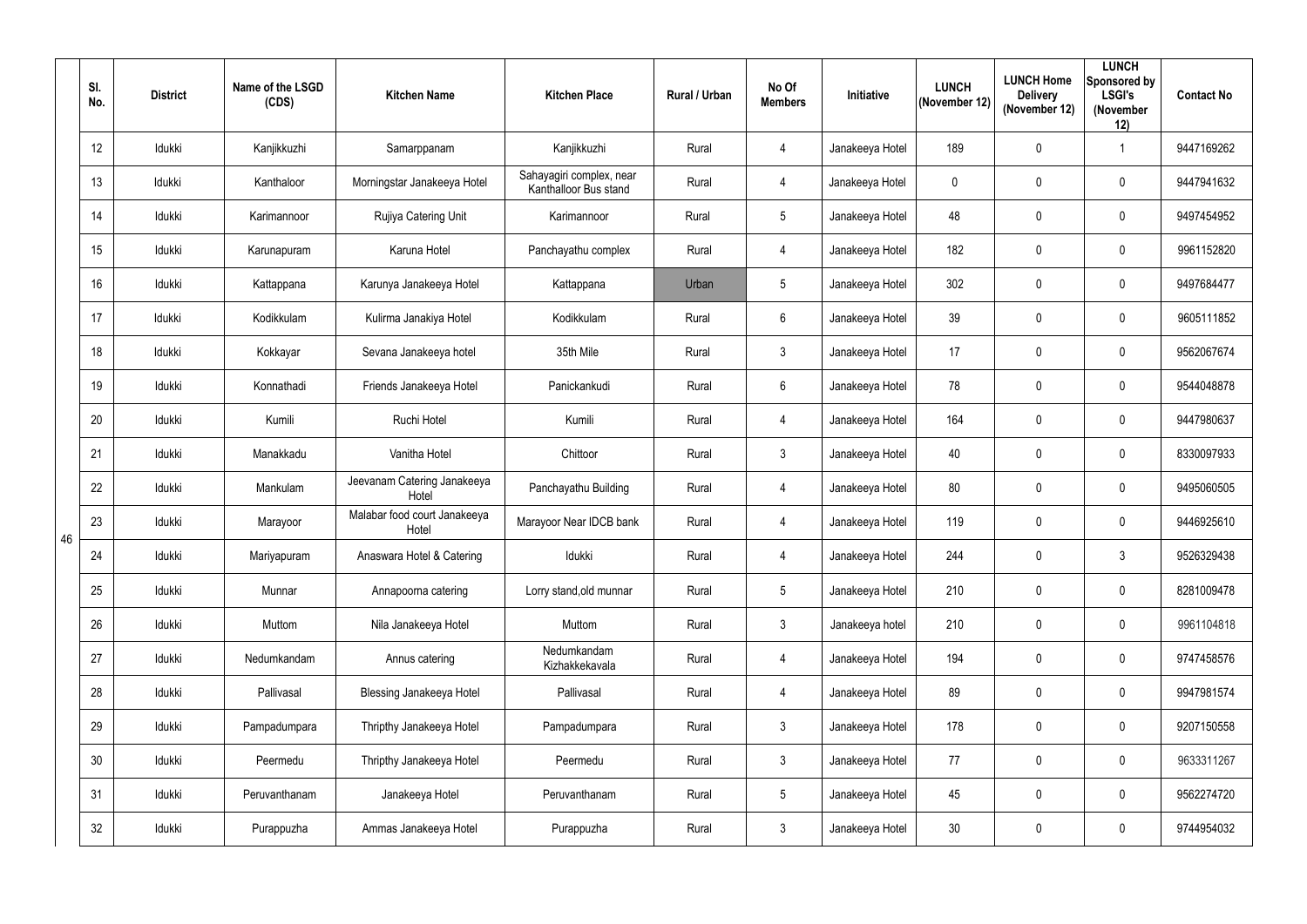|    | SI.<br>No. | <b>District</b> | Name of the LSGD<br>(CDS) | <b>Kitchen Name</b>                   | <b>Kitchen Place</b>                              | Rural / Urban | No Of<br><b>Members</b> | Initiative      | <b>LUNCH</b><br>(November 12) | <b>LUNCH Home</b><br><b>Delivery</b><br>(November 12) | <b>LUNCH</b><br>Sponsored by<br><b>LSGI's</b><br>(November<br>12) | <b>Contact No</b> |
|----|------------|-----------------|---------------------------|---------------------------------------|---------------------------------------------------|---------------|-------------------------|-----------------|-------------------------------|-------------------------------------------------------|-------------------------------------------------------------------|-------------------|
|    | 12         | Idukki          | Kanjikkuzhi               | Samarppanam                           | Kanjikkuzhi                                       | Rural         | $\overline{4}$          | Janakeeya Hotel | 189                           | $\mathbf 0$                                           |                                                                   | 9447169262        |
|    | 13         | Idukki          | Kanthaloor                | Morningstar Janakeeya Hotel           | Sahayagiri complex, near<br>Kanthalloor Bus stand | Rural         | $\overline{4}$          | Janakeeya Hotel | $\mathbf 0$                   | $\mathbf 0$                                           | $\overline{0}$                                                    | 9447941632        |
|    | 14         | Idukki          | Karimannoor               | Rujiya Catering Unit                  | Karimannoor                                       | Rural         | $5\phantom{.0}$         | Janakeeya Hotel | 48                            | 0                                                     | $\mathbf 0$                                                       | 9497454952        |
|    | 15         | Idukki          | Karunapuram               | Karuna Hotel                          | Panchayathu complex                               | Rural         | $\overline{4}$          | Janakeeya Hotel | 182                           | $\mathbf 0$                                           | $\overline{0}$                                                    | 9961152820        |
|    | 16         | Idukki          | Kattappana                | Karunya Janakeeya Hotel               | Kattappana                                        | Urban         | $5\overline{)}$         | Janakeeya Hotel | 302                           | $\mathbf 0$                                           | $\overline{0}$                                                    | 9497684477        |
|    | 17         | Idukki          | Kodikkulam                | Kulirma Janakiya Hotel                | Kodikkulam                                        | Rural         | $6\overline{6}$         | Janakeeya Hotel | 39                            | $\mathbf 0$                                           | $\mathbf 0$                                                       | 9605111852        |
|    | 18         | Idukki          | Kokkayar                  | Sevana Janakeeya hotel                | 35th Mile                                         | Rural         | $\mathbf{3}$            | Janakeeya Hotel | 17                            | $\mathbf 0$                                           | $\overline{0}$                                                    | 9562067674        |
|    | 19         | Idukki          | Konnathadi                | Friends Janakeeya Hotel               | Panickankudi                                      | Rural         | $6\overline{6}$         | Janakeeya Hotel | 78                            | $\mathbf 0$                                           | $\overline{0}$                                                    | 9544048878        |
|    | 20         | Idukki          | Kumili                    | Ruchi Hotel                           | Kumili                                            | Rural         | $\overline{4}$          | Janakeeya Hotel | 164                           | $\mathbf 0$                                           | $\mathbf 0$                                                       | 9447980637        |
|    | 21         | Idukki          | Manakkadu                 | Vanitha Hotel                         | Chittoor                                          | Rural         | $\mathbf{3}$            | Janakeeya Hotel | 40                            | $\mathbf 0$                                           | $\overline{0}$                                                    | 8330097933        |
|    | 22         | Idukki          | Mankulam                  | Jeevanam Catering Janakeeya<br>Hotel  | Panchayathu Building                              | Rural         | $\overline{4}$          | Janakeeya Hotel | 80                            | 0                                                     | $\mathbf 0$                                                       | 9495060505        |
|    | 23         | Idukki          | Marayoor                  | Malabar food court Janakeeya<br>Hotel | Marayoor Near IDCB bank                           | Rural         | $\overline{4}$          | Janakeeya Hotel | 119                           | 0                                                     | $\overline{0}$                                                    | 9446925610        |
| 46 | 24         | Idukki          | Mariyapuram               | Anaswara Hotel & Catering             | Idukki                                            | Rural         | 4                       | Janakeeya Hotel | 244                           | $\mathbf 0$                                           | $\mathbf{3}$                                                      | 9526329438        |
|    | 25         | Idukki          | Munnar                    | Annapoorna catering                   | Lorry stand, old munnar                           | Rural         | $5\phantom{.0}$         | Janakeeya Hotel | 210                           | $\mathbf 0$                                           | $\mathbf 0$                                                       | 8281009478        |
|    | 26         | Idukki          | Muttom                    | Nila Janakeeya Hotel                  | Muttom                                            | Rural         | $\mathbf{3}$            | Janakeeya hotel | 210                           | $\mathbf 0$                                           | $\mathbf 0$                                                       | 9961104818        |
|    | 27         | Idukki          | Nedumkandam               | Annus catering                        | Nedumkandam<br>Kizhakkekavala                     | Rural         | $\overline{4}$          | Janakeeya Hotel | 194                           | $\mathbf 0$                                           | $\mathbf 0$                                                       | 9747458576        |
|    | 28         | Idukki          | Pallivasal                | Blessing Janakeeya Hotel              | Pallivasal                                        | Rural         | $\overline{4}$          | Janakeeya Hotel | 89                            | $\mathbf 0$                                           | $\pmb{0}$                                                         | 9947981574        |
|    | 29         | Idukki          | Pampadumpara              | Thripthy Janakeeya Hotel              | Pampadumpara                                      | Rural         | $\mathbf{3}$            | Janakeeya Hotel | 178                           | $\mathbf 0$                                           | $\mathbf 0$                                                       | 9207150558        |
|    | 30         | Idukki          | Peermedu                  | Thripthy Janakeeya Hotel              | Peermedu                                          | Rural         | $\mathbf{3}$            | Janakeeya Hotel | 77                            | $\mathbf 0$                                           | $\mathbf 0$                                                       | 9633311267        |
|    | 31         | Idukki          | Peruvanthanam             | Janakeeya Hotel                       | Peruvanthanam                                     | Rural         | $5\phantom{.0}$         | Janakeeya Hotel | 45                            | $\mathbf 0$                                           | $\pmb{0}$                                                         | 9562274720        |
|    | 32         | Idukki          | Purappuzha                | Ammas Janakeeya Hotel                 | Purappuzha                                        | Rural         | $3\phantom{a}$          | Janakeeya Hotel | 30 <sup>°</sup>               | $\mathbf 0$                                           | $\boldsymbol{0}$                                                  | 9744954032        |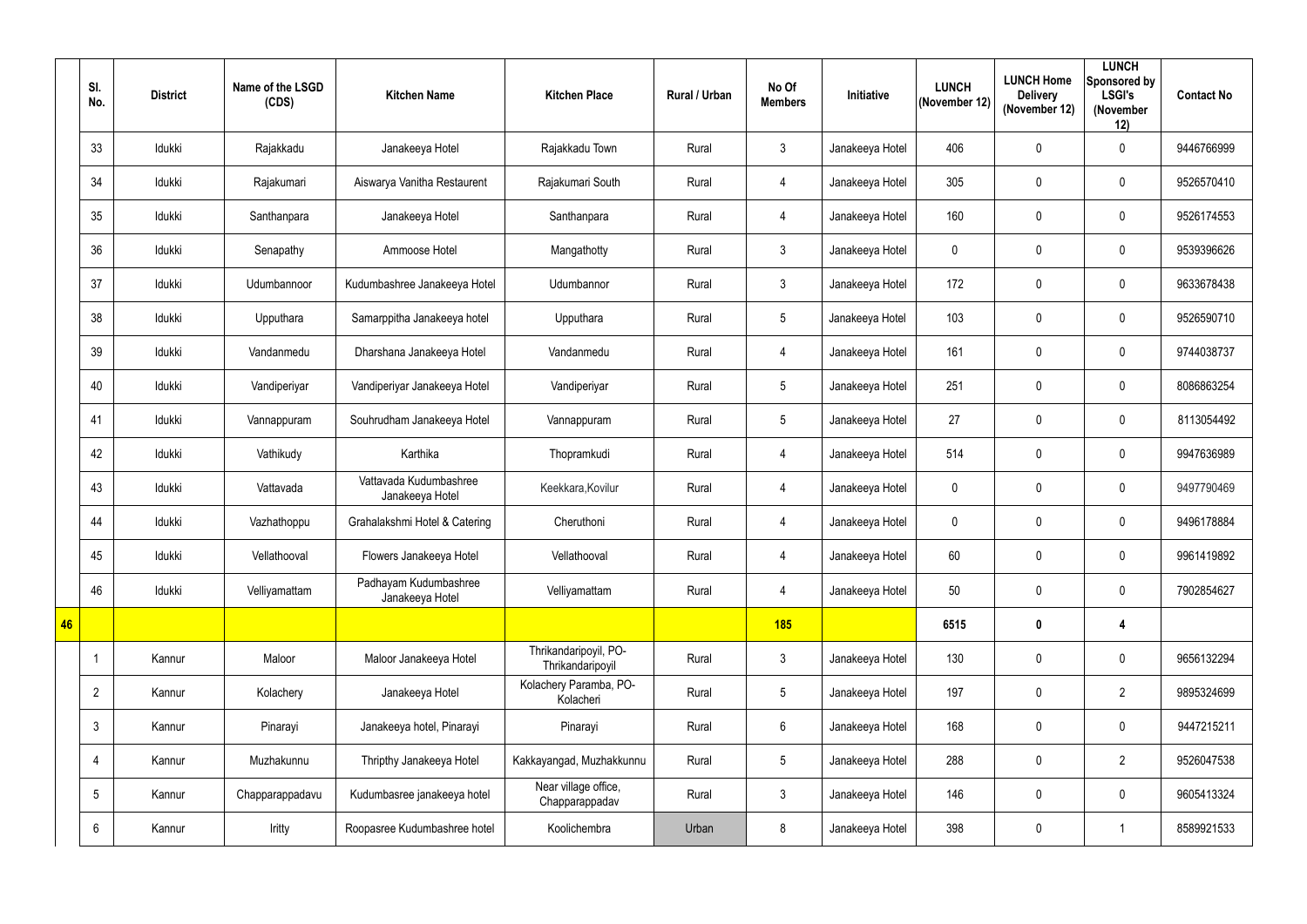|    | SI.<br>No.      | <b>District</b> | Name of the LSGD<br>(CDS) | <b>Kitchen Name</b>                       | <b>Kitchen Place</b>                      | Rural / Urban | No Of<br><b>Members</b> | <b>Initiative</b> | <b>LUNCH</b><br>(November 12) | <b>LUNCH Home</b><br><b>Delivery</b><br>(November 12) | <b>LUNCH</b><br>Sponsored by<br><b>LSGI's</b><br>(November<br>12) | <b>Contact No</b> |
|----|-----------------|-----------------|---------------------------|-------------------------------------------|-------------------------------------------|---------------|-------------------------|-------------------|-------------------------------|-------------------------------------------------------|-------------------------------------------------------------------|-------------------|
|    | 33              | Idukki          | Rajakkadu                 | Janakeeya Hotel                           | Rajakkadu Town                            | Rural         | $\mathfrak{Z}$          | Janakeeya Hotel   | 406                           | $\mathbf 0$                                           | $\mathbf 0$                                                       | 9446766999        |
|    | 34              | Idukki          | Rajakumari                | Aiswarya Vanitha Restaurent               | Rajakumari South                          | Rural         | $\overline{4}$          | Janakeeya Hotel   | 305                           | 0                                                     | $\mathbf 0$                                                       | 9526570410        |
|    | 35              | Idukki          | Santhanpara               | Janakeeya Hotel                           | Santhanpara                               | Rural         | $\overline{4}$          | Janakeeya Hotel   | 160                           | $\mathbf 0$                                           | $\mathbf 0$                                                       | 9526174553        |
|    | 36              | Idukki          | Senapathy                 | Ammoose Hotel                             | Mangathotty                               | Rural         | $\mathfrak{Z}$          | Janakeeya Hotel   | 0                             | 0                                                     | $\mathbf 0$                                                       | 9539396626        |
|    | 37              | Idukki          | Udumbannoor               | Kudumbashree Janakeeya Hotel              | Udumbannor                                | Rural         | $\mathfrak{Z}$          | Janakeeya Hotel   | 172                           | 0                                                     | $\mathbf 0$                                                       | 9633678438        |
|    | 38              | Idukki          | Upputhara                 | Samarppitha Janakeeya hotel               | Upputhara                                 | Rural         | $5\phantom{.0}$         | Janakeeya Hotel   | 103                           | $\pmb{0}$                                             | $\mathbf 0$                                                       | 9526590710        |
|    | 39              | Idukki          | Vandanmedu                | Dharshana Janakeeya Hotel                 | Vandanmedu                                | Rural         | $\overline{4}$          | Janakeeya Hotel   | 161                           | 0                                                     | $\mathbf 0$                                                       | 9744038737        |
|    | 40              | Idukki          | Vandiperiyar              | Vandiperiyar Janakeeya Hotel              | Vandiperiyar                              | Rural         | $5\phantom{.0}$         | Janakeeya Hotel   | 251                           | 0                                                     | $\mathbf 0$                                                       | 8086863254        |
|    | 41              | Idukki          | Vannappuram               | Souhrudham Janakeeya Hotel                | Vannappuram                               | Rural         | $5\phantom{.0}$         | Janakeeya Hotel   | 27                            | $\mathbf 0$                                           | $\mathbf 0$                                                       | 8113054492        |
|    | 42              | Idukki          | Vathikudy                 | Karthika                                  | Thopramkudi                               | Rural         | 4                       | Janakeeya Hotel   | 514                           | $\mathbf 0$                                           | $\mathbf 0$                                                       | 9947636989        |
|    | 43              | Idukki          | Vattavada                 | Vattavada Kudumbashree<br>Janakeeya Hotel | Keekkara, Kovilur                         | Rural         | $\overline{4}$          | Janakeeya Hotel   | 0                             | $\pmb{0}$                                             | $\mathbf 0$                                                       | 9497790469        |
|    | 44              | Idukki          | Vazhathoppu               | Grahalakshmi Hotel & Catering             | Cheruthoni                                | Rural         | $\overline{4}$          | Janakeeya Hotel   | 0                             | 0                                                     | $\mathbf 0$                                                       | 9496178884        |
|    | 45              | Idukki          | Vellathooval              | Flowers Janakeeya Hotel                   | Vellathooval                              | Rural         | $\overline{4}$          | Janakeeya Hotel   | 60                            | $\pmb{0}$                                             | $\mathbf 0$                                                       | 9961419892        |
|    | 46              | Idukki          | Velliyamattam             | Padhayam Kudumbashree<br>Janakeeya Hotel  | Velliyamattam                             | Rural         | 4                       | Janakeeya Hotel   | 50                            | $\pmb{0}$                                             | $\overline{0}$                                                    | 7902854627        |
| 46 |                 |                 |                           |                                           |                                           |               | <b>185</b>              |                   | 6515                          | $\mathbf 0$                                           | $\overline{\mathbf{4}}$                                           |                   |
|    | $\mathbf{1}$    | Kannur          | Maloor                    | Maloor Janakeeya Hotel                    | Thrikandaripoyil, PO-<br>Thrikandaripoyil | Rural         | $\mathfrak{Z}$          | Janakeeya Hotel   | 130                           | $\pmb{0}$                                             | $\overline{0}$                                                    | 9656132294        |
|    | $\overline{2}$  | Kannur          | Kolachery                 | Janakeeya Hotel                           | Kolachery Paramba, PO-<br>Kolacheri       | Rural         | $5\phantom{.0}$         | Janakeeya Hotel   | 197                           | $\pmb{0}$                                             | $\overline{2}$                                                    | 9895324699        |
|    | $\mathfrak{Z}$  | Kannur          | Pinarayi                  | Janakeeya hotel, Pinarayi                 | Pinarayi                                  | Rural         | $6\phantom{.0}$         | Janakeeya Hotel   | 168                           | $\pmb{0}$                                             | $\mathbf 0$                                                       | 9447215211        |
|    | 4               | Kannur          | Muzhakunnu                | Thripthy Janakeeya Hotel                  | Kakkayangad, Muzhakkunnu                  | Rural         | $5\phantom{.0}$         | Janakeeya Hotel   | 288                           | $\pmb{0}$                                             | $\overline{2}$                                                    | 9526047538        |
|    | $5\phantom{.0}$ | Kannur          | Chapparappadavu           | Kudumbasree janakeeya hotel               | Near village office,<br>Chapparappadav    | Rural         | $\mathfrak{Z}$          | Janakeeya Hotel   | 146                           | 0                                                     | $\mathbf 0$                                                       | 9605413324        |
|    | 6               | Kannur          | Iritty                    | Roopasree Kudumbashree hotel              | Koolichembra                              | Urban         | 8                       | Janakeeya Hotel   | 398                           | $\pmb{0}$                                             |                                                                   | 8589921533        |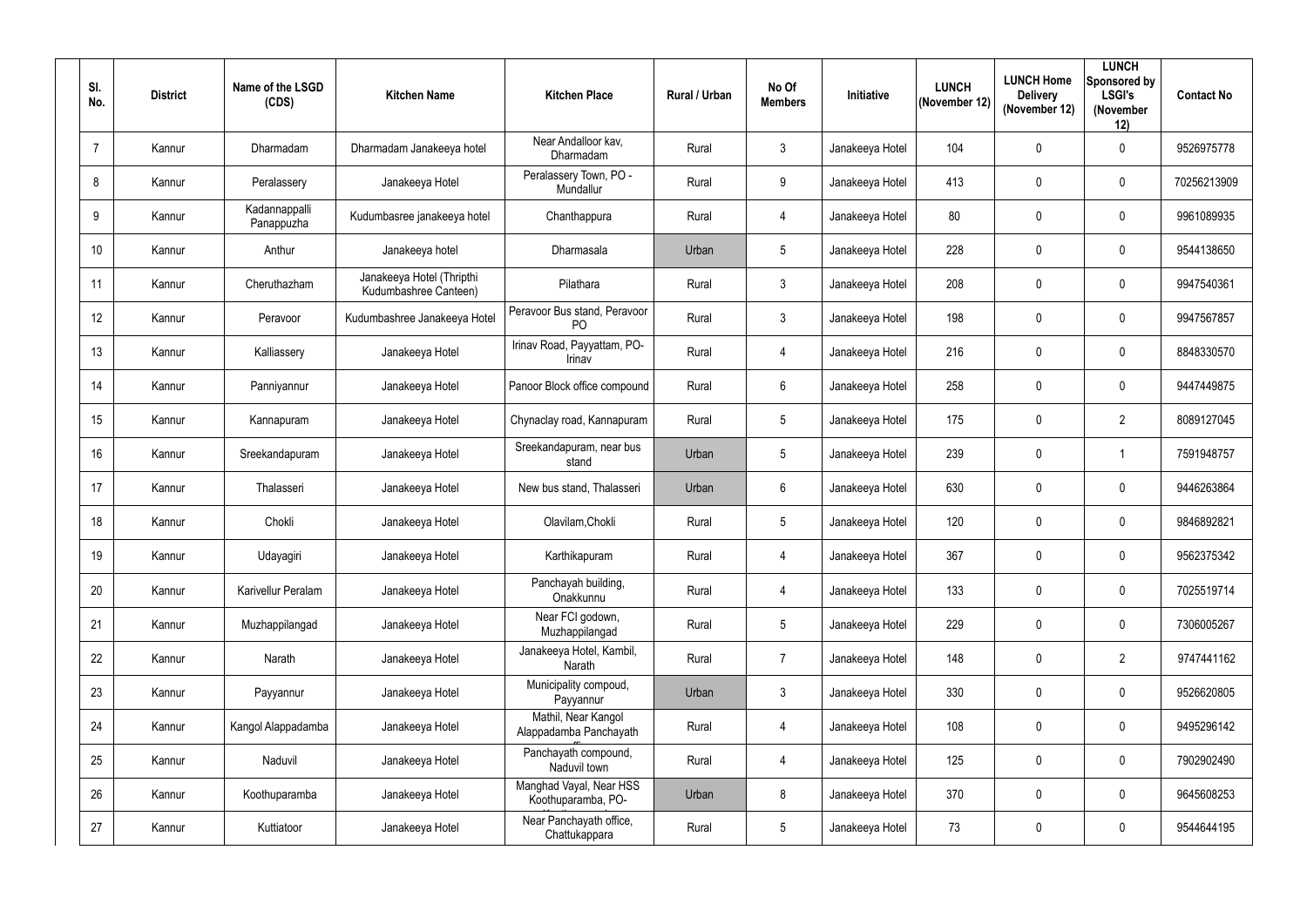| SI.<br>No.      | <b>District</b> | Name of the LSGD<br>(CDS)   | <b>Kitchen Name</b>                                | <b>Kitchen Place</b>                           | Rural / Urban | No Of<br><b>Members</b> | Initiative      | <b>LUNCH</b><br>(November 12) | <b>LUNCH Home</b><br><b>Delivery</b><br>(November 12) | <b>LUNCH</b><br>Sponsored by<br><b>LSGI's</b><br>(November<br>12) | <b>Contact No</b> |
|-----------------|-----------------|-----------------------------|----------------------------------------------------|------------------------------------------------|---------------|-------------------------|-----------------|-------------------------------|-------------------------------------------------------|-------------------------------------------------------------------|-------------------|
| $\overline{7}$  | Kannur          | Dharmadam                   | Dharmadam Janakeeya hotel                          | Near Andalloor kav,<br>Dharmadam               | Rural         | $\mathbf{3}$            | Janakeeya Hotel | 104                           | $\mathbf 0$                                           | $\mathbf 0$                                                       | 9526975778        |
| 8               | Kannur          | Peralassery                 | Janakeeya Hotel                                    | Peralassery Town, PO -<br>Mundallur            | Rural         | 9                       | Janakeeya Hotel | 413                           | 0                                                     | $\mathbf 0$                                                       | 70256213909       |
| 9               | Kannur          | Kadannappalli<br>Panappuzha | Kudumbasree janakeeya hotel                        | Chanthappura                                   | Rural         | $\overline{4}$          | Janakeeya Hotel | 80                            | 0                                                     | $\mathbf 0$                                                       | 9961089935        |
| 10 <sup>°</sup> | Kannur          | Anthur                      | Janakeeya hotel                                    | Dharmasala                                     | Urban         | $5\phantom{.0}$         | Janakeeya Hotel | 228                           | 0                                                     | $\mathbf 0$                                                       | 9544138650        |
| 11              | Kannur          | Cheruthazham                | Janakeeya Hotel (Thripthi<br>Kudumbashree Canteen) | Pilathara                                      | Rural         | $\mathbf{3}$            | Janakeeya Hotel | 208                           | 0                                                     | $\mathbf 0$                                                       | 9947540361        |
| 12 <sup>°</sup> | Kannur          | Peravoor                    | Kudumbashree Janakeeya Hotel                       | Peravoor Bus stand, Peravoor<br>P <sub>O</sub> | Rural         | $\mathbf{3}$            | Janakeeya Hotel | 198                           | 0                                                     | $\mathbf 0$                                                       | 9947567857        |
| 13              | Kannur          | Kalliassery                 | Janakeeya Hotel                                    | Irinav Road, Payyattam, PO-<br>Irinav          | Rural         | $\overline{4}$          | Janakeeya Hotel | 216                           | 0                                                     | $\mathbf 0$                                                       | 8848330570        |
| 14              | Kannur          | Panniyannur                 | Janakeeya Hotel                                    | Panoor Block office compound                   | Rural         | $6\phantom{.}6$         | Janakeeya Hotel | 258                           | 0                                                     | $\mathbf 0$                                                       | 9447449875        |
| 15              | Kannur          | Kannapuram                  | Janakeeya Hotel                                    | Chynaclay road, Kannapuram                     | Rural         | $5\overline{)}$         | Janakeeya Hotel | 175                           | 0                                                     | $\overline{2}$                                                    | 8089127045        |
| 16              | Kannur          | Sreekandapuram              | Janakeeya Hotel                                    | Sreekandapuram, near bus<br>stand              | Urban         | $5\overline{)}$         | Janakeeya Hotel | 239                           | 0                                                     |                                                                   | 7591948757        |
| 17              | Kannur          | Thalasseri                  | Janakeeya Hotel                                    | New bus stand, Thalasseri                      | Urban         | $6\phantom{.}6$         | Janakeeya Hotel | 630                           | 0                                                     | $\overline{0}$                                                    | 9446263864        |
| 18              | Kannur          | Chokli                      | Janakeeya Hotel                                    | Olavilam, Chokli                               | Rural         | $5\overline{)}$         | Janakeeya Hotel | 120                           | 0                                                     | $\mathbf 0$                                                       | 9846892821        |
| 19              | Kannur          | Udayagiri                   | Janakeeya Hotel                                    | Karthikapuram                                  | Rural         | 4                       | Janakeeya Hotel | 367                           | 0                                                     | $\mathbf 0$                                                       | 9562375342        |
| 20              | Kannur          | Karivellur Peralam          | Janakeeya Hotel                                    | Panchayah building,<br>Onakkunnu               | Rural         | $\overline{4}$          | Janakeeya Hotel | 133                           | $\mathbf 0$                                           | $\overline{0}$                                                    | 7025519714        |
| 21              | Kannur          | Muzhappilangad              | Janakeeya Hotel                                    | Near FCI godown,<br>Muzhappilangad             | Rural         | $5\phantom{.0}$         | Janakeeya Hotel | 229                           | 0                                                     | $\overline{0}$                                                    | 7306005267        |
| 22              | Kannur          | Narath                      | Janakeeya Hotel                                    | Janakeeya Hotel, Kambil,<br>Narath             | Rural         | $\overline{7}$          | Janakeeya Hotel | 148                           | 0                                                     | $\overline{2}$                                                    | 9747441162        |
| 23              | Kannur          | Payyannur                   | Janakeeya Hotel                                    | Municipality compoud,<br>Payyannur             | Urban         | $\mathfrak{Z}$          | Janakeeya Hotel | 330                           | $\mathbf 0$                                           | $\mathbf 0$                                                       | 9526620805        |
| 24              | Kannur          | Kangol Alappadamba          | Janakeeya Hotel                                    | Mathil, Near Kangol<br>Alappadamba Panchayath  | Rural         | $\overline{4}$          | Janakeeya Hotel | 108                           | 0                                                     | $\overline{0}$                                                    | 9495296142        |
| 25              | Kannur          | Naduvil                     | Janakeeya Hotel                                    | Panchayath compound,<br>Naduvil town           | Rural         | $\overline{4}$          | Janakeeya Hotel | 125                           | $\mathbf 0$                                           | $\overline{0}$                                                    | 7902902490        |
| 26              | Kannur          | Koothuparamba               | Janakeeya Hotel                                    | Manghad Vayal, Near HSS<br>Koothuparamba, PO-  | Urban         | $\bf 8$                 | Janakeeya Hotel | 370                           | 0                                                     | $\overline{0}$                                                    | 9645608253        |
| 27              | Kannur          | Kuttiatoor                  | Janakeeya Hotel                                    | Near Panchayath office,<br>Chattukappara       | Rural         | $5\overline{)}$         | Janakeeya Hotel | 73                            | 0                                                     | $\mathbf 0$                                                       | 9544644195        |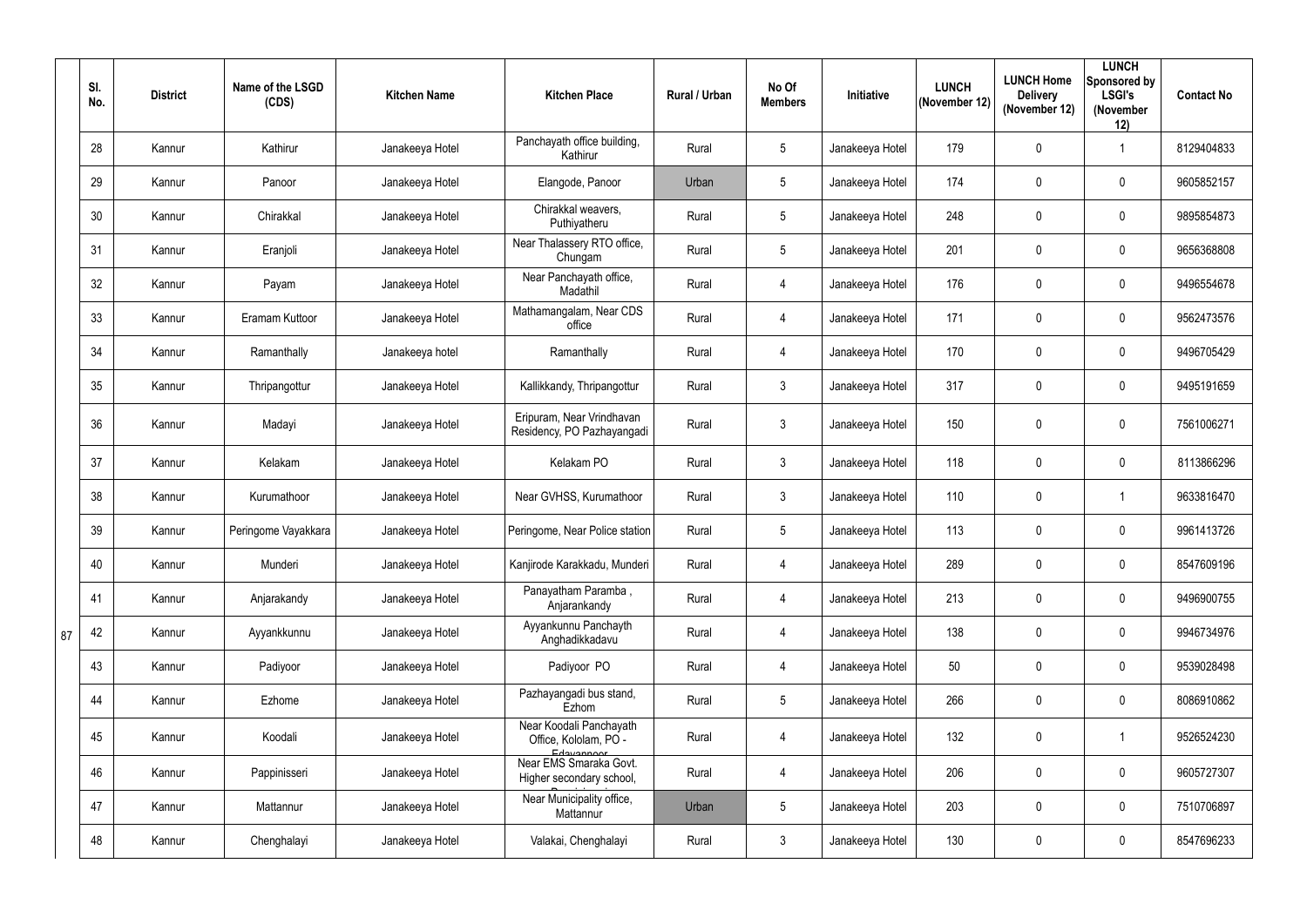|    | SI.<br>No. | <b>District</b> | Name of the LSGD<br>(CDS) | <b>Kitchen Name</b> | <b>Kitchen Place</b>                                           | Rural / Urban | No Of<br><b>Members</b> | Initiative      | <b>LUNCH</b><br>(November 12) | <b>LUNCH Home</b><br><b>Delivery</b><br>(November 12) | <b>LUNCH</b><br>Sponsored by<br><b>LSGI's</b><br>(November<br>12) | <b>Contact No</b> |
|----|------------|-----------------|---------------------------|---------------------|----------------------------------------------------------------|---------------|-------------------------|-----------------|-------------------------------|-------------------------------------------------------|-------------------------------------------------------------------|-------------------|
|    | 28         | Kannur          | Kathirur                  | Janakeeya Hotel     | Panchayath office building,<br>Kathirur                        | Rural         | $5\overline{)}$         | Janakeeya Hotel | 179                           | 0                                                     |                                                                   | 8129404833        |
|    | 29         | Kannur          | Panoor                    | Janakeeya Hotel     | Elangode, Panoor                                               | Urban         | $5\phantom{.0}$         | Janakeeya Hotel | 174                           | 0                                                     | $\mathbf 0$                                                       | 9605852157        |
|    | 30         | Kannur          | Chirakkal                 | Janakeeya Hotel     | Chirakkal weavers,<br>Puthiyatheru                             | Rural         | $5\overline{)}$         | Janakeeya Hotel | 248                           | $\mathbf{0}$                                          | $\mathbf 0$                                                       | 9895854873        |
|    | 31         | Kannur          | Eranjoli                  | Janakeeya Hotel     | Near Thalassery RTO office,<br>Chungam                         | Rural         | $5\overline{)}$         | Janakeeya Hotel | 201                           | 0                                                     | $\mathbf 0$                                                       | 9656368808        |
|    | 32         | Kannur          | Payam                     | Janakeeya Hotel     | Near Panchayath office,<br>Madathil                            | Rural         | $\overline{4}$          | Janakeeya Hotel | 176                           | 0                                                     | $\mathbf 0$                                                       | 9496554678        |
|    | 33         | Kannur          | Eramam Kuttoor            | Janakeeya Hotel     | Mathamangalam, Near CDS<br>office                              | Rural         | $\overline{4}$          | Janakeeya Hotel | 171                           | 0                                                     | $\mathbf 0$                                                       | 9562473576        |
|    | 34         | Kannur          | Ramanthally               | Janakeeya hotel     | Ramanthally                                                    | Rural         | $\overline{4}$          | Janakeeya Hotel | 170                           | 0                                                     | $\mathbf 0$                                                       | 9496705429        |
|    | 35         | Kannur          | Thripangottur             | Janakeeya Hotel     | Kallikkandy, Thripangottur                                     | Rural         | $\mathbf{3}$            | Janakeeya Hotel | 317                           | 0                                                     | $\overline{0}$                                                    | 9495191659        |
|    | 36         | Kannur          | Madayi                    | Janakeeya Hotel     | Eripuram, Near Vrindhavan<br>Residency, PO Pazhayangadi        | Rural         | $\mathbf{3}$            | Janakeeya Hotel | 150                           | 0                                                     | $\mathbf 0$                                                       | 7561006271        |
|    | 37         | Kannur          | Kelakam                   | Janakeeya Hotel     | Kelakam PO                                                     | Rural         | $\mathbf{3}$            | Janakeeya Hotel | 118                           | 0                                                     | $\mathbf 0$                                                       | 8113866296        |
|    | 38         | Kannur          | Kurumathoor               | Janakeeya Hotel     | Near GVHSS, Kurumathoor                                        | Rural         | $\mathfrak{Z}$          | Janakeeya Hotel | 110                           | 0                                                     |                                                                   | 9633816470        |
|    | 39         | Kannur          | Peringome Vayakkara       | Janakeeya Hotel     | Peringome, Near Police station                                 | Rural         | $5\overline{)}$         | Janakeeya Hotel | 113                           | 0                                                     | $\overline{0}$                                                    | 9961413726        |
|    | 40         | Kannur          | Munderi                   | Janakeeya Hotel     | Kanjirode Karakkadu, Munderi                                   | Rural         | 4                       | Janakeeya Hotel | 289                           | 0                                                     | $\mathbf 0$                                                       | 8547609196        |
|    | 41         | Kannur          | Anjarakandy               | Janakeeya Hotel     | Panayatham Paramba,<br>Anjarankandy                            | Rural         | $\overline{4}$          | Janakeeya Hotel | 213                           | 0                                                     | $\overline{0}$                                                    | 9496900755        |
| 87 | 42         | Kannur          | Ayyankkunnu               | Janakeeya Hotel     | Ayyankunnu Panchayth<br>Anghadikkadavu                         | Rural         | $\overline{4}$          | Janakeeya Hotel | 138                           | 0                                                     | $\overline{0}$                                                    | 9946734976        |
|    | 43         | Kannur          | Padiyoor                  | Janakeeya Hotel     | Padiyoor PO                                                    | Rural         | 4                       | Janakeeya Hotel | 50                            | 0                                                     | $\overline{0}$                                                    | 9539028498        |
|    | 44         | Kannur          | Ezhome                    | Janakeeya Hotel     | Pazhayangadi bus stand,<br>Ezhom                               | Rural         | $5\phantom{.0}$         | Janakeeya Hotel | 266                           | 0                                                     | $\overline{0}$                                                    | 8086910862        |
|    | 45         | Kannur          | Koodali                   | Janakeeya Hotel     | Near Koodali Panchayath<br>Office, Kololam, PO -<br>Edavannoor | Rural         | 4                       | Janakeeya Hotel | 132                           | 0                                                     |                                                                   | 9526524230        |
|    | 46         | Kannur          | Pappinisseri              | Janakeeya Hotel     | Near EMS Smaraka Govt.<br>Higher secondary school,             | Rural         | 4                       | Janakeeya Hotel | 206                           | 0                                                     | $\overline{0}$                                                    | 9605727307        |
|    | 47         | Kannur          | Mattannur                 | Janakeeya Hotel     | Near Municipality office,<br>Mattannur                         | Urban         | $5\phantom{.0}$         | Janakeeya Hotel | 203                           | 0                                                     | $\overline{0}$                                                    | 7510706897        |
|    | 48         | Kannur          | Chenghalayi               | Janakeeya Hotel     | Valakai, Chenghalayi                                           | Rural         | $\mathfrak{Z}$          | Janakeeya Hotel | 130                           | 0                                                     | $\mathbf 0$                                                       | 8547696233        |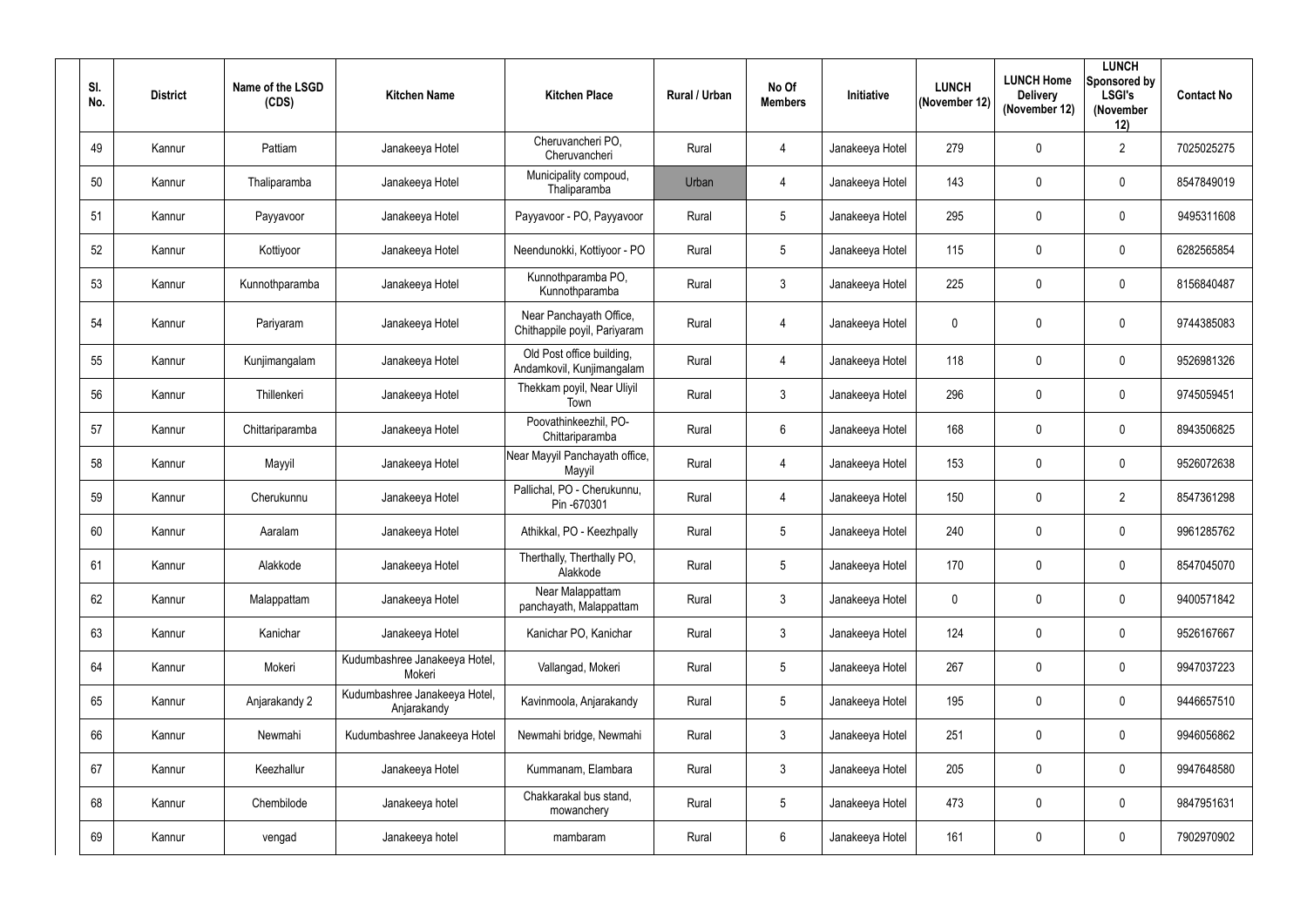| SI.<br>No. | <b>District</b> | Name of the LSGD<br>(CDS) | <b>Kitchen Name</b>                          | <b>Kitchen Place</b>                                    | <b>Rural / Urban</b> | No Of<br><b>Members</b> | Initiative      | <b>LUNCH</b><br>(November 12) | <b>LUNCH Home</b><br><b>Delivery</b><br>(November 12) | <b>LUNCH</b><br>Sponsored by<br><b>LSGI's</b><br>(November<br>12) | <b>Contact No</b> |
|------------|-----------------|---------------------------|----------------------------------------------|---------------------------------------------------------|----------------------|-------------------------|-----------------|-------------------------------|-------------------------------------------------------|-------------------------------------------------------------------|-------------------|
| 49         | Kannur          | Pattiam                   | Janakeeya Hotel                              | Cheruvancheri PO,<br>Cheruvancheri                      | Rural                | $\overline{4}$          | Janakeeya Hotel | 279                           | $\mathbf 0$                                           | $\overline{2}$                                                    | 7025025275        |
| 50         | Kannur          | Thaliparamba              | Janakeeya Hotel                              | Municipality compoud,<br>Thaliparamba                   | Urban                | $\overline{4}$          | Janakeeya Hotel | 143                           | $\mathbf 0$                                           | $\mathbf 0$                                                       | 8547849019        |
| 51         | Kannur          | Payyavoor                 | Janakeeya Hotel                              | Payyavoor - PO, Payyavoor                               | Rural                | $5\phantom{.0}$         | Janakeeya Hotel | 295                           | $\mathbf 0$                                           | $\mathbf 0$                                                       | 9495311608        |
| 52         | Kannur          | Kottiyoor                 | Janakeeya Hotel                              | Neendunokki, Kottiyoor - PO                             | Rural                | $5\phantom{.0}$         | Janakeeya Hotel | 115                           | $\overline{0}$                                        | $\mathbf 0$                                                       | 6282565854        |
| 53         | Kannur          | Kunnothparamba            | Janakeeya Hotel                              | Kunnothparamba PO,<br>Kunnothparamba                    | Rural                | $\mathbf{3}$            | Janakeeya Hotel | 225                           | 0                                                     | $\mathbf 0$                                                       | 8156840487        |
| 54         | Kannur          | Pariyaram                 | Janakeeya Hotel                              | Near Panchayath Office,<br>Chithappile poyil, Pariyaram | Rural                | $\overline{4}$          | Janakeeya Hotel | $\mathbf 0$                   | $\mathbf 0$                                           | $\mathbf 0$                                                       | 9744385083        |
| 55         | Kannur          | Kunjimangalam             | Janakeeya Hotel                              | Old Post office building,<br>Andamkovil, Kunjimangalam  | Rural                | $\overline{4}$          | Janakeeya Hotel | 118                           | $\mathbf 0$                                           | $\mathbf 0$                                                       | 9526981326        |
| 56         | Kannur          | Thillenkeri               | Janakeeya Hotel                              | Thekkam poyil, Near Uliyil<br>Town                      | Rural                | $\mathbf{3}$            | Janakeeya Hotel | 296                           | $\mathbf 0$                                           | $\mathbf 0$                                                       | 9745059451        |
| 57         | Kannur          | Chittariparamba           | Janakeeya Hotel                              | Poovathinkeezhil, PO-<br>Chittariparamba                | Rural                | $6\overline{6}$         | Janakeeya Hotel | 168                           | $\overline{0}$                                        | $\mathbf 0$                                                       | 8943506825        |
| 58         | Kannur          | Mayyil                    | Janakeeya Hotel                              | Near Mayyil Panchayath office,<br>Mayyil                | Rural                | 4                       | Janakeeya Hotel | 153                           | $\mathbf 0$                                           | $\mathbf 0$                                                       | 9526072638        |
| 59         | Kannur          | Cherukunnu                | Janakeeya Hotel                              | Pallichal, PO - Cherukunnu,<br>Pin -670301              | Rural                | 4                       | Janakeeya Hotel | 150                           | 0                                                     | $\overline{2}$                                                    | 8547361298        |
| 60         | Kannur          | Aaralam                   | Janakeeya Hotel                              | Athikkal, PO - Keezhpally                               | Rural                | $5\phantom{.0}$         | Janakeeya Hotel | 240                           | $\mathbf 0$                                           | $\mathbf 0$                                                       | 9961285762        |
| 61         | Kannur          | Alakkode                  | Janakeeya Hotel                              | Therthally, Therthally PO,<br>Alakkode                  | Rural                | $5\phantom{.0}$         | Janakeeya Hotel | 170                           | $\mathbf 0$                                           | $\mathbf 0$                                                       | 8547045070        |
| 62         | Kannur          | Malappattam               | Janakeeya Hotel                              | Near Malappattam<br>panchayath, Malappattam             | Rural                | 3 <sup>1</sup>          | Janakeeya Hotel | $\mathbf 0$                   | $\mathbf 0$                                           | $\mathbf 0$                                                       | 9400571842        |
| 63         | Kannur          | Kanichar                  | Janakeeya Hotel                              | Kanichar PO, Kanichar                                   | Rural                | $\mathbf{3}$            | Janakeeya Hotel | 124                           | $\mathbf 0$                                           | $\mathbf 0$                                                       | 9526167667        |
| 64         | Kannur          | Mokeri                    | Kudumbashree Janakeeya Hotel,<br>Mokeri      | Vallangad, Mokeri                                       | Rural                | $5\phantom{.0}$         | Janakeeya Hotel | 267                           | $\mathbf 0$                                           | $\mathbf 0$                                                       | 9947037223        |
| 65         | Kannur          | Anjarakandy 2             | Kudumbashree Janakeeya Hotel,<br>Anjarakandy | Kavinmoola, Anjarakandy                                 | Rural                | 5 <sub>5</sub>          | Janakeeya Hotel | 195                           | $\mathbf 0$                                           | $\mathbf 0$                                                       | 9446657510        |
| 66         | Kannur          | Newmahi                   | Kudumbashree Janakeeya Hotel                 | Newmahi bridge, Newmahi                                 | Rural                | $\mathbf{3}$            | Janakeeya Hotel | 251                           | $\mathbf 0$                                           | $\mathbf 0$                                                       | 9946056862        |
| 67         | Kannur          | Keezhallur                | Janakeeya Hotel                              | Kummanam, Elambara                                      | Rural                | $\mathbf{3}$            | Janakeeya Hotel | 205                           | $\mathbf 0$                                           | $\mathbf 0$                                                       | 9947648580        |
| 68         | Kannur          | Chembilode                | Janakeeya hotel                              | Chakkarakal bus stand,<br>mowanchery                    | Rural                | 5 <sub>5</sub>          | Janakeeya Hotel | 473                           | $\mathbf 0$                                           | $\mathbf 0$                                                       | 9847951631        |
| 69         | Kannur          | vengad                    | Janakeeya hotel                              | mambaram                                                | Rural                | $6\phantom{.}$          | Janakeeya Hotel | 161                           | $\mathbf 0$                                           | $\boldsymbol{0}$                                                  | 7902970902        |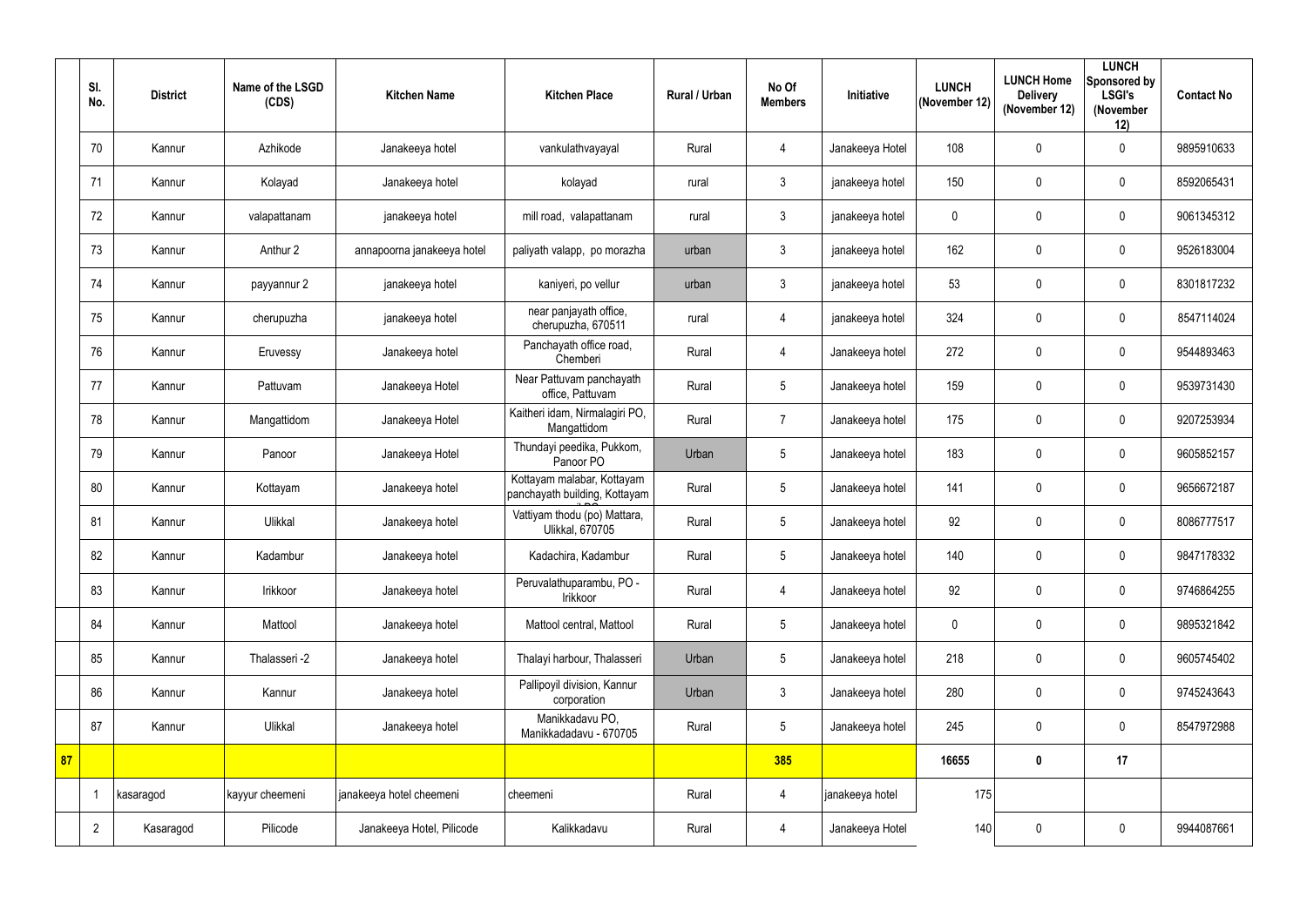|    | SI.<br>No.     | <b>District</b> | Name of the LSGD<br>(CDS) | <b>Kitchen Name</b>        | <b>Kitchen Place</b>                                        | <b>Rural / Urban</b> | No Of<br><b>Members</b> | <b>Initiative</b> | <b>LUNCH</b><br>(November 12) | <b>LUNCH Home</b><br><b>Delivery</b><br>(November 12) | <b>LUNCH</b><br>Sponsored by<br><b>LSGI's</b><br>(November<br>12) | <b>Contact No</b> |
|----|----------------|-----------------|---------------------------|----------------------------|-------------------------------------------------------------|----------------------|-------------------------|-------------------|-------------------------------|-------------------------------------------------------|-------------------------------------------------------------------|-------------------|
|    | 70             | Kannur          | Azhikode                  | Janakeeya hotel            | vankulathvayayal                                            | Rural                | $\overline{4}$          | Janakeeya Hotel   | 108                           | $\mathbf 0$                                           | $\mathbf 0$                                                       | 9895910633        |
|    | 71             | Kannur          | Kolayad                   | Janakeeya hotel            | kolayad                                                     | rural                | $\mathbf{3}$            | janakeeya hotel   | 150                           | 0                                                     | $\mathbf 0$                                                       | 8592065431        |
|    | 72             | Kannur          | valapattanam              | janakeeya hotel            | mill road, valapattanam                                     | rural                | $\mathfrak{Z}$          | janakeeya hotel   | $\pmb{0}$                     | $\mathbf 0$                                           | $\mathbf 0$                                                       | 9061345312        |
|    | 73             | Kannur          | Anthur 2                  | annapoorna janakeeya hotel | paliyath valapp, po morazha                                 | urban                | $3\phantom{.0}$         | janakeeya hotel   | 162                           | 0                                                     | $\mathbf 0$                                                       | 9526183004        |
|    | 74             | Kannur          | payyannur 2               | janakeeya hotel            | kaniyeri, po vellur                                         | urban                | $\mathfrak{Z}$          | janakeeya hotel   | 53                            | 0                                                     | $\mathbf 0$                                                       | 8301817232        |
|    | 75             | Kannur          | cherupuzha                | janakeeya hotel            | near panjayath office,<br>cherupuzha, 670511                | rural                | $\overline{4}$          | janakeeya hotel   | 324                           | $\mathbf 0$                                           | $\mathbf 0$                                                       | 8547114024        |
|    | 76             | Kannur          | Eruvessy                  | Janakeeya hotel            | Panchayath office road,<br>Chemberi                         | Rural                | $\overline{4}$          | Janakeeya hotel   | 272                           | 0                                                     | $\mathbf 0$                                                       | 9544893463        |
|    | 77             | Kannur          | Pattuvam                  | Janakeeya Hotel            | Near Pattuvam panchayath<br>office, Pattuvam                | Rural                | $5\phantom{.0}$         | Janakeeya hotel   | 159                           | $\mathbf 0$                                           | $\mathbf 0$                                                       | 9539731430        |
|    | 78             | Kannur          | Mangattidom               | Janakeeya Hotel            | Kaitheri idam, Nirmalagiri PO,<br>Mangattidom               | Rural                | $\overline{7}$          | Janakeeya hotel   | 175                           | $\mathbf 0$                                           | $\mathbf 0$                                                       | 9207253934        |
|    | 79             | Kannur          | Panoor                    | Janakeeya Hotel            | Thundayi peedika, Pukkom,<br>Panoor PO                      | Urban                | 5                       | Janakeeya hotel   | 183                           | $\mathbf 0$                                           | $\mathbf 0$                                                       | 9605852157        |
|    | 80             | Kannur          | Kottayam                  | Janakeeya hotel            | Kottayam malabar, Kottayam<br>panchayath building, Kottayam | Rural                | $\sqrt{5}$              | Janakeeya hotel   | 141                           | $\pmb{0}$                                             | $\mathbf 0$                                                       | 9656672187        |
|    | 81             | Kannur          | Ulikkal                   | Janakeeya hotel            | Vattiyam thodu (po) Mattara,<br><b>Ulikkal, 670705</b>      | Rural                | $5\phantom{.0}$         | Janakeeya hotel   | 92                            | $\mathbf 0$                                           | $\mathbf 0$                                                       | 8086777517        |
|    | 82             | Kannur          | Kadambur                  | Janakeeya hotel            | Kadachira, Kadambur                                         | Rural                | 5                       | Janakeeya hotel   | 140                           | 0                                                     | $\mathbf 0$                                                       | 9847178332        |
|    | 83             | Kannur          | Irikkoor                  | Janakeeya hotel            | Peruvalathuparambu, PO -<br>Irikkoor                        | Rural                | $\overline{4}$          | Janakeeya hotel   | 92                            | $\pmb{0}$                                             | $\mathbf 0$                                                       | 9746864255        |
|    | 84             | Kannur          | Mattool                   | Janakeeya hotel            | Mattool central, Mattool                                    | Rural                | $5\phantom{.0}$         | Janakeeya hotel   | $\mathbf 0$                   | 0                                                     | $\mathbf 0$                                                       | 9895321842        |
|    | 85             | Kannur          | Thalasseri -2             | Janakeeya hotel            | Thalayi harbour, Thalasseri                                 | Urban                | $5\phantom{.0}$         | Janakeeya hotel   | 218                           | 0                                                     | $\mathbf 0$                                                       | 9605745402        |
|    | 86             | Kannur          | Kannur                    | Janakeeya hotel            | Pallipoyil division, Kannur<br>corporation                  | Urban                | $\mathfrak{Z}$          | Janakeeya hotel   | 280                           | $\pmb{0}$                                             | $\mathbf 0$                                                       | 9745243643        |
|    | 87             | Kannur          | Ulikkal                   | Janakeeya hotel            | Manikkadavu PO,<br>Manikkadadavu - 670705                   | Rural                | $5\phantom{.0}$         | Janakeeya hotel   | 245                           | $\pmb{0}$                                             | $\overline{0}$                                                    | 8547972988        |
| 87 |                |                 |                           |                            |                                                             |                      | 385                     |                   | 16655                         | $\pmb{0}$                                             | 17                                                                |                   |
|    |                | kasaragod       | kayyur cheemeni           | janakeeya hotel cheemeni   | cheemeni                                                    | Rural                | $\overline{4}$          | janakeeya hotel   | 175                           |                                                       |                                                                   |                   |
|    | $\overline{2}$ | Kasaragod       | Pilicode                  | Janakeeya Hotel, Pilicode  | Kalikkadavu                                                 | Rural                | $\overline{4}$          | Janakeeya Hotel   | 140                           | $\pmb{0}$                                             | $\overline{0}$                                                    | 9944087661        |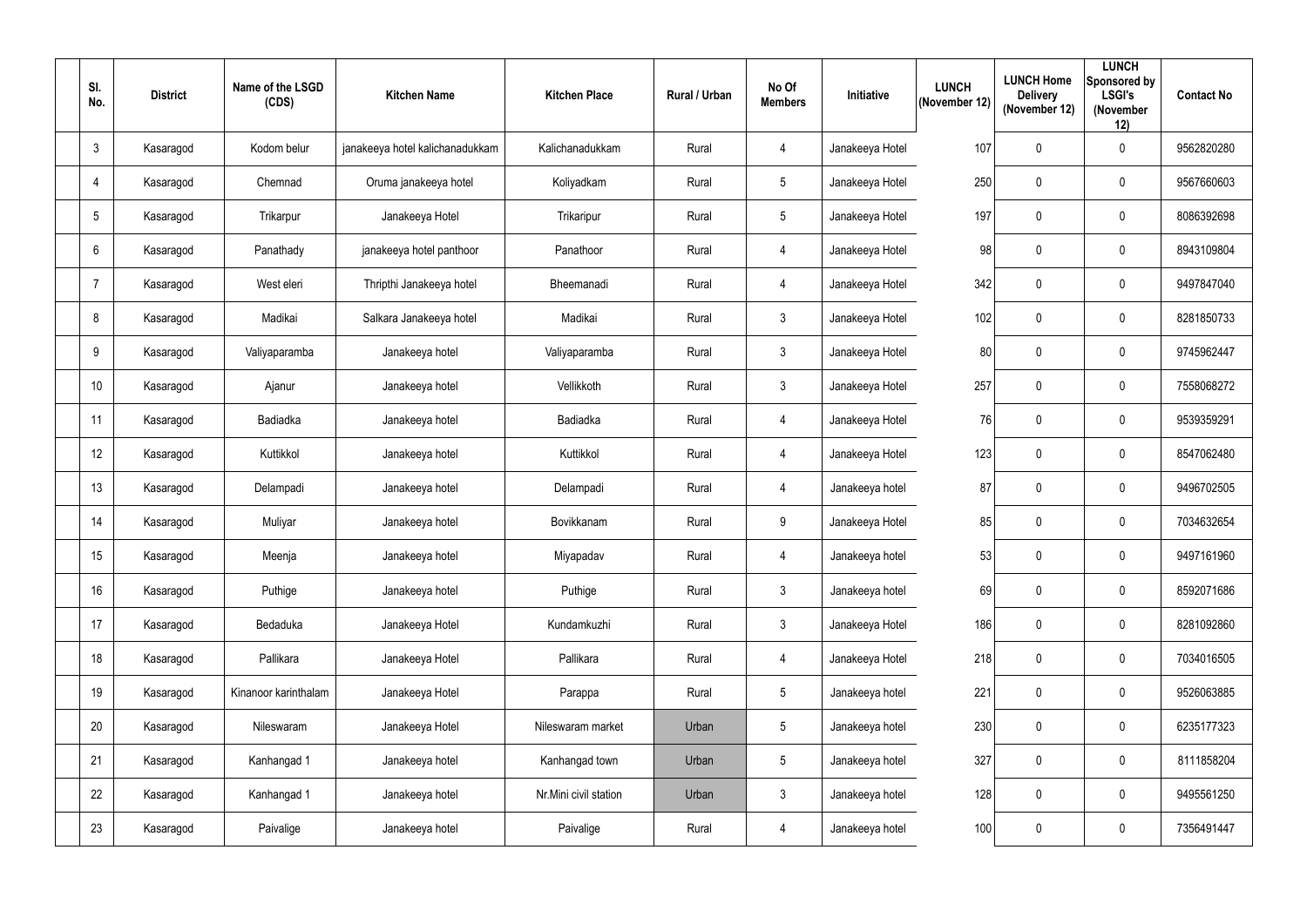| SI.<br>No.   | <b>District</b> | Name of the LSGD<br>(CDS) | <b>Kitchen Name</b>             | <b>Kitchen Place</b>  | <b>Rural / Urban</b> | No Of<br><b>Members</b> | Initiative      | <b>LUNCH</b><br>(November 12) | <b>LUNCH Home</b><br><b>Delivery</b><br>(November 12) | <b>LUNCH</b><br>Sponsored by<br><b>LSGI's</b><br>(November<br>12) | <b>Contact No</b> |
|--------------|-----------------|---------------------------|---------------------------------|-----------------------|----------------------|-------------------------|-----------------|-------------------------------|-------------------------------------------------------|-------------------------------------------------------------------|-------------------|
| $\mathbf{3}$ | Kasaragod       | Kodom belur               | janakeeya hotel kalichanadukkam | Kalichanadukkam       | Rural                | $\overline{4}$          | Janakeeya Hotel | 107                           | $\mathbf 0$                                           | $\mathbf 0$                                                       | 9562820280        |
| 4            | Kasaragod       | Chemnad                   | Oruma janakeeya hotel           | Koliyadkam            | Rural                | $5\phantom{.0}$         | Janakeeya Hotel | 250                           | $\mathbf 0$                                           | $\mathbf 0$                                                       | 9567660603        |
| -5           | Kasaragod       | Trikarpur                 | Janakeeya Hotel                 | Trikaripur            | Rural                | $5\phantom{.0}$         | Janakeeya Hotel | 197                           | $\mathbf 0$                                           | $\mathbf 0$                                                       | 8086392698        |
| 6            | Kasaragod       | Panathady                 | janakeeya hotel panthoor        | Panathoor             | Rural                | $\overline{4}$          | Janakeeya Hotel | 98                            | $\mathbf 0$                                           | $\mathbf 0$                                                       | 8943109804        |
| -7           | Kasaragod       | West eleri                | Thripthi Janakeeya hotel        | Bheemanadi            | Rural                | $\overline{4}$          | Janakeeya Hotel | 342                           | $\mathbf 0$                                           | $\mathbf 0$                                                       | 9497847040        |
| 8            | Kasaragod       | Madikai                   | Salkara Janakeeya hotel         | Madikai               | Rural                | $\mathfrak{Z}$          | Janakeeya Hotel | 102                           | $\mathbf 0$                                           | $\mathbf 0$                                                       | 8281850733        |
| 9            | Kasaragod       | Valiyaparamba             | Janakeeya hotel                 | Valiyaparamba         | Rural                | $\mathfrak{Z}$          | Janakeeya Hotel | 80                            | $\mathbf 0$                                           | $\mathbf 0$                                                       | 9745962447        |
| 10           | Kasaragod       | Ajanur                    | Janakeeya hotel                 | Vellikkoth            | Rural                | $\mathfrak{Z}$          | Janakeeya Hotel | 257                           | $\mathbf 0$                                           | $\mathbf 0$                                                       | 7558068272        |
| 11           | Kasaragod       | <b>Badiadka</b>           | Janakeeya hotel                 | <b>Badiadka</b>       | Rural                | $\overline{4}$          | Janakeeya Hotel | 76                            | 0                                                     | $\mathbf 0$                                                       | 9539359291        |
| 12           | Kasaragod       | Kuttikkol                 | Janakeeya hotel                 | Kuttikkol             | Rural                | 4                       | Janakeeya Hotel | 123                           | $\mathbf 0$                                           | $\mathbf 0$                                                       | 8547062480        |
| 13           | Kasaragod       | Delampadi                 | Janakeeya hotel                 | Delampadi             | Rural                | $\overline{4}$          | Janakeeya hotel | 87                            | 0                                                     | $\mathbf 0$                                                       | 9496702505        |
| 14           | Kasaragod       | Muliyar                   | Janakeeya hotel                 | Bovikkanam            | Rural                | $9\,$                   | Janakeeya Hotel | 85                            | $\pmb{0}$                                             | $\mathbf 0$                                                       | 7034632654        |
| 15           | Kasaragod       | Meenja                    | Janakeeya hotel                 | Miyapadav             | Rural                | $\overline{4}$          | Janakeeya hotel | 53                            | $\pmb{0}$                                             | $\mathbf 0$                                                       | 9497161960        |
| 16           | Kasaragod       | Puthige                   | Janakeeya hotel                 | Puthige               | Rural                | $\mathfrak{Z}$          | Janakeeya hotel | 69                            | 0                                                     | $\overline{0}$                                                    | 8592071686        |
| 17           | Kasaragod       | Bedaduka                  | Janakeeya Hotel                 | Kundamkuzhi           | Rural                | $\mathfrak{Z}$          | Janakeeya Hotel | 186                           | $\pmb{0}$                                             | $\overline{0}$                                                    | 8281092860        |
| 18           | Kasaragod       | Pallikara                 | Janakeeya Hotel                 | Pallikara             | Rural                | $\overline{4}$          | Janakeeya Hotel | 218                           | $\pmb{0}$                                             | $\overline{0}$                                                    | 7034016505        |
| 19           | Kasaragod       | Kinanoor karinthalam      | Janakeeya Hotel                 | Parappa               | Rural                | $5\phantom{.0}$         | Janakeeya hotel | 221                           | $\pmb{0}$                                             | $\overline{0}$                                                    | 9526063885        |
| 20           | Kasaragod       | Nileswaram                | Janakeeya Hotel                 | Nileswaram market     | Urban                | $5\phantom{.0}$         | Janakeeya hotel | 230                           | $\pmb{0}$                                             | $\overline{0}$                                                    | 6235177323        |
| 21           | Kasaragod       | Kanhangad 1               | Janakeeya hotel                 | Kanhangad town        | Urban                | $5\phantom{.0}$         | Janakeeya hotel | 327                           | $\pmb{0}$                                             | $\overline{0}$                                                    | 8111858204        |
| 22           | Kasaragod       | Kanhangad 1               | Janakeeya hotel                 | Nr.Mini civil station | Urban                | $\mathfrak{Z}$          | Janakeeya hotel | 128                           | $\pmb{0}$                                             | $\overline{0}$                                                    | 9495561250        |
| 23           | Kasaragod       | Paivalige                 | Janakeeya hotel                 | Paivalige             | Rural                | $\overline{4}$          | Janakeeya hotel | 100                           | $\pmb{0}$                                             | $\overline{0}$                                                    | 7356491447        |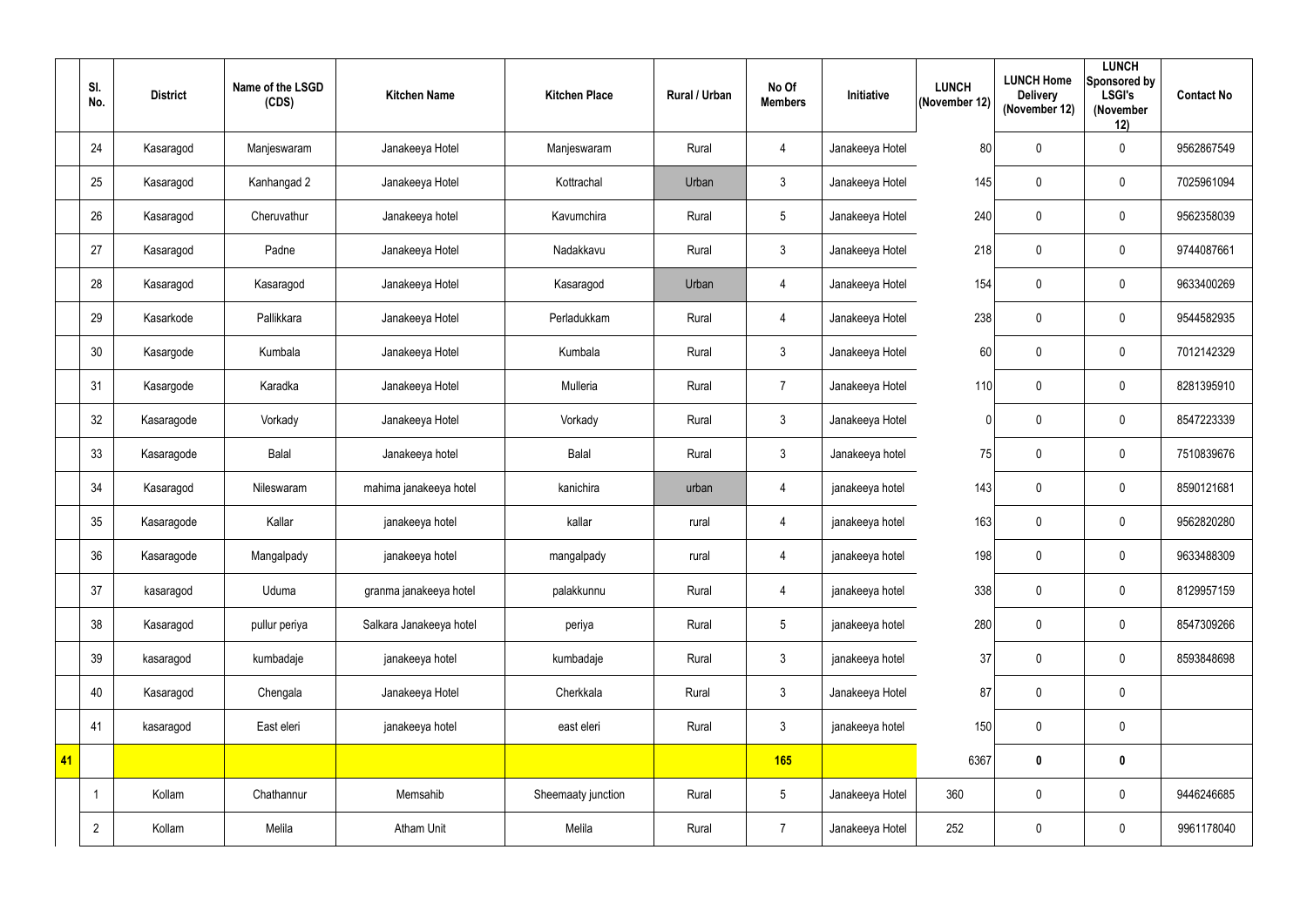|    | SI.<br>No.     | <b>District</b> | Name of the LSGD<br>(CDS) | <b>Kitchen Name</b>     | <b>Kitchen Place</b> | <b>Rural / Urban</b> | No Of<br><b>Members</b> | Initiative      | <b>LUNCH</b><br>(November 12) | <b>LUNCH Home</b><br><b>Delivery</b><br>(November 12) | <b>LUNCH</b><br>Sponsored by<br><b>LSGI's</b><br>(November<br>12) | <b>Contact No</b> |
|----|----------------|-----------------|---------------------------|-------------------------|----------------------|----------------------|-------------------------|-----------------|-------------------------------|-------------------------------------------------------|-------------------------------------------------------------------|-------------------|
|    | 24             | Kasaragod       | Manjeswaram               | Janakeeya Hotel         | Manjeswaram          | Rural                | $\overline{4}$          | Janakeeya Hotel | 80                            | $\mathbf 0$                                           | $\mathbf 0$                                                       | 9562867549        |
|    | 25             | Kasaragod       | Kanhangad 2               | Janakeeya Hotel         | Kottrachal           | Urban                | $\mathfrak{Z}$          | Janakeeya Hotel | 145                           | $\mathbf 0$                                           | $\mathbf 0$                                                       | 7025961094        |
|    | 26             | Kasaragod       | Cheruvathur               | Janakeeya hotel         | Kavumchira           | Rural                | $5\phantom{.0}$         | Janakeeya Hotel | 240                           | $\pmb{0}$                                             | $\mathbf 0$                                                       | 9562358039        |
|    | 27             | Kasaragod       | Padne                     | Janakeeya Hotel         | Nadakkavu            | Rural                | $\mathfrak{Z}$          | Janakeeya Hotel | 218                           | $\pmb{0}$                                             | $\mathbf 0$                                                       | 9744087661        |
|    | 28             | Kasaragod       | Kasaragod                 | Janakeeya Hotel         | Kasaragod            | Urban                | $\overline{4}$          | Janakeeya Hotel | 154                           | $\pmb{0}$                                             | $\mathbf 0$                                                       | 9633400269        |
|    | 29             | Kasarkode       | Pallikkara                | Janakeeya Hotel         | Perladukkam          | Rural                | $\overline{4}$          | Janakeeya Hotel | 238                           | $\pmb{0}$                                             | $\mathbf 0$                                                       | 9544582935        |
|    | 30             | Kasargode       | Kumbala                   | Janakeeya Hotel         | Kumbala              | Rural                | $\mathfrak{Z}$          | Janakeeya Hotel | 60                            | $\mathbf 0$                                           | $\mathbf 0$                                                       | 7012142329        |
|    | 31             | Kasargode       | Karadka                   | Janakeeya Hotel         | Mulleria             | Rural                | $\overline{7}$          | Janakeeya Hotel | 110                           | $\mathbf 0$                                           | $\mathbf 0$                                                       | 8281395910        |
|    | 32             | Kasaragode      | Vorkady                   | Janakeeya Hotel         | Vorkady              | Rural                | $\mathfrak{Z}$          | Janakeeya Hotel |                               | 0                                                     | $\mathbf 0$                                                       | 8547223339        |
|    | 33             | Kasaragode      | Balal                     | Janakeeya hotel         | Balal                | Rural                | 3                       | Janakeeya hotel | 75                            | $\mathbf 0$                                           | $\mathbf 0$                                                       | 7510839676        |
|    | 34             | Kasaragod       | Nileswaram                | mahima janakeeya hotel  | kanichira            | urban                | $\overline{4}$          | janakeeya hotel | 143                           | $\pmb{0}$                                             | $\mathbf 0$                                                       | 8590121681        |
|    | 35             | Kasaragode      | Kallar                    | janakeeya hotel         | kallar               | rural                | $\overline{4}$          | janakeeya hotel | 163                           | $\pmb{0}$                                             | $\mathbf 0$                                                       | 9562820280        |
|    | 36             | Kasaragode      | Mangalpady                | janakeeya hotel         | mangalpady           | rural                | 4                       | janakeeya hotel | 198                           | $\pmb{0}$                                             | $\mathbf 0$                                                       | 9633488309        |
|    | 37             | kasaragod       | Uduma                     | granma janakeeya hotel  | palakkunnu           | Rural                | $\overline{4}$          | janakeeya hotel | 338                           | $\pmb{0}$                                             | $\mathbf 0$                                                       | 8129957159        |
|    | 38             | Kasaragod       | pullur periya             | Salkara Janakeeya hotel | periya               | Rural                | $5\phantom{.0}$         | janakeeya hotel | 280                           | $\pmb{0}$                                             | $\overline{0}$                                                    | 8547309266        |
|    | 39             | kasaragod       | kumbadaje                 | janakeeya hotel         | kumbadaje            | Rural                | $\mathfrak{Z}$          | janakeeya hotel | 37                            | $\pmb{0}$                                             | $\overline{0}$                                                    | 8593848698        |
|    | 40             | Kasaragod       | Chengala                  | Janakeeya Hotel         | Cherkkala            | Rural                | $\mathfrak{Z}$          | Janakeeya Hotel | 87                            | $\pmb{0}$                                             | $\overline{0}$                                                    |                   |
|    | 41             | kasaragod       | East eleri                | janakeeya hotel         | east eleri           | Rural                | $\mathfrak{Z}$          | janakeeya hotel | 150                           | $\pmb{0}$                                             | $\mathbf 0$                                                       |                   |
| 41 |                |                 |                           |                         |                      |                      | 165                     |                 | 6367                          | $\pmb{0}$                                             | $\boldsymbol{0}$                                                  |                   |
|    |                | Kollam          | Chathannur                | Memsahib                | Sheemaaty junction   | Rural                | $5\phantom{.0}$         | Janakeeya Hotel | 360                           | $\pmb{0}$                                             | $\overline{0}$                                                    | 9446246685        |
|    | $\overline{2}$ | Kollam          | Melila                    | Atham Unit              | Melila               | Rural                | $\overline{7}$          | Janakeeya Hotel | 252                           | $\pmb{0}$                                             | $\overline{0}$                                                    | 9961178040        |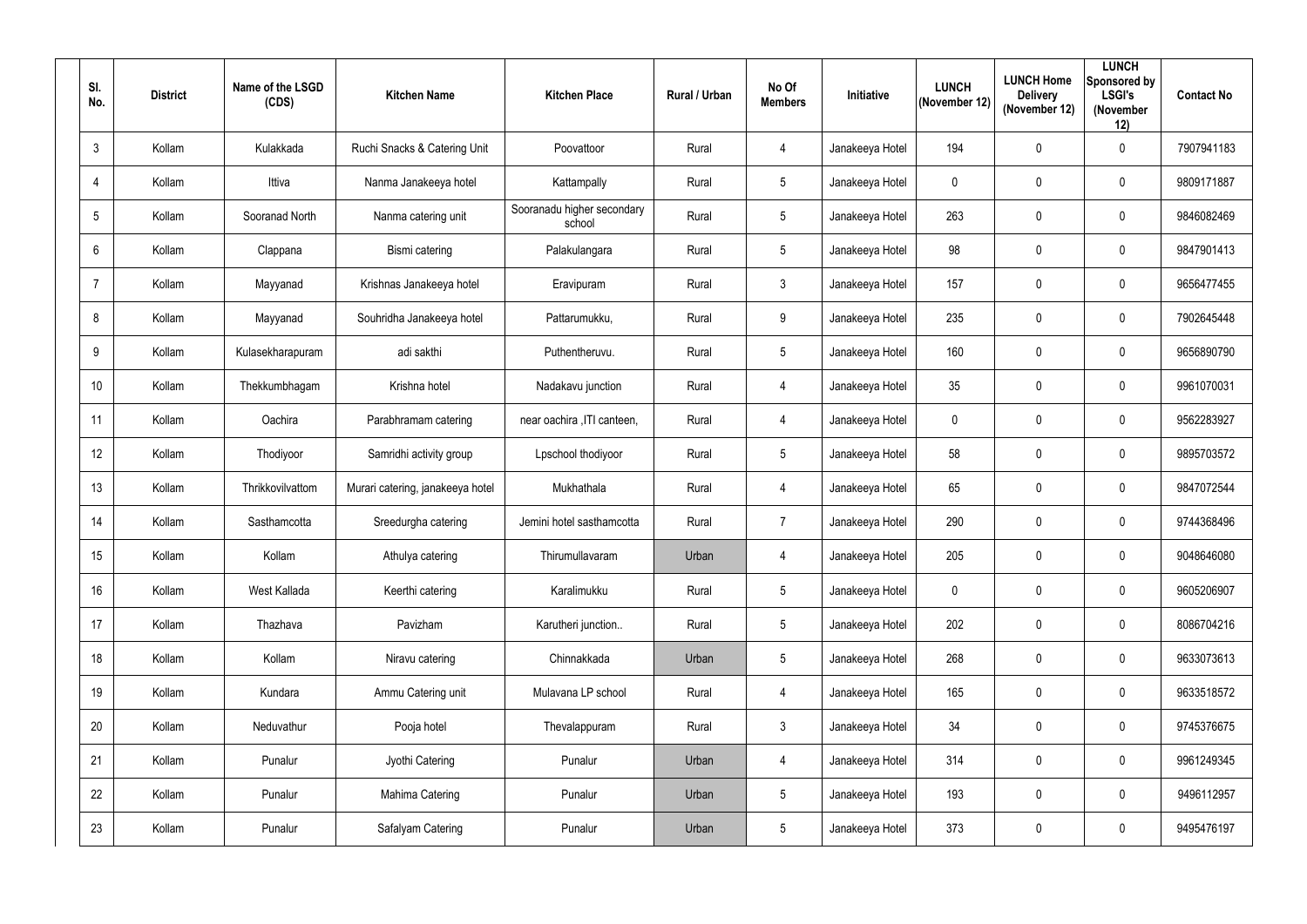| SI.<br>No.       | <b>District</b> | Name of the LSGD<br>(CDS) | <b>Kitchen Name</b>              | <b>Kitchen Place</b>                 | Rural / Urban | No Of<br><b>Members</b> | Initiative      | <b>LUNCH</b><br>(November 12) | <b>LUNCH Home</b><br><b>Delivery</b><br>(November 12) | <b>LUNCH</b><br>Sponsored by<br><b>LSGI's</b><br>(November<br>12) | <b>Contact No</b> |
|------------------|-----------------|---------------------------|----------------------------------|--------------------------------------|---------------|-------------------------|-----------------|-------------------------------|-------------------------------------------------------|-------------------------------------------------------------------|-------------------|
| $\mathbf{3}$     | Kollam          | Kulakkada                 | Ruchi Snacks & Catering Unit     | Poovattoor                           | Rural         | $\overline{4}$          | Janakeeya Hotel | 194                           | $\mathbf 0$                                           | $\mathbf 0$                                                       | 7907941183        |
| 4                | Kollam          | Ittiva                    | Nanma Janakeeya hotel            | Kattampally                          | Rural         | 5 <sub>5</sub>          | Janakeeya Hotel | $\mathbf 0$                   | $\mathbf 0$                                           | $\mathbf 0$                                                       | 9809171887        |
| 5                | Kollam          | Sooranad North            | Nanma catering unit              | Sooranadu higher secondary<br>school | Rural         | $5\phantom{.0}$         | Janakeeya Hotel | 263                           | $\mathbf 0$                                           | $\mathbf 0$                                                       | 9846082469        |
| 6                | Kollam          | Clappana                  | Bismi catering                   | Palakulangara                        | Rural         | $5\overline{)}$         | Janakeeya Hotel | 98                            | $\mathbf 0$                                           | $\mathbf 0$                                                       | 9847901413        |
| $\overline{7}$   | Kollam          | Mayyanad                  | Krishnas Janakeeya hotel         | Eravipuram                           | Rural         | 3                       | Janakeeya Hotel | 157                           | $\mathbf 0$                                           | $\mathbf 0$                                                       | 9656477455        |
| 8                | Kollam          | Mayyanad                  | Souhridha Janakeeya hotel        | Pattarumukku,                        | Rural         | $9\,$                   | Janakeeya Hotel | 235                           | $\mathbf 0$                                           | $\mathbf 0$                                                       | 7902645448        |
| 9                | Kollam          | Kulasekharapuram          | adi sakthi                       | Puthentheruvu.                       | Rural         | $5\overline{)}$         | Janakeeya Hotel | 160                           | $\mathbf 0$                                           | $\mathbf 0$                                                       | 9656890790        |
| 10 <sup>°</sup>  | Kollam          | Thekkumbhagam             | Krishna hotel                    | Nadakavu junction                    | Rural         | 4                       | Janakeeya Hotel | 35                            | $\mathbf 0$                                           | $\mathbf 0$                                                       | 9961070031        |
| 11               | Kollam          | Oachira                   | Parabhramam catering             | near oachira , ITI canteen,          | Rural         | $\overline{4}$          | Janakeeya Hotel | $\pmb{0}$                     | $\mathbf 0$                                           | $\mathbf 0$                                                       | 9562283927        |
| 12 <sup>°</sup>  | Kollam          | Thodiyoor                 | Samridhi activity group          | Lpschool thodiyoor                   | Rural         | $5\overline{)}$         | Janakeeya Hotel | 58                            | $\mathbf 0$                                           | $\mathbf 0$                                                       | 9895703572        |
| 13               | Kollam          | Thrikkovilvattom          | Murari catering, janakeeya hotel | Mukhathala                           | Rural         | 4                       | Janakeeya Hotel | 65                            | $\overline{0}$                                        | $\mathbf 0$                                                       | 9847072544        |
| 14               | Kollam          | Sasthamcotta              | Sreedurgha catering              | Jemini hotel sasthamcotta            | Rural         | $\overline{7}$          | Janakeeya Hotel | 290                           | $\mathbf 0$                                           | $\mathbf 0$                                                       | 9744368496        |
| 15 <sub>15</sub> | Kollam          | Kollam                    | Athulya catering                 | Thirumullavaram                      | Urban         | 4                       | Janakeeya Hotel | 205                           | $\mathbf 0$                                           | $\mathbf 0$                                                       | 9048646080        |
| 16               | Kollam          | West Kallada              | Keerthi catering                 | Karalimukku                          | Rural         | $5\overline{)}$         | Janakeeya Hotel | $\pmb{0}$                     | $\mathbf 0$                                           | $\mathbf 0$                                                       | 9605206907        |
| 17               | Kollam          | Thazhava                  | Pavizham                         | Karutheri junction                   | Rural         | $5\phantom{.0}$         | Janakeeya Hotel | 202                           | $\mathbf 0$                                           | $\pmb{0}$                                                         | 8086704216        |
| 18               | Kollam          | Kollam                    | Niravu catering                  | Chinnakkada                          | Urban         | $5\overline{)}$         | Janakeeya Hotel | 268                           | $\mathbf 0$                                           | $\mathbf 0$                                                       | 9633073613        |
| 19               | Kollam          | Kundara                   | Ammu Catering unit               | Mulavana LP school                   | Rural         | $\overline{4}$          | Janakeeya Hotel | 165                           | $\mathbf 0$                                           | $\bm{0}$                                                          | 9633518572        |
| 20               | Kollam          | Neduvathur                | Pooja hotel                      | Thevalappuram                        | Rural         | 3 <sup>1</sup>          | Janakeeya Hotel | 34                            | $\mathbf 0$                                           | $\mathbf 0$                                                       | 9745376675        |
| 21               | Kollam          | Punalur                   | Jyothi Catering                  | Punalur                              | Urban         | $\overline{4}$          | Janakeeya Hotel | 314                           | $\mathbf 0$                                           | $\pmb{0}$                                                         | 9961249345        |
| 22               | Kollam          | Punalur                   | Mahima Catering                  | Punalur                              | Urban         | $5\overline{)}$         | Janakeeya Hotel | 193                           | $\mathbf 0$                                           | $\pmb{0}$                                                         | 9496112957        |
| 23               | Kollam          | Punalur                   | Safalyam Catering                | Punalur                              | Urban         | $5\phantom{.0}$         | Janakeeya Hotel | 373                           | $\boldsymbol{0}$                                      | $\bm{0}$                                                          | 9495476197        |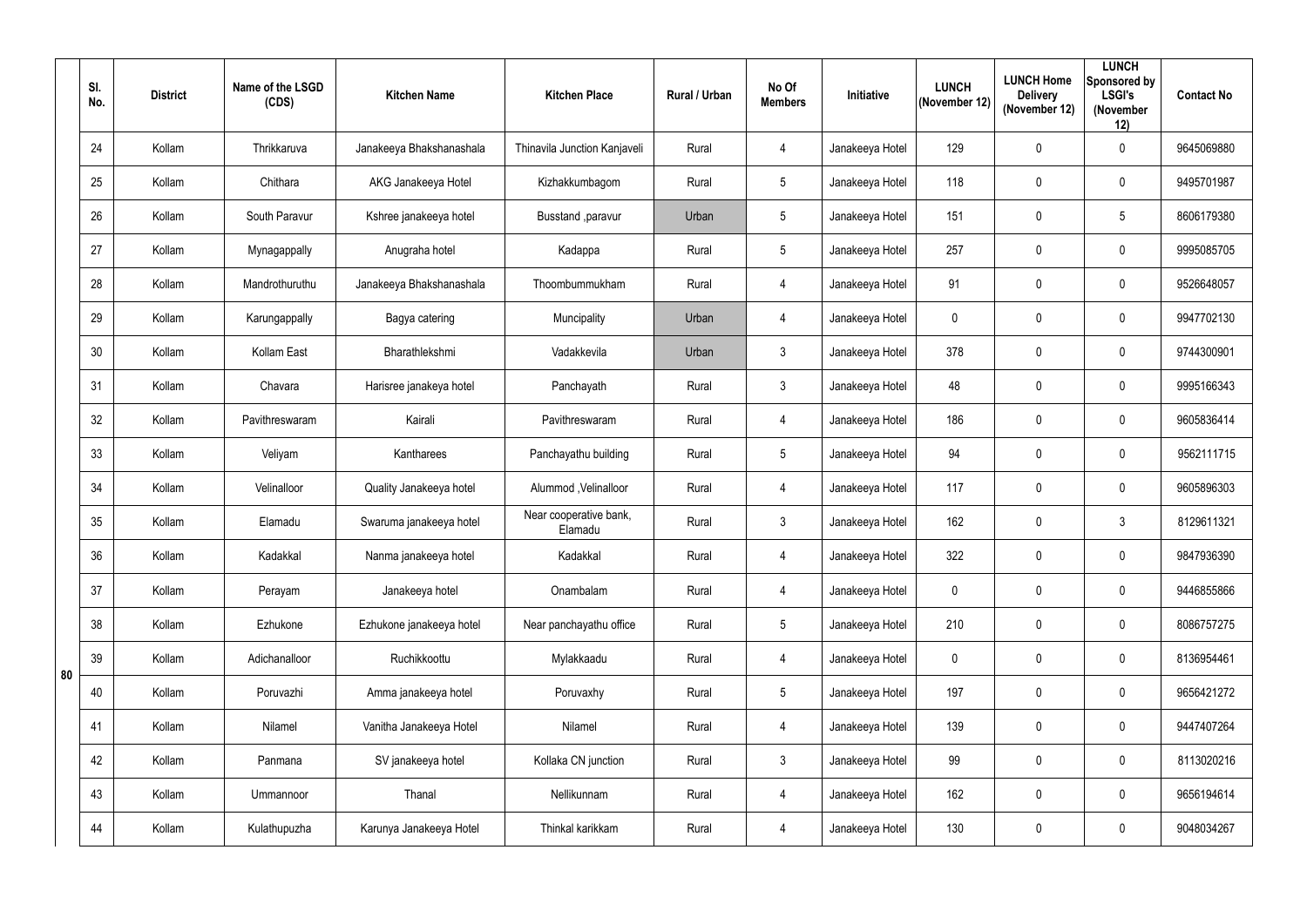|    | SI.<br>No. | <b>District</b> | Name of the LSGD<br>(CDS) | <b>Kitchen Name</b>      | <b>Kitchen Place</b>              | <b>Rural / Urban</b> | No Of<br><b>Members</b> | Initiative      | <b>LUNCH</b><br>(November 12) | <b>LUNCH Home</b><br><b>Delivery</b><br>(November 12) | <b>LUNCH</b><br>Sponsored by<br><b>LSGI's</b><br>(November<br>12) | <b>Contact No</b> |
|----|------------|-----------------|---------------------------|--------------------------|-----------------------------------|----------------------|-------------------------|-----------------|-------------------------------|-------------------------------------------------------|-------------------------------------------------------------------|-------------------|
|    | 24         | Kollam          | Thrikkaruva               | Janakeeya Bhakshanashala | Thinavila Junction Kanjaveli      | Rural                | $\overline{4}$          | Janakeeya Hotel | 129                           | 0                                                     | $\mathbf 0$                                                       | 9645069880        |
|    | 25         | Kollam          | Chithara                  | AKG Janakeeya Hotel      | Kizhakkumbagom                    | Rural                | 5                       | Janakeeya Hotel | 118                           | 0                                                     | $\mathbf 0$                                                       | 9495701987        |
|    | 26         | Kollam          | South Paravur             | Kshree janakeeya hotel   | Busstand , paravur                | Urban                | $5\phantom{.0}$         | Janakeeya Hotel | 151                           | $\mathbf{0}$                                          | $\overline{5}$                                                    | 8606179380        |
|    | 27         | Kollam          | Mynagappally              | Anugraha hotel           | Kadappa                           | Rural                | $5\phantom{.0}$         | Janakeeya Hotel | 257                           | 0                                                     | $\mathbf 0$                                                       | 9995085705        |
|    | 28         | Kollam          | Mandrothuruthu            | Janakeeya Bhakshanashala | Thoombummukham                    | Rural                | $\overline{4}$          | Janakeeya Hotel | 91                            | 0                                                     | $\mathbf 0$                                                       | 9526648057        |
|    | 29         | Kollam          | Karungappally             | Bagya catering           | Muncipality                       | Urban                | $\overline{4}$          | Janakeeya Hotel | $\mathbf 0$                   | 0                                                     | $\mathbf 0$                                                       | 9947702130        |
|    | 30         | Kollam          | Kollam East               | Bharathlekshmi           | Vadakkevila                       | Urban                | $\mathbf{3}$            | Janakeeya Hotel | 378                           | 0                                                     | $\mathbf 0$                                                       | 9744300901        |
|    | 31         | Kollam          | Chavara                   | Harisree janakeya hotel  | Panchayath                        | Rural                | $\mathbf{3}$            | Janakeeya Hotel | 48                            | 0                                                     | $\mathbf 0$                                                       | 9995166343        |
|    | 32         | Kollam          | Pavithreswaram            | Kairali                  | Pavithreswaram                    | Rural                | $\overline{4}$          | Janakeeya Hotel | 186                           | 0                                                     | $\mathbf 0$                                                       | 9605836414        |
|    | 33         | Kollam          | Veliyam                   | Kantharees               | Panchayathu building              | Rural                | $5\phantom{.0}$         | Janakeeya Hotel | 94                            | 0                                                     | $\mathbf 0$                                                       | 9562111715        |
|    | 34         | Kollam          | Velinalloor               | Quality Janakeeya hotel  | Alummod, Velinalloor              | Rural                | $\overline{4}$          | Janakeeya Hotel | 117                           | 0                                                     | $\mathbf 0$                                                       | 9605896303        |
|    | 35         | Kollam          | Elamadu                   | Swaruma janakeeya hotel  | Near cooperative bank,<br>Elamadu | Rural                | $\mathbf{3}$            | Janakeeya Hotel | 162                           | 0                                                     | $\mathbf{3}$                                                      | 8129611321        |
|    | 36         | Kollam          | Kadakkal                  | Nanma janakeeya hotel    | Kadakkal                          | Rural                | 4                       | Janakeeya Hotel | 322                           | 0                                                     | $\mathbf 0$                                                       | 9847936390        |
|    | 37         | Kollam          | Perayam                   | Janakeeya hotel          | Onambalam                         | Rural                | 4                       | Janakeeya Hotel | $\mathbf 0$                   | 0                                                     | $\overline{0}$                                                    | 9446855866        |
|    | 38         | Kollam          | Ezhukone                  | Ezhukone janakeeya hotel | Near panchayathu office           | Rural                | $5\phantom{.0}$         | Janakeeya Hotel | 210                           | 0                                                     | $\overline{0}$                                                    | 8086757275        |
|    | 39         | Kollam          | Adichanalloor             | Ruchikkoottu             | Mylakkaadu                        | Rural                | $\overline{4}$          | Janakeeya Hotel | $\mathbf 0$                   | 0                                                     | $\overline{0}$                                                    | 8136954461        |
| 80 | 40         | Kollam          | Poruvazhi                 | Amma janakeeya hotel     | Poruvaxhy                         | Rural                | $5\phantom{.0}$         | Janakeeya Hotel | 197                           | 0                                                     | $\overline{0}$                                                    | 9656421272        |
|    | 41         | Kollam          | Nilamel                   | Vanitha Janakeeya Hotel  | Nilamel                           | Rural                | 4                       | Janakeeya Hotel | 139                           | 0                                                     | $\overline{0}$                                                    | 9447407264        |
|    | 42         | Kollam          | Panmana                   | SV janakeeya hotel       | Kollaka CN junction               | Rural                | $\mathbf{3}$            | Janakeeya Hotel | 99                            | 0                                                     | $\overline{0}$                                                    | 8113020216        |
|    | 43         | Kollam          | Ummannoor                 | Thanal                   | Nellikunnam                       | Rural                | $\overline{4}$          | Janakeeya Hotel | 162                           | 0                                                     | $\overline{0}$                                                    | 9656194614        |
|    | 44         | Kollam          | Kulathupuzha              | Karunya Janakeeya Hotel  | Thinkal karikkam                  | Rural                | $\overline{4}$          | Janakeeya Hotel | 130                           | 0                                                     | $\overline{0}$                                                    | 9048034267        |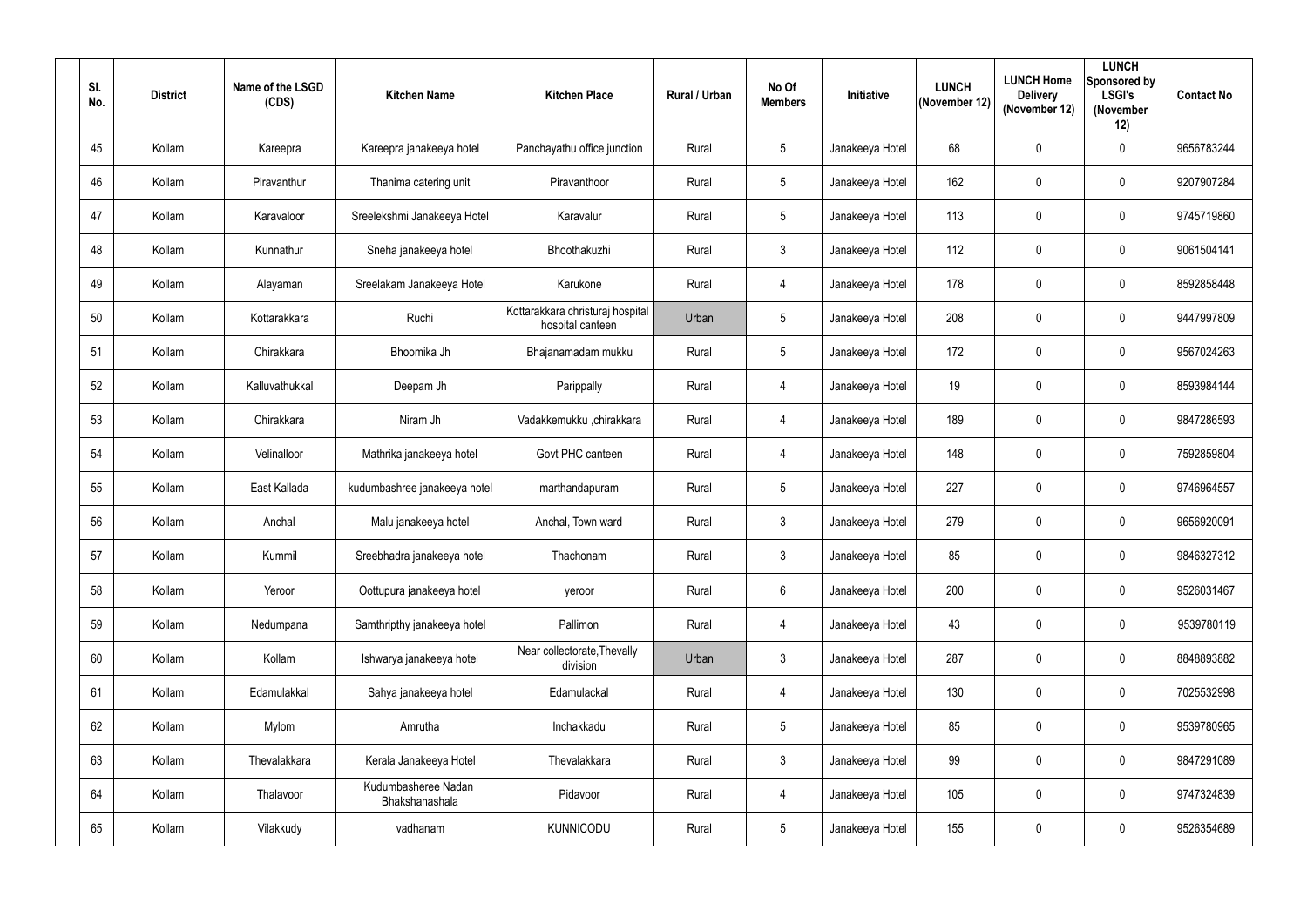| SI.<br>No. | <b>District</b> | Name of the LSGD<br>(CDS) | <b>Kitchen Name</b>                   | <b>Kitchen Place</b>                                 | <b>Rural / Urban</b> | No Of<br><b>Members</b> | <b>Initiative</b> | <b>LUNCH</b><br>(November 12) | <b>LUNCH Home</b><br><b>Delivery</b><br>(November 12) | <b>LUNCH</b><br>Sponsored by<br><b>LSGI's</b><br>(November<br>12) | <b>Contact No</b> |
|------------|-----------------|---------------------------|---------------------------------------|------------------------------------------------------|----------------------|-------------------------|-------------------|-------------------------------|-------------------------------------------------------|-------------------------------------------------------------------|-------------------|
| 45         | Kollam          | Kareepra                  | Kareepra janakeeya hotel              | Panchayathu office junction                          | Rural                | $5\overline{)}$         | Janakeeya Hotel   | 68                            | $\mathbf 0$                                           | $\mathbf 0$                                                       | 9656783244        |
| 46         | Kollam          | Piravanthur               | Thanima catering unit                 | Piravanthoor                                         | Rural                | $5\phantom{.0}$         | Janakeeya Hotel   | 162                           | $\mathbf 0$                                           | $\mathbf 0$                                                       | 9207907284        |
| 47         | Kollam          | Karavaloor                | Sreelekshmi Janakeeya Hotel           | Karavalur                                            | Rural                | $5\overline{)}$         | Janakeeya Hotel   | 113                           | $\mathbf 0$                                           | $\mathbf 0$                                                       | 9745719860        |
| 48         | Kollam          | Kunnathur                 | Sneha janakeeya hotel                 | Bhoothakuzhi                                         | Rural                | 3 <sup>1</sup>          | Janakeeya Hotel   | 112                           | $\overline{0}$                                        | $\mathbf 0$                                                       | 9061504141        |
| 49         | Kollam          | Alayaman                  | Sreelakam Janakeeya Hotel             | Karukone                                             | Rural                | $\overline{4}$          | Janakeeya Hotel   | 178                           | $\overline{0}$                                        | $\mathbf 0$                                                       | 8592858448        |
| 50         | Kollam          | Kottarakkara              | Ruchi                                 | Kottarakkara christuraj hospital<br>hospital canteen | Urban                | $5\phantom{.0}$         | Janakeeya Hotel   | 208                           | $\mathbf 0$                                           | $\mathbf 0$                                                       | 9447997809        |
| 51         | Kollam          | Chirakkara                | Bhoomika Jh                           | Bhajanamadam mukku                                   | Rural                | 5 <sup>5</sup>          | Janakeeya Hotel   | 172                           | $\mathbf 0$                                           | $\mathbf 0$                                                       | 9567024263        |
| 52         | Kollam          | Kalluvathukkal            | Deepam Jh                             | Parippally                                           | Rural                | $\overline{4}$          | Janakeeya Hotel   | 19                            | $\mathbf 0$                                           | $\mathbf 0$                                                       | 8593984144        |
| 53         | Kollam          | Chirakkara                | Niram Jh                              | Vadakkemukku ,chirakkara                             | Rural                | $\overline{4}$          | Janakeeya Hotel   | 189                           | $\mathbf 0$                                           | $\mathbf 0$                                                       | 9847286593        |
| 54         | Kollam          | Velinalloor               | Mathrika janakeeya hotel              | Govt PHC canteen                                     | Rural                | 4                       | Janakeeya Hotel   | 148                           | $\mathbf 0$                                           | $\mathbf 0$                                                       | 7592859804        |
| 55         | Kollam          | East Kallada              | kudumbashree janakeeya hotel          | marthandapuram                                       | Rural                | $5\phantom{.0}$         | Janakeeya Hotel   | 227                           | $\overline{0}$                                        | $\mathbf 0$                                                       | 9746964557        |
| 56         | Kollam          | Anchal                    | Malu janakeeya hotel                  | Anchal, Town ward                                    | Rural                | $\mathbf{3}$            | Janakeeya Hotel   | 279                           | $\overline{0}$                                        | $\mathbf 0$                                                       | 9656920091        |
| 57         | Kollam          | Kummil                    | Sreebhadra janakeeya hotel            | Thachonam                                            | Rural                | 3 <sup>1</sup>          | Janakeeya Hotel   | 85                            | $\mathbf 0$                                           | $\mathbf 0$                                                       | 9846327312        |
| 58         | Kollam          | Yeroor                    | Oottupura janakeeya hotel             | yeroor                                               | Rural                | $6\overline{6}$         | Janakeeya Hotel   | 200                           | $\mathbf 0$                                           | $\mathbf 0$                                                       | 9526031467        |
| 59         | Kollam          | Nedumpana                 | Samthripthy janakeeya hotel           | Pallimon                                             | Rural                | $\overline{4}$          | Janakeeya Hotel   | 43                            | $\mathbf 0$                                           | $\mathbf 0$                                                       | 9539780119        |
| 60         | Kollam          | Kollam                    | Ishwarya janakeeya hotel              | Near collectorate, Thevally<br>division              | Urban                | 3 <sup>1</sup>          | Janakeeya Hotel   | 287                           | $\mathbf 0$                                           | $\mathbf 0$                                                       | 8848893882        |
| 61         | Kollam          | Edamulakkal               | Sahya janakeeya hotel                 | Edamulackal                                          | Rural                | $\overline{4}$          | Janakeeya Hotel   | 130                           | $\mathbf 0$                                           | $\pmb{0}$                                                         | 7025532998        |
| 62         | Kollam          | Mylom                     | Amrutha                               | Inchakkadu                                           | Rural                | $5\overline{)}$         | Janakeeya Hotel   | 85                            | $\mathbf 0$                                           | $\mathbf 0$                                                       | 9539780965        |
| 63         | Kollam          | Thevalakkara              | Kerala Janakeeya Hotel                | Thevalakkara                                         | Rural                | 3 <sup>1</sup>          | Janakeeya Hotel   | 99                            | $\mathbf 0$                                           | $\mathbf 0$                                                       | 9847291089        |
| 64         | Kollam          | Thalavoor                 | Kudumbasheree Nadan<br>Bhakshanashala | Pidavoor                                             | Rural                | $\overline{4}$          | Janakeeya Hotel   | 105                           | $\mathbf 0$                                           | $\mathbf 0$                                                       | 9747324839        |
| 65         | Kollam          | Vilakkudy                 | vadhanam                              | <b>KUNNICODU</b>                                     | Rural                | $5\overline{)}$         | Janakeeya Hotel   | 155                           | $\boldsymbol{0}$                                      | $\pmb{0}$                                                         | 9526354689        |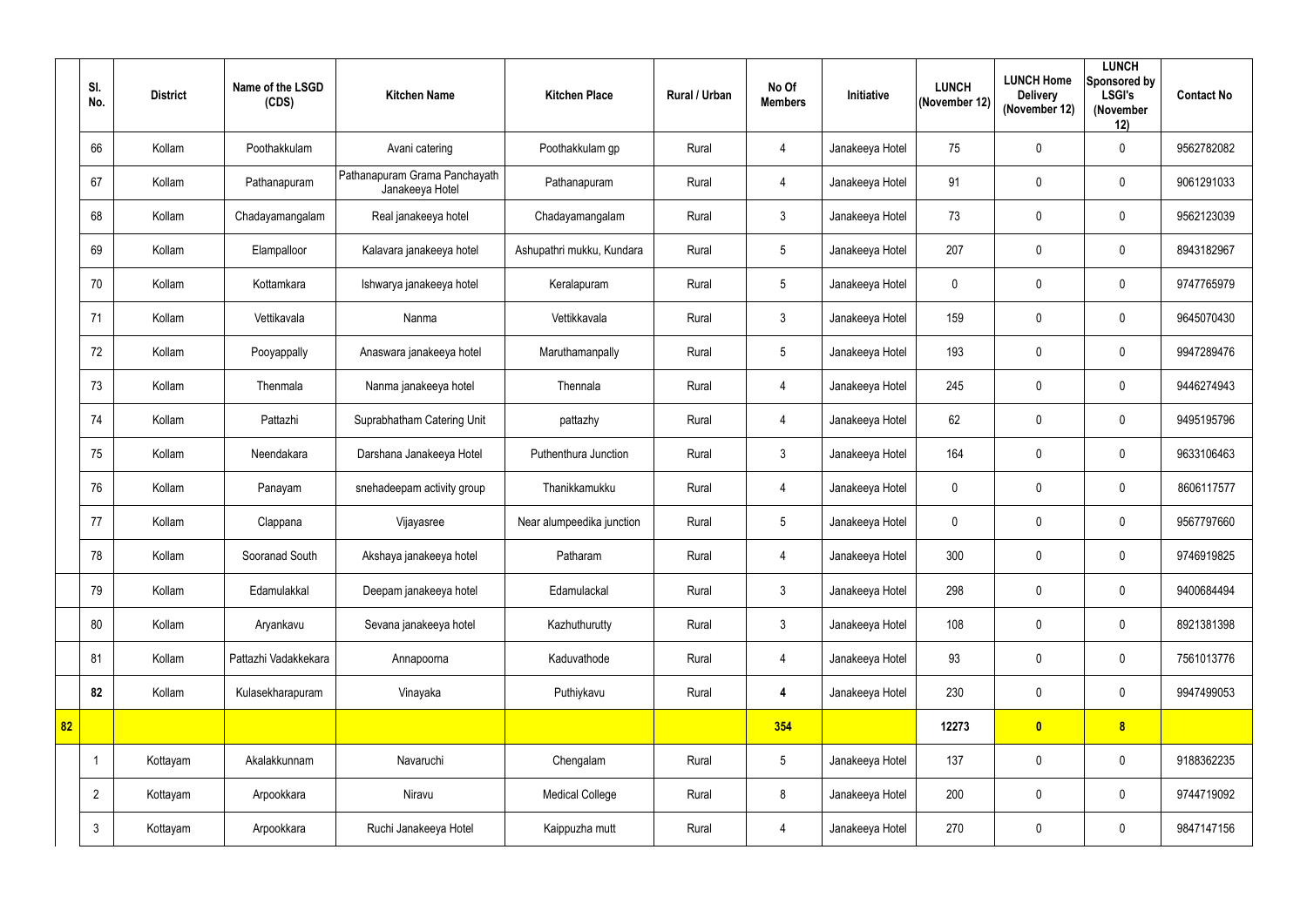|    | SI.<br>No.     | <b>District</b> | Name of the LSGD<br>(CDS) | <b>Kitchen Name</b>                              | <b>Kitchen Place</b>      | <b>Rural / Urban</b> | No Of<br><b>Members</b> | <b>Initiative</b> | <b>LUNCH</b><br>(November 12) | <b>LUNCH Home</b><br><b>Delivery</b><br>(November 12) | <b>LUNCH</b><br>Sponsored by<br><b>LSGI's</b><br>(November<br>12) | <b>Contact No</b> |
|----|----------------|-----------------|---------------------------|--------------------------------------------------|---------------------------|----------------------|-------------------------|-------------------|-------------------------------|-------------------------------------------------------|-------------------------------------------------------------------|-------------------|
|    | 66             | Kollam          | Poothakkulam              | Avani catering                                   | Poothakkulam gp           | Rural                | 4                       | Janakeeya Hotel   | 75                            | 0                                                     | $\mathbf 0$                                                       | 9562782082        |
|    | 67             | Kollam          | Pathanapuram              | Pathanapuram Grama Panchayath<br>Janakeeya Hotel | Pathanapuram              | Rural                | $\overline{4}$          | Janakeeya Hotel   | 91                            | 0                                                     | $\mathbf 0$                                                       | 9061291033        |
|    | 68             | Kollam          | Chadayamangalam           | Real janakeeya hotel                             | Chadayamangalam           | Rural                | $\mathfrak{Z}$          | Janakeeya Hotel   | 73                            | $\mathbf 0$                                           | $\mathbf 0$                                                       | 9562123039        |
|    | 69             | Kollam          | Elampalloor               | Kalavara janakeeya hotel                         | Ashupathri mukku, Kundara | Rural                | $5\phantom{.0}$         | Janakeeya Hotel   | 207                           | 0                                                     | $\mathbf 0$                                                       | 8943182967        |
|    | 70             | Kollam          | Kottamkara                | Ishwarya janakeeya hotel                         | Keralapuram               | Rural                | $5\phantom{.0}$         | Janakeeya Hotel   | $\mathbf 0$                   | 0                                                     | $\mathbf 0$                                                       | 9747765979        |
|    | 71             | Kollam          | Vettikavala               | Nanma                                            | Vettikkavala              | Rural                | $\mathfrak{Z}$          | Janakeeya Hotel   | 159                           | 0                                                     | $\mathbf 0$                                                       | 9645070430        |
|    | 72             | Kollam          | Pooyappally               | Anaswara janakeeya hotel                         | Maruthamanpally           | Rural                | $5\phantom{.0}$         | Janakeeya Hotel   | 193                           | 0                                                     | $\mathbf 0$                                                       | 9947289476        |
|    | 73             | Kollam          | Thenmala                  | Nanma janakeeya hotel                            | Thennala                  | Rural                | 4                       | Janakeeya Hotel   | 245                           | 0                                                     | $\mathbf 0$                                                       | 9446274943        |
|    | 74             | Kollam          | Pattazhi                  | Suprabhatham Catering Unit                       | pattazhy                  | Rural                | $\overline{4}$          | Janakeeya Hotel   | 62                            | 0                                                     | $\mathbf 0$                                                       | 9495195796        |
|    | 75             | Kollam          | Neendakara                | Darshana Janakeeya Hotel                         | Puthenthura Junction      | Rural                | $3\phantom{.0}$         | Janakeeya Hotel   | 164                           | 0                                                     | $\mathbf 0$                                                       | 9633106463        |
|    | 76             | Kollam          | Panayam                   | snehadeepam activity group                       | Thanikkamukku             | Rural                | $\overline{4}$          | Janakeeya Hotel   | $\pmb{0}$                     | $\pmb{0}$                                             | $\mathbf 0$                                                       | 8606117577        |
|    | 77             | Kollam          | Clappana                  | Vijayasree                                       | Near alumpeedika junction | Rural                | $5\phantom{.0}$         | Janakeeya Hotel   | 0                             | 0                                                     | $\mathbf 0$                                                       | 9567797660        |
|    | 78             | Kollam          | Sooranad South            | Akshaya janakeeya hotel                          | Patharam                  | Rural                | 4                       | Janakeeya Hotel   | 300                           | $\pmb{0}$                                             | $\mathbf 0$                                                       | 9746919825        |
|    | 79             | Kollam          | Edamulakkal               | Deepam janakeeya hotel                           | Edamulackal               | Rural                | $\mathfrak{Z}$          | Janakeeya Hotel   | 298                           | $\pmb{0}$                                             | $\mathbf 0$                                                       | 9400684494        |
|    | 80             | Kollam          | Aryankavu                 | Sevana janakeeya hotel                           | Kazhuthurutty             | Rural                | $\mathfrak{Z}$          | Janakeeya Hotel   | 108                           | $\pmb{0}$                                             | $\mathbf 0$                                                       | 8921381398        |
|    | 81             | Kollam          | Pattazhi Vadakkekara      | Annapoorna                                       | Kaduvathode               | Rural                | 4                       | Janakeeya Hotel   | 93                            | $\pmb{0}$                                             | $\mathbf 0$                                                       | 7561013776        |
|    | 82             | Kollam          | Kulasekharapuram          | Vinayaka                                         | Puthiykavu                | Rural                | 4                       | Janakeeya Hotel   | 230                           | $\pmb{0}$                                             | $\mathbf 0$                                                       | 9947499053        |
| 82 |                |                 |                           |                                                  |                           |                      | 354                     |                   | 12273                         | $\bullet$                                             | 8                                                                 |                   |
|    | -1             | Kottayam        | Akalakkunnam              | Navaruchi                                        | Chengalam                 | Rural                | $5\phantom{.0}$         | Janakeeya Hotel   | 137                           | $\pmb{0}$                                             | $\overline{0}$                                                    | 9188362235        |
|    | $\overline{2}$ | Kottayam        | Arpookkara                | Niravu                                           | <b>Medical College</b>    | Rural                | 8                       | Janakeeya Hotel   | 200                           | 0                                                     | $\mathbf 0$                                                       | 9744719092        |
|    | $\mathbf{3}$   | Kottayam        | Arpookkara                | Ruchi Janakeeya Hotel                            | Kaippuzha mutt            | Rural                | $\overline{4}$          | Janakeeya Hotel   | 270                           | 0                                                     | $\mathbf 0$                                                       | 9847147156        |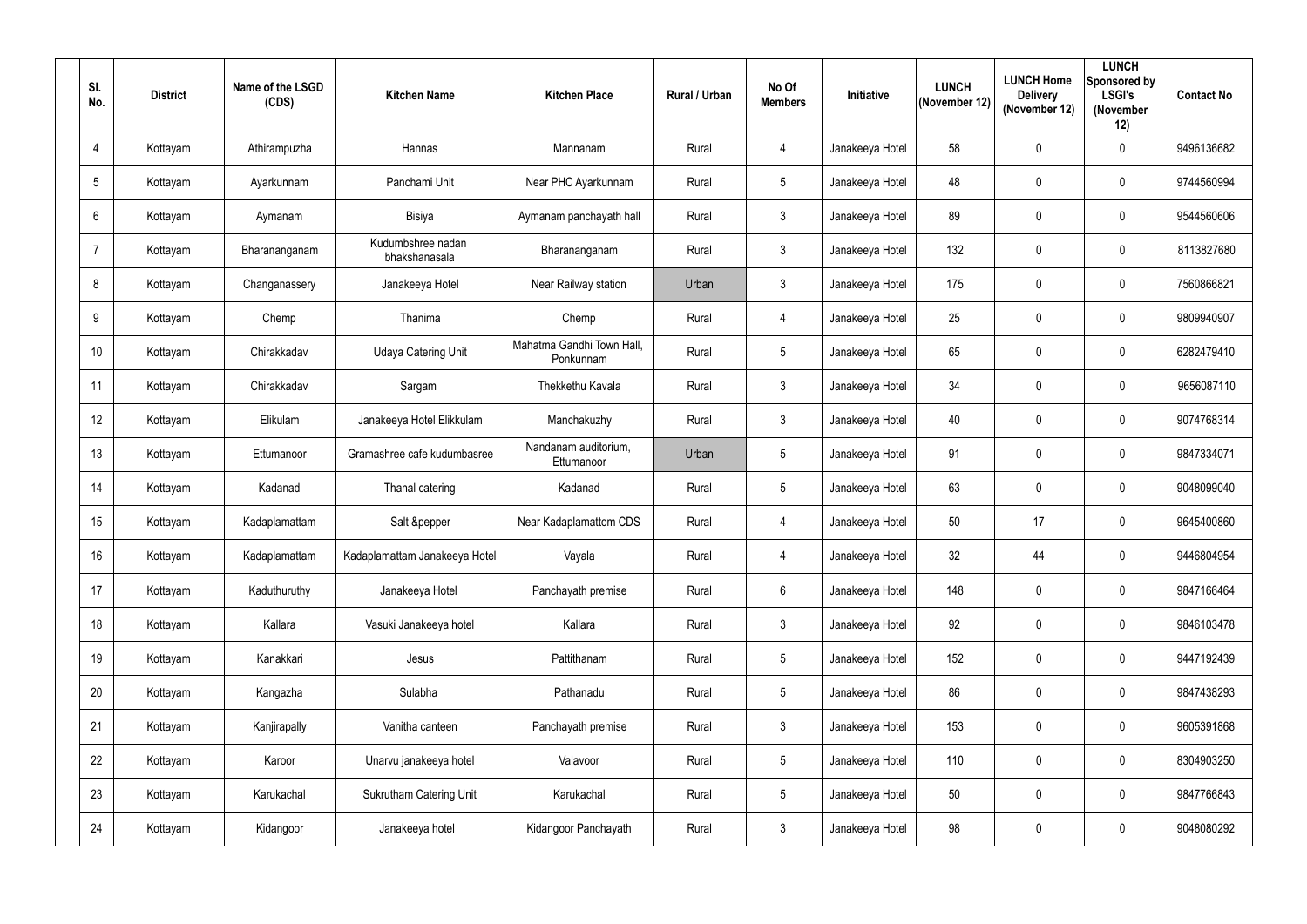| SI.<br>No.      | <b>District</b> | Name of the LSGD<br>(CDS) | <b>Kitchen Name</b>                | <b>Kitchen Place</b>                   | Rural / Urban | No Of<br><b>Members</b> | <b>Initiative</b> | <b>LUNCH</b><br>(November 12) | <b>LUNCH Home</b><br><b>Delivery</b><br>(November 12) | <b>LUNCH</b><br>Sponsored by<br><b>LSGI's</b><br>(November<br>12) | <b>Contact No</b> |
|-----------------|-----------------|---------------------------|------------------------------------|----------------------------------------|---------------|-------------------------|-------------------|-------------------------------|-------------------------------------------------------|-------------------------------------------------------------------|-------------------|
| 4               | Kottayam        | Athirampuzha              | Hannas                             | Mannanam                               | Rural         | $\overline{4}$          | Janakeeya Hotel   | 58                            | $\mathbf 0$                                           | $\mathbf 0$                                                       | 9496136682        |
| 5               | Kottayam        | Ayarkunnam                | Panchami Unit                      | Near PHC Ayarkunnam                    | Rural         | $5\overline{)}$         | Janakeeya Hotel   | 48                            | $\mathbf 0$                                           | $\mathbf 0$                                                       | 9744560994        |
| $6\phantom{.}$  | Kottayam        | Aymanam                   | Bisiya                             | Aymanam panchayath hall                | Rural         | $\mathbf{3}$            | Janakeeya Hotel   | 89                            | $\mathbf 0$                                           | $\mathbf 0$                                                       | 9544560606        |
| $\overline{7}$  | Kottayam        | Bharananganam             | Kudumbshree nadan<br>bhakshanasala | Bharananganam                          | Rural         | $\mathbf{3}$            | Janakeeya Hotel   | 132                           | $\mathbf 0$                                           | $\mathbf 0$                                                       | 8113827680        |
| 8               | Kottayam        | Changanassery             | Janakeeya Hotel                    | Near Railway station                   | Urban         | $\mathbf{3}$            | Janakeeya Hotel   | 175                           | $\mathbf 0$                                           | $\mathbf 0$                                                       | 7560866821        |
| 9               | Kottayam        | Chemp                     | Thanima                            | Chemp                                  | Rural         | $\overline{4}$          | Janakeeya Hotel   | 25                            | $\mathbf 0$                                           | $\mathbf 0$                                                       | 9809940907        |
| 10 <sup>°</sup> | Kottayam        | Chirakkadav               | <b>Udaya Catering Unit</b>         | Mahatma Gandhi Town Hall.<br>Ponkunnam | Rural         | $5\overline{)}$         | Janakeeya Hotel   | 65                            | $\mathbf 0$                                           | $\mathbf 0$                                                       | 6282479410        |
| 11              | Kottayam        | Chirakkadav               | Sargam                             | Thekkethu Kavala                       | Rural         | $\mathbf{3}$            | Janakeeya Hotel   | 34                            | $\mathbf 0$                                           | $\mathbf 0$                                                       | 9656087110        |
| 12              | Kottayam        | Elikulam                  | Janakeeya Hotel Elikkulam          | Manchakuzhy                            | Rural         | $\mathbf{3}$            | Janakeeya Hotel   | 40                            | $\mathbf 0$                                           | $\mathbf 0$                                                       | 9074768314        |
| 13              | Kottayam        | Ettumanoor                | Gramashree cafe kudumbasree        | Nandanam auditorium,<br>Ettumanoor     | Urban         | $5\overline{)}$         | Janakeeya Hotel   | 91                            | $\mathbf 0$                                           | $\mathbf 0$                                                       | 9847334071        |
| 14              | Kottayam        | Kadanad                   | Thanal catering                    | Kadanad                                | Rural         | $5\overline{)}$         | Janakeeya Hotel   | 63                            | $\overline{0}$                                        | $\mathbf 0$                                                       | 9048099040        |
| 15              | Kottayam        | Kadaplamattam             | Salt &pepper                       | Near Kadaplamattom CDS                 | Rural         | 4                       | Janakeeya Hotel   | 50                            | 17                                                    | $\mathbf 0$                                                       | 9645400860        |
| 16 <sup>°</sup> | Kottayam        | Kadaplamattam             | Kadaplamattam Janakeeya Hotel      | Vayala                                 | Rural         | 4                       | Janakeeya Hotel   | 32                            | 44                                                    | $\mathbf 0$                                                       | 9446804954        |
| 17              | Kottayam        | Kaduthuruthy              | Janakeeya Hotel                    | Panchayath premise                     | Rural         | $6\overline{6}$         | Janakeeya Hotel   | 148                           | $\mathbf 0$                                           | $\mathbf 0$                                                       | 9847166464        |
| 18              | Kottayam        | Kallara                   | Vasuki Janakeeya hotel             | Kallara                                | Rural         | 3 <sup>1</sup>          | Janakeeya Hotel   | 92                            | $\mathbf 0$                                           | $\pmb{0}$                                                         | 9846103478        |
| 19              | Kottayam        | Kanakkari                 | Jesus                              | Pattithanam                            | Rural         | $5\overline{)}$         | Janakeeya Hotel   | 152                           | $\mathbf 0$                                           | $\mathbf 0$                                                       | 9447192439        |
| 20              | Kottayam        | Kangazha                  | Sulabha                            | Pathanadu                              | Rural         | $5\overline{)}$         | Janakeeya Hotel   | 86                            | $\mathbf 0$                                           | $\bm{0}$                                                          | 9847438293        |
| 21              | Kottayam        | Kanjirapally              | Vanitha canteen                    | Panchayath premise                     | Rural         | 3 <sup>1</sup>          | Janakeeya Hotel   | 153                           | $\mathbf 0$                                           | $\mathbf 0$                                                       | 9605391868        |
| 22              | Kottayam        | Karoor                    | Unarvu janakeeya hotel             | Valavoor                               | Rural         | $5\overline{)}$         | Janakeeya Hotel   | 110                           | $\mathbf 0$                                           | $\mathbf 0$                                                       | 8304903250        |
| 23              | Kottayam        | Karukachal                | <b>Sukrutham Catering Unit</b>     | Karukachal                             | Rural         | $5\overline{)}$         | Janakeeya Hotel   | 50                            | $\mathbf 0$                                           | $\pmb{0}$                                                         | 9847766843        |
| 24              | Kottayam        | Kidangoor                 | Janakeeya hotel                    | Kidangoor Panchayath                   | Rural         | $\mathbf{3}$            | Janakeeya Hotel   | 98                            | $\boldsymbol{0}$                                      | $\boldsymbol{0}$                                                  | 9048080292        |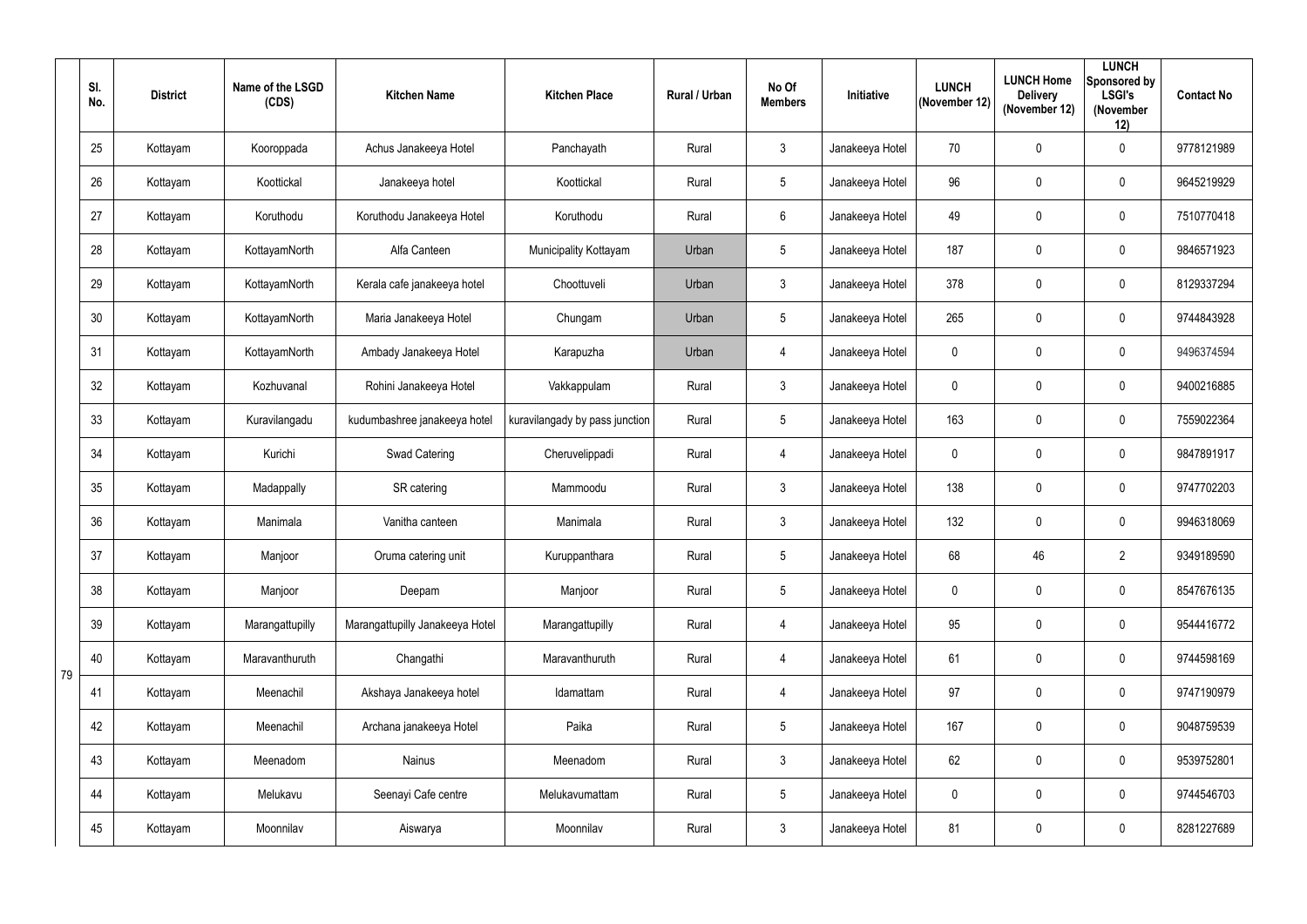|    | SI.<br>No. | <b>District</b> | Name of the LSGD<br>(CDS) | <b>Kitchen Name</b>             | <b>Kitchen Place</b>           | Rural / Urban | No Of<br><b>Members</b> | Initiative      | <b>LUNCH</b><br>(November 12) | <b>LUNCH Home</b><br><b>Delivery</b><br>(November 12) | <b>LUNCH</b><br>Sponsored by<br><b>LSGI's</b><br>(November<br>12) | <b>Contact No</b> |
|----|------------|-----------------|---------------------------|---------------------------------|--------------------------------|---------------|-------------------------|-----------------|-------------------------------|-------------------------------------------------------|-------------------------------------------------------------------|-------------------|
|    | 25         | Kottayam        | Kooroppada                | Achus Janakeeya Hotel           | Panchayath                     | Rural         | $\mathbf{3}$            | Janakeeya Hotel | 70                            | 0                                                     | $\overline{0}$                                                    | 9778121989        |
|    | 26         | Kottayam        | Koottickal                | Janakeeya hotel                 | Koottickal                     | Rural         | $5\overline{)}$         | Janakeeya Hotel | 96                            | 0                                                     | $\mathbf 0$                                                       | 9645219929        |
|    | 27         | Kottayam        | Koruthodu                 | Koruthodu Janakeeya Hotel       | Koruthodu                      | Rural         | 6                       | Janakeeya Hotel | 49                            | 0                                                     | $\mathbf 0$                                                       | 7510770418        |
|    | 28         | Kottayam        | KottayamNorth             | Alfa Canteen                    | Municipality Kottayam          | Urban         | $5\phantom{.0}$         | Janakeeya Hotel | 187                           | 0                                                     | $\overline{0}$                                                    | 9846571923        |
|    | 29         | Kottayam        | KottayamNorth             | Kerala cafe janakeeya hotel     | Choottuveli                    | Urban         | $\mathfrak{Z}$          | Janakeeya Hotel | 378                           | 0                                                     | $\mathbf 0$                                                       | 8129337294        |
|    | 30         | Kottayam        | KottayamNorth             | Maria Janakeeya Hotel           | Chungam                        | Urban         | $5\phantom{.0}$         | Janakeeya Hotel | 265                           | 0                                                     | $\overline{0}$                                                    | 9744843928        |
|    | 31         | Kottayam        | KottayamNorth             | Ambady Janakeeya Hotel          | Karapuzha                      | Urban         | $\overline{4}$          | Janakeeya Hotel | $\mathbf 0$                   | 0                                                     | $\overline{0}$                                                    | 9496374594        |
|    | 32         | Kottayam        | Kozhuvanal                | Rohini Janakeeya Hotel          | Vakkappulam                    | Rural         | $\mathbf{3}$            | Janakeeya Hotel | $\mathbf 0$                   | 0                                                     | $\mathbf 0$                                                       | 9400216885        |
|    | 33         | Kottayam        | Kuravilangadu             | kudumbashree janakeeya hotel    | kuravilangady by pass junction | Rural         | $5\overline{)}$         | Janakeeya Hotel | 163                           | 0                                                     | $\overline{0}$                                                    | 7559022364        |
|    | 34         | Kottayam        | Kurichi                   | <b>Swad Catering</b>            | Cheruvelippadi                 | Rural         | $\overline{4}$          | Janakeeya Hotel | $\mathbf 0$                   | 0                                                     | $\mathbf 0$                                                       | 9847891917        |
|    | 35         | Kottayam        | Madappally                | SR catering                     | Mammoodu                       | Rural         | $\mathbf{3}$            | Janakeeya Hotel | 138                           | 0                                                     | $\mathbf 0$                                                       | 9747702203        |
|    | 36         | Kottayam        | Manimala                  | Vanitha canteen                 | Manimala                       | Rural         | $\mathbf{3}$            | Janakeeya Hotel | 132                           | 0                                                     | $\overline{0}$                                                    | 9946318069        |
|    | 37         | Kottayam        | Manjoor                   | Oruma catering unit             | Kuruppanthara                  | Rural         | $5\phantom{.0}$         | Janakeeya Hotel | 68                            | 46                                                    | $\overline{2}$                                                    | 9349189590        |
|    | 38         | Kottayam        | Manjoor                   | Deepam                          | Manjoor                        | Rural         | $5\phantom{.0}$         | Janakeeya Hotel | $\mathbf 0$                   | 0                                                     | $\overline{0}$                                                    | 8547676135        |
|    | 39         | Kottayam        | Marangattupilly           | Marangattupilly Janakeeya Hotel | Marangattupilly                | Rural         | $\overline{4}$          | Janakeeya Hotel | 95                            | 0                                                     | $\overline{0}$                                                    | 9544416772        |
|    | 40         | Kottayam        | Maravanthuruth            | Changathi                       | Maravanthuruth                 | Rural         | 4                       | Janakeeya Hotel | 61                            | 0                                                     | $\overline{0}$                                                    | 9744598169        |
| 79 | 41         | Kottayam        | Meenachil                 | Akshaya Janakeeya hotel         | Idamattam                      | Rural         | $\overline{4}$          | Janakeeya Hotel | 97                            | 0                                                     | $\overline{0}$                                                    | 9747190979        |
|    | 42         | Kottayam        | Meenachil                 | Archana janakeeya Hotel         | Paika                          | Rural         | $5\phantom{.0}$         | Janakeeya Hotel | 167                           | 0                                                     | $\mathbf 0$                                                       | 9048759539        |
|    | 43         | Kottayam        | Meenadom                  | <b>Nainus</b>                   | Meenadom                       | Rural         | $3\overline{3}$         | Janakeeya Hotel | 62                            | 0                                                     | $\overline{0}$                                                    | 9539752801        |
|    | 44         | Kottayam        | Melukavu                  | Seenayi Cafe centre             | Melukavumattam                 | Rural         | $5\phantom{.0}$         | Janakeeya Hotel | $\mathbf 0$                   | 0                                                     | $\overline{0}$                                                    | 9744546703        |
|    | 45         | Kottayam        | Moonnilav                 | Aiswarya                        | Moonnilav                      | Rural         | $3\overline{3}$         | Janakeeya Hotel | 81                            | 0                                                     | $\overline{0}$                                                    | 8281227689        |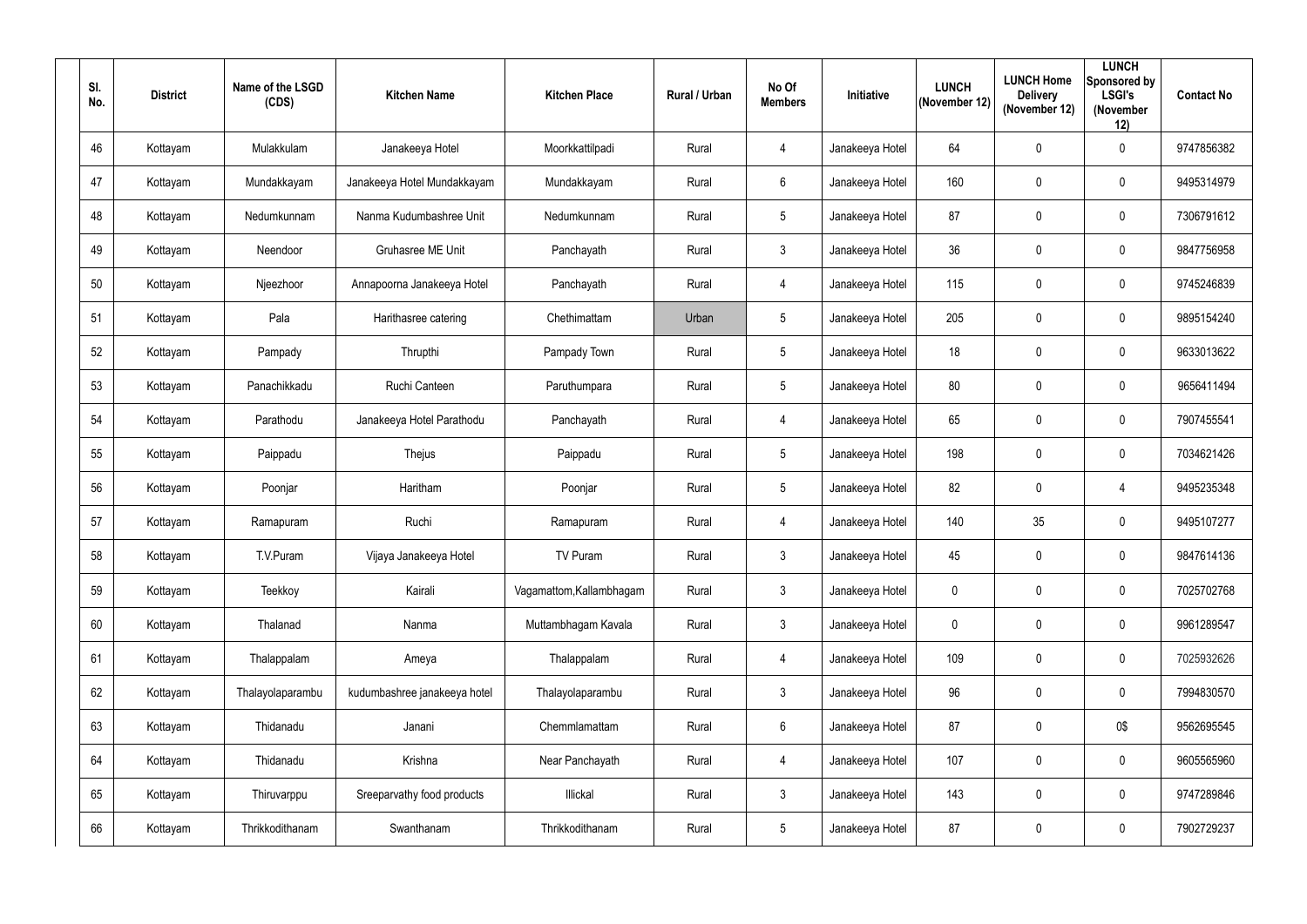| SI.<br>No. | <b>District</b> | Name of the LSGD<br>(CDS) | <b>Kitchen Name</b>          | <b>Kitchen Place</b>     | <b>Rural / Urban</b> | No Of<br><b>Members</b> | Initiative      | <b>LUNCH</b><br>(November 12) | <b>LUNCH Home</b><br><b>Delivery</b><br>(November 12) | <b>LUNCH</b><br>Sponsored by<br><b>LSGI's</b><br>(November<br>12) | <b>Contact No</b> |
|------------|-----------------|---------------------------|------------------------------|--------------------------|----------------------|-------------------------|-----------------|-------------------------------|-------------------------------------------------------|-------------------------------------------------------------------|-------------------|
| 46         | Kottayam        | Mulakkulam                | Janakeeya Hotel              | Moorkkattilpadi          | Rural                | $\overline{4}$          | Janakeeya Hotel | 64                            | $\mathbf 0$                                           | $\mathbf 0$                                                       | 9747856382        |
| 47         | Kottayam        | Mundakkayam               | Janakeeya Hotel Mundakkayam  | Mundakkayam              | Rural                | $6\overline{6}$         | Janakeeya Hotel | 160                           | $\mathbf 0$                                           | $\mathbf 0$                                                       | 9495314979        |
| 48         | Kottayam        | Nedumkunnam               | Nanma Kudumbashree Unit      | Nedumkunnam              | Rural                | $5\phantom{.0}$         | Janakeeya Hotel | 87                            | $\mathbf 0$                                           | $\mathbf 0$                                                       | 7306791612        |
| 49         | Kottayam        | Neendoor                  | Gruhasree ME Unit            | Panchayath               | Rural                | 3 <sup>1</sup>          | Janakeeya Hotel | 36                            | $\overline{0}$                                        | $\mathbf 0$                                                       | 9847756958        |
| 50         | Kottayam        | Njeezhoor                 | Annapoorna Janakeeya Hotel   | Panchayath               | Rural                | 4                       | Janakeeya Hotel | 115                           | $\overline{0}$                                        | $\mathbf 0$                                                       | 9745246839        |
| 51         | Kottayam        | Pala                      | Harithasree catering         | Chethimattam             | Urban                | $5\overline{)}$         | Janakeeya Hotel | 205                           | $\overline{0}$                                        | $\mathbf 0$                                                       | 9895154240        |
| 52         | Kottayam        | Pampady                   | Thrupthi                     | Pampady Town             | Rural                | 5 <sub>5</sub>          | Janakeeya Hotel | 18                            | $\mathbf 0$                                           | $\mathbf 0$                                                       | 9633013622        |
| 53         | Kottayam        | Panachikkadu              | Ruchi Canteen                | Paruthumpara             | Rural                | $5\overline{)}$         | Janakeeya Hotel | 80                            | $\mathbf 0$                                           | $\mathbf 0$                                                       | 9656411494        |
| 54         | Kottayam        | Parathodu                 | Janakeeya Hotel Parathodu    | Panchayath               | Rural                | $\overline{4}$          | Janakeeya Hotel | 65                            | $\mathbf 0$                                           | $\mathbf 0$                                                       | 7907455541        |
| 55         | Kottayam        | Paippadu                  | Thejus                       | Paippadu                 | Rural                | $5\overline{)}$         | Janakeeya Hotel | 198                           | $\mathbf 0$                                           | $\mathbf 0$                                                       | 7034621426        |
| 56         | Kottayam        | Poonjar                   | Haritham                     | Poonjar                  | Rural                | $5\phantom{.0}$         | Janakeeya Hotel | 82                            | $\overline{0}$                                        | $\overline{4}$                                                    | 9495235348        |
| 57         | Kottayam        | Ramapuram                 | Ruchi                        | Ramapuram                | Rural                | 4                       | Janakeeya Hotel | 140                           | 35                                                    | $\mathbf 0$                                                       | 9495107277        |
| 58         | Kottayam        | T.V.Puram                 | Vijaya Janakeeya Hotel       | TV Puram                 | Rural                | $\mathbf{3}$            | Janakeeya Hotel | 45                            | $\mathbf{0}$                                          | $\mathbf 0$                                                       | 9847614136        |
| 59         | Kottayam        | Teekkoy                   | Kairali                      | Vagamattom, Kallambhagam | Rural                | $\mathbf{3}$            | Janakeeya Hotel | $\mathbf 0$                   | $\mathbf 0$                                           | $\mathbf 0$                                                       | 7025702768        |
| 60         | Kottayam        | Thalanad                  | Nanma                        | Muttambhagam Kavala      | Rural                | 3 <sup>1</sup>          | Janakeeya Hotel | $\pmb{0}$                     | $\mathbf 0$                                           | $\mathbf 0$                                                       | 9961289547        |
| 61         | Kottayam        | Thalappalam               | Ameya                        | Thalappalam              | Rural                | $\overline{4}$          | Janakeeya Hotel | 109                           | $\mathbf 0$                                           | $\mathbf 0$                                                       | 7025932626        |
| 62         | Kottayam        | Thalayolaparambu          | kudumbashree janakeeya hotel | Thalayolaparambu         | Rural                | 3 <sup>1</sup>          | Janakeeya Hotel | 96                            | $\mathbf 0$                                           | $\pmb{0}$                                                         | 7994830570        |
| 63         | Kottayam        | Thidanadu                 | Janani                       | Chemmlamattam            | Rural                | $6\overline{6}$         | Janakeeya Hotel | 87                            | $\pmb{0}$                                             | 0\$                                                               | 9562695545        |
| 64         | Kottayam        | Thidanadu                 | Krishna                      | Near Panchayath          | Rural                | $\overline{4}$          | Janakeeya Hotel | 107                           | $\mathbf 0$                                           | $\mathbf 0$                                                       | 9605565960        |
| 65         | Kottayam        | Thiruvarppu               | Sreeparvathy food products   | Illickal                 | Rural                | 3 <sup>1</sup>          | Janakeeya Hotel | 143                           | $\mathbf 0$                                           | $\pmb{0}$                                                         | 9747289846        |
| 66         | Kottayam        | Thrikkodithanam           | Swanthanam                   | Thrikkodithanam          | Rural                | $5\overline{)}$         | Janakeeya Hotel | 87                            | $\pmb{0}$                                             | $\bm{0}$                                                          | 7902729237        |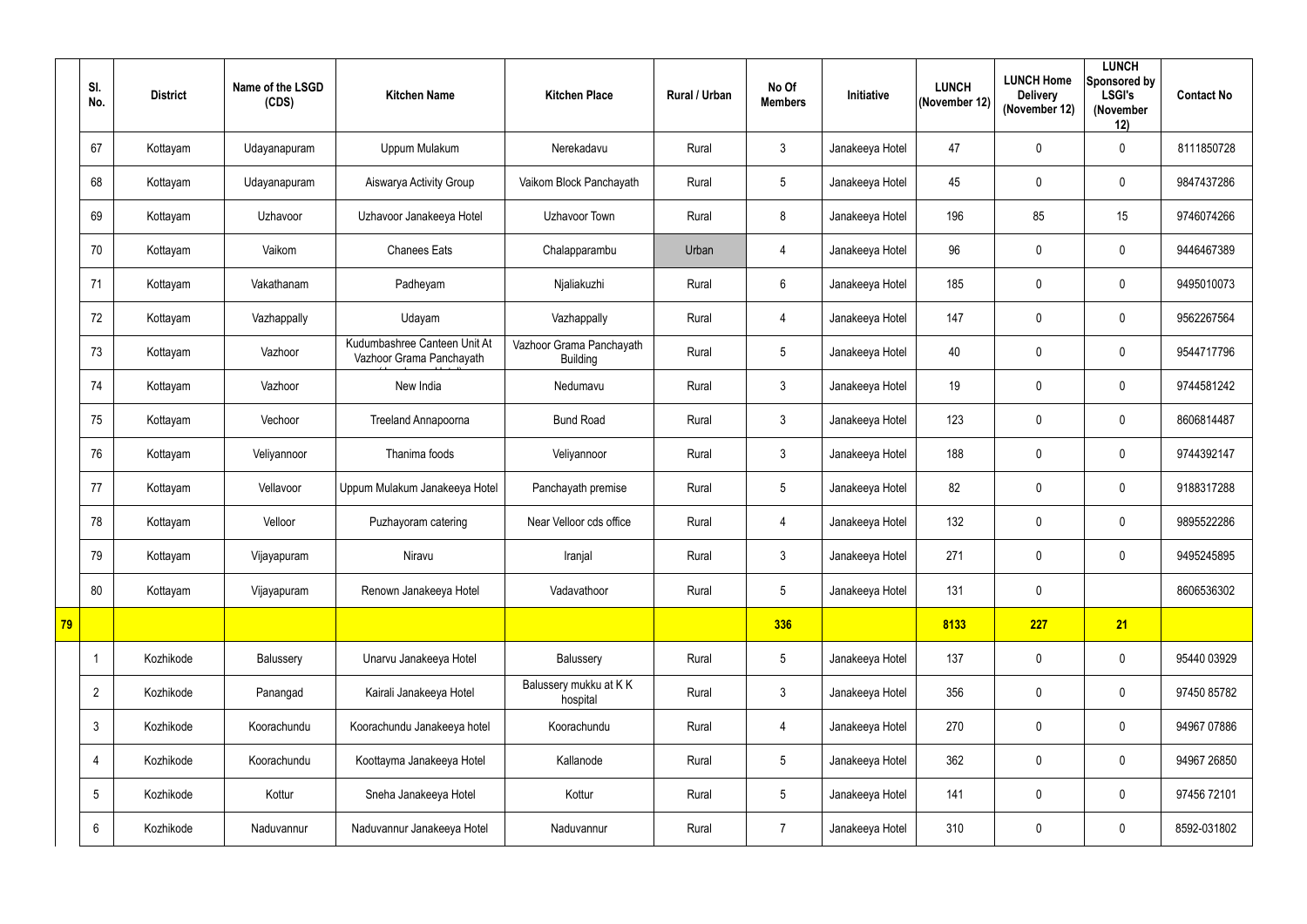|    | SI.<br>No.     | <b>District</b> | Name of the LSGD<br>(CDS) | <b>Kitchen Name</b>                                      | <b>Kitchen Place</b>                        | <b>Rural / Urban</b> | No Of<br><b>Members</b> | <b>Initiative</b> | <b>LUNCH</b><br>(November 12) | <b>LUNCH Home</b><br><b>Delivery</b><br>(November 12) | <b>LUNCH</b><br>Sponsored by<br><b>LSGI's</b><br>(November<br>12) | <b>Contact No</b> |
|----|----------------|-----------------|---------------------------|----------------------------------------------------------|---------------------------------------------|----------------------|-------------------------|-------------------|-------------------------------|-------------------------------------------------------|-------------------------------------------------------------------|-------------------|
|    | 67             | Kottayam        | Udayanapuram              | Uppum Mulakum                                            | Nerekadavu                                  | Rural                | $3\phantom{.0}$         | Janakeeya Hotel   | 47                            | $\mathbf 0$                                           | $\mathbf 0$                                                       | 8111850728        |
|    | 68             | Kottayam        | Udayanapuram              | Aiswarya Activity Group                                  | Vaikom Block Panchayath                     | Rural                | 5                       | Janakeeya Hotel   | 45                            | 0                                                     | $\mathbf 0$                                                       | 9847437286        |
|    | 69             | Kottayam        | Uzhavoor                  | Uzhavoor Janakeeya Hotel                                 | Uzhavoor Town                               | Rural                | 8                       | Janakeeya Hotel   | 196                           | 85                                                    | 15                                                                | 9746074266        |
|    | 70             | Kottayam        | Vaikom                    | <b>Chanees Eats</b>                                      | Chalapparambu                               | Urban                | $\overline{4}$          | Janakeeya Hotel   | 96                            | 0                                                     | $\mathbf 0$                                                       | 9446467389        |
|    | 71             | Kottayam        | Vakathanam                | Padheyam                                                 | Njaliakuzhi                                 | Rural                | 6                       | Janakeeya Hotel   | 185                           | $\boldsymbol{0}$                                      | $\mathbf 0$                                                       | 9495010073        |
|    | 72             | Kottayam        | Vazhappally               | Udayam                                                   | Vazhappally                                 | Rural                | $\overline{4}$          | Janakeeya Hotel   | 147                           | $\pmb{0}$                                             | $\mathbf 0$                                                       | 9562267564        |
|    | 73             | Kottayam        | Vazhoor                   | Kudumbashree Canteen Unit At<br>Vazhoor Grama Panchayath | Vazhoor Grama Panchayath<br><b>Building</b> | Rural                | 5                       | Janakeeya Hotel   | 40                            | 0                                                     | $\mathbf 0$                                                       | 9544717796        |
|    | 74             | Kottayam        | Vazhoor                   | New India                                                | Nedumavu                                    | Rural                | $\mathbf{3}$            | Janakeeya Hotel   | 19                            | 0                                                     | $\mathbf 0$                                                       | 9744581242        |
|    | 75             | Kottayam        | Vechoor                   | <b>Treeland Annapoorna</b>                               | <b>Bund Road</b>                            | Rural                | $\mathfrak{Z}$          | Janakeeya Hotel   | 123                           | 0                                                     | $\mathbf 0$                                                       | 8606814487        |
|    | 76             | Kottayam        | Veliyannoor               | Thanima foods                                            | Veliyannoor                                 | Rural                | $\mathfrak{Z}$          | Janakeeya Hotel   | 188                           | $\boldsymbol{0}$                                      | $\mathbf 0$                                                       | 9744392147        |
|    | 77             | Kottayam        | Vellavoor                 | Uppum Mulakum Janakeeya Hotel                            | Panchayath premise                          | Rural                | 5                       | Janakeeya Hotel   | 82                            | $\pmb{0}$                                             | $\mathbf 0$                                                       | 9188317288        |
|    | 78             | Kottayam        | Velloor                   | Puzhayoram catering                                      | Near Velloor cds office                     | Rural                | $\overline{4}$          | Janakeeya Hotel   | 132                           | 0                                                     | $\mathbf 0$                                                       | 9895522286        |
|    | 79             | Kottayam        | Vijayapuram               | Niravu                                                   | Iranjal                                     | Rural                | $\mathfrak{Z}$          | Janakeeya Hotel   | 271                           | $\pmb{0}$                                             | $\overline{0}$                                                    | 9495245895        |
|    | 80             | Kottayam        | Vijayapuram               | Renown Janakeeya Hotel                                   | Vadavathoor                                 | Rural                | 5                       | Janakeeya Hotel   | 131                           | $\pmb{0}$                                             |                                                                   | 8606536302        |
| 79 |                |                 |                           |                                                          |                                             |                      | 336                     |                   | 8133                          | 227                                                   | 21                                                                |                   |
|    | 1              | Kozhikode       | Balussery                 | Unarvu Janakeeya Hotel                                   | Balussery                                   | Rural                | 5                       | Janakeeya Hotel   | 137                           | $\pmb{0}$                                             | $\overline{0}$                                                    | 95440 03929       |
|    | $\overline{2}$ | Kozhikode       | Panangad                  | Kairali Janakeeya Hotel                                  | Balussery mukku at KK<br>hospital           | Rural                | 3 <sup>1</sup>          | Janakeeya Hotel   | 356                           | $\pmb{0}$                                             | $\overline{0}$                                                    | 97450 85782       |
|    | $\mathfrak{Z}$ | Kozhikode       | Koorachundu               | Koorachundu Janakeeya hotel                              | Koorachundu                                 | Rural                | $\overline{4}$          | Janakeeya Hotel   | 270                           | $\pmb{0}$                                             | $\mathbf 0$                                                       | 94967 07886       |
|    | $\overline{4}$ | Kozhikode       | Koorachundu               | Koottayma Janakeeya Hotel                                | Kallanode                                   | Rural                | 5                       | Janakeeya Hotel   | 362                           | $\pmb{0}$                                             | $\mathbf 0$                                                       | 94967 26850       |
|    | 5              | Kozhikode       | Kottur                    | Sneha Janakeeya Hotel                                    | Kottur                                      | Rural                | 5                       | Janakeeya Hotel   | 141                           | 0                                                     | $\mathbf 0$                                                       | 97456 72101       |
|    | 6              | Kozhikode       | Naduvannur                | Naduvannur Janakeeya Hotel                               | Naduvannur                                  | Rural                | $\overline{7}$          | Janakeeya Hotel   | 310                           | $\pmb{0}$                                             | $\overline{0}$                                                    | 8592-031802       |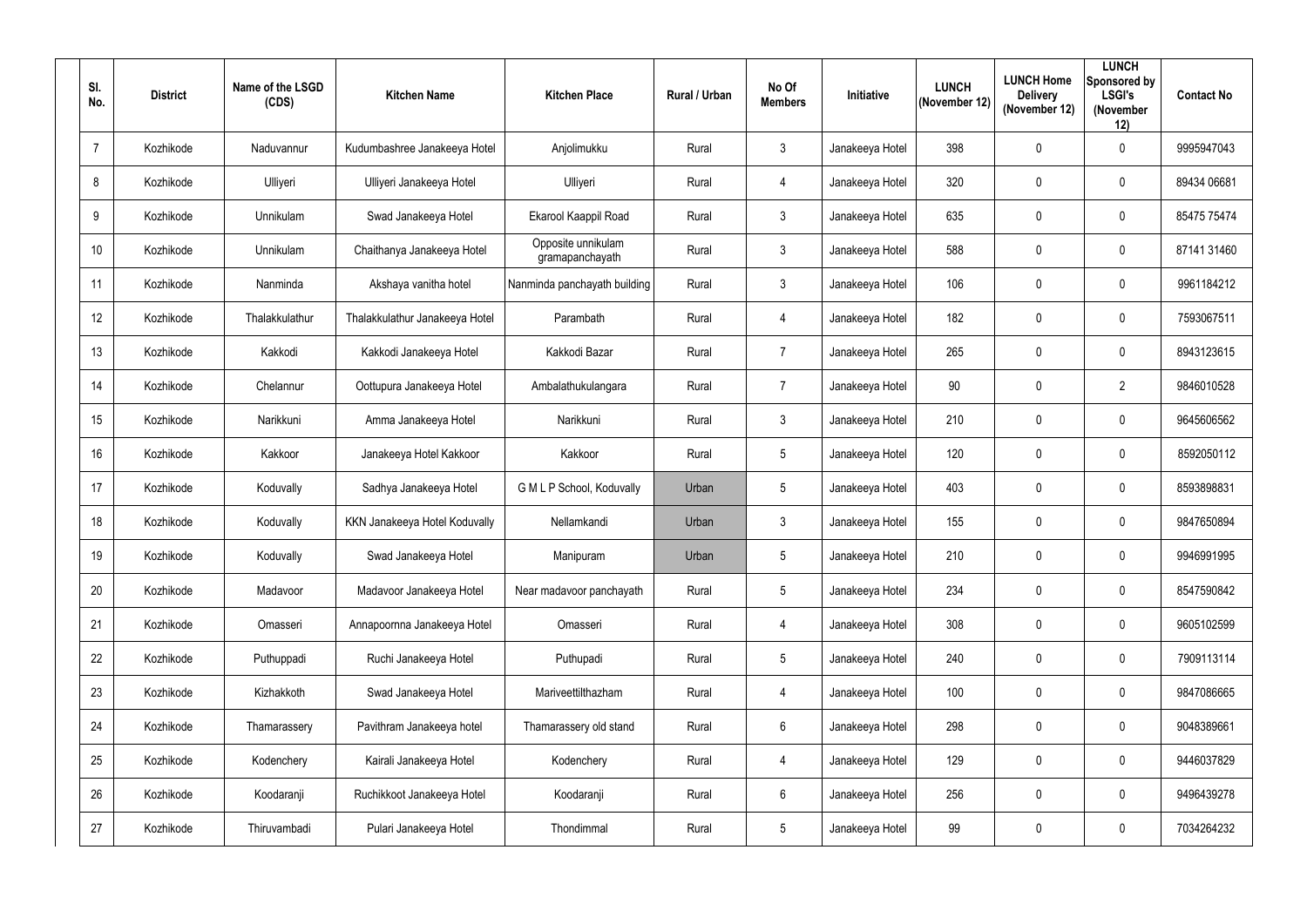| SI.<br>No.     | <b>District</b> | Name of the LSGD<br>(CDS) | <b>Kitchen Name</b>            | <b>Kitchen Place</b>                  | Rural / Urban | No Of<br><b>Members</b> | Initiative      | <b>LUNCH</b><br>(November 12) | <b>LUNCH Home</b><br><b>Delivery</b><br>(November 12) | <b>LUNCH</b><br>Sponsored by<br><b>LSGI's</b><br>(November<br>12) | <b>Contact No</b> |
|----------------|-----------------|---------------------------|--------------------------------|---------------------------------------|---------------|-------------------------|-----------------|-------------------------------|-------------------------------------------------------|-------------------------------------------------------------------|-------------------|
| $\overline{7}$ | Kozhikode       | Naduvannur                | Kudumbashree Janakeeya Hotel   | Anjolimukku                           | Rural         | $\mathbf{3}$            | Janakeeya Hotel | 398                           | 0                                                     | $\overline{0}$                                                    | 9995947043        |
| 8              | Kozhikode       | Ulliyeri                  | Ulliyeri Janakeeya Hotel       | Ulliyeri                              | Rural         | 4                       | Janakeeya Hotel | 320                           | $\mathbf 0$                                           | $\overline{0}$                                                    | 89434 06681       |
| 9              | Kozhikode       | Unnikulam                 | Swad Janakeeya Hotel           | Ekarool Kaappil Road                  | Rural         | $\mathbf{3}$            | Janakeeya Hotel | 635                           | $\mathbf 0$                                           | $\overline{0}$                                                    | 85475 75474       |
| 10             | Kozhikode       | Unnikulam                 | Chaithanya Janakeeya Hotel     | Opposite unnikulam<br>gramapanchayath | Rural         | $\mathbf{3}$            | Janakeeya Hotel | 588                           | 0                                                     | $\overline{0}$                                                    | 87141 31460       |
| 11             | Kozhikode       | Nanminda                  | Akshaya vanitha hotel          | Nanminda panchayath building          | Rural         | $\mathbf{3}$            | Janakeeya Hotel | 106                           | 0                                                     | $\overline{0}$                                                    | 9961184212        |
| 12             | Kozhikode       | Thalakkulathur            | Thalakkulathur Janakeeya Hotel | Parambath                             | Rural         | 4                       | Janakeeya Hotel | 182                           | $\mathbf 0$                                           | $\overline{0}$                                                    | 7593067511        |
| 13             | Kozhikode       | Kakkodi                   | Kakkodi Janakeeya Hotel        | Kakkodi Bazar                         | Rural         | $\overline{7}$          | Janakeeya Hotel | 265                           | 0                                                     | $\overline{0}$                                                    | 8943123615        |
| 14             | Kozhikode       | Chelannur                 | Oottupura Janakeeya Hotel      | Ambalathukulangara                    | Rural         | $\overline{7}$          | Janakeeya Hotel | 90                            | $\mathbf 0$                                           | $\overline{2}$                                                    | 9846010528        |
| 15             | Kozhikode       | Narikkuni                 | Amma Janakeeya Hotel           | Narikkuni                             | Rural         | $\mathbf{3}$            | Janakeeya Hotel | 210                           | $\mathbf 0$                                           | $\overline{0}$                                                    | 9645606562        |
| 16             | Kozhikode       | Kakkoor                   | Janakeeya Hotel Kakkoor        | Kakkoor                               | Rural         | $5\overline{)}$         | Janakeeya Hotel | 120                           | 0                                                     | $\overline{0}$                                                    | 8592050112        |
| 17             | Kozhikode       | Koduvally                 | Sadhya Janakeeya Hotel         | G M L P School, Koduvally             | Urban         | $5\phantom{.0}$         | Janakeeya Hotel | 403                           | $\overline{0}$                                        | $\overline{0}$                                                    | 8593898831        |
| 18             | Kozhikode       | Koduvally                 | KKN Janakeeya Hotel Koduvally  | Nellamkandi                           | Urban         | 3                       | Janakeeya Hotel | 155                           | $\overline{0}$                                        | $\overline{0}$                                                    | 9847650894        |
| 19             | Kozhikode       | Koduvally                 | Swad Janakeeya Hotel           | Manipuram                             | Urban         | 5                       | Janakeeya Hotel | 210                           | $\pmb{0}$                                             | $\mathbf 0$                                                       | 9946991995        |
| $20\,$         | Kozhikode       | Madavoor                  | Madavoor Janakeeya Hotel       | Near madavoor panchayath              | Rural         | $5\phantom{.0}$         | Janakeeya Hotel | 234                           | $\overline{0}$                                        | $\boldsymbol{0}$                                                  | 8547590842        |
| 21             | Kozhikode       | Omasseri                  | Annapoornna Janakeeya Hotel    | Omasseri                              | Rural         | $\overline{4}$          | Janakeeya Hotel | 308                           | $\overline{0}$                                        | $\mathbf 0$                                                       | 9605102599        |
| 22             | Kozhikode       | Puthuppadi                | Ruchi Janakeeya Hotel          | Puthupadi                             | Rural         | $5\phantom{.0}$         | Janakeeya Hotel | 240                           | $\overline{0}$                                        | $\boldsymbol{0}$                                                  | 7909113114        |
| 23             | Kozhikode       | Kizhakkoth                | Swad Janakeeya Hotel           | Mariveettilthazham                    | Rural         | $\overline{4}$          | Janakeeya Hotel | 100                           | $\mathbf 0$                                           | $\boldsymbol{0}$                                                  | 9847086665        |
| 24             | Kozhikode       | Thamarassery              | Pavithram Janakeeya hotel      | Thamarassery old stand                | Rural         | $6\overline{6}$         | Janakeeya Hotel | 298                           | $\mathbf 0$                                           | $\mathbf 0$                                                       | 9048389661        |
| 25             | Kozhikode       | Kodenchery                | Kairali Janakeeya Hotel        | Kodenchery                            | Rural         | 4                       | Janakeeya Hotel | 129                           | $\mathbf 0$                                           | $\mathbf 0$                                                       | 9446037829        |
| 26             | Kozhikode       | Koodaranji                | Ruchikkoot Janakeeya Hotel     | Koodaranji                            | Rural         | $6\overline{6}$         | Janakeeya Hotel | 256                           | $\overline{0}$                                        | $\mathbf 0$                                                       | 9496439278        |
| 27             | Kozhikode       | Thiruvambadi              | Pulari Janakeeya Hotel         | Thondimmal                            | Rural         | $5\overline{)}$         | Janakeeya Hotel | 99                            | $\boldsymbol{0}$                                      | $\boldsymbol{0}$                                                  | 7034264232        |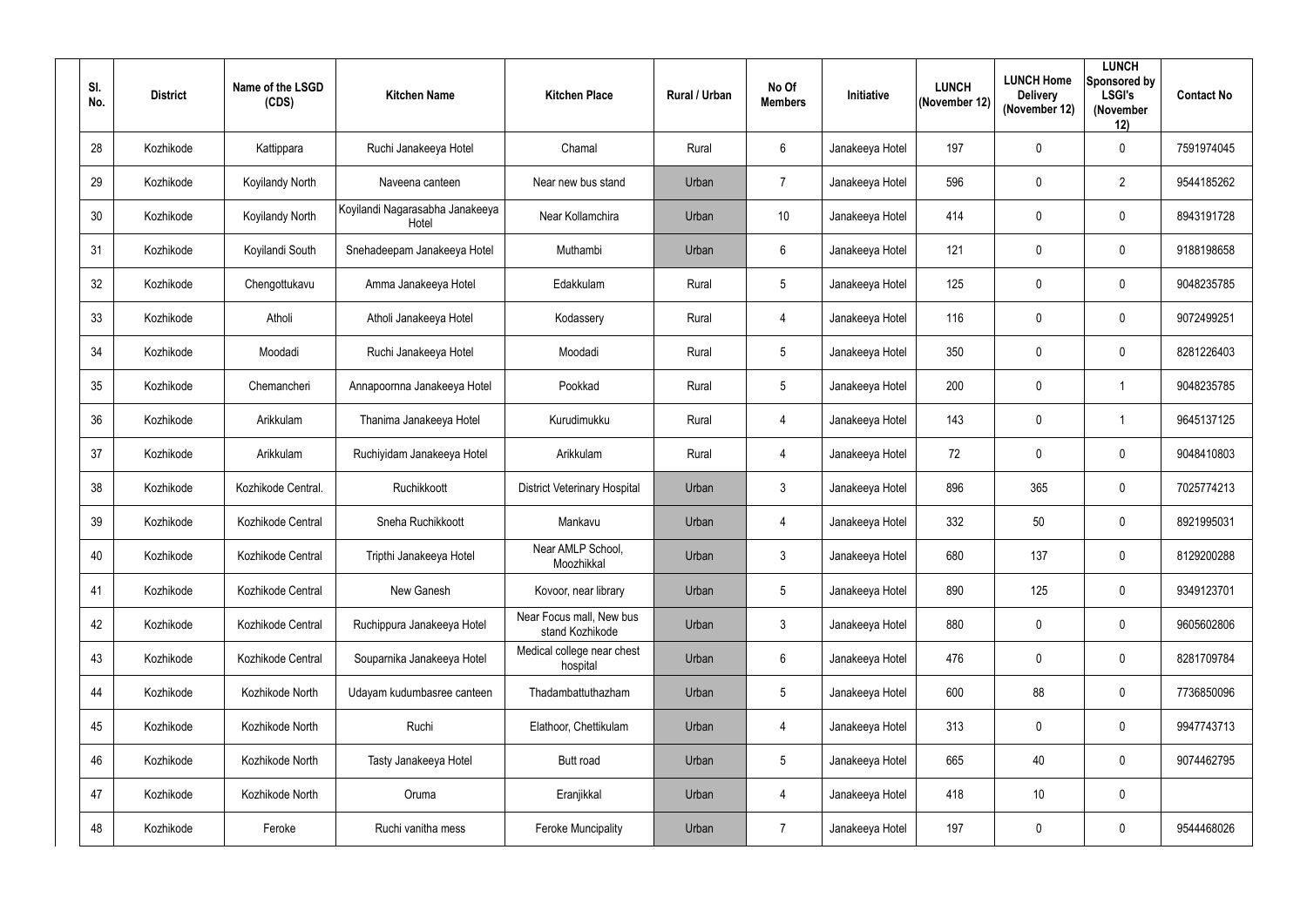| SI.<br>No. | <b>District</b> | Name of the LSGD<br>(CDS) | <b>Kitchen Name</b>                      | <b>Kitchen Place</b>                        | Rural / Urban | No Of<br><b>Members</b> | Initiative      | <b>LUNCH</b><br>(November 12) | <b>LUNCH Home</b><br><b>Delivery</b><br>(November 12) | <b>LUNCH</b><br>Sponsored by<br><b>LSGI's</b><br>(November<br>12) | <b>Contact No</b> |
|------------|-----------------|---------------------------|------------------------------------------|---------------------------------------------|---------------|-------------------------|-----------------|-------------------------------|-------------------------------------------------------|-------------------------------------------------------------------|-------------------|
| 28         | Kozhikode       | Kattippara                | Ruchi Janakeeya Hotel                    | Chamal                                      | Rural         | $6\overline{6}$         | Janakeeya Hotel | 197                           | $\mathbf 0$                                           | $\overline{0}$                                                    | 7591974045        |
| 29         | Kozhikode       | <b>Koyilandy North</b>    | Naveena canteen                          | Near new bus stand                          | Urban         | $\overline{7}$          | Janakeeya Hotel | 596                           | $\overline{0}$                                        | $\overline{2}$                                                    | 9544185262        |
| 30         | Kozhikode       | Koyilandy North           | Koyilandi Nagarasabha Janakeeya<br>Hotel | Near Kollamchira                            | Urban         | 10                      | Janakeeya Hotel | 414                           | $\mathbf 0$                                           | $\overline{0}$                                                    | 8943191728        |
| 31         | Kozhikode       | Koyilandi South           | Snehadeepam Janakeeya Hotel              | Muthambi                                    | Urban         | $6^{\circ}$             | Janakeeya Hotel | 121                           | $\overline{0}$                                        | $\boldsymbol{0}$                                                  | 9188198658        |
| 32         | Kozhikode       | Chengottukavu             | Amma Janakeeya Hotel                     | Edakkulam                                   | Rural         | $5\phantom{.0}$         | Janakeeya Hotel | 125                           | 0                                                     | $\overline{0}$                                                    | 9048235785        |
| 33         | Kozhikode       | Atholi                    | Atholi Janakeeya Hotel                   | Kodassery                                   | Rural         | 4                       | Janakeeya Hotel | 116                           | $\overline{0}$                                        | $\overline{0}$                                                    | 9072499251        |
| 34         | Kozhikode       | Moodadi                   | Ruchi Janakeeya Hotel                    | Moodadi                                     | Rural         | $5\overline{)}$         | Janakeeya Hotel | 350                           | $\mathbf 0$                                           | $\mathbf 0$                                                       | 8281226403        |
| 35         | Kozhikode       | Chemancheri               | Annapoornna Janakeeya Hotel              | Pookkad                                     | Rural         | $5\overline{)}$         | Janakeeya Hotel | 200                           | $\mathbf 0$                                           |                                                                   | 9048235785        |
| 36         | Kozhikode       | Arikkulam                 | Thanima Janakeeya Hotel                  | Kurudimukku                                 | Rural         | $\overline{4}$          | Janakeeya Hotel | 143                           | $\overline{0}$                                        |                                                                   | 9645137125        |
| 37         | Kozhikode       | Arikkulam                 | Ruchiyidam Janakeeya Hotel               | Arikkulam                                   | Rural         | 4                       | Janakeeya Hotel | 72                            | $\overline{0}$                                        | $\overline{0}$                                                    | 9048410803        |
| 38         | Kozhikode       | Kozhikode Central.        | Ruchikkoott                              | <b>District Veterinary Hospital</b>         | Urban         | $\mathfrak{Z}$          | Janakeeya Hotel | 896                           | 365                                                   | $\boldsymbol{0}$                                                  | 7025774213        |
| 39         | Kozhikode       | Kozhikode Central         | Sneha Ruchikkoott                        | Mankavu                                     | Urban         | 4                       | Janakeeya Hotel | 332                           | 50                                                    | $\overline{0}$                                                    | 8921995031        |
| 40         | Kozhikode       | Kozhikode Central         | Tripthi Janakeeya Hotel                  | Near AMLP School,<br>Moozhikkal             | Urban         | $\mathbf{3}$            | Janakeeya Hotel | 680                           | 137                                                   | $\mathbf 0$                                                       | 8129200288        |
| 41         | Kozhikode       | Kozhikode Central         | New Ganesh                               | Kovoor, near library                        | Urban         | $5\phantom{.0}$         | Janakeeya Hotel | 890                           | 125                                                   | $\mathbf 0$                                                       | 9349123701        |
| 42         | Kozhikode       | Kozhikode Central         | Ruchippura Janakeeya Hotel               | Near Focus mall, New bus<br>stand Kozhikode | Urban         | $\mathbf{3}$            | Janakeeya Hotel | 880                           | $\overline{0}$                                        | $\mathbf 0$                                                       | 9605602806        |
| 43         | Kozhikode       | Kozhikode Central         | Souparnika Janakeeya Hotel               | Medical college near chest<br>hospital      | Urban         | 6                       | Janakeeya Hotel | 476                           | $\boldsymbol{0}$                                      | $\boldsymbol{0}$                                                  | 8281709784        |
| 44         | Kozhikode       | Kozhikode North           | Udayam kudumbasree canteen               | Thadambattuthazham                          | Urban         | $5\phantom{.0}$         | Janakeeya Hotel | 600                           | 88                                                    | $\boldsymbol{0}$                                                  | 7736850096        |
| 45         | Kozhikode       | Kozhikode North           | Ruchi                                    | Elathoor, Chettikulam                       | Urban         | $\overline{4}$          | Janakeeya Hotel | 313                           | $\mathbf 0$                                           | $\mathbf 0$                                                       | 9947743713        |
| 46         | Kozhikode       | Kozhikode North           | Tasty Janakeeya Hotel                    | Butt road                                   | Urban         | $5\overline{)}$         | Janakeeya Hotel | 665                           | 40                                                    | $\mathbf 0$                                                       | 9074462795        |
| 47         | Kozhikode       | Kozhikode North           | Oruma                                    | Eranjikkal                                  | Urban         | $\overline{4}$          | Janakeeya Hotel | 418                           | 10                                                    | $\boldsymbol{0}$                                                  |                   |
| 48         | Kozhikode       | Feroke                    | Ruchi vanitha mess                       | <b>Feroke Muncipality</b>                   | Urban         | $\overline{7}$          | Janakeeya Hotel | 197                           | $\boldsymbol{0}$                                      | $\boldsymbol{0}$                                                  | 9544468026        |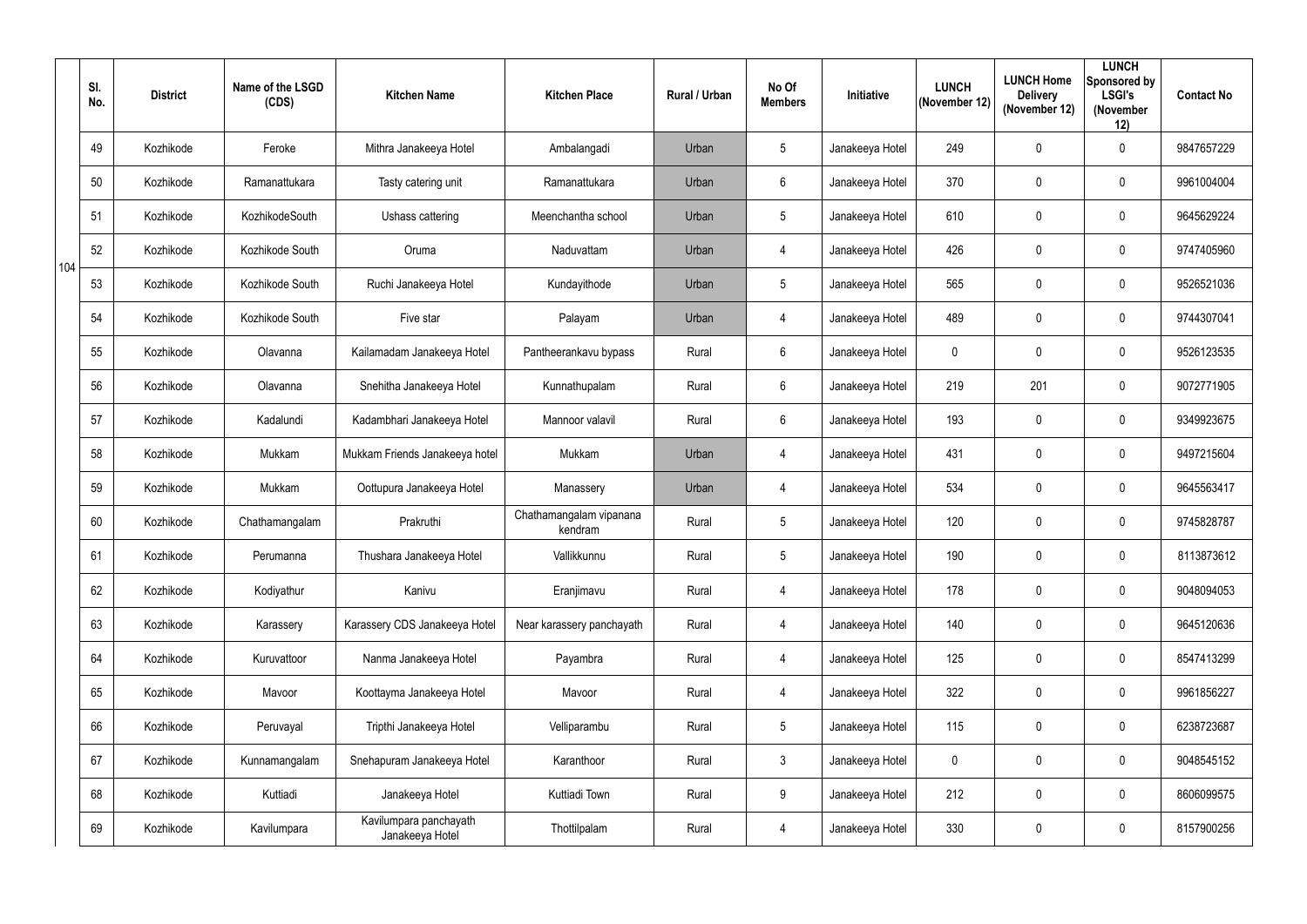|     | SI.<br>No. | <b>District</b> | Name of the LSGD<br>(CDS) | <b>Kitchen Name</b>                       | <b>Kitchen Place</b>               | Rural / Urban | No Of<br><b>Members</b> | Initiative      | <b>LUNCH</b><br>(November 12) | <b>LUNCH Home</b><br><b>Delivery</b><br>(November 12) | <b>LUNCH</b><br>Sponsored by<br><b>LSGI's</b><br>(November<br>12) | <b>Contact No</b> |
|-----|------------|-----------------|---------------------------|-------------------------------------------|------------------------------------|---------------|-------------------------|-----------------|-------------------------------|-------------------------------------------------------|-------------------------------------------------------------------|-------------------|
|     | 49         | Kozhikode       | Feroke                    | Mithra Janakeeya Hotel                    | Ambalangadi                        | Urban         | $5\phantom{.0}$         | Janakeeya Hotel | 249                           | 0                                                     | $\overline{0}$                                                    | 9847657229        |
|     | 50         | Kozhikode       | Ramanattukara             | Tasty catering unit                       | Ramanattukara                      | Urban         | $6\overline{6}$         | Janakeeya Hotel | 370                           | 0                                                     | $\mathbf 0$                                                       | 9961004004        |
|     | 51         | Kozhikode       | KozhikodeSouth            | Ushass cattering                          | Meenchantha school                 | Urban         | $5\phantom{.0}$         | Janakeeya Hotel | 610                           | 0                                                     | $\overline{0}$                                                    | 9645629224        |
|     | 52         | Kozhikode       | Kozhikode South           | Oruma                                     | Naduvattam                         | Urban         | $\overline{4}$          | Janakeeya Hotel | 426                           | 0                                                     | $\mathbf 0$                                                       | 9747405960        |
| 104 | 53         | Kozhikode       | Kozhikode South           | Ruchi Janakeeya Hotel                     | Kundayithode                       | Urban         | $5\overline{)}$         | Janakeeya Hotel | 565                           | 0                                                     | $\mathbf 0$                                                       | 9526521036        |
|     | 54         | Kozhikode       | Kozhikode South           | Five star                                 | Palayam                            | Urban         | $\overline{4}$          | Janakeeya Hotel | 489                           | 0                                                     | $\mathbf 0$                                                       | 9744307041        |
|     | 55         | Kozhikode       | Olavanna                  | Kailamadam Janakeeya Hotel                | Pantheerankavu bypass              | Rural         | $6\overline{6}$         | Janakeeya Hotel | $\mathbf 0$                   | 0                                                     | $\mathbf 0$                                                       | 9526123535        |
|     | 56         | Kozhikode       | Olavanna                  | Snehitha Janakeeya Hotel                  | Kunnathupalam                      | Rural         | $6\overline{6}$         | Janakeeya Hotel | 219                           | 201                                                   | $\mathbf 0$                                                       | 9072771905        |
|     | 57         | Kozhikode       | Kadalundi                 | Kadambhari Janakeeya Hotel                | Mannoor valavil                    | Rural         | $6\phantom{.}$          | Janakeeya Hotel | 193                           | 0                                                     | $\overline{0}$                                                    | 9349923675        |
|     | 58         | Kozhikode       | Mukkam                    | Mukkam Friends Janakeeya hotel            | Mukkam                             | Urban         | $\overline{4}$          | Janakeeya Hotel | 431                           | 0                                                     | $\mathbf 0$                                                       | 9497215604        |
|     | 59         | Kozhikode       | Mukkam                    | Oottupura Janakeeya Hotel                 | Manassery                          | Urban         | $\overline{4}$          | Janakeeya Hotel | 534                           | 0                                                     | $\mathbf 0$                                                       | 9645563417        |
|     | 60         | Kozhikode       | Chathamangalam            | Prakruthi                                 | Chathamangalam vipanana<br>kendram | Rural         | $5\phantom{.0}$         | Janakeeya Hotel | 120                           | 0                                                     | $\overline{0}$                                                    | 9745828787        |
|     | 61         | Kozhikode       | Perumanna                 | Thushara Janakeeya Hotel                  | Vallikkunnu                        | Rural         | $5\phantom{.0}$         | Janakeeya Hotel | 190                           | 0                                                     | $\overline{0}$                                                    | 8113873612        |
|     | 62         | Kozhikode       | Kodiyathur                | Kanivu                                    | Eranjimavu                         | Rural         | $\overline{4}$          | Janakeeya Hotel | 178                           | 0                                                     | $\overline{0}$                                                    | 9048094053        |
|     | 63         | Kozhikode       | Karassery                 | Karassery CDS Janakeeya Hotel             | Near karassery panchayath          | Rural         | $\overline{4}$          | Janakeeya Hotel | 140                           | 0                                                     | $\overline{0}$                                                    | 9645120636        |
|     | 64         | Kozhikode       | Kuruvattoor               | Nanma Janakeeya Hotel                     | Payambra                           | Rural         | 4                       | Janakeeya Hotel | 125                           | 0                                                     | $\overline{0}$                                                    | 8547413299        |
|     | 65         | Kozhikode       | Mavoor                    | Koottayma Janakeeya Hotel                 | Mavoor                             | Rural         | $\overline{4}$          | Janakeeya Hotel | 322                           | 0                                                     | $\mathbf 0$                                                       | 9961856227        |
|     | 66         | Kozhikode       | Peruvayal                 | Tripthi Janakeeya Hotel                   | Velliparambu                       | Rural         | $5\overline{)}$         | Janakeeya Hotel | 115                           | 0                                                     | $\mathbf 0$                                                       | 6238723687        |
|     | 67         | Kozhikode       | Kunnamangalam             | Snehapuram Janakeeya Hotel                | Karanthoor                         | Rural         | $\mathbf{3}$            | Janakeeya Hotel | $\mathbf 0$                   | 0                                                     | $\overline{0}$                                                    | 9048545152        |
|     | 68         | Kozhikode       | Kuttiadi                  | Janakeeya Hotel                           | Kuttiadi Town                      | Rural         | $9\phantom{.0}$         | Janakeeya Hotel | 212                           | 0                                                     | $\overline{0}$                                                    | 8606099575        |
|     | 69         | Kozhikode       | Kavilumpara               | Kavilumpara panchayath<br>Janakeeya Hotel | Thottilpalam                       | Rural         | $\overline{4}$          | Janakeeya Hotel | 330                           | 0                                                     | $\overline{0}$                                                    | 8157900256        |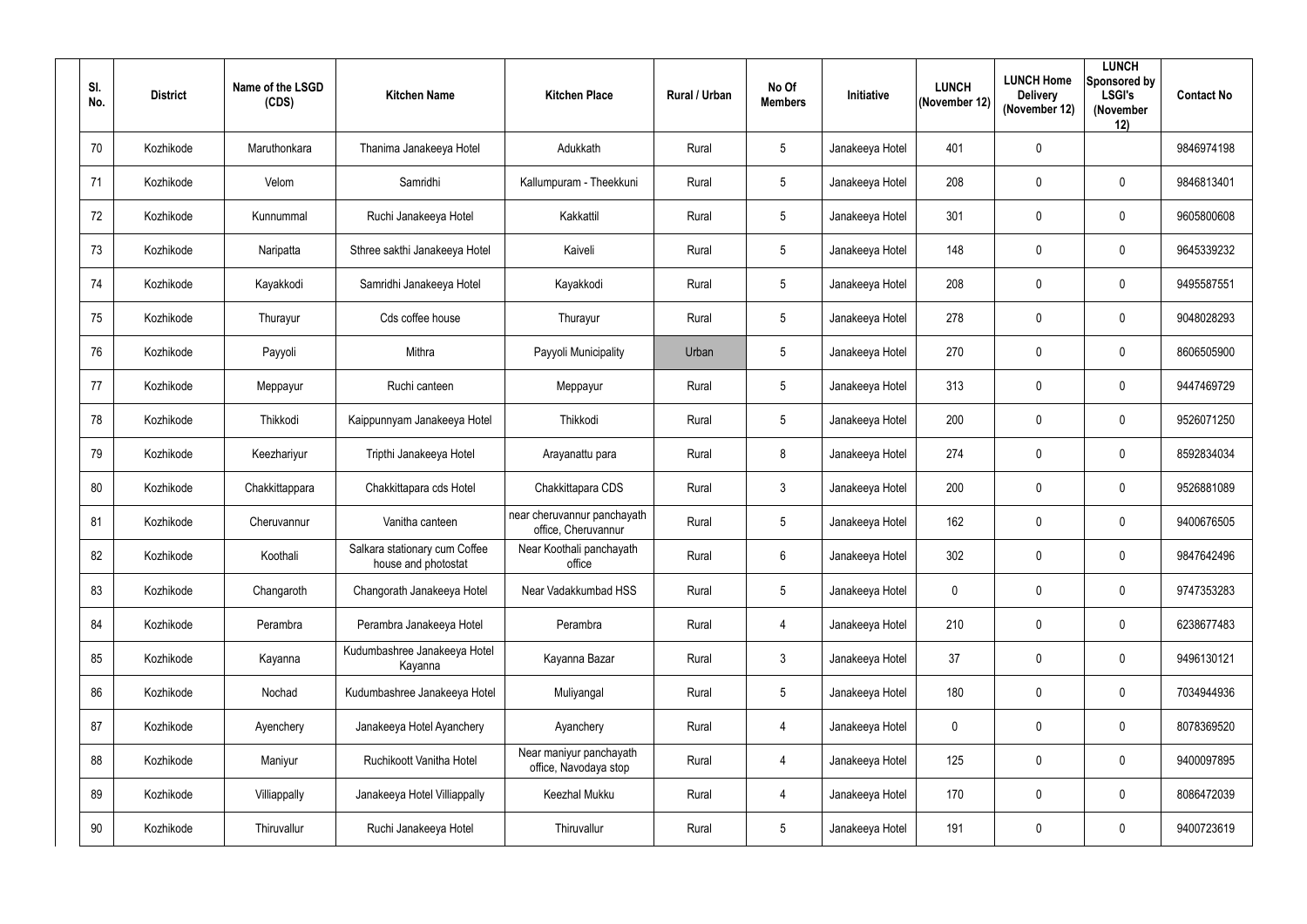| SI.<br>No. | <b>District</b> | Name of the LSGD<br>(CDS) | <b>Kitchen Name</b>                                  | <b>Kitchen Place</b>                               | Rural / Urban | No Of<br><b>Members</b> | Initiative      | <b>LUNCH</b><br>(November 12) | <b>LUNCH Home</b><br><b>Delivery</b><br>(November 12) | <b>LUNCH</b><br>Sponsored by<br><b>LSGI's</b><br>(November<br>12) | <b>Contact No</b> |
|------------|-----------------|---------------------------|------------------------------------------------------|----------------------------------------------------|---------------|-------------------------|-----------------|-------------------------------|-------------------------------------------------------|-------------------------------------------------------------------|-------------------|
| 70         | Kozhikode       | Maruthonkara              | Thanima Janakeeya Hotel                              | Adukkath                                           | Rural         | $5\overline{)}$         | Janakeeya Hotel | 401                           | $\mathbf 0$                                           |                                                                   | 9846974198        |
| 71         | Kozhikode       | Velom                     | Samridhi                                             | Kallumpuram - Theekkuni                            | Rural         | $5\overline{)}$         | Janakeeya Hotel | 208                           | $\overline{0}$                                        | $\overline{0}$                                                    | 9846813401        |
| 72         | Kozhikode       | Kunnummal                 | Ruchi Janakeeya Hotel                                | Kakkattil                                          | Rural         | $5\phantom{.0}$         | Janakeeya Hotel | 301                           | 0                                                     | $\overline{0}$                                                    | 9605800608        |
| 73         | Kozhikode       | Naripatta                 | Sthree sakthi Janakeeya Hotel                        | Kaiveli                                            | Rural         | $5\overline{)}$         | Janakeeya Hotel | 148                           | $\overline{0}$                                        | $\boldsymbol{0}$                                                  | 9645339232        |
| 74         | Kozhikode       | Kayakkodi                 | Samridhi Janakeeya Hotel                             | Kayakkodi                                          | Rural         | $5\overline{)}$         | Janakeeya Hotel | 208                           | 0                                                     | $\overline{0}$                                                    | 9495587551        |
| 75         | Kozhikode       | Thurayur                  | Cds coffee house                                     | Thurayur                                           | Rural         | $5\phantom{.0}$         | Janakeeya Hotel | 278                           | $\overline{0}$                                        | $\overline{0}$                                                    | 9048028293        |
| 76         | Kozhikode       | Payyoli                   | Mithra                                               | Payyoli Municipality                               | Urban         | $5\overline{)}$         | Janakeeya Hotel | 270                           | 0                                                     | $\overline{0}$                                                    | 8606505900        |
| 77         | Kozhikode       | Meppayur                  | Ruchi canteen                                        | Meppayur                                           | Rural         | $5\phantom{.0}$         | Janakeeya Hotel | 313                           | $\mathbf 0$                                           | $\overline{0}$                                                    | 9447469729        |
| 78         | Kozhikode       | Thikkodi                  | Kaippunnyam Janakeeya Hotel                          | Thikkodi                                           | Rural         | $5\overline{)}$         | Janakeeya Hotel | 200                           | $\overline{0}$                                        | $\overline{0}$                                                    | 9526071250        |
| 79         | Kozhikode       | Keezhariyur               | Tripthi Janakeeya Hotel                              | Arayanattu para                                    | Rural         | 8                       | Janakeeya Hotel | 274                           | $\overline{0}$                                        | $\overline{0}$                                                    | 8592834034        |
| 80         | Kozhikode       | Chakkittappara            | Chakkittapara cds Hotel                              | Chakkittapara CDS                                  | Rural         | $\mathfrak{Z}$          | Janakeeya Hotel | 200                           | $\overline{0}$                                        | $\overline{0}$                                                    | 9526881089        |
| 81         | Kozhikode       | Cheruvannur               | Vanitha canteen                                      | near cheruvannur panchayath<br>office, Cheruvannur | Rural         | $5\overline{)}$         | Janakeeya Hotel | 162                           | $\overline{0}$                                        | $\overline{0}$                                                    | 9400676505        |
| 82         | Kozhikode       | Koothali                  | Salkara stationary cum Coffee<br>house and photostat | Near Koothali panchayath<br>office                 | Rural         | $6\overline{6}$         | Janakeeya Hotel | 302                           | $\mathbf 0$                                           | $\mathbf 0$                                                       | 9847642496        |
| 83         | Kozhikode       | Changaroth                | Changorath Janakeeya Hotel                           | Near Vadakkumbad HSS                               | Rural         | $5\phantom{.0}$         | Janakeeya Hotel | $\mathbf 0$                   | $\mathbf 0$                                           | $\mathbf 0$                                                       | 9747353283        |
| 84         | Kozhikode       | Perambra                  | Perambra Janakeeya Hotel                             | Perambra                                           | Rural         | $\overline{4}$          | Janakeeya Hotel | 210                           | $\mathbf 0$                                           | $\mathbf 0$                                                       | 6238677483        |
| 85         | Kozhikode       | Kayanna                   | Kudumbashree Janakeeya Hotel<br>Kayanna              | Kayanna Bazar                                      | Rural         | 3 <sup>1</sup>          | Janakeeya Hotel | 37                            | $\mathbf 0$                                           | $\mathbf 0$                                                       | 9496130121        |
| 86         | Kozhikode       | Nochad                    | Kudumbashree Janakeeya Hotel                         | Muliyangal                                         | Rural         | $5\phantom{.0}$         | Janakeeya Hotel | 180                           | $\mathbf 0$                                           | $\pmb{0}$                                                         | 7034944936        |
| 87         | Kozhikode       | Ayenchery                 | Janakeeya Hotel Ayanchery                            | Ayanchery                                          | Rural         | $\overline{4}$          | Janakeeya Hotel | $\mathbf 0$                   | $\mathbf 0$                                           | $\mathbf 0$                                                       | 8078369520        |
| 88         | Kozhikode       | Maniyur                   | Ruchikoott Vanitha Hotel                             | Near maniyur panchayath<br>office, Navodaya stop   | Rural         | $\overline{4}$          | Janakeeya Hotel | 125                           | $\mathbf 0$                                           | $\mathbf 0$                                                       | 9400097895        |
| 89         | Kozhikode       | Villiappally              | Janakeeya Hotel Villiappally                         | Keezhal Mukku                                      | Rural         | $\overline{4}$          | Janakeeya Hotel | 170                           | $\mathbf 0$                                           | $\mathbf 0$                                                       | 8086472039        |
| 90         | Kozhikode       | Thiruvallur               | Ruchi Janakeeya Hotel                                | Thiruvallur                                        | Rural         | $5\overline{)}$         | Janakeeya Hotel | 191                           | $\boldsymbol{0}$                                      | $\pmb{0}$                                                         | 9400723619        |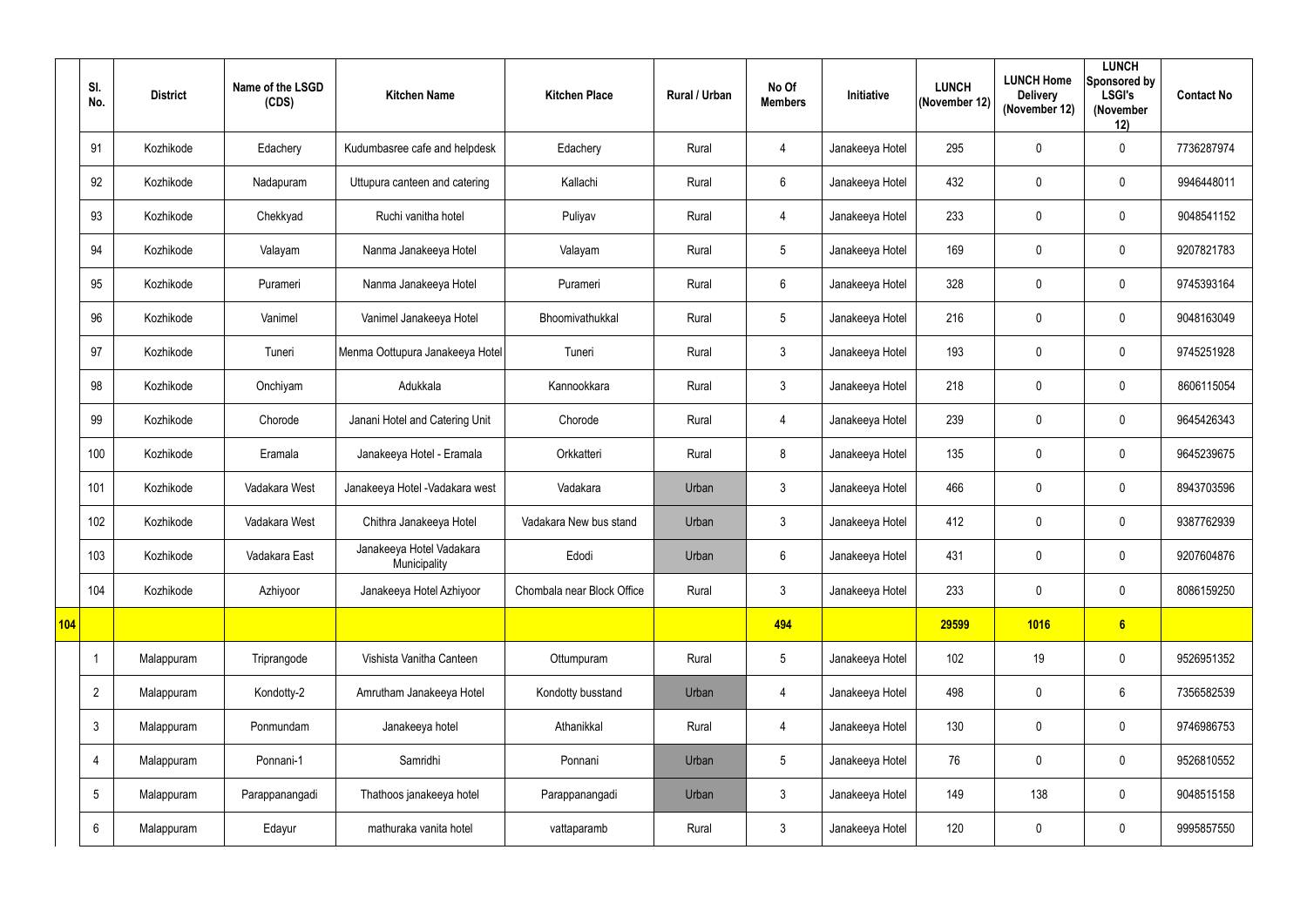|     | SI.<br>No.      | <b>District</b> | Name of the LSGD<br>(CDS) | <b>Kitchen Name</b>                      | <b>Kitchen Place</b>       | Rural / Urban | No Of<br><b>Members</b> | <b>Initiative</b> | <b>LUNCH</b><br>(November 12) | <b>LUNCH Home</b><br><b>Delivery</b><br>(November 12) | <b>LUNCH</b><br>Sponsored by<br><b>LSGI's</b><br>(November<br>12) | <b>Contact No</b> |
|-----|-----------------|-----------------|---------------------------|------------------------------------------|----------------------------|---------------|-------------------------|-------------------|-------------------------------|-------------------------------------------------------|-------------------------------------------------------------------|-------------------|
|     | 91              | Kozhikode       | Edachery                  | Kudumbasree cafe and helpdesk            | Edachery                   | Rural         | $\overline{4}$          | Janakeeya Hotel   | 295                           | 0                                                     | $\mathbf 0$                                                       | 7736287974        |
|     | 92              | Kozhikode       | Nadapuram                 | Uttupura canteen and catering            | Kallachi                   | Rural         | 6                       | Janakeeya Hotel   | 432                           | 0                                                     | $\mathbf 0$                                                       | 9946448011        |
|     | 93              | Kozhikode       | Chekkyad                  | Ruchi vanitha hotel                      | Puliyav                    | Rural         | $\overline{4}$          | Janakeeya Hotel   | 233                           | 0                                                     | $\mathbf 0$                                                       | 9048541152        |
|     | 94              | Kozhikode       | Valayam                   | Nanma Janakeeya Hotel                    | Valayam                    | Rural         | 5                       | Janakeeya Hotel   | 169                           | 0                                                     | $\mathbf 0$                                                       | 9207821783        |
|     | 95              | Kozhikode       | Purameri                  | Nanma Janakeeya Hotel                    | Purameri                   | Rural         | $6\phantom{.0}$         | Janakeeya Hotel   | 328                           | 0                                                     | $\mathbf 0$                                                       | 9745393164        |
|     | 96              | Kozhikode       | Vanimel                   | Vanimel Janakeeya Hotel                  | Bhoomivathukkal            | Rural         | $5\phantom{.0}$         | Janakeeya Hotel   | 216                           | $\pmb{0}$                                             | $\mathbf 0$                                                       | 9048163049        |
|     | 97              | Kozhikode       | Tuneri                    | Menma Oottupura Janakeeya Hotel          | Tuneri                     | Rural         | $\mathfrak{Z}$          | Janakeeya Hotel   | 193                           | 0                                                     | $\mathbf 0$                                                       | 9745251928        |
|     | 98              | Kozhikode       | Onchiyam                  | Adukkala                                 | Kannookkara                | Rural         | $\mathfrak{Z}$          | Janakeeya Hotel   | 218                           | 0                                                     | $\mathbf 0$                                                       | 8606115054        |
|     | 99              | Kozhikode       | Chorode                   | Janani Hotel and Catering Unit           | Chorode                    | Rural         | $\overline{4}$          | Janakeeya Hotel   | 239                           | 0                                                     | $\mathbf 0$                                                       | 9645426343        |
|     | 100             | Kozhikode       | Eramala                   | Janakeeya Hotel - Eramala                | Orkkatteri                 | Rural         | 8                       | Janakeeya Hotel   | 135                           | 0                                                     | $\mathbf 0$                                                       | 9645239675        |
|     | 101             | Kozhikode       | Vadakara West             | Janakeeya Hotel - Vadakara west          | Vadakara                   | Urban         | $\mathfrak{Z}$          | Janakeeya Hotel   | 466                           | $\pmb{0}$                                             | $\mathbf 0$                                                       | 8943703596        |
|     | 102             | Kozhikode       | Vadakara West             | Chithra Janakeeya Hotel                  | Vadakara New bus stand     | Urban         | $\mathfrak{Z}$          | Janakeeya Hotel   | 412                           | 0                                                     | $\mathbf 0$                                                       | 9387762939        |
|     | 103             | Kozhikode       | Vadakara East             | Janakeeya Hotel Vadakara<br>Municipality | Edodi                      | Urban         | $6\phantom{.}$          | Janakeeya Hotel   | 431                           | 0                                                     | $\mathbf 0$                                                       | 9207604876        |
|     | 104             | Kozhikode       | Azhiyoor                  | Janakeeya Hotel Azhiyoor                 | Chombala near Block Office | Rural         | $\mathfrak{Z}$          | Janakeeya Hotel   | 233                           | 0                                                     | $\overline{0}$                                                    | 8086159250        |
| 104 |                 |                 |                           |                                          |                            |               | 494                     |                   | 29599                         | 1016                                                  | 6                                                                 |                   |
|     | $\mathbf{1}$    | Malappuram      | Triprangode               | Vishista Vanitha Canteen                 | Ottumpuram                 | Rural         | $5\phantom{.0}$         | Janakeeya Hotel   | 102                           | 19                                                    | $\overline{0}$                                                    | 9526951352        |
|     | $\overline{2}$  | Malappuram      | Kondotty-2                | Amrutham Janakeeya Hotel                 | Kondotty busstand          | Urban         | 4                       | Janakeeya Hotel   | 498                           | $\pmb{0}$                                             | $6\phantom{.}6$                                                   | 7356582539        |
|     | $\mathfrak{Z}$  | Malappuram      | Ponmundam                 | Janakeeya hotel                          | Athanikkal                 | Rural         | $\overline{4}$          | Janakeeya Hotel   | 130                           | $\pmb{0}$                                             | $\overline{0}$                                                    | 9746986753        |
|     | 4               | Malappuram      | Ponnani-1                 | Samridhi                                 | Ponnani                    | Urban         | $5\phantom{.0}$         | Janakeeya Hotel   | 76                            | 0                                                     | $\mathbf 0$                                                       | 9526810552        |
|     | $5\phantom{.0}$ | Malappuram      | Parappanangadi            | Thathoos janakeeya hotel                 | Parappanangadi             | Urban         | $\mathfrak{Z}$          | Janakeeya Hotel   | 149                           | 138                                                   | $\overline{0}$                                                    | 9048515158        |
|     | $6\phantom{.}$  | Malappuram      | Edayur                    | mathuraka vanita hotel                   | vattaparamb                | Rural         | $\mathfrak{Z}$          | Janakeeya Hotel   | 120                           | $\pmb{0}$                                             | $\overline{0}$                                                    | 9995857550        |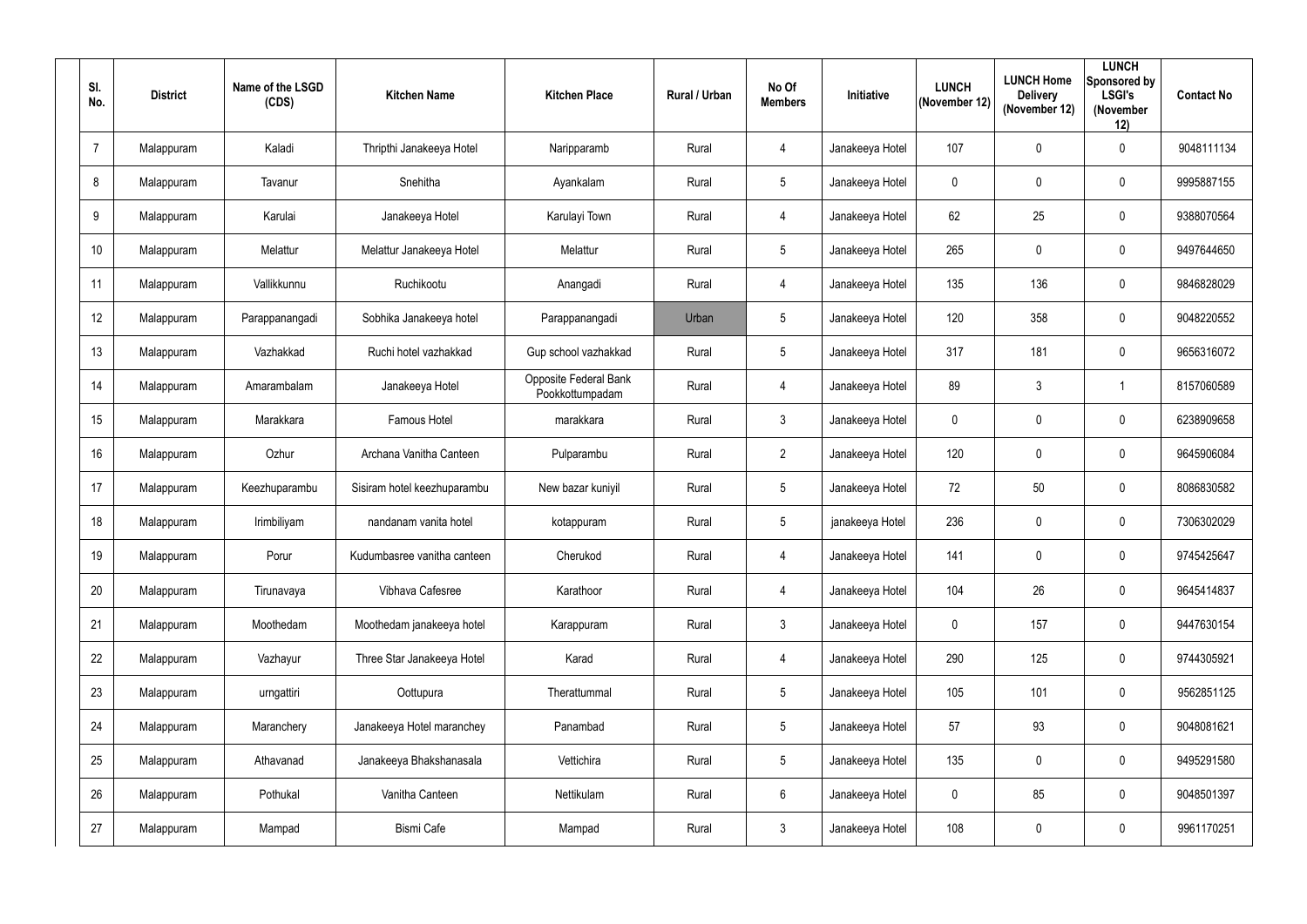| SI.<br>No.      | <b>District</b> | Name of the LSGD<br>(CDS) | <b>Kitchen Name</b>         | <b>Kitchen Place</b>                     | <b>Rural / Urban</b> | No Of<br><b>Members</b> | <b>Initiative</b> | <b>LUNCH</b><br>(November 12) | <b>LUNCH Home</b><br><b>Delivery</b><br>(November 12) | <b>LUNCH</b><br>Sponsored by<br><b>LSGI's</b><br>(November<br>12) | <b>Contact No</b> |
|-----------------|-----------------|---------------------------|-----------------------------|------------------------------------------|----------------------|-------------------------|-------------------|-------------------------------|-------------------------------------------------------|-------------------------------------------------------------------|-------------------|
| $\overline{7}$  | Malappuram      | Kaladi                    | Thripthi Janakeeya Hotel    | Naripparamb                              | Rural                | $\overline{4}$          | Janakeeya Hotel   | 107                           | $\mathbf 0$                                           | $\mathbf 0$                                                       | 9048111134        |
| 8               | Malappuram      | Tavanur                   | Snehitha                    | Ayankalam                                | Rural                | $5\phantom{.0}$         | Janakeeya Hotel   | $\mathbf 0$                   | $\mathbf 0$                                           | $\mathbf 0$                                                       | 9995887155        |
| 9               | Malappuram      | Karulai                   | Janakeeya Hotel             | Karulayi Town                            | Rural                | $\overline{4}$          | Janakeeya Hotel   | 62                            | 25                                                    | $\mathbf 0$                                                       | 9388070564        |
| 10 <sup>°</sup> | Malappuram      | Melattur                  | Melattur Janakeeya Hotel    | Melattur                                 | Rural                | $5\phantom{.0}$         | Janakeeya Hotel   | 265                           | $\overline{0}$                                        | $\mathbf 0$                                                       | 9497644650        |
| 11              | Malappuram      | Vallikkunnu               | Ruchikootu                  | Anangadi                                 | Rural                | $\overline{4}$          | Janakeeya Hotel   | 135                           | 136                                                   | $\mathbf 0$                                                       | 9846828029        |
| 12              | Malappuram      | Parappanangadi            | Sobhika Janakeeya hotel     | Parappanangadi                           | Urban                | $5\phantom{.0}$         | Janakeeya Hotel   | 120                           | 358                                                   | $\mathbf 0$                                                       | 9048220552        |
| 13              | Malappuram      | Vazhakkad                 | Ruchi hotel vazhakkad       | Gup school vazhakkad                     | Rural                | $5\overline{)}$         | Janakeeya Hotel   | 317                           | 181                                                   | $\mathbf 0$                                                       | 9656316072        |
| 14              | Malappuram      | Amarambalam               | Janakeeya Hotel             | Opposite Federal Bank<br>Pookkottumpadam | Rural                | $\overline{4}$          | Janakeeya Hotel   | 89                            | 3                                                     |                                                                   | 8157060589        |
| 15              | Malappuram      | Marakkara                 | Famous Hotel                | marakkara                                | Rural                | $\mathbf{3}$            | Janakeeya Hotel   | $\mathbf 0$                   | $\mathbf 0$                                           | $\mathbf 0$                                                       | 6238909658        |
| 16 <sup>°</sup> | Malappuram      | Ozhur                     | Archana Vanitha Canteen     | Pulparambu                               | Rural                | $2^{\circ}$             | Janakeeya Hotel   | 120                           | $\mathbf 0$                                           | $\mathbf 0$                                                       | 9645906084        |
| 17              | Malappuram      | Keezhuparambu             | Sisiram hotel keezhuparambu | New bazar kuniyil                        | Rural                | $5\phantom{.0}$         | Janakeeya Hotel   | 72                            | 50                                                    | $\mathbf 0$                                                       | 8086830582        |
| 18              | Malappuram      | Irimbiliyam               | nandanam vanita hotel       | kotappuram                               | Rural                | $5\phantom{.0}$         | janakeeya Hotel   | 236                           | $\overline{0}$                                        | $\mathbf 0$                                                       | 7306302029        |
| 19              | Malappuram      | Porur                     | Kudumbasree vanitha canteen | Cherukod                                 | Rural                | 4                       | Janakeeya Hotel   | 141                           | $\mathbf 0$                                           | $\mathbf 0$                                                       | 9745425647        |
| 20              | Malappuram      | Tirunavaya                | Vibhava Cafesree            | Karathoor                                | Rural                | $\overline{4}$          | Janakeeya Hotel   | 104                           | 26                                                    | $\mathbf 0$                                                       | 9645414837        |
| 21              | Malappuram      | Moothedam                 | Moothedam janakeeya hotel   | Karappuram                               | Rural                | 3 <sup>1</sup>          | Janakeeya Hotel   | $\pmb{0}$                     | 157                                                   | $\pmb{0}$                                                         | 9447630154        |
| 22              | Malappuram      | Vazhayur                  | Three Star Janakeeya Hotel  | Karad                                    | Rural                | $\overline{4}$          | Janakeeya Hotel   | 290                           | 125                                                   | $\mathbf 0$                                                       | 9744305921        |
| 23              | Malappuram      | urngattiri                | Oottupura                   | Therattummal                             | Rural                | $5\overline{)}$         | Janakeeya Hotel   | 105                           | 101                                                   | $\pmb{0}$                                                         | 9562851125        |
| 24              | Malappuram      | Maranchery                | Janakeeya Hotel maranchey   | Panambad                                 | Rural                | $5\overline{)}$         | Janakeeya Hotel   | 57                            | 93                                                    | $\mathbf 0$                                                       | 9048081621        |
| 25              | Malappuram      | Athavanad                 | Janakeeya Bhakshanasala     | Vettichira                               | Rural                | 5 <sub>5</sub>          | Janakeeya Hotel   | 135                           | $\mathbf 0$                                           | $\mathbf 0$                                                       | 9495291580        |
| 26              | Malappuram      | Pothukal                  | Vanitha Canteen             | Nettikulam                               | Rural                | $6\overline{6}$         | Janakeeya Hotel   | $\boldsymbol{0}$              | 85                                                    | $\pmb{0}$                                                         | 9048501397        |
| 27              | Malappuram      | Mampad                    | <b>Bismi Cafe</b>           | Mampad                                   | Rural                | 3 <sup>1</sup>          | Janakeeya Hotel   | 108                           | $\mathbf 0$                                           | $\bm{0}$                                                          | 9961170251        |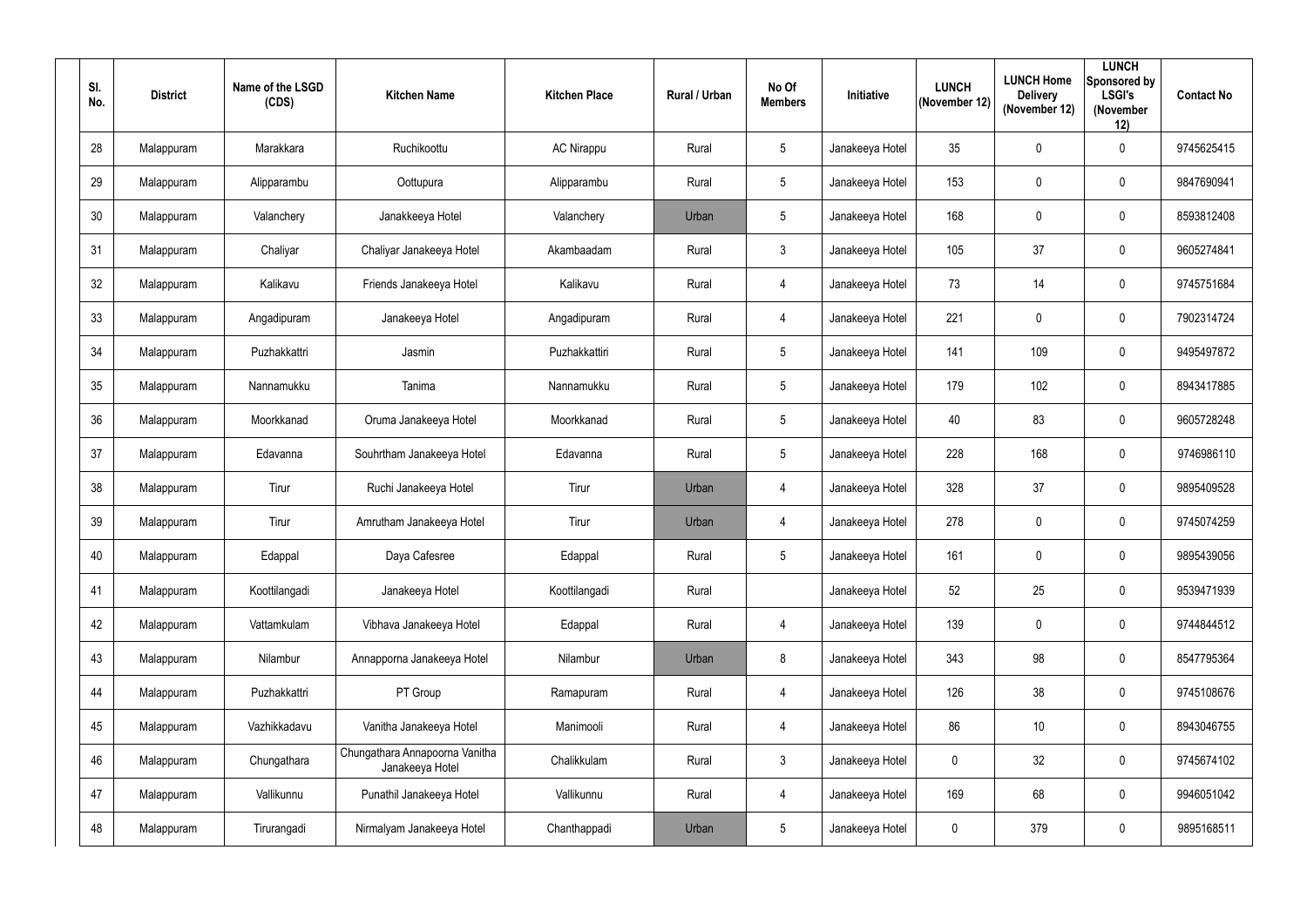| SI.<br>No. | <b>District</b> | Name of the LSGD<br>(CDS) | <b>Kitchen Name</b>                               | <b>Kitchen Place</b> | Rural / Urban | No Of<br><b>Members</b> | Initiative      | <b>LUNCH</b><br>(November 12) | <b>LUNCH Home</b><br><b>Delivery</b><br>(November 12) | <b>LUNCH</b><br>Sponsored by<br><b>LSGI's</b><br>(November<br>12) | <b>Contact No</b> |
|------------|-----------------|---------------------------|---------------------------------------------------|----------------------|---------------|-------------------------|-----------------|-------------------------------|-------------------------------------------------------|-------------------------------------------------------------------|-------------------|
| 28         | Malappuram      | Marakkara                 | Ruchikoottu                                       | <b>AC Nirappu</b>    | Rural         | $5\overline{)}$         | Janakeeya Hotel | 35                            | $\mathbf 0$                                           | $\mathbf 0$                                                       | 9745625415        |
| 29         | Malappuram      | Alipparambu               | Oottupura                                         | Alipparambu          | Rural         | $5\overline{)}$         | Janakeeya Hotel | 153                           | $\mathbf 0$                                           | $\mathbf 0$                                                       | 9847690941        |
| 30         | Malappuram      | Valanchery                | Janakkeeya Hotel                                  | Valanchery           | Urban         | $5\phantom{.0}$         | Janakeeya Hotel | 168                           | $\mathbf 0$                                           | $\overline{0}$                                                    | 8593812408        |
| 31         | Malappuram      | Chaliyar                  | Chaliyar Janakeeya Hotel                          | Akambaadam           | Rural         | 3                       | Janakeeya Hotel | 105                           | 37                                                    | $\overline{0}$                                                    | 9605274841        |
| 32         | Malappuram      | Kalikavu                  | Friends Janakeeya Hotel                           | Kalikavu             | Rural         | 4                       | Janakeeya Hotel | 73                            | 14                                                    | $\overline{0}$                                                    | 9745751684        |
| 33         | Malappuram      | Angadipuram               | Janakeeya Hotel                                   | Angadipuram          | Rural         | $\overline{4}$          | Janakeeya Hotel | 221                           | $\overline{0}$                                        | $\mathbf 0$                                                       | 7902314724        |
| 34         | Malappuram      | Puzhakkattri              | Jasmin                                            | Puzhakkattiri        | Rural         | $5\overline{)}$         | Janakeeya Hotel | 141                           | 109                                                   | $\mathbf 0$                                                       | 9495497872        |
| 35         | Malappuram      | Nannamukku                | Tanima                                            | Nannamukku           | Rural         | $5\overline{)}$         | Janakeeya Hotel | 179                           | 102                                                   | $\mathbf 0$                                                       | 8943417885        |
| 36         | Malappuram      | Moorkkanad                | Oruma Janakeeya Hotel                             | Moorkkanad           | Rural         | $5\overline{)}$         | Janakeeya Hotel | 40                            | 83                                                    | $\mathbf 0$                                                       | 9605728248        |
| 37         | Malappuram      | Edavanna                  | Souhrtham Janakeeya Hotel                         | Edavanna             | Rural         | $5\overline{)}$         | Janakeeya Hotel | 228                           | 168                                                   | $\overline{0}$                                                    | 9746986110        |
| 38         | Malappuram      | Tirur                     | Ruchi Janakeeya Hotel                             | Tirur                | Urban         | 4                       | Janakeeya Hotel | 328                           | 37                                                    | $\mathbf 0$                                                       | 9895409528        |
| 39         | Malappuram      | Tirur                     | Amrutham Janakeeya Hotel                          | Tirur                | Urban         | $\overline{4}$          | Janakeeya Hotel | 278                           | $\overline{0}$                                        | $\overline{0}$                                                    | 9745074259        |
| 40         | Malappuram      | Edappal                   | Daya Cafesree                                     | Edappal              | Rural         | $5\overline{)}$         | Janakeeya Hotel | 161                           | $\mathbf 0$                                           | $\mathbf 0$                                                       | 9895439056        |
| 41         | Malappuram      | Koottilangadi             | Janakeeya Hotel                                   | Koottilangadi        | Rural         |                         | Janakeeya Hotel | 52                            | 25                                                    | $\mathbf 0$                                                       | 9539471939        |
| 42         | Malappuram      | Vattamkulam               | Vibhava Janakeeya Hotel                           | Edappal              | Rural         | $\overline{4}$          | Janakeeya Hotel | 139                           | $\mathbf 0$                                           | $\mathbf 0$                                                       | 9744844512        |
| 43         | Malappuram      | Nilambur                  | Annapporna Janakeeya Hotel                        | Nilambur             | Urban         | 8                       | Janakeeya Hotel | 343                           | 98                                                    | $\mathbf 0$                                                       | 8547795364        |
| 44         | Malappuram      | Puzhakkattri              | PT Group                                          | Ramapuram            | Rural         | $\overline{4}$          | Janakeeya Hotel | 126                           | 38                                                    | $\pmb{0}$                                                         | 9745108676        |
| 45         | Malappuram      | Vazhikkadavu              | Vanitha Janakeeya Hotel                           | Manimooli            | Rural         | $\overline{4}$          | Janakeeya Hotel | 86                            | $10$                                                  | $\mathbf 0$                                                       | 8943046755        |
| 46         | Malappuram      | Chungathara               | Chungathara Annapoorna Vanitha<br>Janakeeya Hotel | Chalikkulam          | Rural         | 3 <sup>1</sup>          | Janakeeya Hotel | $\mathbf 0$                   | 32                                                    | $\mathbf 0$                                                       | 9745674102        |
| 47         | Malappuram      | Vallikunnu                | Punathil Janakeeya Hotel                          | Vallikunnu           | Rural         | $\overline{4}$          | Janakeeya Hotel | 169                           | 68                                                    | $\pmb{0}$                                                         | 9946051042        |
| 48         | Malappuram      | Tirurangadi               | Nirmalyam Janakeeya Hotel                         | Chanthappadi         | Urban         | $5\overline{)}$         | Janakeeya Hotel | $\boldsymbol{0}$              | 379                                                   | $\pmb{0}$                                                         | 9895168511        |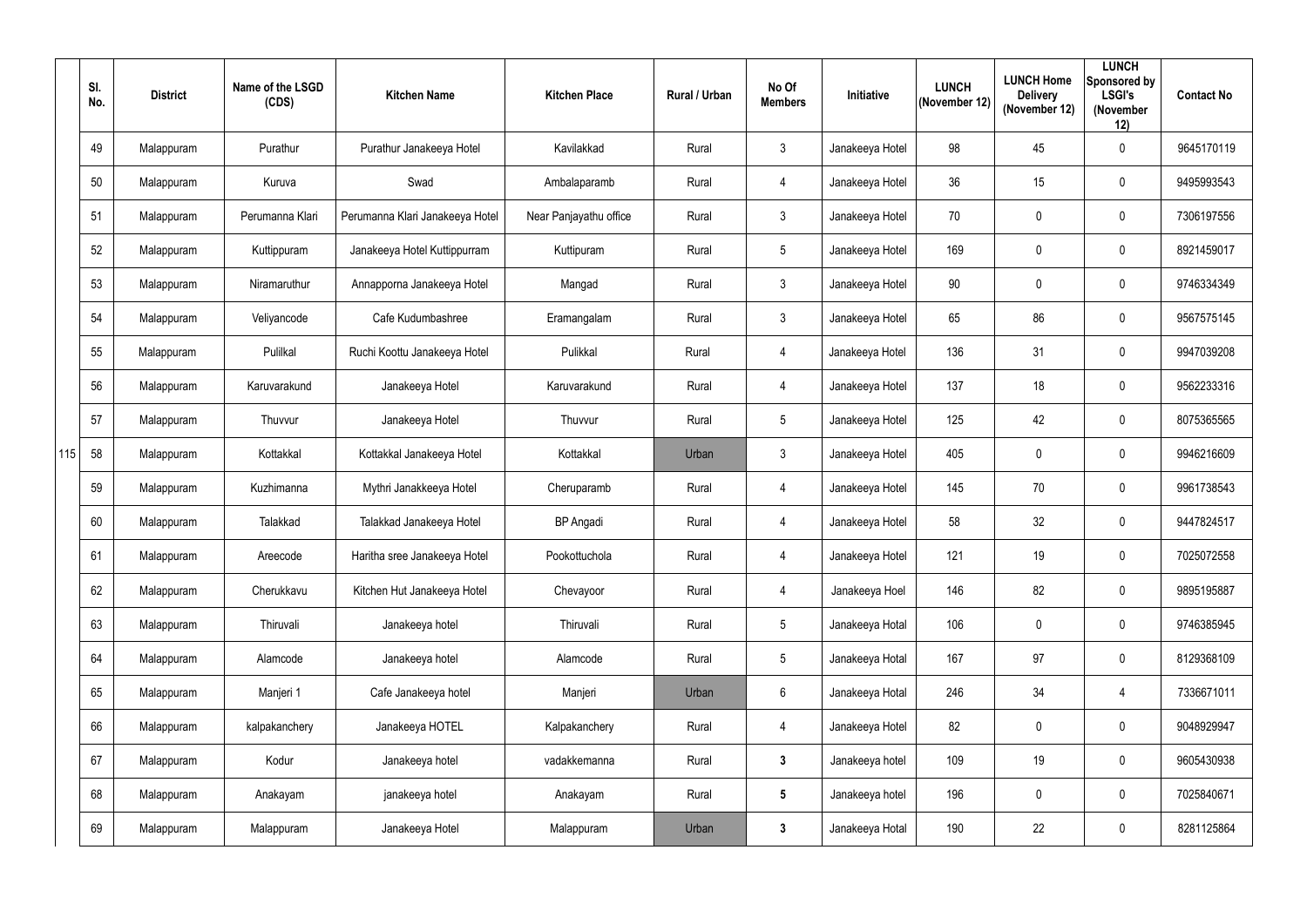|     | SI.<br>No. | <b>District</b> | Name of the LSGD<br>(CDS) | <b>Kitchen Name</b>             | <b>Kitchen Place</b>   | Rural / Urban | No Of<br><b>Members</b> | Initiative      | <b>LUNCH</b><br>(November 12) | <b>LUNCH Home</b><br><b>Delivery</b><br>(November 12) | <b>LUNCH</b><br>Sponsored by<br><b>LSGI's</b><br>(November<br>12) | <b>Contact No</b> |
|-----|------------|-----------------|---------------------------|---------------------------------|------------------------|---------------|-------------------------|-----------------|-------------------------------|-------------------------------------------------------|-------------------------------------------------------------------|-------------------|
|     | 49         | Malappuram      | Purathur                  | Purathur Janakeeya Hotel        | Kavilakkad             | Rural         | $\mathfrak{Z}$          | Janakeeya Hotel | 98                            | 45                                                    | $\mathbf 0$                                                       | 9645170119        |
|     | 50         | Malappuram      | Kuruva                    | Swad                            | Ambalaparamb           | Rural         | $\overline{4}$          | Janakeeya Hotel | 36                            | 15                                                    | $\mathbf 0$                                                       | 9495993543        |
|     | 51         | Malappuram      | Perumanna Klari           | Perumanna Klari Janakeeya Hotel | Near Panjayathu office | Rural         | $\mathfrak{Z}$          | Janakeeya Hotel | 70                            | $\mathbf 0$                                           | $\mathbf 0$                                                       | 7306197556        |
|     | 52         | Malappuram      | Kuttippuram               | Janakeeya Hotel Kuttippurram    | Kuttipuram             | Rural         | 5                       | Janakeeya Hotel | 169                           | $\pmb{0}$                                             | $\overline{0}$                                                    | 8921459017        |
|     | 53         | Malappuram      | Niramaruthur              | Annapporna Janakeeya Hotel      | Mangad                 | Rural         | $3\phantom{.0}$         | Janakeeya Hotel | 90                            | 0                                                     | $\mathbf 0$                                                       | 9746334349        |
|     | 54         | Malappuram      | Veliyancode               | Cafe Kudumbashree               | Eramangalam            | Rural         | $\mathfrak{Z}$          | Janakeeya Hotel | 65                            | 86                                                    | $\overline{0}$                                                    | 9567575145        |
|     | 55         | Malappuram      | Pulilkal                  | Ruchi Koottu Janakeeya Hotel    | Pulikkal               | Rural         | 4                       | Janakeeya Hotel | 136                           | 31                                                    | $\mathbf 0$                                                       | 9947039208        |
|     | 56         | Malappuram      | Karuvarakund              | Janakeeya Hotel                 | Karuvarakund           | Rural         | $\overline{4}$          | Janakeeya Hotel | 137                           | 18                                                    | $\mathbf 0$                                                       | 9562233316        |
|     | 57         | Malappuram      | Thuvvur                   | Janakeeya Hotel                 | Thuvvur                | Rural         | 5                       | Janakeeya Hotel | 125                           | 42                                                    | $\mathbf 0$                                                       | 8075365565        |
| 115 | 58         | Malappuram      | Kottakkal                 | Kottakkal Janakeeya Hotel       | Kottakkal              | Urban         | $\mathfrak{Z}$          | Janakeeya Hotel | 405                           | 0                                                     | $\mathbf 0$                                                       | 9946216609        |
|     | 59         | Malappuram      | Kuzhimanna                | Mythri Janakkeeya Hotel         | Cheruparamb            | Rural         | $\overline{4}$          | Janakeeya Hotel | 145                           | 70                                                    | $\mathbf 0$                                                       | 9961738543        |
|     | 60         | Malappuram      | Talakkad                  | Talakkad Janakeeya Hotel        | <b>BP</b> Angadi       | Rural         | 4                       | Janakeeya Hotel | 58                            | 32                                                    | $\mathbf 0$                                                       | 9447824517        |
|     | 61         | Malappuram      | Areecode                  | Haritha sree Janakeeya Hotel    | Pookottuchola          | Rural         | 4                       | Janakeeya Hotel | 121                           | 19                                                    | $\mathbf 0$                                                       | 7025072558        |
|     | 62         | Malappuram      | Cherukkavu                | Kitchen Hut Janakeeya Hotel     | Chevayoor              | Rural         | $\overline{4}$          | Janakeeya Hoel  | 146                           | 82                                                    | $\overline{0}$                                                    | 9895195887        |
|     | 63         | Malappuram      | Thiruvali                 | Janakeeya hotel                 | Thiruvali              | Rural         | $5\overline{)}$         | Janakeeya Hotal | 106                           | $\pmb{0}$                                             | $\overline{0}$                                                    | 9746385945        |
|     | 64         | Malappuram      | Alamcode                  | Janakeeya hotel                 | Alamcode               | Rural         | 5                       | Janakeeya Hotal | 167                           | 97                                                    | $\overline{0}$                                                    | 8129368109        |
|     | 65         | Malappuram      | Manjeri 1                 | Cafe Janakeeya hotel            | Manjeri                | Urban         | $6\overline{6}$         | Janakeeya Hotal | 246                           | 34                                                    | $\overline{4}$                                                    | 7336671011        |
|     | 66         | Malappuram      | kalpakanchery             | Janakeeya HOTEL                 | Kalpakanchery          | Rural         | 4                       | Janakeeya Hotel | 82                            | $\pmb{0}$                                             | $\overline{0}$                                                    | 9048929947        |
|     | 67         | Malappuram      | Kodur                     | Janakeeya hotel                 | vadakkemanna           | Rural         | $\mathbf{3}$            | Janakeeya hotel | 109                           | 19                                                    | $\overline{0}$                                                    | 9605430938        |
|     | 68         | Malappuram      | Anakayam                  | janakeeya hotel                 | Anakayam               | Rural         | $5\phantom{.0}$         | Janakeeya hotel | 196                           | $\pmb{0}$                                             | $\overline{0}$                                                    | 7025840671        |
|     | 69         | Malappuram      | Malappuram                | Janakeeya Hotel                 | Malappuram             | Urban         | $\mathbf{3}$            | Janakeeya Hotal | 190                           | 22                                                    | $\overline{0}$                                                    | 8281125864        |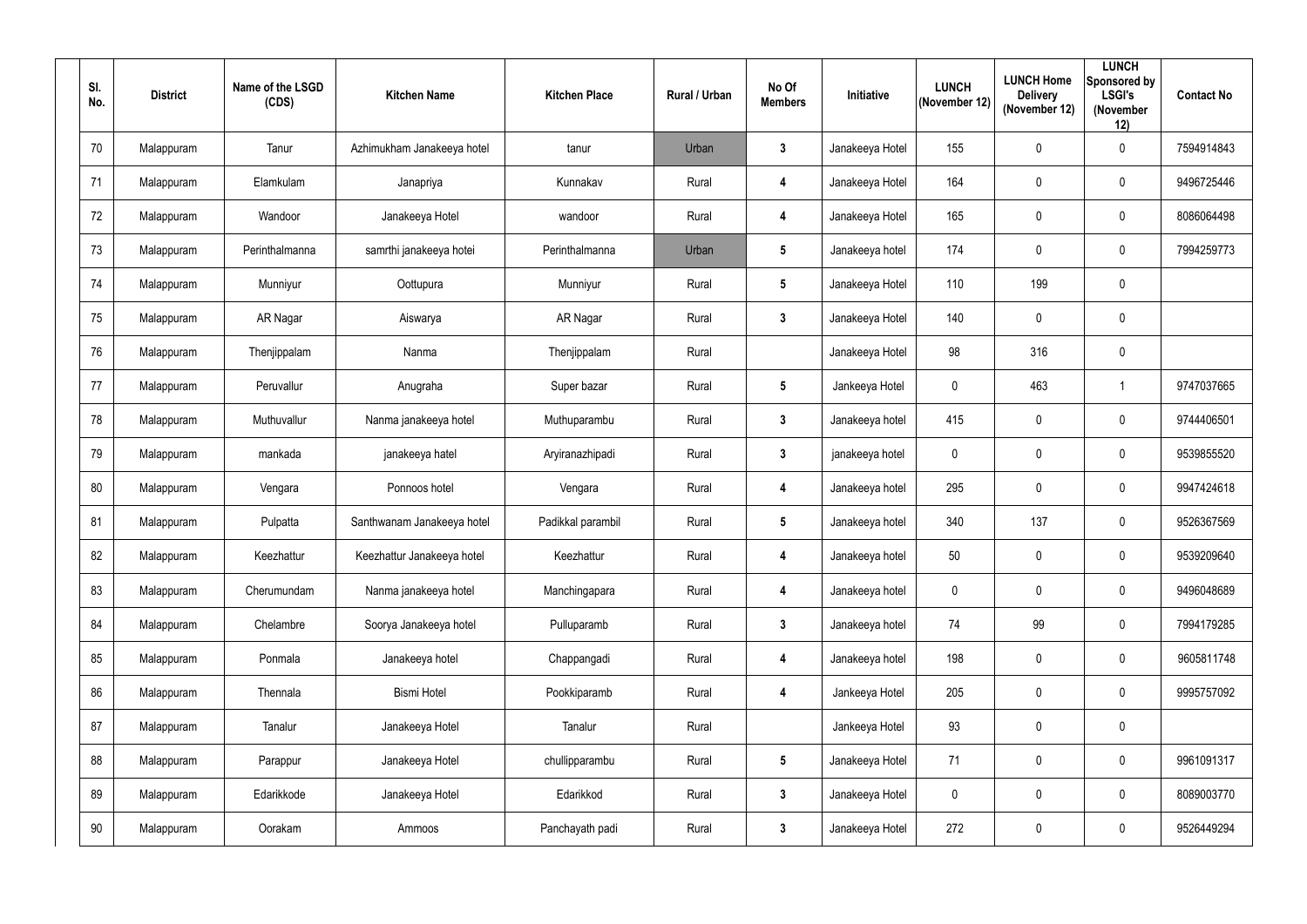| SI.<br>No. | <b>District</b> | Name of the LSGD<br>(CDS) | <b>Kitchen Name</b>        | <b>Kitchen Place</b> | <b>Rural / Urban</b> | No Of<br><b>Members</b> | <b>Initiative</b> | <b>LUNCH</b><br>(November 12) | <b>LUNCH Home</b><br><b>Delivery</b><br>(November 12) | <b>LUNCH</b><br>Sponsored by<br><b>LSGI's</b><br>(November<br>12) | <b>Contact No</b> |
|------------|-----------------|---------------------------|----------------------------|----------------------|----------------------|-------------------------|-------------------|-------------------------------|-------------------------------------------------------|-------------------------------------------------------------------|-------------------|
| 70         | Malappuram      | Tanur                     | Azhimukham Janakeeya hotel | tanur                | Urban                | $\mathbf{3}$            | Janakeeya Hotel   | 155                           | $\mathbf 0$                                           | $\mathbf 0$                                                       | 7594914843        |
| 71         | Malappuram      | Elamkulam                 | Janapriya                  | Kunnakav             | Rural                | 4                       | Janakeeya Hotel   | 164                           | $\mathbf 0$                                           | $\mathbf 0$                                                       | 9496725446        |
| 72         | Malappuram      | Wandoor                   | Janakeeya Hotel            | wandoor              | Rural                | 4                       | Janakeeya Hotel   | 165                           | $\mathbf 0$                                           | $\mathbf 0$                                                       | 8086064498        |
| 73         | Malappuram      | Perinthalmanna            | samrthi janakeeya hotei    | Perinthalmanna       | Urban                | $5\overline{)}$         | Janakeeya hotel   | 174                           | $\mathbf 0$                                           | $\mathbf 0$                                                       | 7994259773        |
| 74         | Malappuram      | Munniyur                  | Oottupura                  | Munniyur             | Rural                | $5\overline{)}$         | Janakeeya Hotel   | 110                           | 199                                                   | $\mathbf 0$                                                       |                   |
| 75         | Malappuram      | AR Nagar                  | Aiswarya                   | AR Nagar             | Rural                | $\mathbf{3}$            | Janakeeya Hotel   | 140                           | $\mathbf 0$                                           | $\mathbf 0$                                                       |                   |
| 76         | Malappuram      | Thenjippalam              | Nanma                      | Thenjippalam         | Rural                |                         | Janakeeya Hotel   | 98                            | 316                                                   | $\mathbf 0$                                                       |                   |
| 77         | Malappuram      | Peruvallur                | Anugraha                   | Super bazar          | Rural                | $5\phantom{.0}$         | Jankeeya Hotel    | $\mathbf 0$                   | 463                                                   |                                                                   | 9747037665        |
| 78         | Malappuram      | Muthuvallur               | Nanma janakeeya hotel      | Muthuparambu         | Rural                | $\mathbf{3}$            | Janakeeya hotel   | 415                           | $\mathbf 0$                                           | $\mathbf 0$                                                       | 9744406501        |
| 79         | Malappuram      | mankada                   | janakeeya hatel            | Aryiranazhipadi      | Rural                | 3 <sup>1</sup>          | janakeeya hotel   | $\mathbf 0$                   | 0                                                     | $\mathbf 0$                                                       | 9539855520        |
| 80         | Malappuram      | Vengara                   | Ponnoos hotel              | Vengara              | Rural                | 4                       | Janakeeya hotel   | 295                           | $\overline{0}$                                        | $\mathbf 0$                                                       | 9947424618        |
| 81         | Malappuram      | Pulpatta                  | Santhwanam Janakeeya hotel | Padikkal parambil    | Rural                | $5\overline{)}$         | Janakeeya hotel   | 340                           | 137                                                   | $\mathbf 0$                                                       | 9526367569        |
| 82         | Malappuram      | Keezhattur                | Keezhattur Janakeeya hotel | Keezhattur           | Rural                | 4                       | Janakeeya hotel   | 50                            | $\mathbf 0$                                           | $\mathbf 0$                                                       | 9539209640        |
| 83         | Malappuram      | Cherumundam               | Nanma janakeeya hotel      | Manchingapara        | Rural                | $\overline{\mathbf{4}}$ | Janakeeya hotel   | $\pmb{0}$                     | $\mathbf 0$                                           | $\mathbf 0$                                                       | 9496048689        |
| 84         | Malappuram      | Chelambre                 | Soorya Janakeeya hotel     | Pulluparamb          | Rural                | 3 <sup>1</sup>          | Janakeeya hotel   | 74                            | 99                                                    | $\pmb{0}$                                                         | 7994179285        |
| 85         | Malappuram      | Ponmala                   | Janakeeya hotel            | Chappangadi          | Rural                | $\boldsymbol{4}$        | Janakeeya hotel   | 198                           | $\mathbf 0$                                           | $\mathbf 0$                                                       | 9605811748        |
| 86         | Malappuram      | Thennala                  | <b>Bismi Hotel</b>         | Pookkiparamb         | Rural                | $\overline{\mathbf{4}}$ | Jankeeya Hotel    | 205                           | $\mathbf 0$                                           | $\pmb{0}$                                                         | 9995757092        |
| 87         | Malappuram      | Tanalur                   | Janakeeya Hotel            | Tanalur              | Rural                |                         | Jankeeya Hotel    | 93                            | $\mathbf 0$                                           | $\mathbf 0$                                                       |                   |
| 88         | Malappuram      | Parappur                  | Janakeeya Hotel            | chullipparambu       | Rural                | $5\overline{)}$         | Janakeeya Hotel   | 71                            | $\mathbf 0$                                           | $\pmb{0}$                                                         | 9961091317        |
| 89         | Malappuram      | Edarikkode                | Janakeeya Hotel            | Edarikkod            | Rural                | $3\phantom{a}$          | Janakeeya Hotel   | $\boldsymbol{0}$              | $\mathbf 0$                                           | $\pmb{0}$                                                         | 8089003770        |
| 90         | Malappuram      | Oorakam                   | Ammoos                     | Panchayath padi      | Rural                | $\mathbf{3}$            | Janakeeya Hotel   | 272                           | $\mathbf 0$                                           | $\pmb{0}$                                                         | 9526449294        |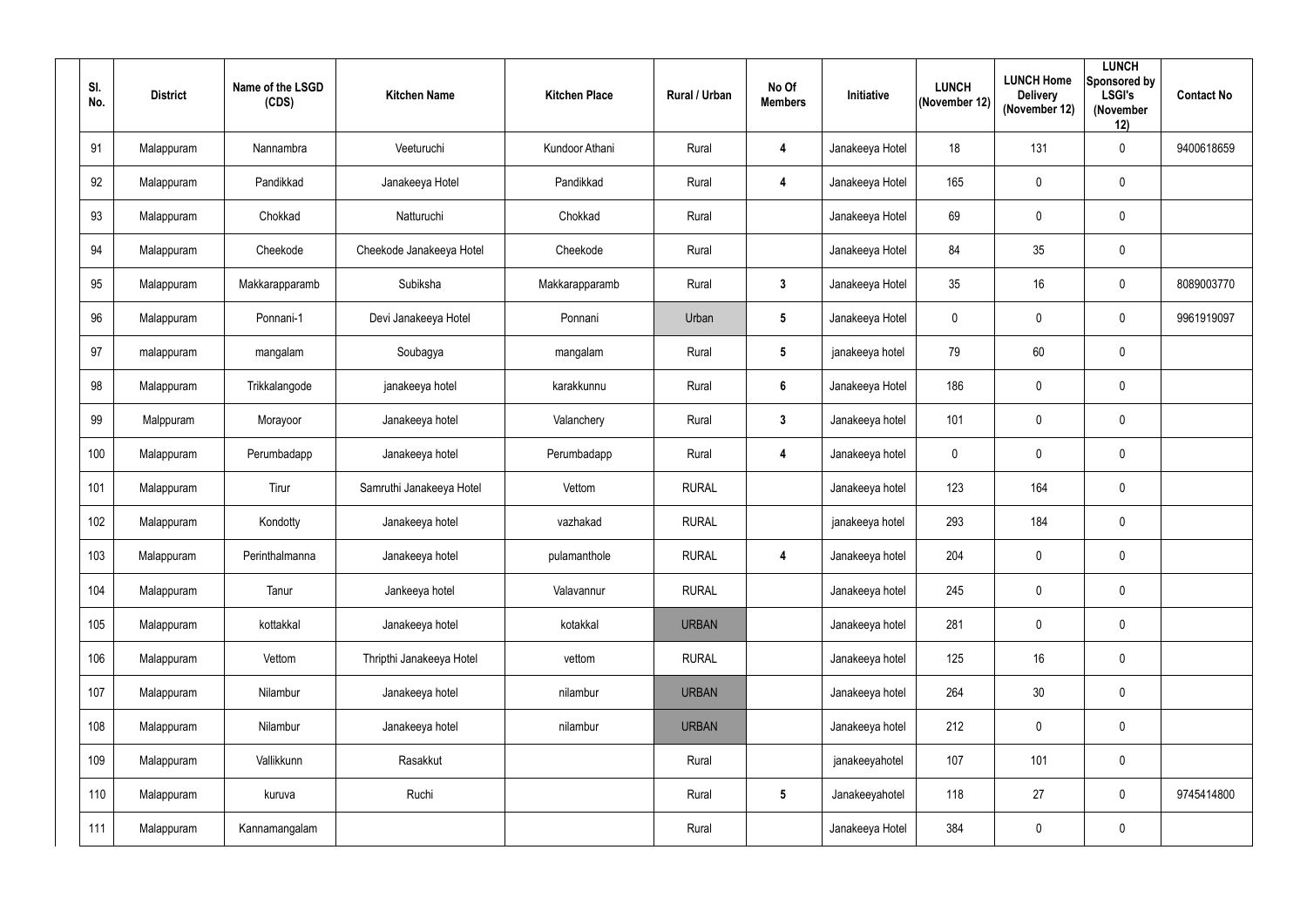| SI.<br>No. | <b>District</b> | Name of the LSGD<br>(CDS) | <b>Kitchen Name</b>      | <b>Kitchen Place</b> | <b>Rural / Urban</b> | No Of<br><b>Members</b> | Initiative      | <b>LUNCH</b><br>(November 12) | <b>LUNCH Home</b><br><b>Delivery</b><br>(November 12) | <b>LUNCH</b><br>Sponsored by<br><b>LSGI's</b><br>(November<br>12) | <b>Contact No</b> |
|------------|-----------------|---------------------------|--------------------------|----------------------|----------------------|-------------------------|-----------------|-------------------------------|-------------------------------------------------------|-------------------------------------------------------------------|-------------------|
| 91         | Malappuram      | Nannambra                 | Veeturuchi               | Kundoor Athani       | Rural                | 4                       | Janakeeya Hotel | 18                            | 131                                                   | $\mathbf 0$                                                       | 9400618659        |
| 92         | Malappuram      | Pandikkad                 | Janakeeya Hotel          | Pandikkad            | Rural                | $\overline{\mathbf{4}}$ | Janakeeya Hotel | 165                           | $\pmb{0}$                                             | $\mathbf 0$                                                       |                   |
| 93         | Malappuram      | Chokkad                   | Natturuchi               | Chokkad              | Rural                |                         | Janakeeya Hotel | 69                            | $\mathbf 0$                                           | $\mathbf 0$                                                       |                   |
| 94         | Malappuram      | Cheekode                  | Cheekode Janakeeya Hotel | Cheekode             | Rural                |                         | Janakeeya Hotel | 84                            | 35                                                    | $\mathbf 0$                                                       |                   |
| 95         | Malappuram      | Makkarapparamb            | Subiksha                 | Makkarapparamb       | Rural                | $3\phantom{a}$          | Janakeeya Hotel | 35                            | 16                                                    | $\mathbf 0$                                                       | 8089003770        |
| 96         | Malappuram      | Ponnani-1                 | Devi Janakeeya Hotel     | Ponnani              | Urban                | $5\phantom{.0}$         | Janakeeya Hotel | $\mathbf 0$                   | $\mathbf 0$                                           | $\mathbf 0$                                                       | 9961919097        |
| 97         | malappuram      | mangalam                  | Soubagya                 | mangalam             | Rural                | $5\phantom{.0}$         | janakeeya hotel | 79                            | 60                                                    | $\mathbf 0$                                                       |                   |
| 98         | Malappuram      | Trikkalangode             | janakeeya hotel          | karakkunnu           | Rural                | $6\phantom{.}6$         | Janakeeya Hotel | 186                           | $\mathbf 0$                                           | $\mathbf 0$                                                       |                   |
| 99         | Malppuram       | Morayoor                  | Janakeeya hotel          | Valanchery           | Rural                | $\mathbf{3}$            | Janakeeya hotel | 101                           | $\mathbf 0$                                           | $\mathbf 0$                                                       |                   |
| 100        | Malappuram      | Perumbadapp               | Janakeeya hotel          | Perumbadapp          | Rural                | 4                       | Janakeeya hotel | $\mathbf 0$                   | $\boldsymbol{0}$                                      | $\mathbf 0$                                                       |                   |
| 101        | Malappuram      | Tirur                     | Samruthi Janakeeya Hotel | Vettom               | <b>RURAL</b>         |                         | Janakeeya hotel | 123                           | 164                                                   | $\mathbf 0$                                                       |                   |
| 102        | Malappuram      | Kondotty                  | Janakeeya hotel          | vazhakad             | <b>RURAL</b>         |                         | janakeeya hotel | 293                           | 184                                                   | $\mathbf 0$                                                       |                   |
| 103        | Malappuram      | Perinthalmanna            | Janakeeya hotel          | pulamanthole         | <b>RURAL</b>         | $\overline{\mathbf{4}}$ | Janakeeya hotel | 204                           | $\mathbf 0$                                           | $\mathbf 0$                                                       |                   |
| 104        | Malappuram      | Tanur                     | Jankeeya hotel           | Valavannur           | <b>RURAL</b>         |                         | Janakeeya hotel | 245                           | $\bm{0}$                                              | $\pmb{0}$                                                         |                   |
| 105        | Malappuram      | kottakkal                 | Janakeeya hotel          | kotakkal             | <b>URBAN</b>         |                         | Janakeeya hotel | 281                           | $\pmb{0}$                                             | $\pmb{0}$                                                         |                   |
| 106        | Malappuram      | Vettom                    | Thripthi Janakeeya Hotel | vettom               | <b>RURAL</b>         |                         | Janakeeya hotel | 125                           | 16                                                    | $\pmb{0}$                                                         |                   |
| 107        | Malappuram      | Nilambur                  | Janakeeya hotel          | nilambur             | <b>URBAN</b>         |                         | Janakeeya hotel | 264                           | 30 <sup>°</sup>                                       | $\pmb{0}$                                                         |                   |
| 108        | Malappuram      | Nilambur                  | Janakeeya hotel          | nilambur             | <b>URBAN</b>         |                         | Janakeeya hotel | 212                           | $\pmb{0}$                                             | $\pmb{0}$                                                         |                   |
| 109        | Malappuram      | Vallikkunn                | Rasakkut                 |                      | Rural                |                         | janakeeyahotel  | 107                           | 101                                                   | $\pmb{0}$                                                         |                   |
| 110        | Malappuram      | kuruva                    | Ruchi                    |                      | Rural                | $5\overline{)}$         | Janakeeyahotel  | 118                           | 27                                                    | $\pmb{0}$                                                         | 9745414800        |
| 111        | Malappuram      | Kannamangalam             |                          |                      | Rural                |                         | Janakeeya Hotel | 384                           | $\boldsymbol{0}$                                      | $\boldsymbol{0}$                                                  |                   |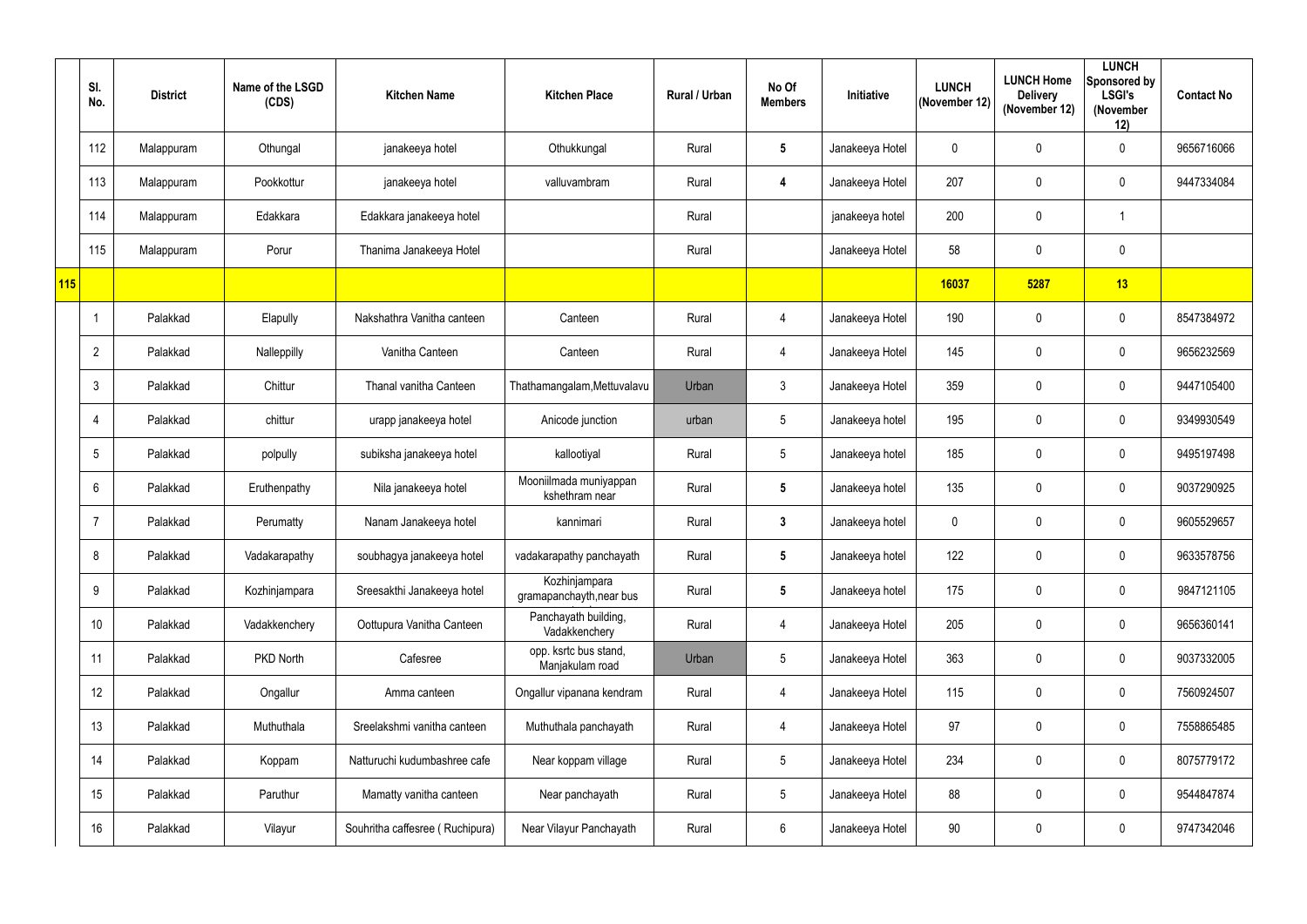|     | SI.<br>No.      | <b>District</b> | Name of the LSGD<br>(CDS) | <b>Kitchen Name</b>             | <b>Kitchen Place</b>                      | <b>Rural / Urban</b> | No Of<br><b>Members</b> | Initiative      | <b>LUNCH</b><br>(November 12) | <b>LUNCH Home</b><br><b>Delivery</b><br>(November 12) | <b>LUNCH</b><br>Sponsored by<br><b>LSGI's</b><br>(November<br>12) | <b>Contact No</b> |
|-----|-----------------|-----------------|---------------------------|---------------------------------|-------------------------------------------|----------------------|-------------------------|-----------------|-------------------------------|-------------------------------------------------------|-------------------------------------------------------------------|-------------------|
|     | 112             | Malappuram      | Othungal                  | janakeeya hotel                 | Othukkungal                               | Rural                | $5\phantom{.0}$         | Janakeeya Hotel | $\mathbf 0$                   | $\mathbf 0$                                           | $\mathbf 0$                                                       | 9656716066        |
|     | 113             | Malappuram      | Pookkottur                | janakeeya hotel                 | valluvambram                              | Rural                | $\boldsymbol{4}$        | Janakeeya Hotel | 207                           | 0                                                     | $\mathbf 0$                                                       | 9447334084        |
|     | 114             | Malappuram      | Edakkara                  | Edakkara janakeeya hotel        |                                           | Rural                |                         | janakeeya hotel | 200                           | $\mathbf 0$                                           |                                                                   |                   |
|     | 115             | Malappuram      | Porur                     | Thanima Janakeeya Hotel         |                                           | Rural                |                         | Janakeeya Hotel | 58                            | $\pmb{0}$                                             | $\mathbf 0$                                                       |                   |
| 115 |                 |                 |                           |                                 |                                           |                      |                         |                 | 16037                         | 5287                                                  | 13                                                                |                   |
|     |                 | Palakkad        | Elapully                  | Nakshathra Vanitha canteen      | Canteen                                   | Rural                | $\overline{4}$          | Janakeeya Hotel | 190                           | $\mathbf 0$                                           | $\mathbf 0$                                                       | 8547384972        |
|     | $\overline{2}$  | Palakkad        | Nalleppilly               | Vanitha Canteen                 | Canteen                                   | Rural                | 4                       | Janakeeya Hotel | 145                           | 0                                                     | $\mathbf 0$                                                       | 9656232569        |
|     | 3               | Palakkad        | Chittur                   | Thanal vanitha Canteen          | Thathamangalam, Mettuvalavu               | Urban                | 3 <sup>1</sup>          | Janakeeya Hotel | 359                           | $\mathbf 0$                                           | $\mathbf 0$                                                       | 9447105400        |
|     | 4               | Palakkad        | chittur                   | urapp janakeeya hotel           | Anicode junction                          | urban                | 5                       | Janakeeya hotel | 195                           | 0                                                     | $\mathbf 0$                                                       | 9349930549        |
|     | $5\phantom{.0}$ | Palakkad        | polpully                  | subiksha janakeeya hotel        | kallootiyal                               | Rural                | 5                       | Janakeeya hotel | 185                           | 0                                                     | $\mathbf 0$                                                       | 9495197498        |
|     | 6               | Palakkad        | Eruthenpathy              | Nila janakeeya hotel            | Mooniilmada muniyappan<br>kshethram near  | Rural                | $5\phantom{.0}$         | Janakeeya hotel | 135                           | $\pmb{0}$                                             | $\mathbf 0$                                                       | 9037290925        |
|     |                 | Palakkad        | Perumatty                 | Nanam Janakeeya hotel           | kannimari                                 | Rural                | $3\phantom{a}$          | Janakeeya hotel | $\mathbf 0$                   | 0                                                     | $\mathbf 0$                                                       | 9605529657        |
|     | 8               | Palakkad        | Vadakarapathy             | soubhagya janakeeya hotel       | vadakarapathy panchayath                  | Rural                | $5\phantom{.0}$         | Janakeeya hotel | 122                           | 0                                                     | $\mathbf 0$                                                       | 9633578756        |
|     | 9               | Palakkad        | Kozhinjampara             | Sreesakthi Janakeeya hotel      | Kozhinjampara<br>gramapanchayth, near bus | Rural                | $5\phantom{.0}$         | Janakeeya hotel | 175                           | 0                                                     | $\overline{0}$                                                    | 9847121105        |
|     | 10              | Palakkad        | Vadakkenchery             | Oottupura Vanitha Canteen       | Panchayath building,<br>Vadakkenchery     | Rural                | 4                       | Janakeeya Hotel | 205                           | $\pmb{0}$                                             | $\overline{0}$                                                    | 9656360141        |
|     | 11              | Palakkad        | PKD North                 | Cafesree                        | opp. ksrtc bus stand,<br>Manjakulam road  | Urban                | 5                       | Janakeeya Hotel | 363                           | $\boldsymbol{0}$                                      | $\overline{0}$                                                    | 9037332005        |
|     | 12              | Palakkad        | Ongallur                  | Amma canteen                    | Ongallur vipanana kendram                 | Rural                | $\overline{4}$          | Janakeeya Hotel | 115                           | $\pmb{0}$                                             | $\overline{0}$                                                    | 7560924507        |
|     | 13              | Palakkad        | Muthuthala                | Sreelakshmi vanitha canteen     | Muthuthala panchayath                     | Rural                | 4                       | Janakeeya Hotel | 97                            | 0                                                     | $\overline{0}$                                                    | 7558865485        |
|     | 14              | Palakkad        | Koppam                    | Natturuchi kudumbashree cafe    | Near koppam village                       | Rural                | 5                       | Janakeeya Hotel | 234                           | 0                                                     | $\overline{0}$                                                    | 8075779172        |
|     | 15              | Palakkad        | Paruthur                  | Mamatty vanitha canteen         | Near panchayath                           | Rural                | $5\overline{)}$         | Janakeeya Hotel | 88                            | 0                                                     | $\overline{0}$                                                    | 9544847874        |
|     | 16              | Palakkad        | Vilayur                   | Souhritha caffesree (Ruchipura) | Near Vilayur Panchayath                   | Rural                | $6\phantom{.0}$         | Janakeeya Hotel | 90                            | $\boldsymbol{0}$                                      | $\overline{0}$                                                    | 9747342046        |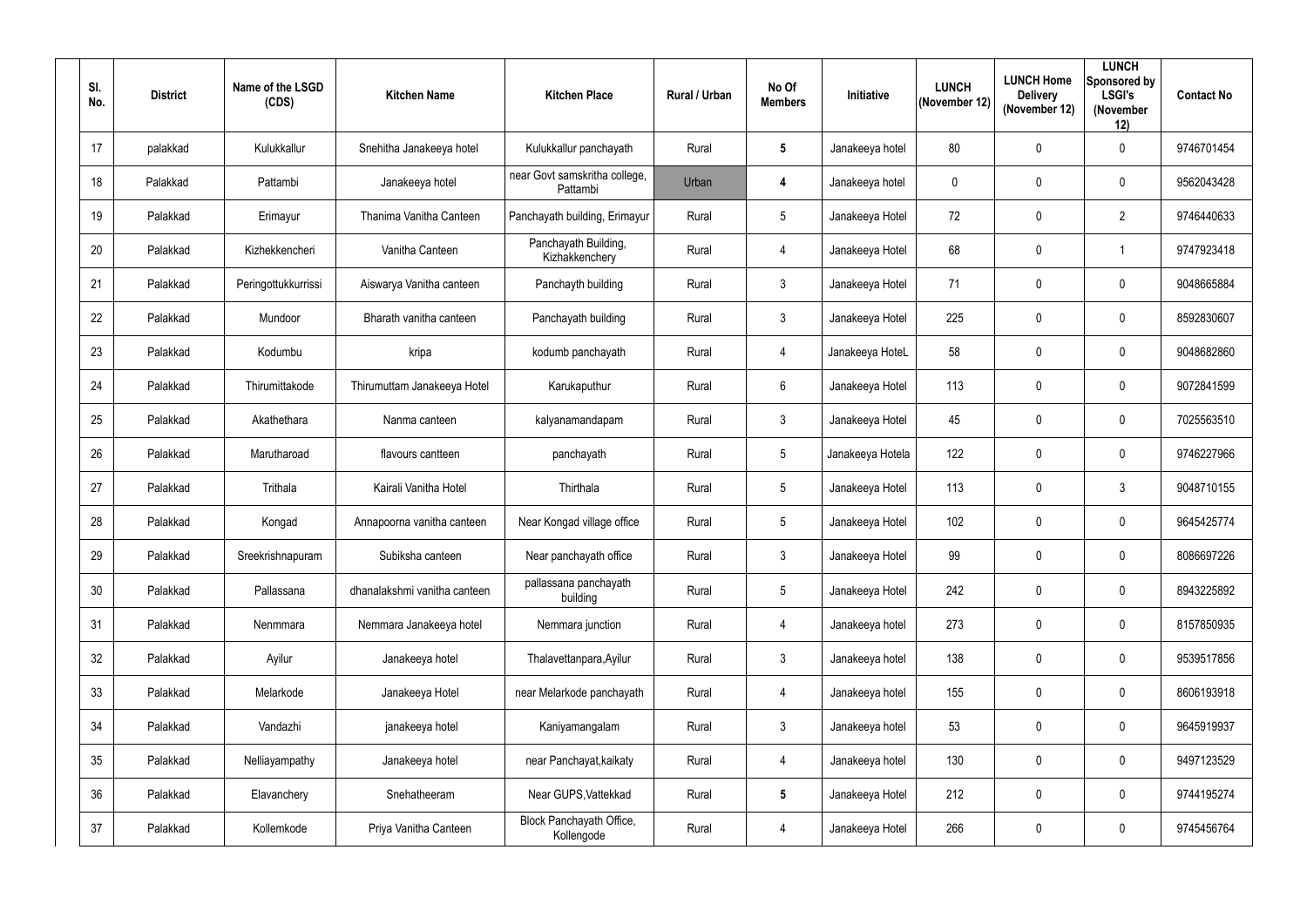| SI.<br>No.      | <b>District</b> | Name of the LSGD<br>(CDS) | <b>Kitchen Name</b>          | <b>Kitchen Place</b>                      | Rural / Urban | No Of<br><b>Members</b> | Initiative       | <b>LUNCH</b><br>(November 12) | <b>LUNCH Home</b><br><b>Delivery</b><br>(November 12) | <b>LUNCH</b><br>Sponsored by<br><b>LSGI's</b><br>(November<br>12) | <b>Contact No</b> |
|-----------------|-----------------|---------------------------|------------------------------|-------------------------------------------|---------------|-------------------------|------------------|-------------------------------|-------------------------------------------------------|-------------------------------------------------------------------|-------------------|
| 17              | palakkad        | Kulukkallur               | Snehitha Janakeeya hotel     | Kulukkallur panchayath                    | Rural         | $5\phantom{.0}$         | Janakeeya hotel  | 80                            | $\mathbf 0$                                           | $\mathbf 0$                                                       | 9746701454        |
| 18              | Palakkad        | Pattambi                  | Janakeeya hotel              | near Govt samskritha college,<br>Pattambi | Urban         | $\overline{4}$          | Janakeeya hotel  | $\mathbf 0$                   | 0                                                     | $\mathbf 0$                                                       | 9562043428        |
| 19              | Palakkad        | Erimayur                  | Thanima Vanitha Canteen      | Panchayath building, Erimayur             | Rural         | $\overline{5}$          | Janakeeya Hotel  | 72                            | $\mathbf 0$                                           | $\overline{2}$                                                    | 9746440633        |
| 20              | Palakkad        | Kizhekkencheri            | Vanitha Canteen              | Panchayath Building,<br>Kizhakkenchery    | Rural         | $\overline{4}$          | Janakeeya Hotel  | 68                            | $\mathbf 0$                                           |                                                                   | 9747923418        |
| 21              | Palakkad        | Peringottukkurrissi       | Aiswarya Vanitha canteen     | Panchayth building                        | Rural         | $\mathbf{3}$            | Janakeeya Hotel  | 71                            | $\mathbf 0$                                           | $\mathbf 0$                                                       | 9048665884        |
| 22              | Palakkad        | Mundoor                   | Bharath vanitha canteen      | Panchayath building                       | Rural         | $\mathbf{3}$            | Janakeeya Hotel  | 225                           | $\mathbf 0$                                           | $\mathbf 0$                                                       | 8592830607        |
| 23              | Palakkad        | Kodumbu                   | kripa                        | kodumb panchayath                         | Rural         | 4                       | Janakeeya HoteL  | 58                            | $\mathbf 0$                                           | $\mathbf 0$                                                       | 9048682860        |
| 24              | Palakkad        | Thirumittakode            | Thirumuttam Janakeeya Hotel  | Karukaputhur                              | Rural         | $6\overline{6}$         | Janakeeya Hotel  | 113                           | $\mathbf 0$                                           | $\mathbf 0$                                                       | 9072841599        |
| 25              | Palakkad        | Akathethara               | Nanma canteen                | kalyanamandapam                           | Rural         | $\mathbf{3}$            | Janakeeya Hotel  | 45                            | $\mathbf 0$                                           | $\mathbf 0$                                                       | 7025563510        |
| 26              | Palakkad        | Marutharoad               | flavours cantteen            | panchayath                                | Rural         | $5\overline{)}$         | Janakeeya Hotela | 122                           | $\mathbf 0$                                           | $\mathbf 0$                                                       | 9746227966        |
| 27              | Palakkad        | Trithala                  | Kairali Vanitha Hotel        | Thirthala                                 | Rural         | $5\phantom{.0}$         | Janakeeya Hotel  | 113                           | $\overline{0}$                                        | $\mathbf{3}$                                                      | 9048710155        |
| 28              | Palakkad        | Kongad                    | Annapoorna vanitha canteen   | Near Kongad village office                | Rural         | $5\overline{)}$         | Janakeeya Hotel  | 102                           | $\mathbf 0$                                           | $\mathbf 0$                                                       | 9645425774        |
| 29              | Palakkad        | Sreekrishnapuram          | Subiksha canteen             | Near panchayath office                    | Rural         | $\mathbf{3}$            | Janakeeya Hotel  | 99                            | $\mathbf 0$                                           | $\mathbf 0$                                                       | 8086697226        |
| 30 <sup>°</sup> | Palakkad        | Pallassana                | dhanalakshmi vanitha canteen | pallassana panchayath<br>building         | Rural         | $5\phantom{.0}$         | Janakeeya Hotel  | 242                           | $\mathbf 0$                                           | $\mathbf 0$                                                       | 8943225892        |
| 31              | Palakkad        | Nenmmara                  | Nemmara Janakeeya hotel      | Nemmara junction                          | Rural         | $\overline{4}$          | Janakeeya hotel  | 273                           | $\mathbf 0$                                           | $\mathbf 0$                                                       | 8157850935        |
| 32              | Palakkad        | Ayilur                    | Janakeeya hotel              | Thalavettanpara, Ayilur                   | Rural         | 3                       | Janakeeya hotel  | 138                           | $\mathbf 0$                                           | $\mathbf 0$                                                       | 9539517856        |
| 33              | Palakkad        | Melarkode                 | Janakeeya Hotel              | near Melarkode panchayath                 | Rural         | $\overline{4}$          | Janakeeya hotel  | 155                           | $\mathbf 0$                                           | $\bm{0}$                                                          | 8606193918        |
| 34              | Palakkad        | Vandazhi                  | janakeeya hotel              | Kaniyamangalam                            | Rural         | 3 <sup>1</sup>          | Janakeeya hotel  | 53                            | $\mathbf 0$                                           | $\mathbf 0$                                                       | 9645919937        |
| 35              | Palakkad        | Nelliayampathy            | Janakeeya hotel              | near Panchayat, kaikaty                   | Rural         | $\overline{4}$          | Janakeeya hotel  | 130                           | $\mathbf 0$                                           | $\mathbf 0$                                                       | 9497123529        |
| 36              | Palakkad        | Elavanchery               | Snehatheeram                 | Near GUPS, Vattekkad                      | Rural         | $5\phantom{.0}$         | Janakeeya Hotel  | 212                           | $\mathbf 0$                                           | $\mathbf 0$                                                       | 9744195274        |
| 37              | Palakkad        | Kollemkode                | Priya Vanitha Canteen        | Block Panchayath Office,<br>Kollengode    | Rural         | $\overline{4}$          | Janakeeya Hotel  | 266                           | $\pmb{0}$                                             | $\bm{0}$                                                          | 9745456764        |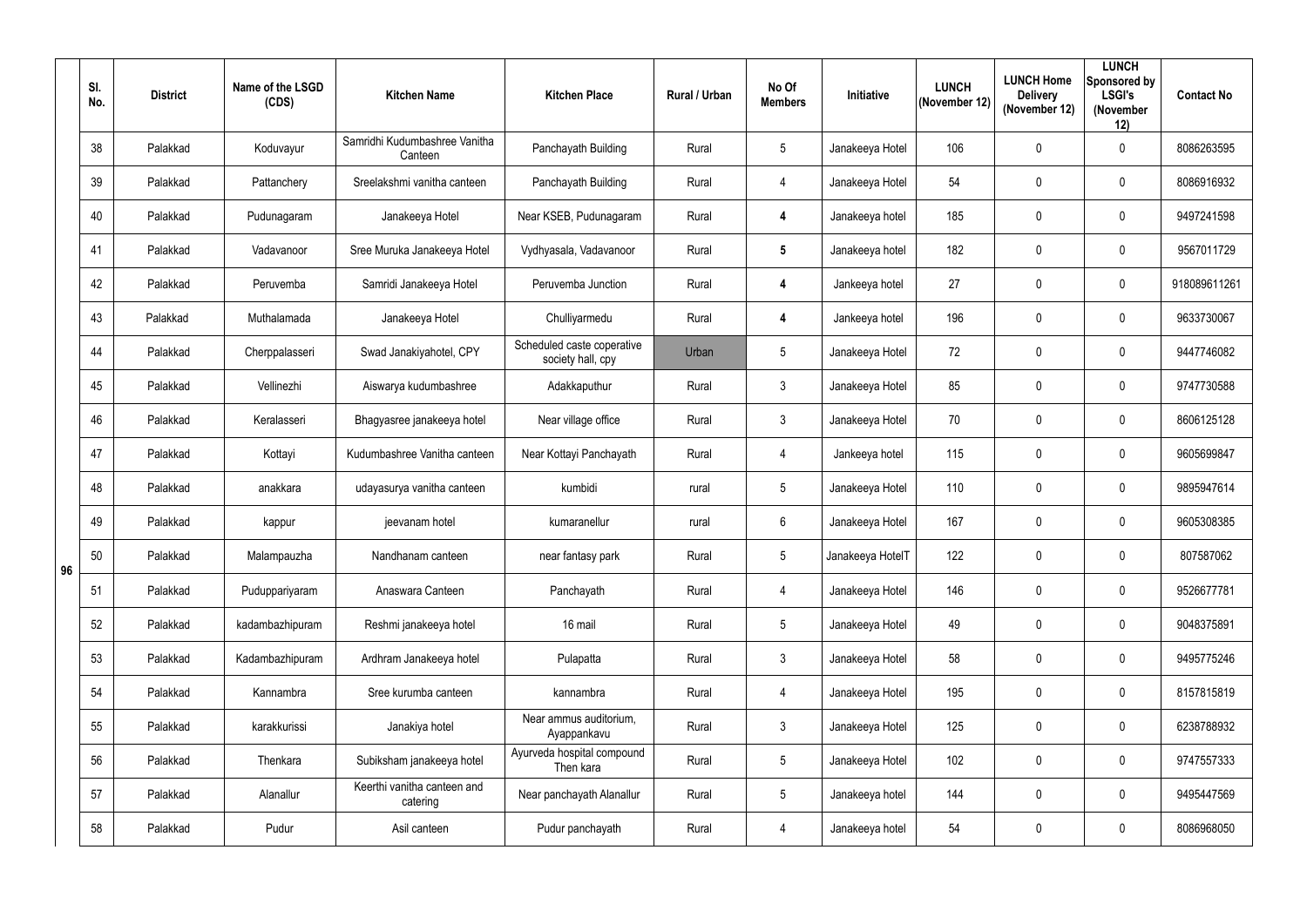|    | SI.<br>No. | <b>District</b> | Name of the LSGD<br>(CDS) | <b>Kitchen Name</b>                      | <b>Kitchen Place</b>                            | Rural / Urban | No Of<br><b>Members</b> | Initiative       | <b>LUNCH</b><br>(November 12) | <b>LUNCH Home</b><br><b>Delivery</b><br>(November 12) | <b>LUNCH</b><br>Sponsored by<br><b>LSGI's</b><br>(November<br>12) | <b>Contact No</b> |
|----|------------|-----------------|---------------------------|------------------------------------------|-------------------------------------------------|---------------|-------------------------|------------------|-------------------------------|-------------------------------------------------------|-------------------------------------------------------------------|-------------------|
|    | 38         | Palakkad        | Koduvayur                 | Samridhi Kudumbashree Vanitha<br>Canteen | Panchayath Building                             | Rural         | $5\overline{)}$         | Janakeeya Hotel  | 106                           | 0                                                     | $\mathbf 0$                                                       | 8086263595        |
|    | 39         | Palakkad        | Pattanchery               | Sreelakshmi vanitha canteen              | Panchayath Building                             | Rural         | $\overline{4}$          | Janakeeya Hotel  | 54                            | 0                                                     | $\mathbf 0$                                                       | 8086916932        |
|    | 40         | Palakkad        | Pudunagaram               | Janakeeya Hotel                          | Near KSEB, Pudunagaram                          | Rural         | $\overline{\mathbf{4}}$ | Janakeeya hotel  | 185                           | 0                                                     | $\mathbf 0$                                                       | 9497241598        |
|    | 41         | Palakkad        | Vadavanoor                | Sree Muruka Janakeeya Hotel              | Vydhyasala, Vadavanoor                          | Rural         | $5\phantom{.0}$         | Janakeeya hotel  | 182                           | 0                                                     | $\mathbf 0$                                                       | 9567011729        |
|    | 42         | Palakkad        | Peruvemba                 | Samridi Janakeeya Hotel                  | Peruvemba Junction                              | Rural         | $\overline{\mathbf{4}}$ | Jankeeya hotel   | 27                            | 0                                                     | $\mathbf 0$                                                       | 918089611261      |
|    | 43         | Palakkad        | Muthalamada               | Janakeeya Hotel                          | Chulliyarmedu                                   | Rural         | $\overline{\mathbf{4}}$ | Jankeeya hotel   | 196                           | 0                                                     | $\mathbf 0$                                                       | 9633730067        |
|    | 44         | Palakkad        | Cherppalasseri            | Swad Janakiyahotel, CPY                  | Scheduled caste coperative<br>society hall, cpy | Urban         | 5                       | Janakeeya Hotel  | 72                            | 0                                                     | $\mathbf 0$                                                       | 9447746082        |
|    | 45         | Palakkad        | Vellinezhi                | Aiswarya kudumbashree                    | Adakkaputhur                                    | Rural         | $\mathbf{3}$            | Janakeeya Hotel  | 85                            | 0                                                     | $\mathbf 0$                                                       | 9747730588        |
|    | 46         | Palakkad        | Keralasseri               | Bhagyasree janakeeya hotel               | Near village office                             | Rural         | $\mathbf{3}$            | Janakeeya Hotel  | 70                            | 0                                                     | $\mathbf 0$                                                       | 8606125128        |
|    | 47         | Palakkad        | Kottayi                   | Kudumbashree Vanitha canteen             | Near Kottayi Panchayath                         | Rural         | $\overline{4}$          | Jankeeya hotel   | 115                           | 0                                                     | $\mathbf 0$                                                       | 9605699847        |
|    | 48         | Palakkad        | anakkara                  | udayasurya vanitha canteen               | kumbidi                                         | rural         | $5\phantom{.0}$         | Janakeeya Hotel  | 110                           | 0                                                     | $\mathbf 0$                                                       | 9895947614        |
|    | 49         | Palakkad        | kappur                    | jeevanam hotel                           | kumaranellur                                    | rural         | $6\overline{6}$         | Janakeeya Hotel  | 167                           | 0                                                     | $\mathbf 0$                                                       | 9605308385        |
| 96 | 50         | Palakkad        | Malampauzha               | Nandhanam canteen                        | near fantasy park                               | Rural         | 5                       | Janakeeya HotelT | 122                           | 0                                                     | $\mathbf 0$                                                       | 807587062         |
|    | 51         | Palakkad        | Puduppariyaram            | Anaswara Canteen                         | Panchayath                                      | Rural         | $\overline{4}$          | Janakeeya Hotel  | 146                           | 0                                                     | $\overline{0}$                                                    | 9526677781        |
|    | 52         | Palakkad        | kadambazhipuram           | Reshmi janakeeya hotel                   | 16 mail                                         | Rural         | $5\phantom{.0}$         | Janakeeya Hotel  | 49                            | 0                                                     | $\overline{0}$                                                    | 9048375891        |
|    | 53         | Palakkad        | Kadambazhipuram           | Ardhram Janakeeya hotel                  | Pulapatta                                       | Rural         | $\mathbf{3}$            | Janakeeya Hotel  | 58                            | 0                                                     | $\overline{0}$                                                    | 9495775246        |
|    | 54         | Palakkad        | Kannambra                 | Sree kurumba canteen                     | kannambra                                       | Rural         | $\overline{4}$          | Janakeeya Hotel  | 195                           | 0                                                     | $\overline{0}$                                                    | 8157815819        |
|    | 55         | Palakkad        | karakkurissi              | Janakiya hotel                           | Near ammus auditorium,<br>Ayappankavu           | Rural         | $\mathfrak{Z}$          | Janakeeya Hotel  | 125                           | 0                                                     | $\overline{0}$                                                    | 6238788932        |
|    | 56         | Palakkad        | Thenkara                  | Subiksham janakeeya hotel                | Ayurveda hospital compound<br>Then kara         | Rural         | $5\phantom{.0}$         | Janakeeya Hotel  | 102                           | 0                                                     | $\overline{0}$                                                    | 9747557333        |
|    | 57         | Palakkad        | Alanallur                 | Keerthi vanitha canteen and<br>catering  | Near panchayath Alanallur                       | Rural         | 5                       | Janakeeya hotel  | 144                           | 0                                                     | $\overline{0}$                                                    | 9495447569        |
|    | 58         | Palakkad        | Pudur                     | Asil canteen                             | Pudur panchayath                                | Rural         | 4                       | Janakeeya hotel  | 54                            | 0                                                     | $\overline{0}$                                                    | 8086968050        |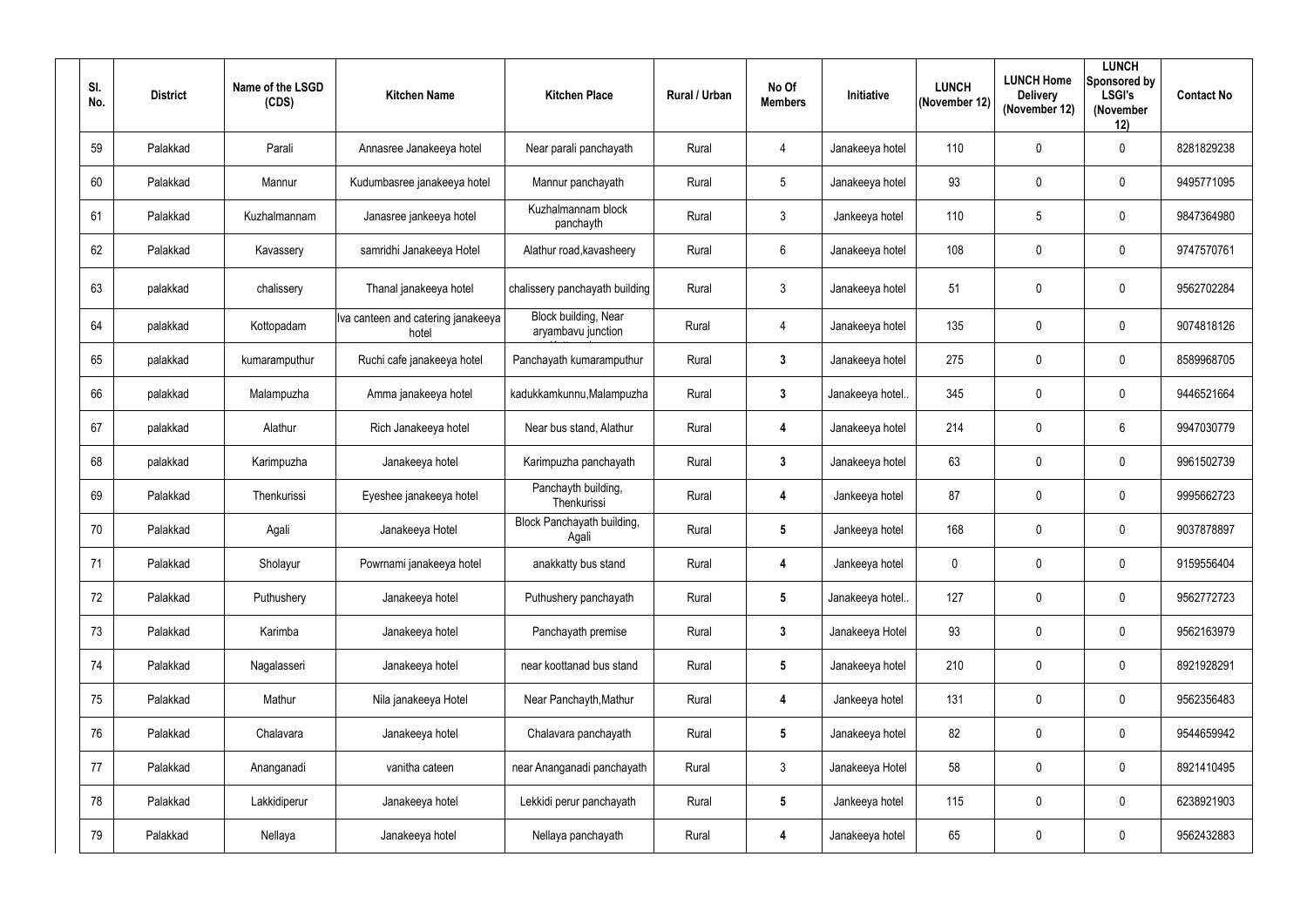| SI.<br>No. | <b>District</b> | Name of the LSGD<br>(CDS) | <b>Kitchen Name</b>                         | <b>Kitchen Place</b>                       | Rural / Urban | No Of<br><b>Members</b> | Initiative       | <b>LUNCH</b><br>(November 12) | <b>LUNCH Home</b><br><b>Delivery</b><br>(November 12) | <b>LUNCH</b><br>Sponsored by<br><b>LSGI's</b><br>(November<br>12) | <b>Contact No</b> |
|------------|-----------------|---------------------------|---------------------------------------------|--------------------------------------------|---------------|-------------------------|------------------|-------------------------------|-------------------------------------------------------|-------------------------------------------------------------------|-------------------|
| 59         | Palakkad        | Parali                    | Annasree Janakeeya hotel                    | Near parali panchayath                     | Rural         | $\overline{4}$          | Janakeeya hotel  | 110                           | $\mathbf 0$                                           | $\mathbf 0$                                                       | 8281829238        |
| 60         | Palakkad        | Mannur                    | Kudumbasree janakeeya hotel                 | Mannur panchayath                          | Rural         | $5\overline{)}$         | Janakeeya hotel  | 93                            | $\mathbf 0$                                           | $\overline{0}$                                                    | 9495771095        |
| 61         | Palakkad        | Kuzhalmannam              | Janasree jankeeya hotel                     | Kuzhalmannam block<br>panchayth            | Rural         | $\mathbf{3}$            | Jankeeya hotel   | 110                           | 5                                                     | $\mathbf 0$                                                       | 9847364980        |
| 62         | Palakkad        | Kavassery                 | samridhi Janakeeya Hotel                    | Alathur road, kavasheery                   | Rural         | $6\overline{6}$         | Janakeeya hotel  | 108                           | $\boldsymbol{0}$                                      | $\mathbf 0$                                                       | 9747570761        |
| 63         | palakkad        | chalissery                | Thanal janakeeya hotel                      | chalissery panchayath building             | Rural         | $\mathbf{3}$            | Janakeeya hotel  | 51                            | $\mathbf 0$                                           | $\overline{0}$                                                    | 9562702284        |
| 64         | palakkad        | Kottopadam                | Iva canteen and catering janakeeya<br>hotel | Block building, Near<br>aryambavu junction | Rural         | $\overline{4}$          | Janakeeya hotel  | 135                           | $\mathbf 0$                                           | $\overline{0}$                                                    | 9074818126        |
| 65         | palakkad        | kumaramputhur             | Ruchi cafe janakeeya hotel                  | Panchayath kumaramputhur                   | Rural         | $\mathbf{3}$            | Janakeeya hotel  | 275                           | $\mathbf 0$                                           | $\mathbf 0$                                                       | 8589968705        |
| 66         | palakkad        | Malampuzha                | Amma janakeeya hotel                        | kadukkamkunnu, Malampuzha                  | Rural         | $\mathbf{3}$            | Janakeeya hotel. | 345                           | $\mathbf 0$                                           | $\mathbf 0$                                                       | 9446521664        |
| 67         | palakkad        | Alathur                   | Rich Janakeeya hotel                        | Near bus stand, Alathur                    | Rural         | 4                       | Janakeeya hotel  | 214                           | $\boldsymbol{0}$                                      | $6\phantom{.}6$                                                   | 9947030779        |
| 68         | palakkad        | Karimpuzha                | Janakeeya hotel                             | Karimpuzha panchayath                      | Rural         | $3\phantom{a}$          | Janakeeya hotel  | 63                            | $\boldsymbol{0}$                                      | $\mathbf 0$                                                       | 9961502739        |
| 69         | Palakkad        | Thenkurissi               | Eyeshee janakeeya hotel                     | Panchayth building,<br>Thenkurissi         | Rural         | 4                       | Jankeeya hotel   | 87                            | $\boldsymbol{0}$                                      | $\mathbf 0$                                                       | 9995662723        |
| 70         | Palakkad        | Agali                     | Janakeeya Hotel                             | Block Panchayath building,<br>Agali        | Rural         | $5\phantom{.0}$         | Jankeeya hotel   | 168                           | $\boldsymbol{0}$                                      | $\mathbf 0$                                                       | 9037878897        |
| 71         | Palakkad        | Sholayur                  | Powrnami janakeeya hotel                    | anakkatty bus stand                        | Rural         | $\overline{\mathbf{4}}$ | Jankeeya hotel   | $\mathbf 0$                   | $\mathbf 0$                                           | $\mathbf 0$                                                       | 9159556404        |
| 72         | Palakkad        | Puthushery                | Janakeeya hotel                             | Puthushery panchayath                      | Rural         | $5\overline{)}$         | Janakeeya hotel. | 127                           | $\boldsymbol{0}$                                      | $\mathbf 0$                                                       | 9562772723        |
| 73         | Palakkad        | Karimba                   | Janakeeya hotel                             | Panchayath premise                         | Rural         | $\mathbf{3}$            | Janakeeya Hotel  | 93                            | $\pmb{0}$                                             | $\mathbf 0$                                                       | 9562163979        |
| 74         | Palakkad        | Nagalasseri               | Janakeeya hotel                             | near koottanad bus stand                   | Rural         | $5\overline{)}$         | Janakeeya hotel  | 210                           | $\pmb{0}$                                             | $\boldsymbol{0}$                                                  | 8921928291        |
| 75         | Palakkad        | Mathur                    | Nila janakeeya Hotel                        | Near Panchayth, Mathur                     | Rural         | $\overline{\mathbf{4}}$ | Jankeeya hotel   | 131                           | $\pmb{0}$                                             | $\mathbf 0$                                                       | 9562356483        |
| 76         | Palakkad        | Chalavara                 | Janakeeya hotel                             | Chalavara panchayath                       | Rural         | $5\overline{)}$         | Janakeeya hotel  | 82                            | $\pmb{0}$                                             | $\mathbf 0$                                                       | 9544659942        |
| 77         | Palakkad        | Ananganadi                | vanitha cateen                              | near Ananganadi panchayath                 | Rural         | 3 <sup>1</sup>          | Janakeeya Hotel  | 58                            | $\pmb{0}$                                             | $\mathbf 0$                                                       | 8921410495        |
| 78         | Palakkad        | Lakkidiperur              | Janakeeya hotel                             | Lekkidi perur panchayath                   | Rural         | $5\phantom{.0}$         | Jankeeya hotel   | 115                           | $\pmb{0}$                                             | $\mathbf 0$                                                       | 6238921903        |
| 79         | Palakkad        | Nellaya                   | Janakeeya hotel                             | Nellaya panchayath                         | Rural         | 4                       | Janakeeya hotel  | 65                            | 0                                                     | $\boldsymbol{0}$                                                  | 9562432883        |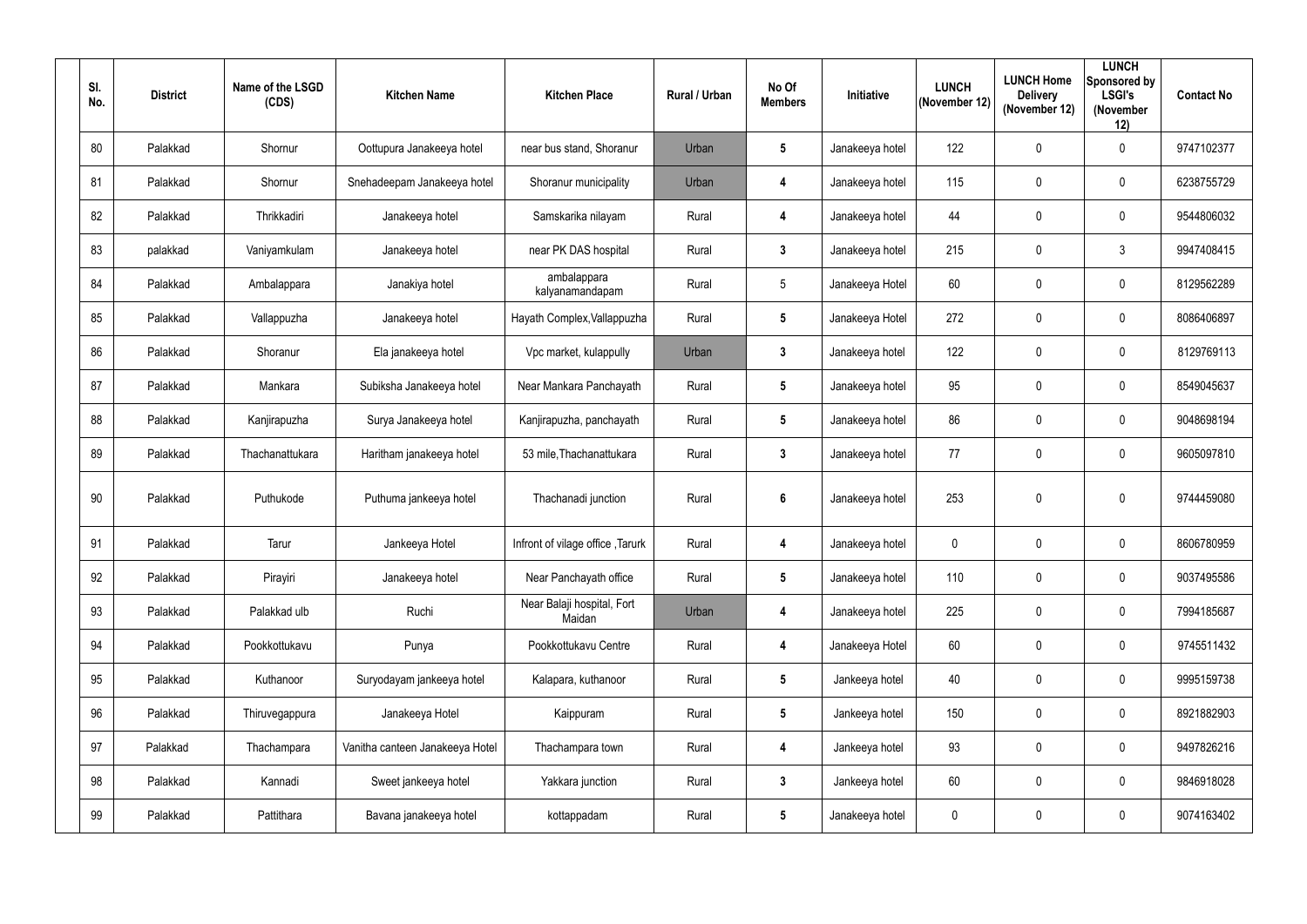| SI.<br>No. | <b>District</b> | Name of the LSGD<br>(CDS) | <b>Kitchen Name</b>             | <b>Kitchen Place</b>                 | Rural / Urban | No Of<br><b>Members</b> | Initiative      | <b>LUNCH</b><br>(November 12) | <b>LUNCH Home</b><br><b>Delivery</b><br>(November 12) | <b>LUNCH</b><br>Sponsored by<br><b>LSGI's</b><br>(November<br>12) | <b>Contact No</b> |
|------------|-----------------|---------------------------|---------------------------------|--------------------------------------|---------------|-------------------------|-----------------|-------------------------------|-------------------------------------------------------|-------------------------------------------------------------------|-------------------|
| 80         | Palakkad        | Shornur                   | Oottupura Janakeeya hotel       | near bus stand, Shoranur             | Urban         | $5\phantom{.0}$         | Janakeeya hotel | 122                           | $\mathbf 0$                                           | $\overline{0}$                                                    | 9747102377        |
| 81         | Palakkad        | Shornur                   | Snehadeepam Janakeeya hotel     | Shoranur municipality                | Urban         | 4                       | Janakeeya hotel | 115                           | $\mathbf 0$                                           | $\overline{0}$                                                    | 6238755729        |
| 82         | Palakkad        | Thrikkadiri               | Janakeeya hotel                 | Samskarika nilayam                   | Rural         | 4                       | Janakeeya hotel | 44                            | 0                                                     | $\mathbf 0$                                                       | 9544806032        |
| 83         | palakkad        | Vaniyamkulam              | Janakeeya hotel                 | near PK DAS hospital                 | Rural         | $\mathbf{3}$            | Janakeeya hotel | 215                           | $\mathbf 0$                                           | $\mathbf{3}$                                                      | 9947408415        |
| 84         | Palakkad        | Ambalappara               | Janakiya hotel                  | ambalappara<br>kalyanamandapam       | Rural         | $5\overline{)}$         | Janakeeya Hotel | 60                            | 0                                                     | $\overline{0}$                                                    | 8129562289        |
| 85         | Palakkad        | Vallappuzha               | Janakeeya hotel                 | Hayath Complex, Vallappuzha          | Rural         | $5\phantom{.0}$         | Janakeeya Hotel | 272                           | $\mathbf 0$                                           | $\mathbf 0$                                                       | 8086406897        |
| 86         | Palakkad        | Shoranur                  | Ela janakeeya hotel             | Vpc market, kulappully               | Urban         | $\mathbf{3}$            | Janakeeya hotel | 122                           | $\mathbf 0$                                           | $\overline{0}$                                                    | 8129769113        |
| 87         | Palakkad        | Mankara                   | Subiksha Janakeeya hotel        | Near Mankara Panchayath              | Rural         | $5\phantom{.0}$         | Janakeeya hotel | 95                            | $\mathbf 0$                                           | $\overline{0}$                                                    | 8549045637        |
| 88         | Palakkad        | Kanjirapuzha              | Surya Janakeeya hotel           | Kanjirapuzha, panchayath             | Rural         | $5\phantom{.0}$         | Janakeeya hotel | 86                            | 0                                                     | $\overline{0}$                                                    | 9048698194        |
| 89         | Palakkad        | Thachanattukara           | Haritham janakeeya hotel        | 53 mile, Thachanattukara             | Rural         | $\mathbf{3}$            | Janakeeya hotel | 77                            | 0                                                     | $\overline{0}$                                                    | 9605097810        |
| 90         | Palakkad        | Puthukode                 | Puthuma jankeeya hotel          | Thachanadi junction                  | Rural         | $6\phantom{.}6$         | Janakeeya hotel | 253                           | $\mathbf 0$                                           | $\overline{0}$                                                    | 9744459080        |
| 91         | Palakkad        | Tarur                     | Jankeeya Hotel                  | Infront of vilage office, Tarurk     | Rural         | 4                       | Janakeeya hotel | $\boldsymbol{0}$              | 0                                                     | $\boldsymbol{0}$                                                  | 8606780959        |
| 92         | Palakkad        | Pirayiri                  | Janakeeya hotel                 | Near Panchayath office               | Rural         | $5\phantom{.0}$         | Janakeeya hotel | 110                           | $\mathbf 0$                                           | $\mathbf 0$                                                       | 9037495586        |
| 93         | Palakkad        | Palakkad ulb              | Ruchi                           | Near Balaji hospital, Fort<br>Maidan | Urban         | 4                       | Janakeeya hotel | 225                           | $\mathbf 0$                                           | $\boldsymbol{0}$                                                  | 7994185687        |
| 94         | Palakkad        | Pookkottukavu             | Punya                           | Pookkottukavu Centre                 | Rural         | $\overline{\mathbf{4}}$ | Janakeeya Hotel | 60                            | $\pmb{0}$                                             | $\mathbf 0$                                                       | 9745511432        |
| 95         | Palakkad        | Kuthanoor                 | Suryodayam jankeeya hotel       | Kalapara, kuthanoor                  | Rural         | $5\phantom{.0}$         | Jankeeya hotel  | 40                            | $\mathbf 0$                                           | $\pmb{0}$                                                         | 9995159738        |
| 96         | Palakkad        | Thiruvegappura            | Janakeeya Hotel                 | Kaippuram                            | Rural         | $5\phantom{.0}$         | Jankeeya hotel  | 150                           | $\mathbf 0$                                           | $\mathbf 0$                                                       | 8921882903        |
| 97         | Palakkad        | Thachampara               | Vanitha canteen Janakeeya Hotel | Thachampara town                     | Rural         | $\overline{\mathbf{4}}$ | Jankeeya hotel  | 93                            | $\mathbf 0$                                           | $\mathbf 0$                                                       | 9497826216        |
| 98         | Palakkad        | Kannadi                   | Sweet jankeeya hotel            | Yakkara junction                     | Rural         | $3\phantom{a}$          | Jankeeya hotel  | 60                            | $\mathbf 0$                                           | $\pmb{0}$                                                         | 9846918028        |
| 99         | Palakkad        | Pattithara                | Bavana janakeeya hotel          | kottappadam                          | Rural         | $5\phantom{.0}$         | Janakeeya hotel | $\boldsymbol{0}$              | $\mathbf 0$                                           | $\boldsymbol{0}$                                                  | 9074163402        |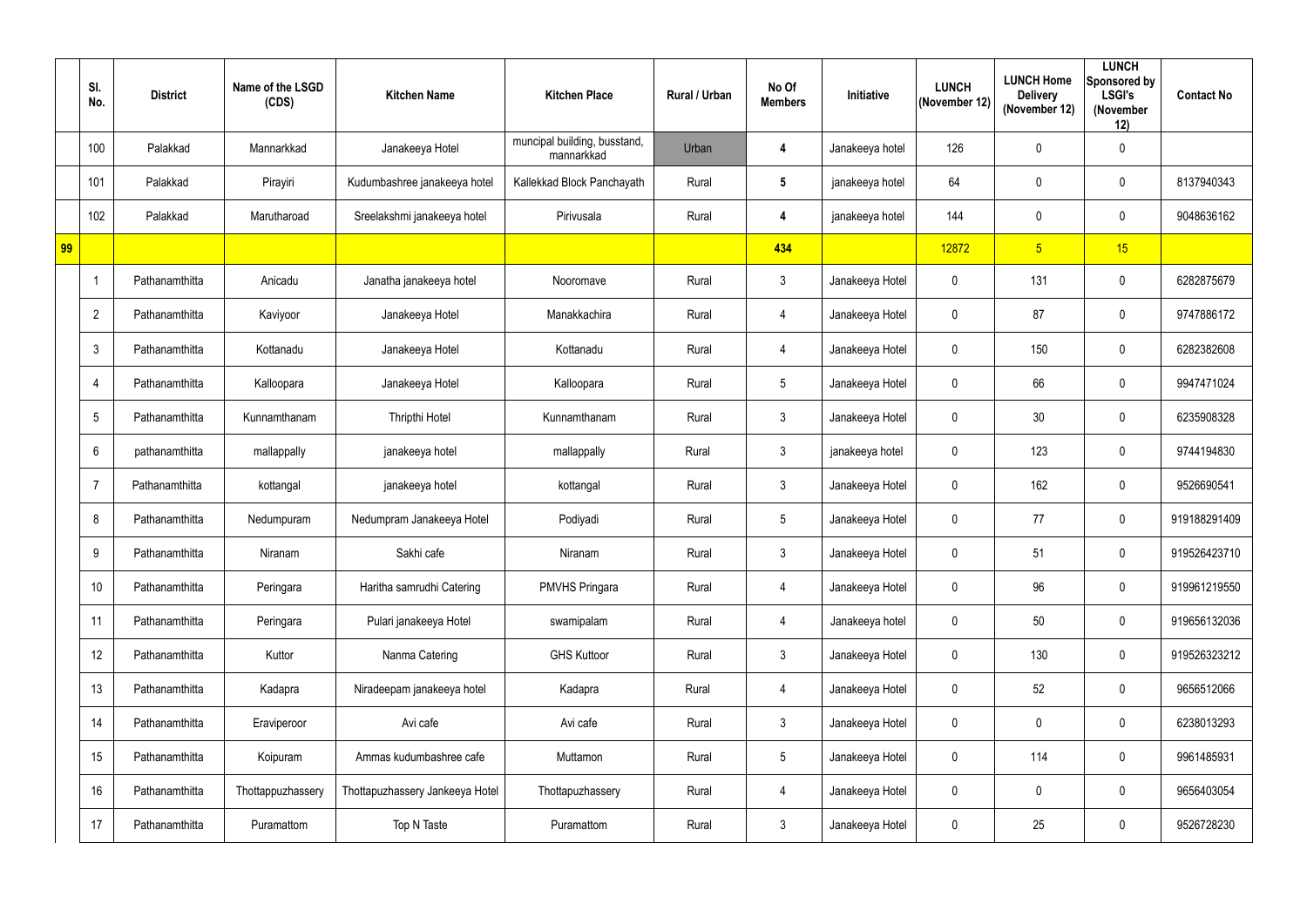|    | SI.<br>No.      | <b>District</b> | Name of the LSGD<br>(CDS) | <b>Kitchen Name</b>             | <b>Kitchen Place</b>                       | Rural / Urban | No Of<br><b>Members</b> | <b>Initiative</b> | <b>LUNCH</b><br>(November 12) | <b>LUNCH Home</b><br><b>Delivery</b><br>(November 12) | <b>LUNCH</b><br>Sponsored by<br><b>LSGI's</b><br>(November<br>12) | <b>Contact No</b> |
|----|-----------------|-----------------|---------------------------|---------------------------------|--------------------------------------------|---------------|-------------------------|-------------------|-------------------------------|-------------------------------------------------------|-------------------------------------------------------------------|-------------------|
|    | 100             | Palakkad        | Mannarkkad                | Janakeeya Hotel                 | muncipal building, busstand,<br>mannarkkad | Urban         | 4                       | Janakeeya hotel   | 126                           | $\mathbf 0$                                           | $\mathbf 0$                                                       |                   |
|    | 101             | Palakkad        | Pirayiri                  | Kudumbashree janakeeya hotel    | Kallekkad Block Panchayath                 | Rural         | $5\phantom{.0}$         | janakeeya hotel   | 64                            | 0                                                     | $\mathbf 0$                                                       | 8137940343        |
|    | 102             | Palakkad        | Marutharoad               | Sreelakshmi janakeeya hotel     | Pirivusala                                 | Rural         | 4                       | janakeeya hotel   | 144                           | $\mathbf 0$                                           | $\mathbf 0$                                                       | 9048636162        |
| 99 |                 |                 |                           |                                 |                                            |               | 434                     |                   | 12872                         | 5 <sub>5</sub>                                        | 15                                                                |                   |
|    |                 | Pathanamthitta  | Anicadu                   | Janatha janakeeya hotel         | Nooromave                                  | Rural         | $\mathfrak{Z}$          | Janakeeya Hotel   | $\mathbf 0$                   | 131                                                   | $\mathbf 0$                                                       | 6282875679        |
|    | $\overline{2}$  | Pathanamthitta  | Kaviyoor                  | Janakeeya Hotel                 | Manakkachira                               | Rural         | $\overline{4}$          | Janakeeya Hotel   | 0                             | 87                                                    | $\mathbf 0$                                                       | 9747886172        |
|    | $\mathfrak{Z}$  | Pathanamthitta  | Kottanadu                 | Janakeeya Hotel                 | Kottanadu                                  | Rural         | $\overline{4}$          | Janakeeya Hotel   | $\mathbf 0$                   | 150                                                   | $\mathbf 0$                                                       | 6282382608        |
|    | 4               | Pathanamthitta  | Kalloopara                | Janakeeya Hotel                 | Kalloopara                                 | Rural         | $5\phantom{.0}$         | Janakeeya Hotel   | $\mathbf 0$                   | 66                                                    | $\mathbf 0$                                                       | 9947471024        |
|    | $5\phantom{.0}$ | Pathanamthitta  | Kunnamthanam              | Thripthi Hotel                  | Kunnamthanam                               | Rural         | $\mathfrak{Z}$          | Janakeeya Hotel   | $\mathbf 0$                   | 30                                                    | $\mathbf 0$                                                       | 6235908328        |
|    | 6               | pathanamthitta  | mallappally               | janakeeya hotel                 | mallappally                                | Rural         | $\mathfrak{Z}$          | janakeeya hotel   | $\mathbf 0$                   | 123                                                   | $\mathbf 0$                                                       | 9744194830        |
|    | 7               | Pathanamthitta  | kottangal                 | janakeeya hotel                 | kottangal                                  | Rural         | $\mathfrak{Z}$          | Janakeeya Hotel   | 0                             | 162                                                   | $\mathbf 0$                                                       | 9526690541        |
|    | 8               | Pathanamthitta  | Nedumpuram                | Nedumpram Janakeeya Hotel       | Podiyadi                                   | Rural         | 5                       | Janakeeya Hotel   | 0                             | 77                                                    | $\mathbf 0$                                                       | 919188291409      |
|    | 9               | Pathanamthitta  | Niranam                   | Sakhi cafe                      | Niranam                                    | Rural         | $\mathfrak{Z}$          | Janakeeya Hotel   | $\mathbf{0}$                  | 51                                                    | $\mathbf 0$                                                       | 919526423710      |
|    | 10              | Pathanamthitta  | Peringara                 | Haritha samrudhi Catering       | <b>PMVHS Pringara</b>                      | Rural         | $\overline{4}$          | Janakeeya Hotel   | $\mathbf 0$                   | 96                                                    | $\overline{0}$                                                    | 919961219550      |
|    | 11              | Pathanamthitta  | Peringara                 | Pulari janakeeya Hotel          | swamipalam                                 | Rural         | $\overline{4}$          | Janakeeya hotel   | $\mathbf 0$                   | 50                                                    | $\overline{0}$                                                    | 919656132036      |
|    | 12              | Pathanamthitta  | Kuttor                    | Nanma Catering                  | <b>GHS Kuttoor</b>                         | Rural         | $\mathfrak{Z}$          | Janakeeya Hotel   | $\mathbf 0$                   | 130                                                   | $\mathbf 0$                                                       | 919526323212      |
|    | 13              | Pathanamthitta  | Kadapra                   | Niradeepam janakeeya hotel      | Kadapra                                    | Rural         | $\overline{4}$          | Janakeeya Hotel   | $\mathbf 0$                   | 52                                                    | $\overline{0}$                                                    | 9656512066        |
|    | 14              | Pathanamthitta  | Eraviperoor               | Avi cafe                        | Avi cafe                                   | Rural         | $\mathfrak{Z}$          | Janakeeya Hotel   | $\mathbf 0$                   | 0                                                     | $\overline{0}$                                                    | 6238013293        |
|    | 15              | Pathanamthitta  | Koipuram                  | Ammas kudumbashree cafe         | Muttamon                                   | Rural         | $5\phantom{.0}$         | Janakeeya Hotel   | $\pmb{0}$                     | 114                                                   | $\overline{0}$                                                    | 9961485931        |
|    | 16              | Pathanamthitta  | Thottappuzhassery         | Thottapuzhassery Jankeeya Hotel | Thottapuzhassery                           | Rural         | $\overline{4}$          | Janakeeya Hotel   | $\mathbf 0$                   | $\pmb{0}$                                             | $\overline{0}$                                                    | 9656403054        |
|    | 17              | Pathanamthitta  | Puramattom                | Top N Taste                     | Puramattom                                 | Rural         | $\mathfrak{Z}$          | Janakeeya Hotel   | $\mathbf 0$                   | 25                                                    | $\overline{0}$                                                    | 9526728230        |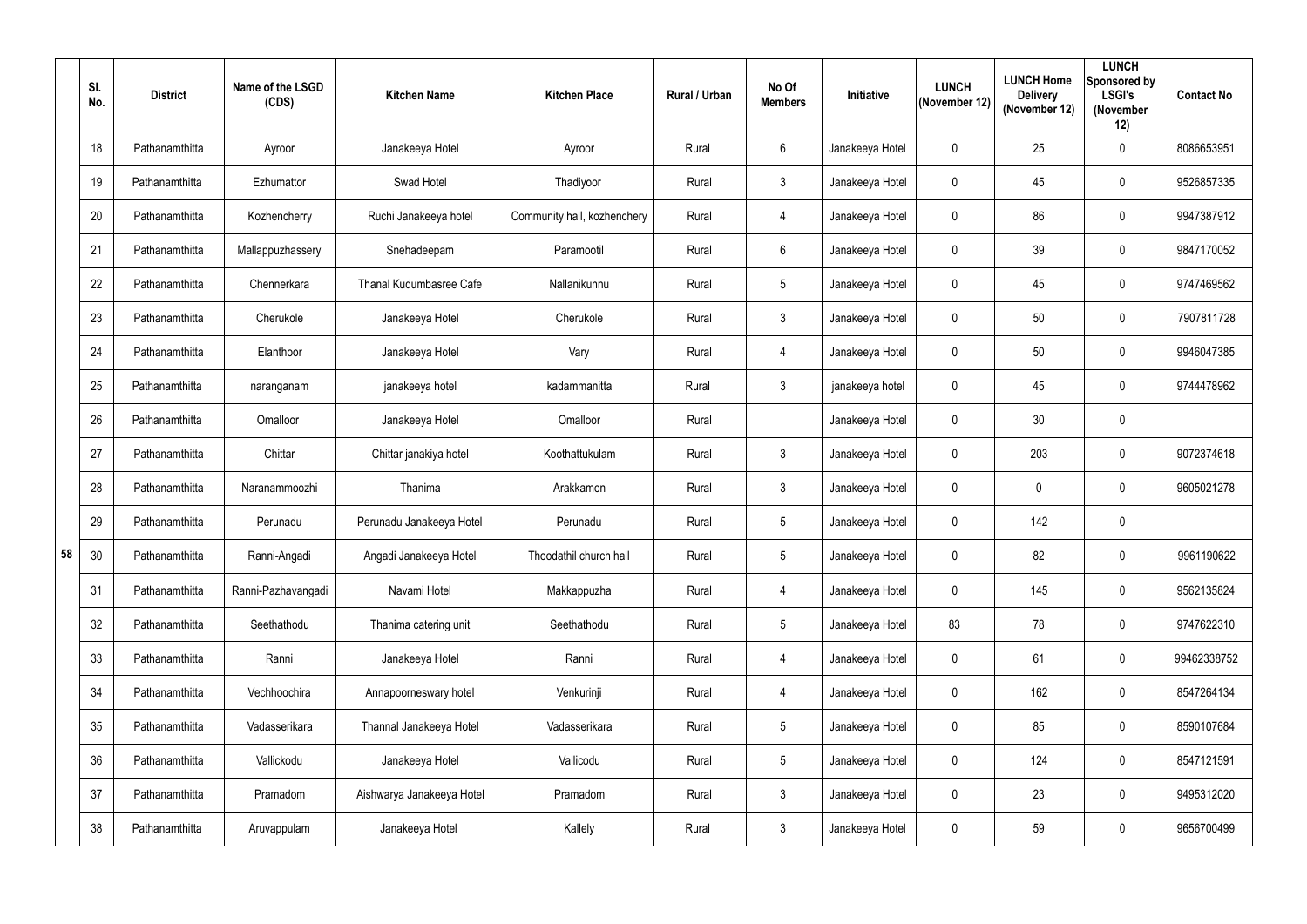|    | SI.<br>No. | <b>District</b> | Name of the LSGD<br>(CDS) | <b>Kitchen Name</b>       | <b>Kitchen Place</b>        | <b>Rural / Urban</b> | No Of<br><b>Members</b> | Initiative      | <b>LUNCH</b><br>(November 12) | <b>LUNCH Home</b><br><b>Delivery</b><br>(November 12) | <b>LUNCH</b><br>Sponsored by<br><b>LSGI's</b><br>(November<br>12) | <b>Contact No</b> |
|----|------------|-----------------|---------------------------|---------------------------|-----------------------------|----------------------|-------------------------|-----------------|-------------------------------|-------------------------------------------------------|-------------------------------------------------------------------|-------------------|
|    | 18         | Pathanamthitta  | Ayroor                    | Janakeeya Hotel           | Ayroor                      | Rural                | $6\overline{6}$         | Janakeeya Hotel | $\mathbf 0$                   | 25                                                    | $\overline{0}$                                                    | 8086653951        |
|    | 19         | Pathanamthitta  | Ezhumattor                | Swad Hotel                | Thadiyoor                   | Rural                | $\mathbf{3}$            | Janakeeya Hotel | $\mathbf 0$                   | 45                                                    | $\mathbf 0$                                                       | 9526857335        |
|    | 20         | Pathanamthitta  | Kozhencherry              | Ruchi Janakeeya hotel     | Community hall, kozhenchery | Rural                | 4                       | Janakeeya Hotel | $\mathbf 0$                   | 86                                                    | $\overline{0}$                                                    | 9947387912        |
|    | 21         | Pathanamthitta  | Mallappuzhassery          | Snehadeepam               | Paramootil                  | Rural                | $6\overline{6}$         | Janakeeya Hotel | $\mathbf 0$                   | 39                                                    | $\mathbf 0$                                                       | 9847170052        |
|    | 22         | Pathanamthitta  | Chennerkara               | Thanal Kudumbasree Cafe   | Nallanikunnu                | Rural                | $5\overline{)}$         | Janakeeya Hotel | $\mathbf 0$                   | 45                                                    | $\mathbf 0$                                                       | 9747469562        |
|    | 23         | Pathanamthitta  | Cherukole                 | Janakeeya Hotel           | Cherukole                   | Rural                | $\mathbf{3}$            | Janakeeya Hotel | $\mathbf 0$                   | 50                                                    | $\mathbf 0$                                                       | 7907811728        |
|    | 24         | Pathanamthitta  | Elanthoor                 | Janakeeya Hotel           | Vary                        | Rural                | $\overline{4}$          | Janakeeya Hotel | $\mathbf 0$                   | 50                                                    | $\mathbf 0$                                                       | 9946047385        |
|    | 25         | Pathanamthitta  | naranganam                | janakeeya hotel           | kadammanitta                | Rural                | $\mathbf{3}$            | janakeeya hotel | $\mathbf 0$                   | 45                                                    | $\mathbf 0$                                                       | 9744478962        |
|    | 26         | Pathanamthitta  | Omalloor                  | Janakeeya Hotel           | Omalloor                    | Rural                |                         | Janakeeya Hotel | $\boldsymbol{0}$              | 30                                                    | $\overline{0}$                                                    |                   |
|    | 27         | Pathanamthitta  | Chittar                   | Chittar janakiya hotel    | Koothattukulam              | Rural                | $\mathbf{3}$            | Janakeeya Hotel | $\mathbf 0$                   | 203                                                   | $\mathbf 0$                                                       | 9072374618        |
|    | 28         | Pathanamthitta  | Naranammoozhi             | Thanima                   | Arakkamon                   | Rural                | $\mathbf{3}$            | Janakeeya Hotel | $\overline{0}$                | 0                                                     | $\mathbf 0$                                                       | 9605021278        |
|    | 29         | Pathanamthitta  | Perunadu                  | Perunadu Janakeeya Hotel  | Perunadu                    | Rural                | $5\phantom{.0}$         | Janakeeya Hotel | $\mathbf 0$                   | 142                                                   | $\overline{0}$                                                    |                   |
| 58 | 30         | Pathanamthitta  | Ranni-Angadi              | Angadi Janakeeya Hotel    | Thoodathil church hall      | Rural                | $5\overline{)}$         | Janakeeya Hotel | $\mathbf 0$                   | 82                                                    | $\mathbf 0$                                                       | 9961190622        |
|    | 31         | Pathanamthitta  | Ranni-Pazhavangadi        | Navami Hotel              | Makkappuzha                 | Rural                | 4                       | Janakeeya Hotel | $\overline{0}$                | 145                                                   | $\overline{0}$                                                    | 9562135824        |
|    | 32         | Pathanamthitta  | Seethathodu               | Thanima catering unit     | Seethathodu                 | Rural                | $5\overline{)}$         | Janakeeya Hotel | 83                            | 78                                                    | $\overline{0}$                                                    | 9747622310        |
|    | 33         | Pathanamthitta  | Ranni                     | Janakeeya Hotel           | Ranni                       | Rural                | $\overline{4}$          | Janakeeya Hotel | $\overline{0}$                | 61                                                    | $\overline{0}$                                                    | 99462338752       |
|    | 34         | Pathanamthitta  | Vechhoochira              | Annapoorneswary hotel     | Venkurinji                  | Rural                | $\overline{4}$          | Janakeeya Hotel | $\mathbf 0$                   | 162                                                   | $\overline{0}$                                                    | 8547264134        |
|    | 35         | Pathanamthitta  | Vadasserikara             | Thannal Janakeeya Hotel   | Vadasserikara               | Rural                | $5\phantom{.0}$         | Janakeeya Hotel | $\mathbf 0$                   | 85                                                    | $\overline{0}$                                                    | 8590107684        |
|    | 36         | Pathanamthitta  | Vallickodu                | Janakeeya Hotel           | Vallicodu                   | Rural                | $5\phantom{.0}$         | Janakeeya Hotel | $\mathbf 0$                   | 124                                                   | $\overline{0}$                                                    | 8547121591        |
|    | 37         | Pathanamthitta  | Pramadom                  | Aishwarya Janakeeya Hotel | Pramadom                    | Rural                | $\mathbf{3}$            | Janakeeya Hotel | $\pmb{0}$                     | 23                                                    | $\overline{0}$                                                    | 9495312020        |
|    | 38         | Pathanamthitta  | Aruvappulam               | Janakeeya Hotel           | Kallely                     | Rural                | 3 <sup>1</sup>          | Janakeeya Hotel | $\boldsymbol{0}$              | 59                                                    | $\overline{0}$                                                    | 9656700499        |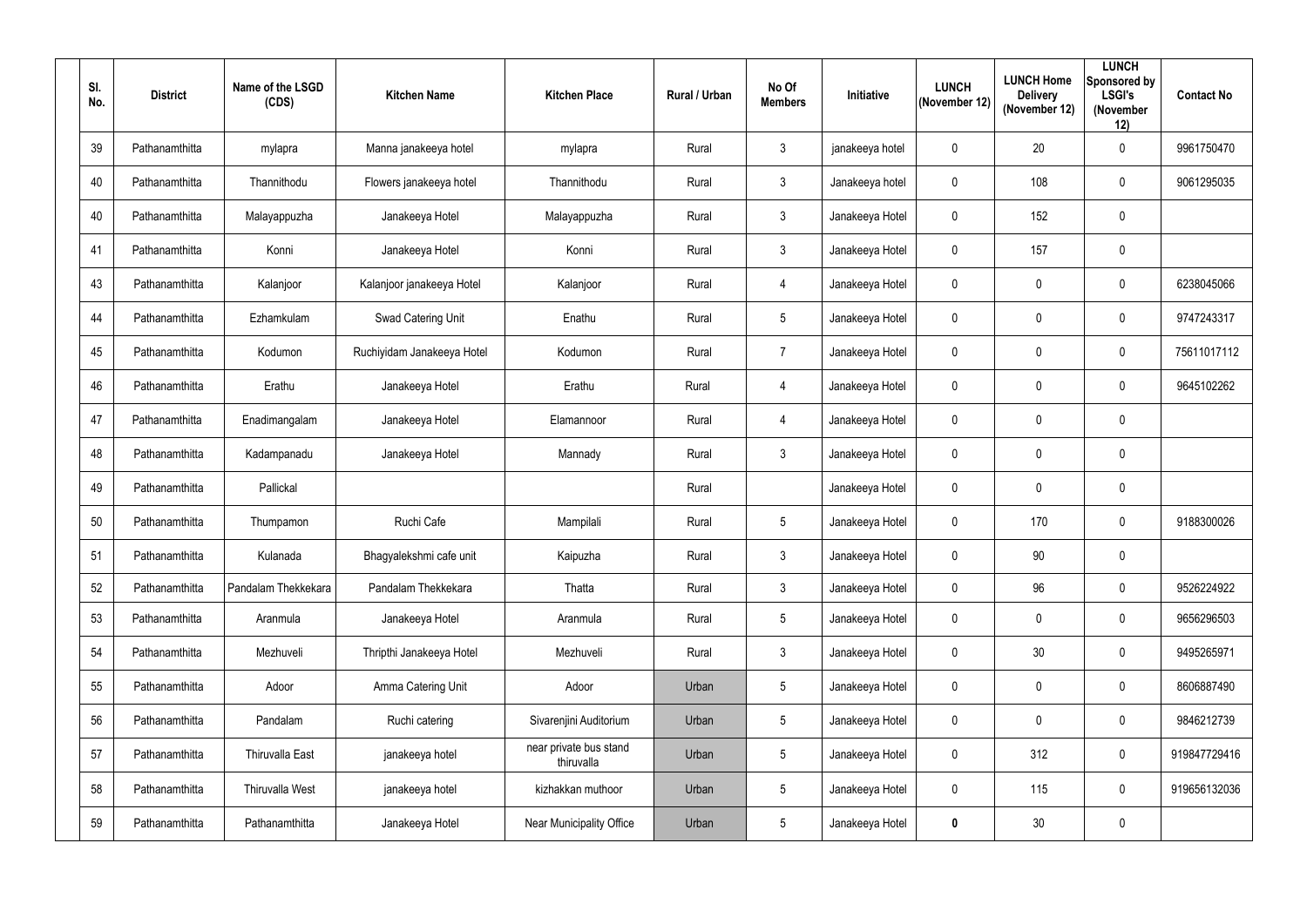| SI.<br>No. | <b>District</b> | Name of the LSGD<br>(CDS) | <b>Kitchen Name</b>        | <b>Kitchen Place</b>                 | <b>Rural / Urban</b> | No Of<br><b>Members</b> | Initiative      | <b>LUNCH</b><br>(November 12) | <b>LUNCH Home</b><br><b>Delivery</b><br>(November 12) | <b>LUNCH</b><br>Sponsored by<br><b>LSGI's</b><br>(November<br>12) | <b>Contact No</b> |
|------------|-----------------|---------------------------|----------------------------|--------------------------------------|----------------------|-------------------------|-----------------|-------------------------------|-------------------------------------------------------|-------------------------------------------------------------------|-------------------|
| 39         | Pathanamthitta  | mylapra                   | Manna janakeeya hotel      | mylapra                              | Rural                | $\mathbf{3}$            | janakeeya hotel | $\mathbf 0$                   | 20                                                    | $\mathbf 0$                                                       | 9961750470        |
| 40         | Pathanamthitta  | Thannithodu               | Flowers janakeeya hotel    | Thannithodu                          | Rural                | $\mathbf{3}$            | Janakeeya hotel | $\mathbf 0$                   | 108                                                   | $\mathbf 0$                                                       | 9061295035        |
| 40         | Pathanamthitta  | Malayappuzha              | Janakeeya Hotel            | Malayappuzha                         | Rural                | $\mathbf{3}$            | Janakeeya Hotel | $\mathbf 0$                   | 152                                                   | $\mathbf 0$                                                       |                   |
| 41         | Pathanamthitta  | Konni                     | Janakeeya Hotel            | Konni                                | Rural                | $\mathbf{3}$            | Janakeeya Hotel | $\mathbf 0$                   | 157                                                   | $\mathbf 0$                                                       |                   |
| 43         | Pathanamthitta  | Kalanjoor                 | Kalanjoor janakeeya Hotel  | Kalanjoor                            | Rural                | $\overline{4}$          | Janakeeya Hotel | $\mathbf 0$                   | 0                                                     | $\mathbf 0$                                                       | 6238045066        |
| 44         | Pathanamthitta  | Ezhamkulam                | Swad Catering Unit         | Enathu                               | Rural                | $5\phantom{.0}$         | Janakeeya Hotel | $\mathbf 0$                   | 0                                                     | $\mathbf 0$                                                       | 9747243317        |
| 45         | Pathanamthitta  | Kodumon                   | Ruchiyidam Janakeeya Hotel | Kodumon                              | Rural                | $\overline{7}$          | Janakeeya Hotel | $\mathbf 0$                   | 0                                                     | $\mathbf 0$                                                       | 75611017112       |
| 46         | Pathanamthitta  | Erathu                    | Janakeeya Hotel            | Erathu                               | Rural                | 4                       | Janakeeya Hotel | $\mathbf 0$                   | 0                                                     | $\mathbf 0$                                                       | 9645102262        |
| 47         | Pathanamthitta  | Enadimangalam             | Janakeeya Hotel            | Elamannoor                           | Rural                | $\overline{4}$          | Janakeeya Hotel | $\boldsymbol{0}$              | 0                                                     | $\mathbf 0$                                                       |                   |
| 48         | Pathanamthitta  | Kadampanadu               | Janakeeya Hotel            | Mannady                              | Rural                | $\mathbf{3}$            | Janakeeya Hotel | $\mathbf 0$                   | 0                                                     | $\mathbf 0$                                                       |                   |
| 49         | Pathanamthitta  | Pallickal                 |                            |                                      | Rural                |                         | Janakeeya Hotel | $\mathbf 0$                   | 0                                                     | $\mathbf 0$                                                       |                   |
| 50         | Pathanamthitta  | Thumpamon                 | Ruchi Cafe                 | Mampilali                            | Rural                | $5\overline{)}$         | Janakeeya Hotel | $\mathbf 0$                   | 170                                                   | $\mathbf 0$                                                       | 9188300026        |
| 51         | Pathanamthitta  | Kulanada                  | Bhagyalekshmi cafe unit    | Kaipuzha                             | Rural                | $\mathbf{3}$            | Janakeeya Hotel | $\mathbf 0$                   | $90\,$                                                | $\mathbf 0$                                                       |                   |
| 52         | Pathanamthitta  | Pandalam Thekkekara       | Pandalam Thekkekara        | Thatta                               | Rural                | $\mathbf{3}$            | Janakeeya Hotel | $\pmb{0}$                     | 96                                                    | $\mathbf 0$                                                       | 9526224922        |
| 53         | Pathanamthitta  | Aranmula                  | Janakeeya Hotel            | Aranmula                             | Rural                | $5\overline{)}$         | Janakeeya Hotel | $\pmb{0}$                     | 0                                                     | $\mathbf 0$                                                       | 9656296503        |
| 54         | Pathanamthitta  | Mezhuveli                 | Thripthi Janakeeya Hotel   | Mezhuveli                            | Rural                | $\mathbf{3}$            | Janakeeya Hotel | $\mathbf 0$                   | 30 <sup>°</sup>                                       | $\mathbf 0$                                                       | 9495265971        |
| 55         | Pathanamthitta  | Adoor                     | Amma Catering Unit         | Adoor                                | Urban                | $5\phantom{.0}$         | Janakeeya Hotel | $\boldsymbol{0}$              | 0                                                     | $\mathbf 0$                                                       | 8606887490        |
| 56         | Pathanamthitta  | Pandalam                  | Ruchi catering             | Sivarenjini Auditorium               | Urban                | $5\overline{)}$         | Janakeeya Hotel | $\mathbf 0$                   | 0                                                     | $\mathbf 0$                                                       | 9846212739        |
| 57         | Pathanamthitta  | Thiruvalla East           | janakeeya hotel            | near private bus stand<br>thiruvalla | Urban                | $5\phantom{.0}$         | Janakeeya Hotel | $\bm{0}$                      | 312                                                   | $\overline{0}$                                                    | 919847729416      |
| 58         | Pathanamthitta  | <b>Thiruvalla West</b>    | janakeeya hotel            | kizhakkan muthoor                    | Urban                | $5\phantom{.0}$         | Janakeeya Hotel | $\mathbf 0$                   | 115                                                   | $\mathbf 0$                                                       | 919656132036      |
| 59         | Pathanamthitta  | Pathanamthitta            | Janakeeya Hotel            | Near Municipality Office             | Urban                | $5\phantom{.0}$         | Janakeeya Hotel | $\boldsymbol{0}$              | 30 <sup>°</sup>                                       | $\pmb{0}$                                                         |                   |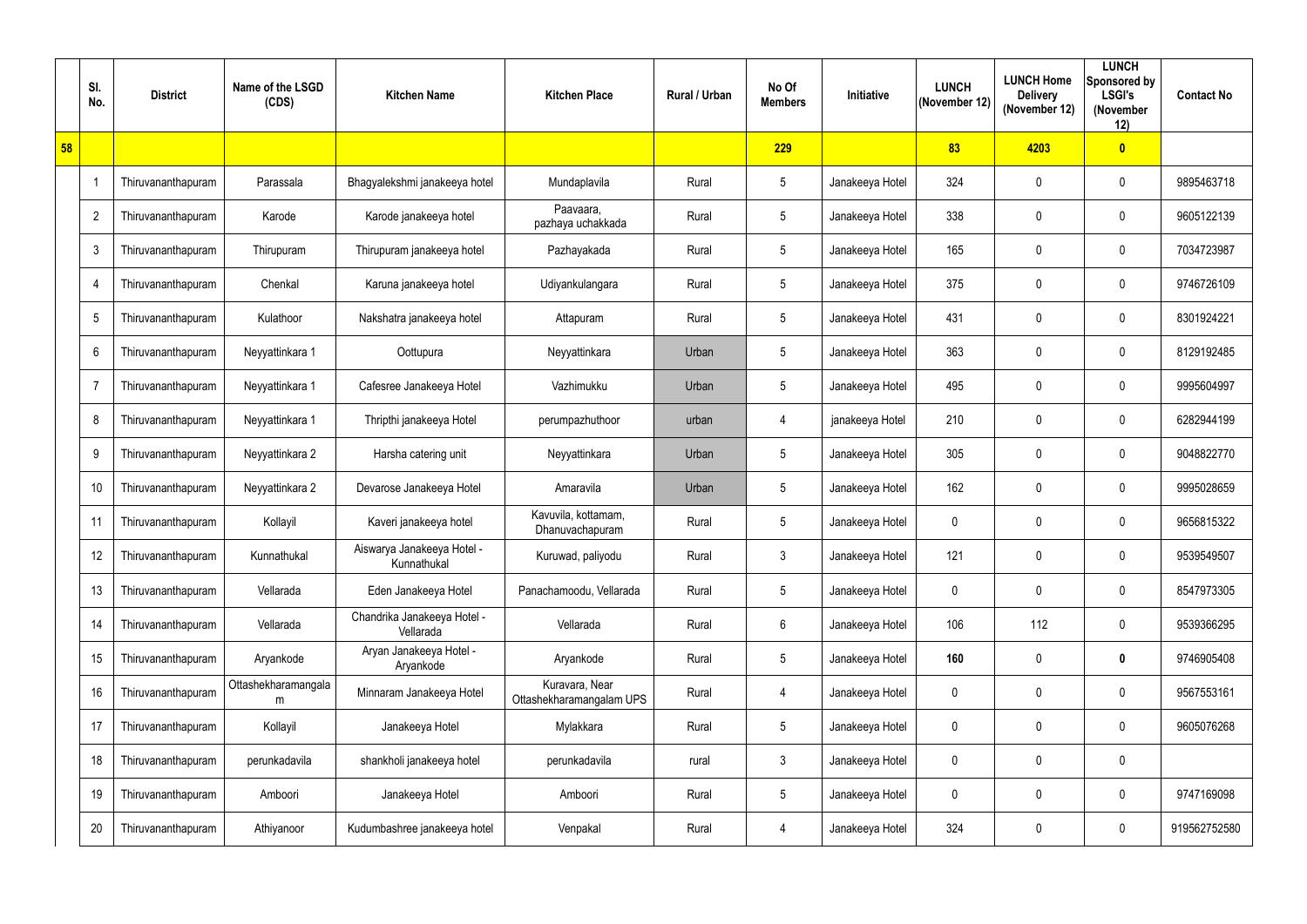|    | SI.<br>No.     | <b>District</b>    | Name of the LSGD<br>(CDS) | <b>Kitchen Name</b>                       | <b>Kitchen Place</b>                       | <b>Rural / Urban</b> | No Of<br><b>Members</b> | Initiative      | <b>LUNCH</b><br>(November 12) | <b>LUNCH Home</b><br><b>Delivery</b><br>(November 12) | <b>LUNCH</b><br>Sponsored by<br><b>LSGI's</b><br>(November<br>12) | <b>Contact No</b> |
|----|----------------|--------------------|---------------------------|-------------------------------------------|--------------------------------------------|----------------------|-------------------------|-----------------|-------------------------------|-------------------------------------------------------|-------------------------------------------------------------------|-------------------|
| 58 |                |                    |                           |                                           |                                            |                      | 229                     |                 | 83                            | 4203                                                  | $\overline{\mathbf{0}}$                                           |                   |
|    | -1             | Thiruvananthapuram | Parassala                 | Bhagyalekshmi janakeeya hotel             | Mundaplavila                               | Rural                | $5\phantom{.0}$         | Janakeeya Hotel | 324                           | $\mathbf 0$                                           | $\mathbf 0$                                                       | 9895463718        |
|    | $\overline{2}$ | Thiruvananthapuram | Karode                    | Karode janakeeya hotel                    | Paavaara,<br>pazhaya uchakkada             | Rural                | $5\overline{)}$         | Janakeeya Hotel | 338                           | $\mathbf 0$                                           | $\mathbf 0$                                                       | 9605122139        |
|    | 3              | Thiruvananthapuram | Thirupuram                | Thirupuram janakeeya hotel                | Pazhayakada                                | Rural                | $5\phantom{.0}$         | Janakeeya Hotel | 165                           | $\boldsymbol{0}$                                      | $\mathbf 0$                                                       | 7034723987        |
|    | 4              | Thiruvananthapuram | Chenkal                   | Karuna janakeeya hotel                    | Udiyankulangara                            | Rural                | $5\phantom{.0}$         | Janakeeya Hotel | 375                           | $\boldsymbol{0}$                                      | $\mathbf 0$                                                       | 9746726109        |
|    | 5              | Thiruvananthapuram | Kulathoor                 | Nakshatra janakeeya hotel                 | Attapuram                                  | Rural                | $5\phantom{.0}$         | Janakeeya Hotel | 431                           | $\mathbf 0$                                           | $\mathbf 0$                                                       | 8301924221        |
|    | $6\phantom{.}$ | Thiruvananthapuram | Neyyattinkara 1           | Oottupura                                 | Neyyattinkara                              | Urban                | $5\phantom{.0}$         | Janakeeya Hotel | 363                           | $\mathbf 0$                                           | $\mathbf 0$                                                       | 8129192485        |
|    | $\overline{7}$ | Thiruvananthapuram | Neyyattinkara 1           | Cafesree Janakeeya Hotel                  | Vazhimukku                                 | Urban                | $\overline{5}$          | Janakeeya Hotel | 495                           | $\mathbf 0$                                           | $\mathbf 0$                                                       | 9995604997        |
|    | 8              | Thiruvananthapuram | Neyyattinkara 1           | Thripthi janakeeya Hotel                  | perumpazhuthoor                            | urban                | $\overline{4}$          | janakeeya Hotel | 210                           | $\mathbf 0$                                           | $\mathbf 0$                                                       | 6282944199        |
|    | 9              | Thiruvananthapuram | Neyyattinkara 2           | Harsha catering unit                      | Neyyattinkara                              | Urban                | $5\phantom{.0}$         | Janakeeya Hotel | 305                           | 0                                                     | $\overline{0}$                                                    | 9048822770        |
|    | 10             | Thiruvananthapuram | Neyyattinkara 2           | Devarose Janakeeya Hotel                  | Amaravila                                  | Urban                | $5\phantom{.0}$         | Janakeeya Hotel | 162                           | $\boldsymbol{0}$                                      | $\mathbf 0$                                                       | 9995028659        |
|    | 11             | Thiruvananthapuram | Kollayil                  | Kaveri janakeeya hotel                    | Kavuvila, kottamam,<br>Dhanuvachapuram     | Rural                | 5 <sup>5</sup>          | Janakeeya Hotel | $\mathbf 0$                   | 0                                                     | $\mathbf 0$                                                       | 9656815322        |
|    | 12             | Thiruvananthapuram | Kunnathukal               | Aiswarya Janakeeya Hotel -<br>Kunnathukal | Kuruwad, paliyodu                          | Rural                | $\mathfrak{Z}$          | Janakeeya Hotel | 121                           | $\mathbf 0$                                           | $\mathbf 0$                                                       | 9539549507        |
|    | 13             | Thiruvananthapuram | Vellarada                 | Eden Janakeeya Hotel                      | Panachamoodu, Vellarada                    | Rural                | $5\phantom{.0}$         | Janakeeya Hotel | $\boldsymbol{0}$              | $\boldsymbol{0}$                                      | $\mathbf 0$                                                       | 8547973305        |
|    | 14             | Thiruvananthapuram | Vellarada                 | Chandrika Janakeeya Hotel -<br>Vellarada  | Vellarada                                  | Rural                | $6\phantom{.}$          | Janakeeya Hotel | 106                           | 112                                                   | $\boldsymbol{0}$                                                  | 9539366295        |
|    | 15             | Thiruvananthapuram | Aryankode                 | Aryan Janakeeya Hotel -<br>Aryankode      | Aryankode                                  | Rural                | $5\overline{)}$         | Janakeeya Hotel | 160                           | $\pmb{0}$                                             | $\boldsymbol{0}$                                                  | 9746905408        |
|    | 16             | Thiruvananthapuram | Ottashekharamangala<br>m  | Minnaram Janakeeya Hotel                  | Kuravara, Near<br>Ottashekharamangalam UPS | Rural                | $\overline{4}$          | Janakeeya Hotel | $\mathbf 0$                   | $\pmb{0}$                                             | $\mathbf 0$                                                       | 9567553161        |
|    | 17             | Thiruvananthapuram | Kollayil                  | Janakeeya Hotel                           | Mylakkara                                  | Rural                | $5\overline{)}$         | Janakeeya Hotel | $\boldsymbol{0}$              | 0                                                     | $\mathbf 0$                                                       | 9605076268        |
|    | 18             | Thiruvananthapuram | perunkadavila             | shankholi janakeeya hotel                 | perunkadavila                              | rural                | 3 <sup>5</sup>          | Janakeeya Hotel | $\mathbf 0$                   | $\boldsymbol{0}$                                      | $\mathbf 0$                                                       |                   |
|    | 19             | Thiruvananthapuram | Amboori                   | Janakeeya Hotel                           | Amboori                                    | Rural                | $5\phantom{.0}$         | Janakeeya Hotel | $\boldsymbol{0}$              | 0                                                     | $\mathbf 0$                                                       | 9747169098        |
|    | 20             | Thiruvananthapuram | Athiyanoor                | Kudumbashree janakeeya hotel              | Venpakal                                   | Rural                | 4                       | Janakeeya Hotel | 324                           | $\pmb{0}$                                             | $\boldsymbol{0}$                                                  | 919562752580      |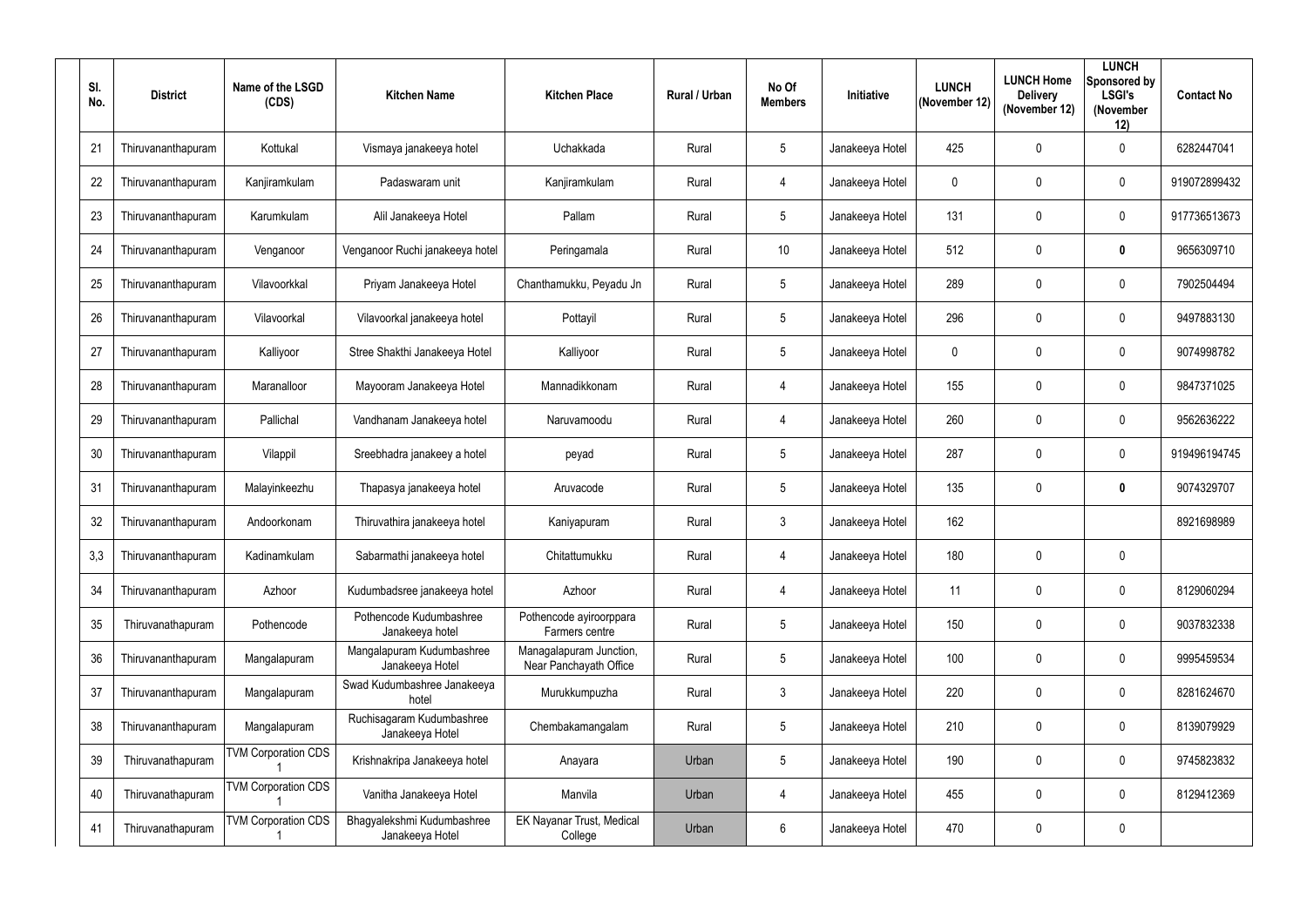| SI.<br>No. | <b>District</b>    | Name of the LSGD<br>(CDS)  | <b>Kitchen Name</b>                           | <b>Kitchen Place</b>                              | Rural / Urban | No Of<br><b>Members</b> | Initiative      | <b>LUNCH</b><br>(November 12) | <b>LUNCH Home</b><br><b>Delivery</b><br>(November 12) | <b>LUNCH</b><br>Sponsored by<br><b>LSGI's</b><br>(November<br>12) | <b>Contact No</b> |
|------------|--------------------|----------------------------|-----------------------------------------------|---------------------------------------------------|---------------|-------------------------|-----------------|-------------------------------|-------------------------------------------------------|-------------------------------------------------------------------|-------------------|
| 21         | Thiruvananthapuram | Kottukal                   | Vismaya janakeeya hotel                       | Uchakkada                                         | Rural         | $5\overline{)}$         | Janakeeya Hotel | 425                           | $\mathbf 0$                                           | $\overline{0}$                                                    | 6282447041        |
| 22         | Thiruvananthapuram | Kanjiramkulam              | Padaswaram unit                               | Kanjiramkulam                                     | Rural         | 4                       | Janakeeya Hotel | $\mathbf 0$                   | 0                                                     | $\overline{0}$                                                    | 919072899432      |
| 23         | Thiruvananthapuram | Karumkulam                 | Alil Janakeeya Hotel                          | Pallam                                            | Rural         | 5                       | Janakeeya Hotel | 131                           | $\mathbf 0$                                           | $\overline{0}$                                                    | 917736513673      |
| 24         | Thiruvananthapuram | Venganoor                  | Venganoor Ruchi janakeeya hotel               | Peringamala                                       | Rural         | 10 <sup>°</sup>         | Janakeeya Hotel | 512                           | 0                                                     | $\boldsymbol{0}$                                                  | 9656309710        |
| 25         | Thiruvananthapuram | Vilavoorkkal               | Priyam Janakeeya Hotel                        | Chanthamukku, Peyadu Jn                           | Rural         | $5\overline{)}$         | Janakeeya Hotel | 289                           | 0                                                     | $\overline{0}$                                                    | 7902504494        |
| 26         | Thiruvananthapuram | Vilavoorkal                | Vilavoorkal janakeeya hotel                   | Pottayil                                          | Rural         | $\sqrt{5}$              | Janakeeya Hotel | 296                           | $\mathbf 0$                                           | $\overline{0}$                                                    | 9497883130        |
| 27         | Thiruvananthapuram | Kalliyoor                  | Stree Shakthi Janakeeya Hotel                 | Kalliyoor                                         | Rural         | $5\overline{)}$         | Janakeeya Hotel | $\mathbf 0$                   | 0                                                     | $\overline{0}$                                                    | 9074998782        |
| 28         | Thiruvananthapuram | Maranalloor                | Mayooram Janakeeya Hotel                      | Mannadikkonam                                     | Rural         | 4                       | Janakeeya Hotel | 155                           | $\mathbf 0$                                           | $\overline{0}$                                                    | 9847371025        |
| 29         | Thiruvananthapuram | Pallichal                  | Vandhanam Janakeeya hotel                     | Naruvamoodu                                       | Rural         | $\overline{4}$          | Janakeeya Hotel | 260                           | $\mathbf 0$                                           | $\overline{0}$                                                    | 9562636222        |
| 30         | Thiruvananthapuram | Vilappil                   | Sreebhadra janakeey a hotel                   | peyad                                             | Rural         | $5\overline{)}$         | Janakeeya Hotel | 287                           | 0                                                     | $\overline{0}$                                                    | 919496194745      |
| 31         | Thiruvananthapuram | Malayinkeezhu              | Thapasya janakeeya hotel                      | Aruvacode                                         | Rural         | $\sqrt{5}$              | Janakeeya Hotel | 135                           | $\boldsymbol{0}$                                      | $\boldsymbol{0}$                                                  | 9074329707        |
| 32         | Thiruvananthapuram | Andoorkonam                | Thiruvathira janakeeya hotel                  | Kaniyapuram                                       | Rural         | $\mathfrak{Z}$          | Janakeeya Hotel | 162                           |                                                       |                                                                   | 8921698989        |
| 3,3        | Thiruvananthapuram | Kadinamkulam               | Sabarmathi janakeeya hotel                    | Chitattumukku                                     | Rural         | 4                       | Janakeeya Hotel | 180                           | $\mathbf 0$                                           | $\mathbf 0$                                                       |                   |
| 34         | Thiruvananthapuram | Azhoor                     | Kudumbadsree janakeeya hotel                  | Azhoor                                            | Rural         | $\overline{4}$          | Janakeeya Hotel | 11                            | $\mathbf 0$                                           | $\boldsymbol{0}$                                                  | 8129060294        |
| 35         | Thiruvanathapuram  | Pothencode                 | Pothencode Kudumbashree<br>Janakeeya hotel    | Pothencode ayiroorppara<br>Farmers centre         | Rural         | $\sqrt{5}$              | Janakeeya Hotel | 150                           | 0                                                     | $\mathbf 0$                                                       | 9037832338        |
| 36         | Thiruvananthapuram | Mangalapuram               | Mangalapuram Kudumbashree<br>Janakeeya Hotel  | Managalapuram Junction,<br>Near Panchayath Office | Rural         | $\sqrt{5}$              | Janakeeya Hotel | 100                           | $\mathbf 0$                                           | $\overline{0}$                                                    | 9995459534        |
| 37         | Thiruvananthapuram | Mangalapuram               | Swad Kudumbashree Janakeeya<br>hotel          | Murukkumpuzha                                     | Rural         | $\mathfrak{Z}$          | Janakeeya Hotel | 220                           | $\pmb{0}$                                             | $\mathbf 0$                                                       | 8281624670        |
| 38         | Thiruvananthapuram | Mangalapuram               | Ruchisagaram Kudumbashree<br>Janakeeya Hotel  | Chembakamangalam                                  | Rural         | $5\phantom{.0}$         | Janakeeya Hotel | 210                           | $\mathbf 0$                                           | $\mathbf 0$                                                       | 8139079929        |
| 39         | Thiruvanathapuram  | <b>TVM Corporation CDS</b> | Krishnakripa Janakeeya hotel                  | Anayara                                           | Urban         | $5\phantom{.0}$         | Janakeeya Hotel | 190                           | $\mathbf 0$                                           | $\mathbf 0$                                                       | 9745823832        |
| 40         | Thiruvanathapuram  | <b>TVM Corporation CDS</b> | Vanitha Janakeeya Hotel                       | Manvila                                           | Urban         | $\overline{4}$          | Janakeeya Hotel | 455                           | $\boldsymbol{0}$                                      | $\boldsymbol{0}$                                                  | 8129412369        |
| 41         | Thiruvanathapuram  | <b>TVM Corporation CDS</b> | Bhagyalekshmi Kudumbashree<br>Janakeeya Hotel | <b>EK Nayanar Trust, Medical</b><br>College       | Urban         | $6\phantom{.0}$         | Janakeeya Hotel | 470                           | $\boldsymbol{0}$                                      | $\boldsymbol{0}$                                                  |                   |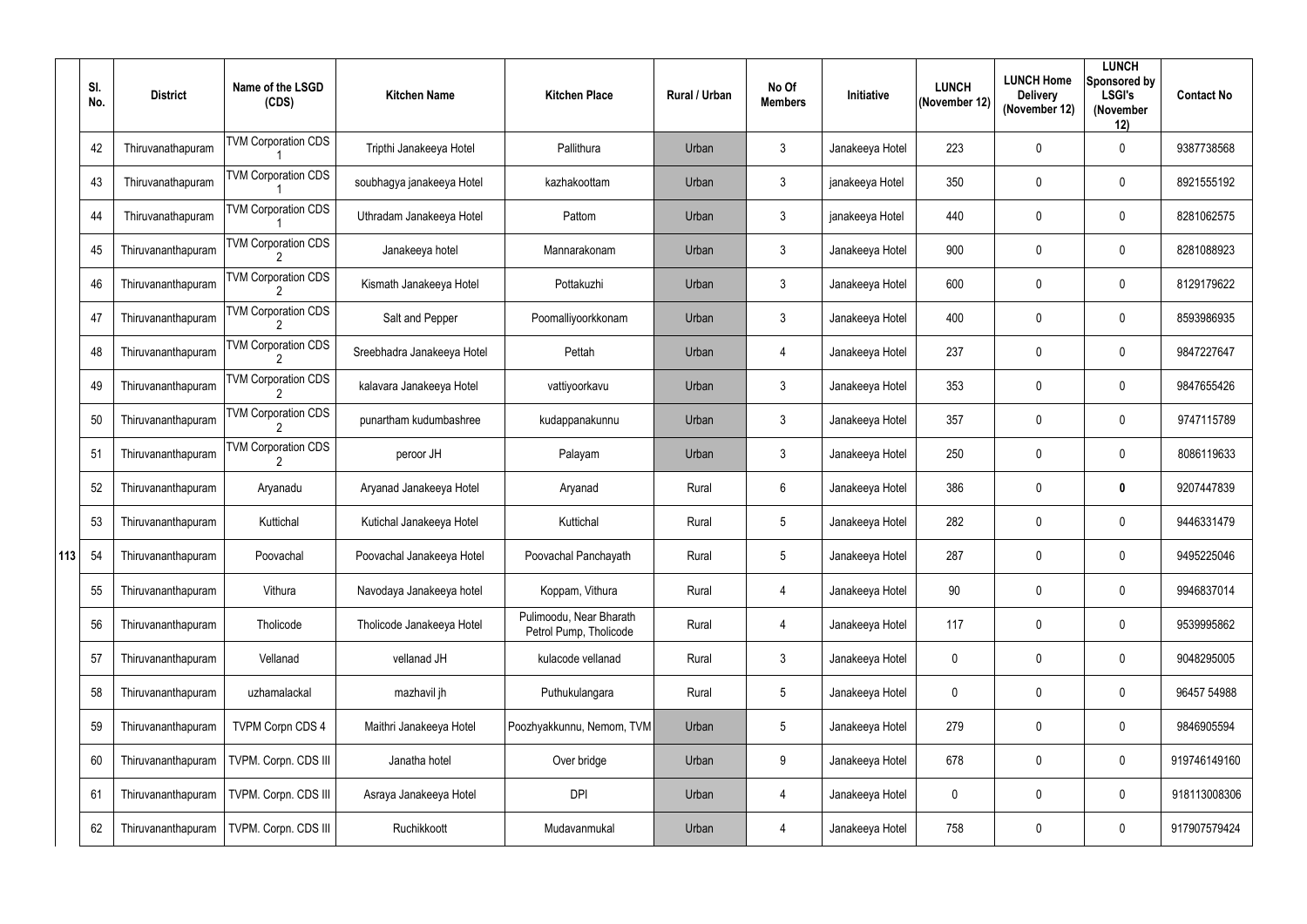|     | SI.<br>No. | <b>District</b>    | Name of the LSGD<br>(CDS)  | <b>Kitchen Name</b>        | <b>Kitchen Place</b>                              | Rural / Urban | No Of<br><b>Members</b> | <b>Initiative</b> | <b>LUNCH</b><br>(November 12) | <b>LUNCH Home</b><br><b>Delivery</b><br>(November 12) | <b>LUNCH</b><br>Sponsored by<br><b>LSGI's</b><br>(November<br>12) | <b>Contact No</b> |
|-----|------------|--------------------|----------------------------|----------------------------|---------------------------------------------------|---------------|-------------------------|-------------------|-------------------------------|-------------------------------------------------------|-------------------------------------------------------------------|-------------------|
|     | 42         | Thiruvanathapuram  | <b>TVM Corporation CDS</b> | Tripthi Janakeeya Hotel    | Pallithura                                        | Urban         | $\mathfrak{Z}$          | Janakeeya Hotel   | 223                           | 0                                                     | $\mathbf 0$                                                       | 9387738568        |
|     | 43         | Thiruvanathapuram  | <b>TVM Corporation CDS</b> | soubhagya janakeeya Hotel  | kazhakoottam                                      | Urban         | $\mathfrak{Z}$          | janakeeya Hotel   | 350                           | 0                                                     | $\mathbf 0$                                                       | 8921555192        |
|     | 44         | Thiruvanathapuram  | <b>TVM Corporation CDS</b> | Uthradam Janakeeya Hotel   | Pattom                                            | Urban         | $\mathfrak{Z}$          | janakeeya Hotel   | 440                           | $\mathbf 0$                                           | $\mathbf 0$                                                       | 8281062575        |
|     | 45         | Thiruvananthapuram | <b>TVM Corporation CDS</b> | Janakeeya hotel            | Mannarakonam                                      | Urban         | $\mathfrak{Z}$          | Janakeeya Hotel   | 900                           | $\mathbf 0$                                           | $\mathbf 0$                                                       | 8281088923        |
|     | 46         | Thiruvananthapuram | <b>TVM Corporation CDS</b> | Kismath Janakeeya Hotel    | Pottakuzhi                                        | Urban         | $\mathfrak{Z}$          | Janakeeya Hotel   | 600                           | 0                                                     | $\mathbf 0$                                                       | 8129179622        |
|     | 47         | Thiruvananthapuram | <b>TVM Corporation CDS</b> | Salt and Pepper            | Poomalliyoorkkonam                                | Urban         | $\mathfrak{Z}$          | Janakeeya Hotel   | 400                           | 0                                                     | $\mathbf 0$                                                       | 8593986935        |
|     | 48         | Thiruvananthapuram | <b>TVM Corporation CDS</b> | Sreebhadra Janakeeya Hotel | Pettah                                            | Urban         | 4                       | Janakeeya Hotel   | 237                           | 0                                                     | $\mathbf 0$                                                       | 9847227647        |
|     | 49         | Thiruvananthapuram | <b>TVM Corporation CDS</b> | kalavara Janakeeya Hotel   | vattiyoorkavu                                     | Urban         | $\mathfrak{Z}$          | Janakeeya Hotel   | 353                           | 0                                                     | $\mathbf 0$                                                       | 9847655426        |
|     | 50         | Thiruvananthapuram | <b>TVM Corporation CDS</b> | punartham kudumbashree     | kudappanakunnu                                    | Urban         | $\mathfrak{Z}$          | Janakeeya Hotel   | 357                           | $\mathbf 0$                                           | $\mathbf 0$                                                       | 9747115789        |
|     | 51         | Thiruvananthapuram | <b>TVM Corporation CDS</b> | peroor JH                  | Palayam                                           | Urban         | $\mathbf{3}$            | Janakeeya Hotel   | 250                           | 0                                                     | $\mathbf 0$                                                       | 8086119633        |
|     | 52         | Thiruvananthapuram | Aryanadu                   | Aryanad Janakeeya Hotel    | Aryanad                                           | Rural         | $6\phantom{.}$          | Janakeeya Hotel   | 386                           | 0                                                     | $\mathbf{0}$                                                      | 9207447839        |
|     | 53         | Thiruvananthapuram | Kuttichal                  | Kutichal Janakeeya Hotel   | Kuttichal                                         | Rural         | $5\phantom{.0}$         | Janakeeya Hotel   | 282                           | 0                                                     | $\mathbf 0$                                                       | 9446331479        |
| 113 | 54         | Thiruvananthapuram | Poovachal                  | Poovachal Janakeeya Hotel  | Poovachal Panchayath                              | Rural         | 5                       | Janakeeya Hotel   | 287                           | 0                                                     | $\mathbf 0$                                                       | 9495225046        |
|     | 55         | Thiruvananthapuram | Vithura                    | Navodaya Janakeeya hotel   | Koppam, Vithura                                   | Rural         | $\overline{4}$          | Janakeeya Hotel   | 90                            | 0                                                     | $\overline{0}$                                                    | 9946837014        |
|     | 56         | Thiruvananthapuram | Tholicode                  | Tholicode Janakeeya Hotel  | Pulimoodu, Near Bharath<br>Petrol Pump, Tholicode | Rural         | $\overline{4}$          | Janakeeya Hotel   | 117                           | 0                                                     | $\overline{0}$                                                    | 9539995862        |
|     | 57         | Thiruvananthapuram | Vellanad                   | vellanad JH                | kulacode vellanad                                 | Rural         | $\mathfrak{Z}$          | Janakeeya Hotel   | $\mathbf 0$                   | 0                                                     | $\overline{0}$                                                    | 9048295005        |
|     | 58         | Thiruvananthapuram | uzhamalackal               | mazhavil jh                | Puthukulangara                                    | Rural         | $5\phantom{.0}$         | Janakeeya Hotel   | $\mathbf 0$                   | 0                                                     | $\overline{0}$                                                    | 96457 54988       |
|     | 59         | Thiruvananthapuram | <b>TVPM Corpn CDS 4</b>    | Maithri Janakeeya Hotel    | Poozhyakkunnu, Nemom, TVM                         | Urban         | $5\phantom{.0}$         | Janakeeya Hotel   | 279                           | 0                                                     | $\overline{0}$                                                    | 9846905594        |
|     | 60         | Thiruvananthapuram | TVPM. Corpn. CDS III       | Janatha hotel              | Over bridge                                       | Urban         | 9                       | Janakeeya Hotel   | 678                           | 0                                                     | $\overline{0}$                                                    | 919746149160      |
|     | 61         | Thiruvananthapuram | TVPM. Corpn. CDS III       | Asraya Janakeeya Hotel     | <b>DPI</b>                                        | Urban         | 4                       | Janakeeya Hotel   | $\mathbf 0$                   | 0                                                     | $\overline{0}$                                                    | 918113008306      |
|     | 62         | Thiruvananthapuram | TVPM. Corpn. CDS III       | Ruchikkoott                | Mudavanmukal                                      | Urban         | 4                       | Janakeeya Hotel   | 758                           | $\boldsymbol{0}$                                      | $\overline{0}$                                                    | 917907579424      |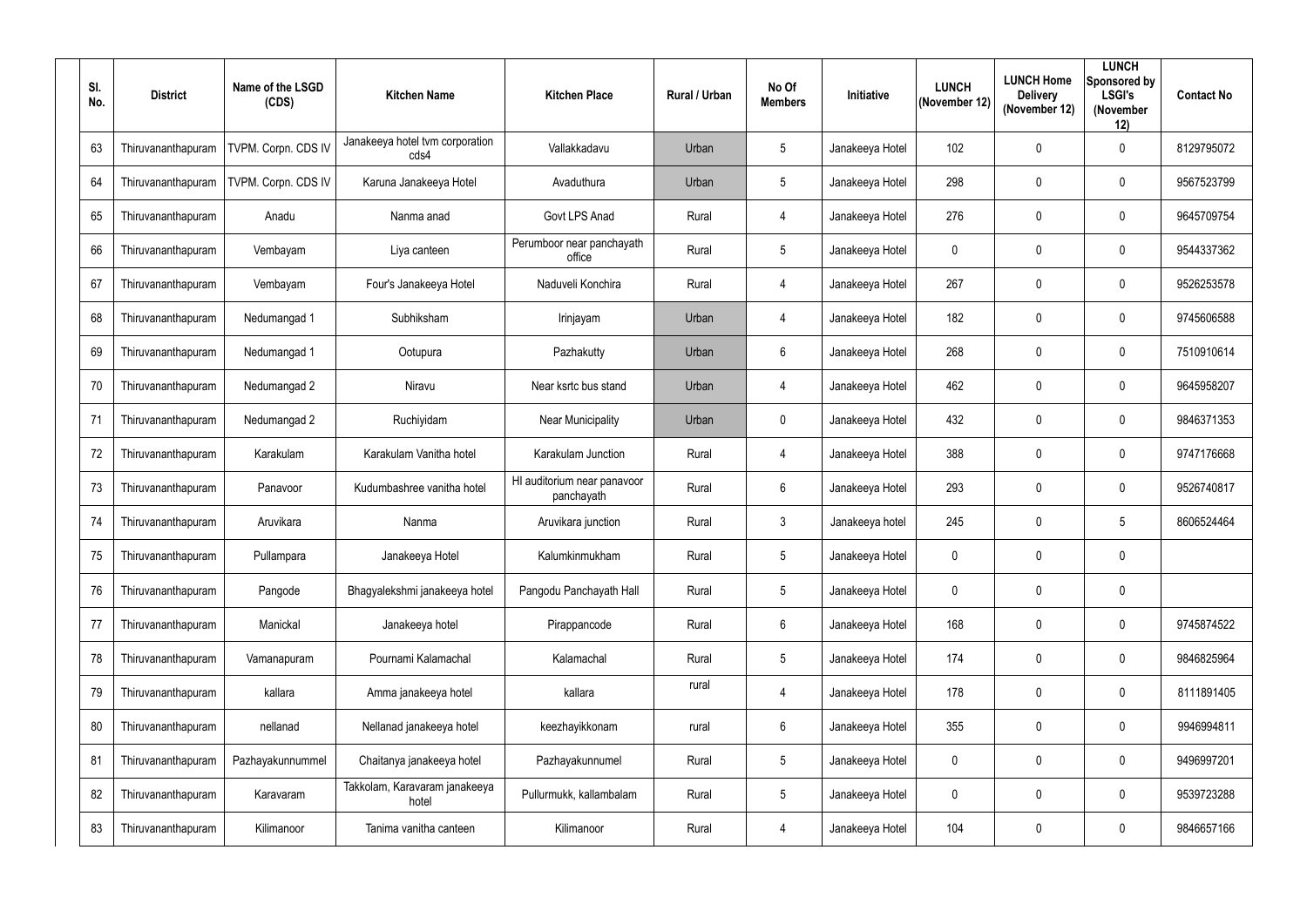| SI.<br>No. | <b>District</b>    | Name of the LSGD<br>(CDS) | <b>Kitchen Name</b>                     | <b>Kitchen Place</b>                      | <b>Rural / Urban</b> | No Of<br><b>Members</b> | Initiative      | <b>LUNCH</b><br>(November 12) | <b>LUNCH Home</b><br><b>Delivery</b><br>(November 12) | <b>LUNCH</b><br>Sponsored by<br><b>LSGI's</b><br>(November<br>12) | <b>Contact No</b> |
|------------|--------------------|---------------------------|-----------------------------------------|-------------------------------------------|----------------------|-------------------------|-----------------|-------------------------------|-------------------------------------------------------|-------------------------------------------------------------------|-------------------|
| 63         | Thiruvananthapuram | TVPM. Corpn. CDS IV       | Janakeeya hotel tvm corporation<br>cds4 | Vallakkadavu                              | Urban                | 5                       | Janakeeya Hotel | 102                           | $\mathbf 0$                                           | $\overline{0}$                                                    | 8129795072        |
| 64         | Thiruvananthapuram | TVPM. Corpn. CDS IV       | Karuna Janakeeya Hotel                  | Avaduthura                                | Urban                | $5\phantom{.0}$         | Janakeeya Hotel | 298                           | $\mathbf 0$                                           | $\overline{0}$                                                    | 9567523799        |
| 65         | Thiruvananthapuram | Anadu                     | Nanma anad                              | Govt LPS Anad                             | Rural                | $\overline{4}$          | Janakeeya Hotel | 276                           | $\mathbf 0$                                           | $\overline{0}$                                                    | 9645709754        |
| 66         | Thiruvananthapuram | Vembayam                  | Liya canteen                            | Perumboor near panchayath<br>office       | Rural                | 5                       | Janakeeya Hotel | $\mathbf 0$                   | $\mathbf 0$                                           | $\overline{0}$                                                    | 9544337362        |
| 67         | Thiruvananthapuram | Vembayam                  | Four's Janakeeya Hotel                  | Naduveli Konchira                         | Rural                | 4                       | Janakeeya Hotel | 267                           | $\mathbf 0$                                           | $\overline{0}$                                                    | 9526253578        |
| 68         | Thiruvananthapuram | Nedumangad 1              | Subhiksham                              | Irinjayam                                 | Urban                | $\overline{4}$          | Janakeeya Hotel | 182                           | $\mathbf 0$                                           | $\overline{0}$                                                    | 9745606588        |
| 69         | Thiruvananthapuram | Nedumangad 1              | Ootupura                                | Pazhakutty                                | Urban                | 6                       | Janakeeya Hotel | 268                           | $\mathbf 0$                                           | $\overline{0}$                                                    | 7510910614        |
| 70         | Thiruvananthapuram | Nedumangad 2              | Niravu                                  | Near ksrtc bus stand                      | Urban                | $\overline{4}$          | Janakeeya Hotel | 462                           | $\mathbf 0$                                           | $\overline{0}$                                                    | 9645958207        |
| 71         | Thiruvananthapuram | Nedumangad 2              | Ruchiyidam                              | <b>Near Municipality</b>                  | Urban                | $\pmb{0}$               | Janakeeya Hotel | 432                           | $\mathbf 0$                                           | $\overline{0}$                                                    | 9846371353        |
| 72         | Thiruvananthapuram | Karakulam                 | Karakulam Vanitha hotel                 | Karakulam Junction                        | Rural                | 4                       | Janakeeya Hotel | 388                           | 0                                                     | $\overline{0}$                                                    | 9747176668        |
| 73         | Thiruvananthapuram | Panavoor                  | Kudumbashree vanitha hotel              | HI auditorium near panavoor<br>panchayath | Rural                | $6\phantom{.}$          | Janakeeya Hotel | 293                           | $\boldsymbol{0}$                                      | $\overline{0}$                                                    | 9526740817        |
| 74         | Thiruvananthapuram | Aruvikara                 | Nanma                                   | Aruvikara junction                        | Rural                | $\mathbf{3}$            | Janakeeya hotel | 245                           | $\boldsymbol{0}$                                      | 5                                                                 | 8606524464        |
| 75         | Thiruvananthapuram | Pullampara                | Janakeeya Hotel                         | Kalumkinmukham                            | Rural                | $5\phantom{.0}$         | Janakeeya Hotel | $\mathbf 0$                   | $\overline{0}$                                        | $\mathbf 0$                                                       |                   |
| 76         | Thiruvananthapuram | Pangode                   | Bhagyalekshmi janakeeya hotel           | Pangodu Panchayath Hall                   | Rural                | $\sqrt{5}$              | Janakeeya Hotel | $\mathbf 0$                   | $\boldsymbol{0}$                                      | $\mathbf 0$                                                       |                   |
| 77         | Thiruvananthapuram | Manickal                  | Janakeeya hotel                         | Pirappancode                              | Rural                | $6\,$                   | Janakeeya Hotel | 168                           | $\boldsymbol{0}$                                      | $\mathbf 0$                                                       | 9745874522        |
| 78         | Thiruvananthapuram | Vamanapuram               | Pournami Kalamachal                     | Kalamachal                                | Rural                | $\sqrt{5}$              | Janakeeya Hotel | 174                           | $\boldsymbol{0}$                                      | $\boldsymbol{0}$                                                  | 9846825964        |
| 79         | Thiruvananthapuram | kallara                   | Amma janakeeya hotel                    | kallara                                   | rural                | $\overline{4}$          | Janakeeya Hotel | 178                           | $\pmb{0}$                                             | $\mathbf 0$                                                       | 8111891405        |
| 80         | Thiruvananthapuram | nellanad                  | Nellanad janakeeya hotel                | keezhayikkonam                            | rural                | $6\,$                   | Janakeeya Hotel | 355                           | $\pmb{0}$                                             | $\mathbf 0$                                                       | 9946994811        |
| 81         | Thiruvananthapuram | Pazhayakunnummel          | Chaitanya janakeeya hotel               | Pazhayakunnumel                           | Rural                | $5\phantom{.0}$         | Janakeeya Hotel | $\mathbf 0$                   | $\boldsymbol{0}$                                      | $\mathbf 0$                                                       | 9496997201        |
| 82         | Thiruvananthapuram | Karavaram                 | Takkolam, Karavaram janakeeya<br>hotel  | Pullurmukk, kallambalam                   | Rural                | $\sqrt{5}$              | Janakeeya Hotel | $\boldsymbol{0}$              | $\boldsymbol{0}$                                      | $\mathbf 0$                                                       | 9539723288        |
| 83         | Thiruvananthapuram | Kilimanoor                | Tanima vanitha canteen                  | Kilimanoor                                | Rural                | $\overline{4}$          | Janakeeya Hotel | 104                           | $\boldsymbol{0}$                                      | $\boldsymbol{0}$                                                  | 9846657166        |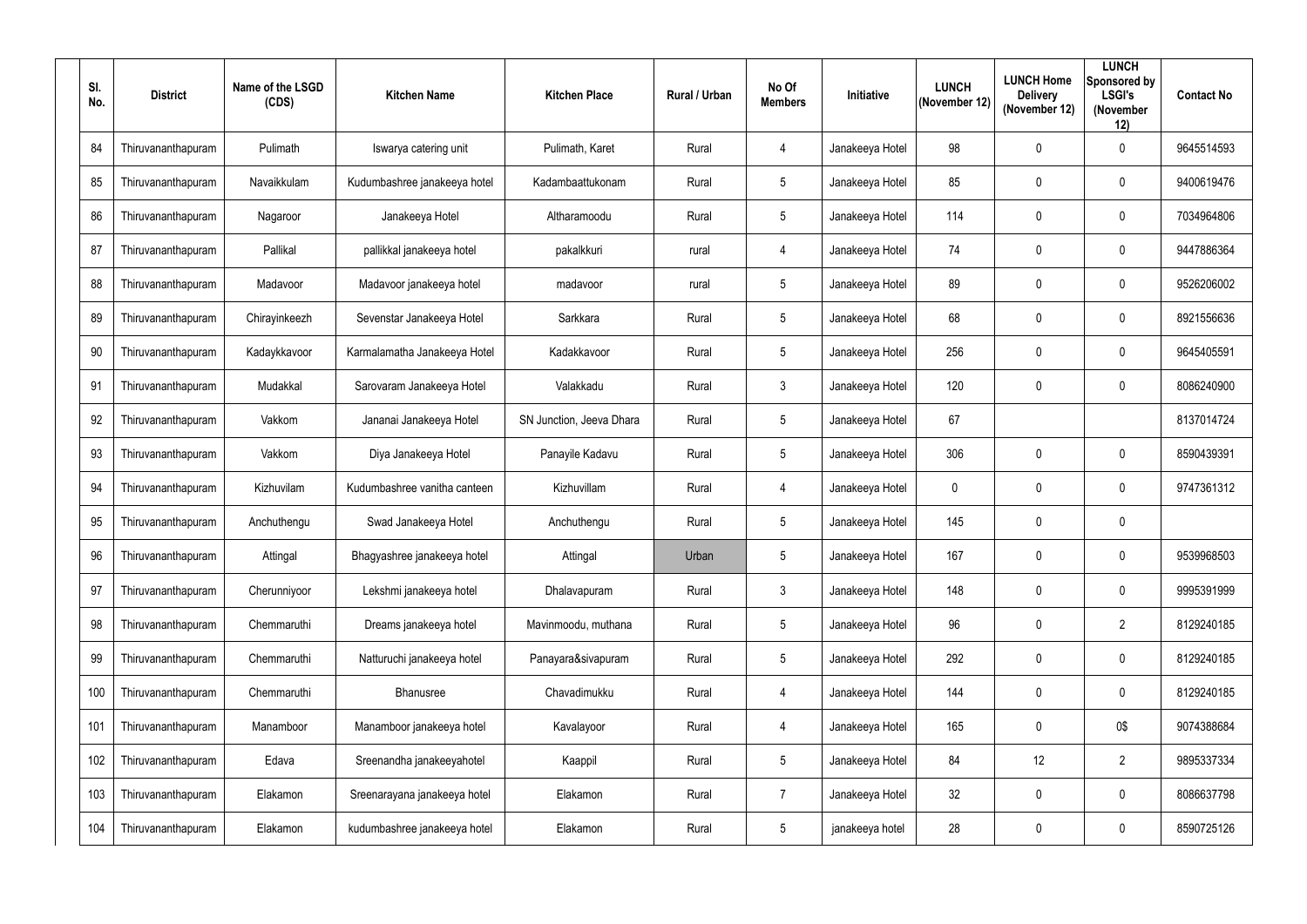| SI.<br>No. | <b>District</b>    | Name of the LSGD<br>(CDS) | <b>Kitchen Name</b>          | <b>Kitchen Place</b>     | Rural / Urban | No Of<br><b>Members</b> | Initiative      | <b>LUNCH</b><br>(November 12) | <b>LUNCH Home</b><br><b>Delivery</b><br>(November 12) | <b>LUNCH</b><br>Sponsored by<br><b>LSGI's</b><br>(November<br>12) | <b>Contact No</b> |
|------------|--------------------|---------------------------|------------------------------|--------------------------|---------------|-------------------------|-----------------|-------------------------------|-------------------------------------------------------|-------------------------------------------------------------------|-------------------|
| 84         | Thiruvananthapuram | Pulimath                  | Iswarya catering unit        | Pulimath, Karet          | Rural         | $\overline{4}$          | Janakeeya Hotel | 98                            | $\mathbf 0$                                           | $\mathbf 0$                                                       | 9645514593        |
| 85         | Thiruvananthapuram | Navaikkulam               | Kudumbashree janakeeya hotel | Kadambaattukonam         | Rural         | $5\phantom{.0}$         | Janakeeya Hotel | 85                            | $\mathbf 0$                                           | $\mathbf 0$                                                       | 9400619476        |
| 86         | Thiruvananthapuram | Nagaroor                  | Janakeeya Hotel              | Altharamoodu             | Rural         | 5                       | Janakeeya Hotel | 114                           | $\mathbf 0$                                           | $\mathbf 0$                                                       | 7034964806        |
| 87         | Thiruvananthapuram | Pallikal                  | pallikkal janakeeya hotel    | pakalkkuri               | rural         | $\overline{4}$          | Janakeeya Hotel | 74                            | $\mathbf 0$                                           | $\mathbf 0$                                                       | 9447886364        |
| 88         | Thiruvananthapuram | Madavoor                  | Madavoor janakeeya hotel     | madavoor                 | rural         | $5\overline{)}$         | Janakeeya Hotel | 89                            | $\mathbf 0$                                           | $\mathbf 0$                                                       | 9526206002        |
| 89         | Thiruvananthapuram | Chirayinkeezh             | Sevenstar Janakeeya Hotel    | Sarkkara                 | Rural         | 5                       | Janakeeya Hotel | 68                            | $\mathbf 0$                                           | $\mathbf 0$                                                       | 8921556636        |
| 90         | Thiruvananthapuram | Kadaykkavoor              | Karmalamatha Janakeeya Hotel | Kadakkavoor              | Rural         | $5\phantom{.0}$         | Janakeeya Hotel | 256                           | $\mathbf 0$                                           | $\mathbf 0$                                                       | 9645405591        |
| 91         | Thiruvananthapuram | Mudakkal                  | Sarovaram Janakeeya Hotel    | Valakkadu                | Rural         | $\mathbf{3}$            | Janakeeya Hotel | 120                           | $\mathbf 0$                                           | $\mathbf 0$                                                       | 8086240900        |
| 92         | Thiruvananthapuram | Vakkom                    | Jananai Janakeeya Hotel      | SN Junction, Jeeva Dhara | Rural         | 5                       | Janakeeya Hotel | 67                            |                                                       |                                                                   | 8137014724        |
| 93         | Thiruvananthapuram | Vakkom                    | Diya Janakeeya Hotel         | Panayile Kadavu          | Rural         | $5\overline{)}$         | Janakeeya Hotel | 306                           | $\mathbf 0$                                           | $\mathbf 0$                                                       | 8590439391        |
| 94         | Thiruvananthapuram | Kizhuvilam                | Kudumbashree vanitha canteen | Kizhuvillam              | Rural         | $\overline{4}$          | Janakeeya Hotel | $\mathbf 0$                   | $\mathbf 0$                                           | $\mathbf 0$                                                       | 9747361312        |
| 95         | Thiruvananthapuram | Anchuthengu               | Swad Janakeeya Hotel         | Anchuthengu              | Rural         | $5\phantom{.0}$         | Janakeeya Hotel | 145                           | $\boldsymbol{0}$                                      | $\mathbf 0$                                                       |                   |
| 96         | Thiruvananthapuram | Attingal                  | Bhagyashree janakeeya hotel  | Attingal                 | Urban         | $5\phantom{.0}$         | Janakeeya Hotel | 167                           | $\mathbf 0$                                           | $\mathbf 0$                                                       | 9539968503        |
| 97         | Thiruvananthapuram | Cherunniyoor              | Lekshmi janakeeya hotel      | Dhalavapuram             | Rural         | $\mathfrak{Z}$          | Janakeeya Hotel | 148                           | $\mathbf 0$                                           | $\pmb{0}$                                                         | 9995391999        |
| 98         | Thiruvananthapuram | Chemmaruthi               | Dreams janakeeya hotel       | Mavinmoodu, muthana      | Rural         | $\sqrt{5}$              | Janakeeya Hotel | 96                            | $\mathbf 0$                                           | $\overline{2}$                                                    | 8129240185        |
| 99         | Thiruvananthapuram | Chemmaruthi               | Natturuchi janakeeya hotel   | Panayara&sivapuram       | Rural         | $5\phantom{.0}$         | Janakeeya Hotel | 292                           | $\mathbf 0$                                           | $\pmb{0}$                                                         | 8129240185        |
| 100        | Thiruvananthapuram | Chemmaruthi               | Bhanusree                    | Chavadimukku             | Rural         | $\overline{4}$          | Janakeeya Hotel | 144                           | $\pmb{0}$                                             | $\boldsymbol{0}$                                                  | 8129240185        |
| 101        | Thiruvananthapuram | Manamboor                 | Manamboor janakeeya hotel    | Kavalayoor               | Rural         | $\overline{4}$          | Janakeeya Hotel | 165                           | $\boldsymbol{0}$                                      | 0\$                                                               | 9074388684        |
| 102        | Thiruvananthapuram | Edava                     | Sreenandha janakeeyahotel    | Kaappil                  | Rural         | $5\phantom{.0}$         | Janakeeya Hotel | 84                            | 12                                                    | $\overline{2}$                                                    | 9895337334        |
| 103        | Thiruvananthapuram | Elakamon                  | Sreenarayana janakeeya hotel | Elakamon                 | Rural         | $\overline{7}$          | Janakeeya Hotel | 32                            | $\boldsymbol{0}$                                      | $\boldsymbol{0}$                                                  | 8086637798        |
| 104        | Thiruvananthapuram | Elakamon                  | kudumbashree janakeeya hotel | Elakamon                 | Rural         | $\sqrt{5}$              | janakeeya hotel | 28                            | $\boldsymbol{0}$                                      | $\boldsymbol{0}$                                                  | 8590725126        |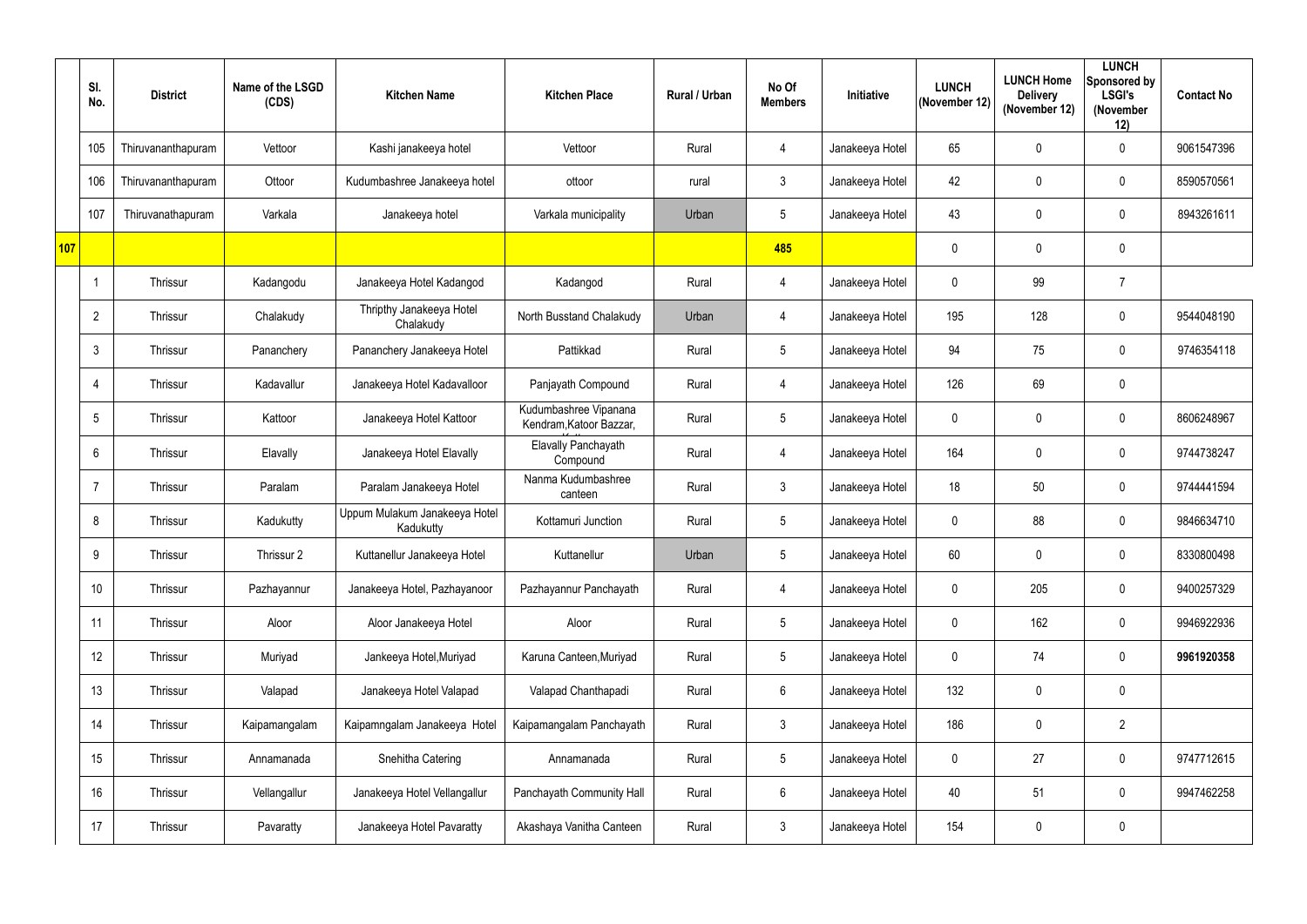|     | SI.<br>No.      | <b>District</b>    | Name of the LSGD<br>(CDS) | <b>Kitchen Name</b>                        | <b>Kitchen Place</b>                             | Rural / Urban | No Of<br><b>Members</b> | Initiative      | <b>LUNCH</b><br>(November 12) | <b>LUNCH Home</b><br><b>Delivery</b><br>(November 12) | <b>LUNCH</b><br>Sponsored by<br><b>LSGI's</b><br>(November<br>12) | <b>Contact No</b> |
|-----|-----------------|--------------------|---------------------------|--------------------------------------------|--------------------------------------------------|---------------|-------------------------|-----------------|-------------------------------|-------------------------------------------------------|-------------------------------------------------------------------|-------------------|
|     | 105             | Thiruvananthapuram | Vettoor                   | Kashi janakeeya hotel                      | Vettoor                                          | Rural         | $\overline{4}$          | Janakeeya Hotel | 65                            | 0                                                     | $\overline{0}$                                                    | 9061547396        |
|     | 106             | Thiruvananthapuram | Ottoor                    | Kudumbashree Janakeeya hotel               | ottoor                                           | rural         | $\mathfrak{Z}$          | Janakeeya Hotel | 42                            | 0                                                     | $\mathbf 0$                                                       | 8590570561        |
|     | 107             | Thiruvanathapuram  | Varkala                   | Janakeeya hotel                            | Varkala municipality                             | Urban         | 5                       | Janakeeya Hotel | 43                            | $\mathbf 0$                                           | $\overline{0}$                                                    | 8943261611        |
| 107 |                 |                    |                           |                                            |                                                  |               | 485                     |                 | $\mathbf 0$                   | $\mathbf 0$                                           | $\mathbf 0$                                                       |                   |
|     |                 | Thrissur           | Kadangodu                 | Janakeeya Hotel Kadangod                   | Kadangod                                         | Rural         | $\overline{4}$          | Janakeeya Hotel | $\mathbf 0$                   | 99                                                    | $\overline{7}$                                                    |                   |
|     | $\overline{2}$  | Thrissur           | Chalakudy                 | Thripthy Janakeeya Hotel<br>Chalakudy      | North Busstand Chalakudy                         | Urban         | $\overline{4}$          | Janakeeya Hotel | 195                           | 128                                                   | $\overline{0}$                                                    | 9544048190        |
|     | 3               | Thrissur           | Pananchery                | Pananchery Janakeeya Hotel                 | Pattikkad                                        | Rural         | 5                       | Janakeeya Hotel | 94                            | 75                                                    | $\overline{0}$                                                    | 9746354118        |
|     | 4               | Thrissur           | Kadavallur                | Janakeeya Hotel Kadavalloor                | Panjayath Compound                               | Rural         | $\overline{4}$          | Janakeeya Hotel | 126                           | 69                                                    | $\mathbf 0$                                                       |                   |
|     | $5\overline{)}$ | Thrissur           | Kattoor                   | Janakeeya Hotel Kattoor                    | Kudumbashree Vipanana<br>Kendram, Katoor Bazzar, | Rural         | 5                       | Janakeeya Hotel | $\mathbf 0$                   | 0                                                     | $\overline{0}$                                                    | 8606248967        |
|     | 6               | Thrissur           | Elavally                  | Janakeeya Hotel Elavally                   | <b>Elavally Panchayath</b><br>Compound           | Rural         | $\overline{4}$          | Janakeeya Hotel | 164                           | $\mathbf 0$                                           | $\overline{0}$                                                    | 9744738247        |
|     | 7               | Thrissur           | Paralam                   | Paralam Janakeeya Hotel                    | Nanma Kudumbashree<br>canteen                    | Rural         | $\mathfrak{Z}$          | Janakeeya Hotel | 18                            | 50                                                    | $\overline{0}$                                                    | 9744441594        |
|     | 8               | Thrissur           | Kadukutty                 | Uppum Mulakum Janakeeya Hotel<br>Kadukutty | Kottamuri Junction                               | Rural         | 5                       | Janakeeya Hotel | $\mathbf 0$                   | 88                                                    | $\overline{0}$                                                    | 9846634710        |
|     | 9               | Thrissur           | Thrissur 2                | Kuttanellur Janakeeya Hotel                | Kuttanellur                                      | Urban         | 5                       | Janakeeya Hotel | 60                            | $\mathbf 0$                                           | $\overline{0}$                                                    | 8330800498        |
|     | 10              | Thrissur           | Pazhayannur               | Janakeeya Hotel, Pazhayanoor               | Pazhayannur Panchayath                           | Rural         | $\overline{4}$          | Janakeeya Hotel | $\mathbf 0$                   | 205                                                   | $\pmb{0}$                                                         | 9400257329        |
|     | 11              | Thrissur           | Aloor                     | Aloor Janakeeya Hotel                      | Aloor                                            | Rural         | 5                       | Janakeeya Hotel | $\boldsymbol{0}$              | 162                                                   | $\mathbf 0$                                                       | 9946922936        |
|     | 12              | Thrissur           | Muriyad                   | Jankeeya Hotel, Muriyad                    | Karuna Canteen, Muriyad                          | Rural         | 5                       | Janakeeya Hotel | $\boldsymbol{0}$              | 74                                                    | $\boldsymbol{0}$                                                  | 9961920358        |
|     | 13              | Thrissur           | Valapad                   | Janakeeya Hotel Valapad                    | Valapad Chanthapadi                              | Rural         | $6\phantom{.0}$         | Janakeeya Hotel | 132                           | $\mathbf 0$                                           | $\boldsymbol{0}$                                                  |                   |
|     | 14              | Thrissur           | Kaipamangalam             | Kaipamngalam Janakeeya Hotel               | Kaipamangalam Panchayath                         | Rural         | $\mathfrak{Z}$          | Janakeeya Hotel | 186                           | $\mathbf 0$                                           | $\overline{2}$                                                    |                   |
|     | 15              | Thrissur           | Annamanada                | Snehitha Catering                          | Annamanada                                       | Rural         | $5\overline{)}$         | Janakeeya Hotel | $\mathbf 0$                   | 27                                                    | $\boldsymbol{0}$                                                  | 9747712615        |
|     | 16              | Thrissur           | Vellangallur              | Janakeeya Hotel Vellangallur               | Panchayath Community Hall                        | Rural         | 6                       | Janakeeya Hotel | 40                            | 51                                                    | $\mathbf 0$                                                       | 9947462258        |
|     | 17              | Thrissur           | Pavaratty                 | Janakeeya Hotel Pavaratty                  | Akashaya Vanitha Canteen                         | Rural         | $\mathfrak{Z}$          | Janakeeya Hotel | 154                           | $\mathbf 0$                                           | $\boldsymbol{0}$                                                  |                   |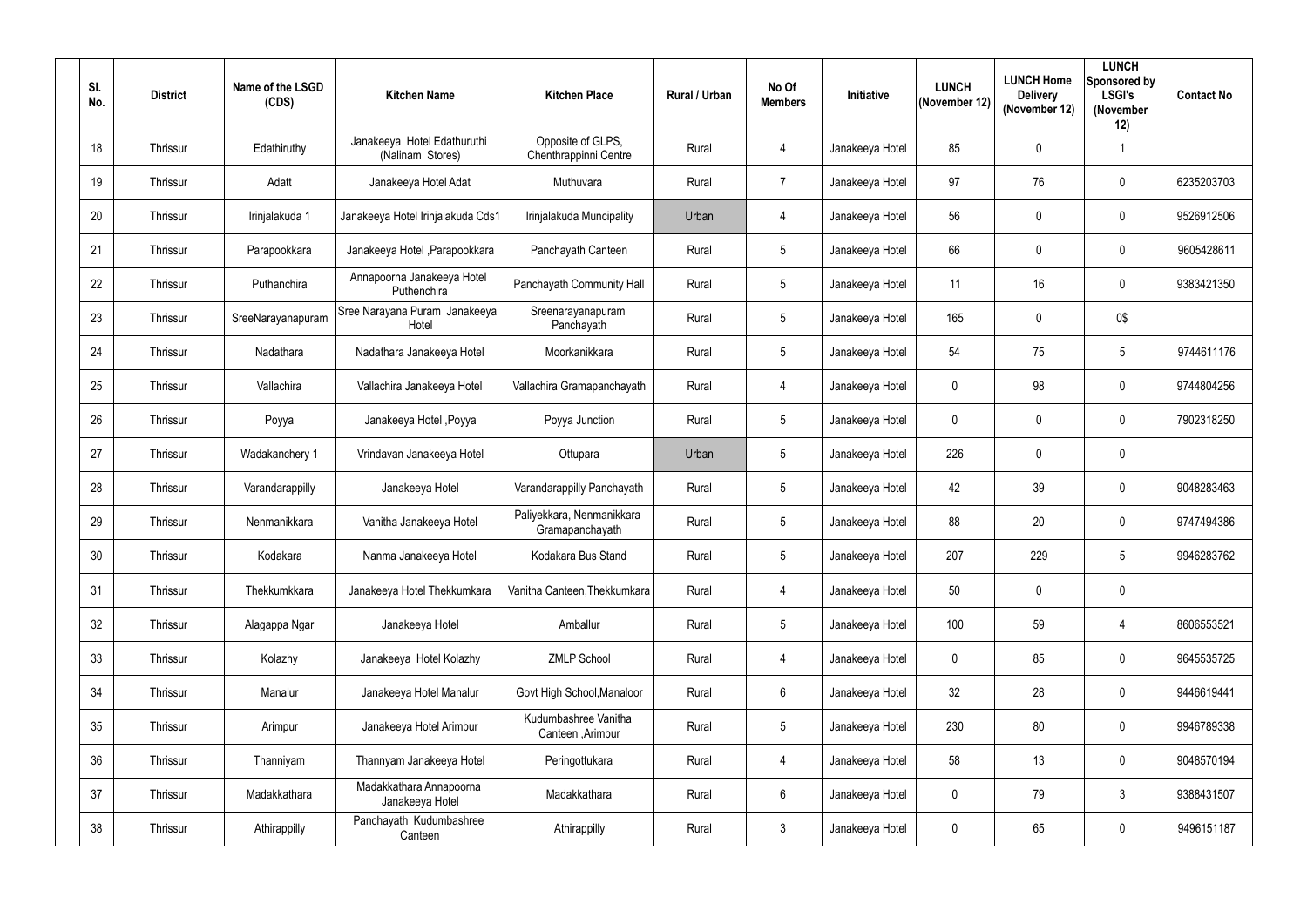| SI.<br>No.      | <b>District</b> | Name of the LSGD<br>(CDS) | <b>Kitchen Name</b>                             | <b>Kitchen Place</b>                         | Rural / Urban | No Of<br><b>Members</b> | <b>Initiative</b> | <b>LUNCH</b><br>(November 12) | <b>LUNCH Home</b><br><b>Delivery</b><br>(November 12) | <b>LUNCH</b><br>Sponsored by<br><b>LSGI's</b><br>(November<br>12) | <b>Contact No</b> |
|-----------------|-----------------|---------------------------|-------------------------------------------------|----------------------------------------------|---------------|-------------------------|-------------------|-------------------------------|-------------------------------------------------------|-------------------------------------------------------------------|-------------------|
| 18              | Thrissur        | Edathiruthy               | Janakeeya Hotel Edathuruthi<br>(Nalinam Stores) | Opposite of GLPS,<br>Chenthrappinni Centre   | Rural         | $\overline{4}$          | Janakeeya Hotel   | 85                            | $\mathbf 0$                                           |                                                                   |                   |
| 19              | Thrissur        | Adatt                     | Janakeeya Hotel Adat                            | Muthuvara                                    | Rural         | $\overline{7}$          | Janakeeya Hotel   | 97                            | 76                                                    | $\mathbf 0$                                                       | 6235203703        |
| 20              | Thrissur        | Irinjalakuda 1            | Janakeeya Hotel Irinjalakuda Cds1               | Irinjalakuda Muncipality                     | Urban         | $\overline{4}$          | Janakeeya Hotel   | 56                            | $\mathbf 0$                                           | $\mathbf 0$                                                       | 9526912506        |
| 21              | Thrissur        | Parapookkara              | Janakeeya Hotel, Parapookkara                   | Panchayath Canteen                           | Rural         | 5 <sub>5</sub>          | Janakeeya Hotel   | 66                            | $\mathbf 0$                                           | $\mathbf 0$                                                       | 9605428611        |
| 22              | Thrissur        | Puthanchira               | Annapoorna Janakeeya Hotel<br>Puthenchira       | Panchayath Community Hall                    | Rural         | $5\phantom{.0}$         | Janakeeya Hotel   | 11                            | 16                                                    | $\mathbf 0$                                                       | 9383421350        |
| 23              | Thrissur        | SreeNarayanapuram         | Sree Narayana Puram Janakeeya<br>Hotel          | Sreenarayanapuram<br>Panchayath              | Rural         | $5\phantom{.0}$         | Janakeeya Hotel   | 165                           | $\mathbf 0$                                           | 0\$                                                               |                   |
| 24              | Thrissur        | Nadathara                 | Nadathara Janakeeya Hotel                       | Moorkanikkara                                | Rural         | $5\phantom{.0}$         | Janakeeya Hotel   | 54                            | 75                                                    | $5\phantom{.0}$                                                   | 9744611176        |
| 25              | Thrissur        | Vallachira                | Vallachira Janakeeya Hotel                      | Vallachira Gramapanchayath                   | Rural         | $\overline{4}$          | Janakeeya Hotel   | $\mathbf 0$                   | 98                                                    | $\mathbf 0$                                                       | 9744804256        |
| 26              | Thrissur        | Poyya                     | Janakeeya Hotel, Poyya                          | Poyya Junction                               | Rural         | $5\phantom{.0}$         | Janakeeya Hotel   | $\mathbf 0$                   | $\mathbf 0$                                           | $\mathbf 0$                                                       | 7902318250        |
| 27              | Thrissur        | Wadakanchery 1            | Vrindavan Janakeeya Hotel                       | Ottupara                                     | Urban         | 5 <sup>5</sup>          | Janakeeya Hotel   | 226                           | $\mathbf 0$                                           | $\mathbf 0$                                                       |                   |
| 28              | Thrissur        | Varandarappilly           | Janakeeya Hotel                                 | Varandarappilly Panchayath                   | Rural         | $5\phantom{.0}$         | Janakeeya Hotel   | 42                            | 39                                                    | $\mathbf 0$                                                       | 9048283463        |
| 29              | Thrissur        | Nenmanikkara              | Vanitha Janakeeya Hotel                         | Paliyekkara, Nenmanikkara<br>Gramapanchayath | Rural         | 5 <sup>5</sup>          | Janakeeya Hotel   | 88                            | 20                                                    | $\mathbf 0$                                                       | 9747494386        |
| 30 <sup>°</sup> | Thrissur        | Kodakara                  | Nanma Janakeeya Hotel                           | Kodakara Bus Stand                           | Rural         | $5\phantom{.0}$         | Janakeeya Hotel   | 207                           | 229                                                   | $5\phantom{.0}$                                                   | 9946283762        |
| 31              | Thrissur        | Thekkumkkara              | Janakeeya Hotel Thekkumkara                     | Vanitha Canteen, Thekkumkara                 | Rural         | $\overline{4}$          | Janakeeya Hotel   | 50                            | $\mathbf 0$                                           | $\mathbf 0$                                                       |                   |
| 32              | Thrissur        | Alagappa Ngar             | Janakeeya Hotel                                 | Amballur                                     | Rural         | $5\phantom{.0}$         | Janakeeya Hotel   | 100                           | 59                                                    | $\overline{4}$                                                    | 8606553521        |
| 33              | Thrissur        | Kolazhy                   | Janakeeya Hotel Kolazhy                         | <b>ZMLP School</b>                           | Rural         | $\overline{4}$          | Janakeeya Hotel   | $\mathbf 0$                   | 85                                                    | $\mathbf 0$                                                       | 9645535725        |
| 34              | Thrissur        | Manalur                   | Janakeeya Hotel Manalur                         | Govt High School, Manaloor                   | Rural         | $6\overline{6}$         | Janakeeya Hotel   | 32 <sub>2</sub>               | 28                                                    | $\mathbf 0$                                                       | 9446619441        |
| 35              | Thrissur        | Arimpur                   | Janakeeya Hotel Arimbur                         | Kudumbashree Vanitha<br>Canteen, Arimbur     | Rural         | $5\overline{)}$         | Janakeeya Hotel   | 230                           | $80\,$                                                | $\mathbf 0$                                                       | 9946789338        |
| 36              | Thrissur        | Thanniyam                 | Thannyam Janakeeya Hotel                        | Peringottukara                               | Rural         | $\overline{4}$          | Janakeeya Hotel   | 58                            | 13                                                    | $\mathbf 0$                                                       | 9048570194        |
| 37              | Thrissur        | Madakkathara              | Madakkathara Annapoorna<br>Janakeeya Hotel      | Madakkathara                                 | Rural         | $6\overline{6}$         | Janakeeya Hotel   | $\pmb{0}$                     | 79                                                    | $\mathbf{3}$                                                      | 9388431507        |
| 38              | Thrissur        | Athirappilly              | Panchayath Kudumbashree<br>Canteen              | Athirappilly                                 | Rural         | 3 <sup>1</sup>          | Janakeeya Hotel   | $\boldsymbol{0}$              | 65                                                    | $\pmb{0}$                                                         | 9496151187        |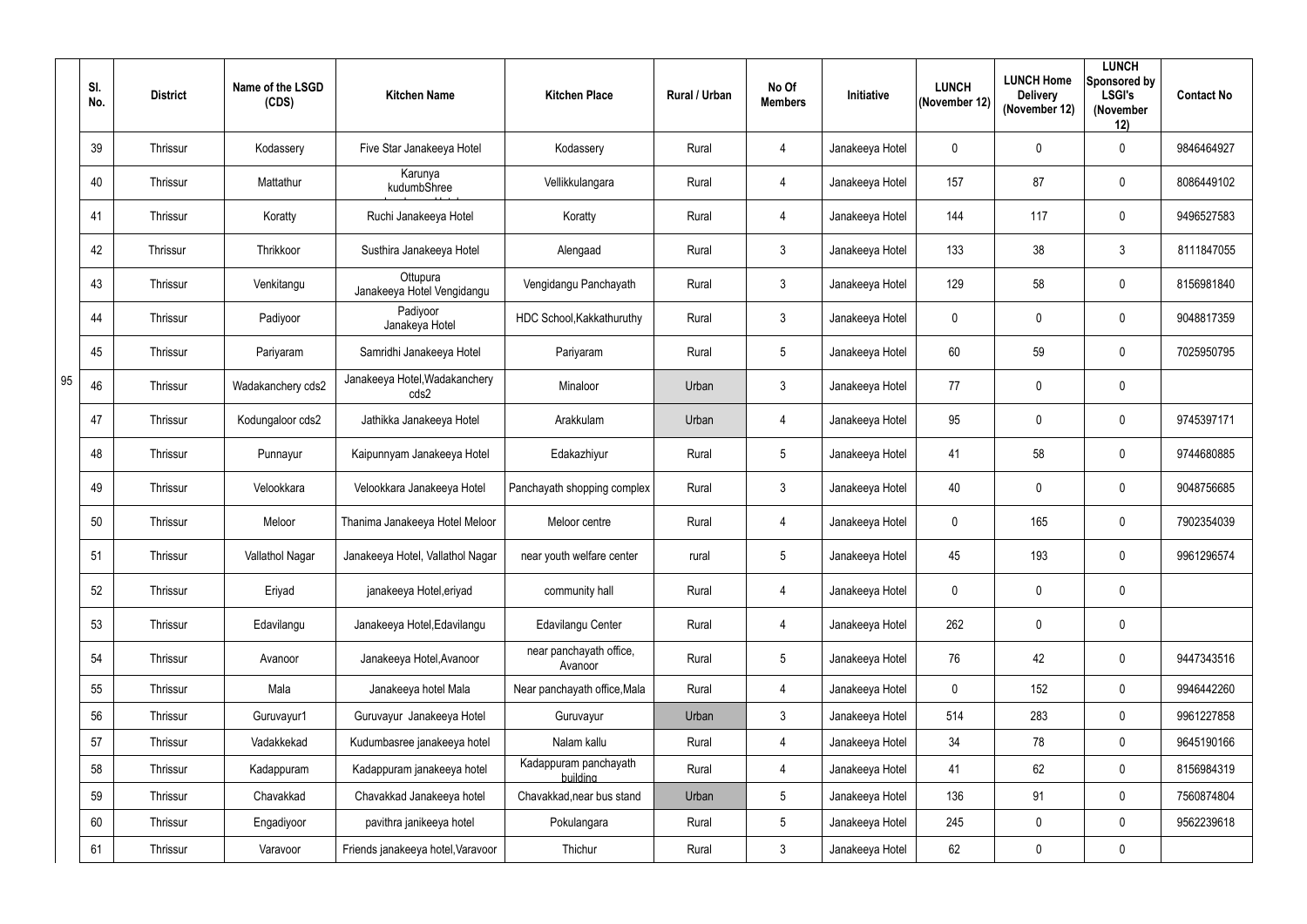|    | SI.<br>No. | <b>District</b> | Name of the LSGD<br>(CDS) | <b>Kitchen Name</b>                    | <b>Kitchen Place</b>               | <b>Rural / Urban</b> | No Of<br><b>Members</b> | Initiative      | <b>LUNCH</b><br>(November 12) | <b>LUNCH Home</b><br><b>Delivery</b><br>(November 12) | <b>LUNCH</b><br>Sponsored by<br><b>LSGI's</b><br>(November<br>12) | <b>Contact No</b> |
|----|------------|-----------------|---------------------------|----------------------------------------|------------------------------------|----------------------|-------------------------|-----------------|-------------------------------|-------------------------------------------------------|-------------------------------------------------------------------|-------------------|
|    | 39         | Thrissur        | Kodassery                 | Five Star Janakeeya Hotel              | Kodassery                          | Rural                | $\overline{4}$          | Janakeeya Hotel | $\mathbf 0$                   | 0                                                     | $\mathbf 0$                                                       | 9846464927        |
|    | 40         | Thrissur        | Mattathur                 | Karunya<br>kudumbShree                 | Vellikkulangara                    | Rural                | $\overline{4}$          | Janakeeya Hotel | 157                           | 87                                                    | $\mathbf 0$                                                       | 8086449102        |
|    | 41         | Thrissur        | Koratty                   | Ruchi Janakeeya Hotel                  | Koratty                            | Rural                | $\overline{4}$          | Janakeeya Hotel | 144                           | 117                                                   | $\mathbf 0$                                                       | 9496527583        |
|    | 42         | Thrissur        | Thrikkoor                 | Susthira Janakeeya Hotel               | Alengaad                           | Rural                | $\mathbf{3}$            | Janakeeya Hotel | 133                           | 38                                                    | $\mathbf{3}$                                                      | 8111847055        |
|    | 43         | Thrissur        | Venkitangu                | Ottupura<br>Janakeeya Hotel Vengidangu | Vengidangu Panchayath              | Rural                | $\mathbf{3}$            | Janakeeya Hotel | 129                           | 58                                                    | $\mathbf 0$                                                       | 8156981840        |
|    | 44         | Thrissur        | Padiyoor                  | Padiyoor<br>Janakeya Hotel             | HDC School, Kakkathuruthy          | Rural                | $\mathbf{3}$            | Janakeeya Hotel | $\mathbf 0$                   | 0                                                     | $\mathbf 0$                                                       | 9048817359        |
|    | 45         | Thrissur        | Pariyaram                 | Samridhi Janakeeya Hotel               | Pariyaram                          | Rural                | $5\overline{)}$         | Janakeeya Hotel | 60                            | 59                                                    | $\mathbf 0$                                                       | 7025950795        |
| 95 | 46         | Thrissur        | Wadakanchery cds2         | Janakeeya Hotel, Wadakanchery<br>cds2  | Minaloor                           | Urban                | $\mathbf{3}$            | Janakeeya Hotel | 77                            | 0                                                     | $\mathbf 0$                                                       |                   |
|    | 47         | <b>Thrissur</b> | Kodungaloor cds2          | Jathikka Janakeeya Hotel               | Arakkulam                          | Urban                | $\overline{4}$          | Janakeeya Hotel | 95                            | 0                                                     | $\mathbf 0$                                                       | 9745397171        |
|    | 48         | Thrissur        | Punnayur                  | Kaipunnyam Janakeeya Hotel             | Edakazhiyur                        | Rural                | $5\phantom{.0}$         | Janakeeya Hotel | 41                            | 58                                                    | $\mathbf 0$                                                       | 9744680885        |
|    | 49         | Thrissur        | Velookkara                | Velookkara Janakeeya Hotel             | Panchayath shopping complex        | Rural                | $\mathbf{3}$            | Janakeeya Hotel | 40                            | 0                                                     | $\mathbf 0$                                                       | 9048756685        |
|    | 50         | Thrissur        | Meloor                    | Thanima Janakeeya Hotel Meloor         | Meloor centre                      | Rural                | $\overline{4}$          | Janakeeya Hotel | $\mathbf 0$                   | 165                                                   | $\mathbf 0$                                                       | 7902354039        |
|    | 51         | Thrissur        | Vallathol Nagar           | Janakeeya Hotel, Vallathol Nagar       | near youth welfare center          | rural                | $5\overline{)}$         | Janakeeya Hotel | 45                            | 193                                                   | $\mathbf 0$                                                       | 9961296574        |
|    | 52         | Thrissur        | Eriyad                    | janakeeya Hotel, eriyad                | community hall                     | Rural                | $\overline{4}$          | Janakeeya Hotel | $\mathbf 0$                   | $\mathbf 0$                                           | $\mathbf 0$                                                       |                   |
|    | 53         | Thrissur        | Edavilangu                | Janakeeya Hotel, Edavilangu            | Edavilangu Center                  | Rural                | $\overline{4}$          | Janakeeya Hotel | 262                           | 0                                                     | $\overline{0}$                                                    |                   |
|    | 54         | Thrissur        | Avanoor                   | Janakeeya Hotel, Avanoor               | near panchayath office,<br>Avanoor | Rural                | $5\overline{)}$         | Janakeeya Hotel | 76                            | 42                                                    | $\mathbf 0$                                                       | 9447343516        |
|    | 55         | Thrissur        | Mala                      | Janakeeya hotel Mala                   | Near panchayath office, Mala       | Rural                | $\overline{4}$          | Janakeeya Hotel | $\overline{0}$                | 152                                                   | $\mathbf 0$                                                       | 9946442260        |
|    | 56         | Thrissur        | Guruvayur1                | Guruvayur Janakeeya Hotel              | Guruvayur                          | Urban                | $\mathbf{3}$            | Janakeeya Hotel | 514                           | 283                                                   | $\mathbf 0$                                                       | 9961227858        |
|    | 57         | Thrissur        | Vadakkekad                | Kudumbasree janakeeya hotel            | Nalam kallu                        | Rural                | $\overline{4}$          | Janakeeya Hotel | 34                            | 78                                                    | $\mathbf 0$                                                       | 9645190166        |
|    | 58         | Thrissur        | Kadappuram                | Kadappuram janakeeya hotel             | Kadappuram panchayath<br>building  | Rural                | $\overline{4}$          | Janakeeya Hotel | 41                            | 62                                                    | $\mathbf 0$                                                       | 8156984319        |
|    | 59         | Thrissur        | Chavakkad                 | Chavakkad Janakeeya hotel              | Chavakkad, near bus stand          | Urban                | $5\overline{)}$         | Janakeeya Hotel | 136                           | 91                                                    | $\overline{0}$                                                    | 7560874804        |
|    | 60         | Thrissur        | Engadiyoor                | pavithra janikeeya hotel               | Pokulangara                        | Rural                | $5\overline{)}$         | Janakeeya Hotel | 245                           | $\mathbf 0$                                           | $\mathbf 0$                                                       | 9562239618        |
|    | 61         | Thrissur        | Varavoor                  | Friends janakeeya hotel, Varavoor      | Thichur                            | Rural                | $\mathbf{3}$            | Janakeeya Hotel | 62                            | $\mathbf 0$                                           | $\overline{0}$                                                    |                   |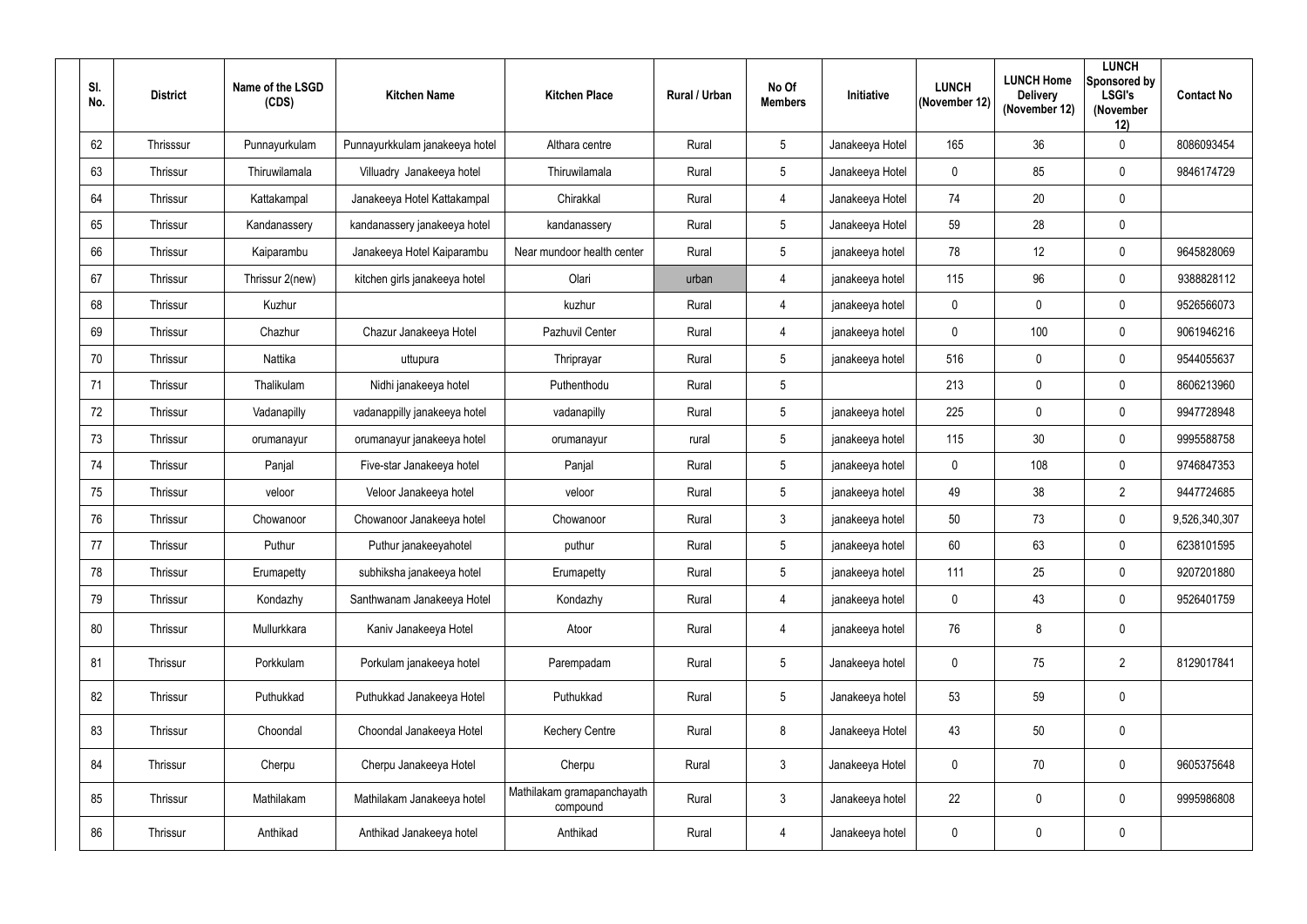| SI.<br>No. | <b>District</b> | Name of the LSGD<br>(CDS) | <b>Kitchen Name</b>            | <b>Kitchen Place</b>                   | Rural / Urban | No Of<br><b>Members</b> | Initiative      | <b>LUNCH</b><br>(November 12) | <b>LUNCH Home</b><br><b>Delivery</b><br>(November 12) | <b>LUNCH</b><br>Sponsored by<br><b>LSGI's</b><br>(November<br>12) | <b>Contact No</b> |
|------------|-----------------|---------------------------|--------------------------------|----------------------------------------|---------------|-------------------------|-----------------|-------------------------------|-------------------------------------------------------|-------------------------------------------------------------------|-------------------|
| 62         | Thrisssur       | Punnayurkulam             | Punnayurkkulam janakeeya hotel | Althara centre                         | Rural         | $5\overline{)}$         | Janakeeya Hotel | 165                           | 36                                                    | $\mathbf 0$                                                       | 8086093454        |
| 63         | Thrissur        | Thiruwilamala             | Villuadry Janakeeya hotel      | Thiruwilamala                          | Rural         | $5\overline{)}$         | Janakeeya Hotel | $\mathbf 0$                   | 85                                                    | $\mathbf 0$                                                       | 9846174729        |
| 64         | Thrissur        | Kattakampal               | Janakeeya Hotel Kattakampal    | Chirakkal                              | Rural         | 4                       | Janakeeya Hotel | 74                            | 20                                                    | $\boldsymbol{0}$                                                  |                   |
| 65         | Thrissur        | Kandanassery              | kandanassery janakeeya hotel   | kandanassery                           | Rural         | $5\overline{)}$         | Janakeeya Hotel | 59                            | 28                                                    | $\boldsymbol{0}$                                                  |                   |
| 66         | Thrissur        | Kaiparambu                | Janakeeya Hotel Kaiparambu     | Near mundoor health center             | Rural         | $5\phantom{.0}$         | janakeeya hotel | 78                            | 12                                                    | $\mathbf 0$                                                       | 9645828069        |
| 67         | Thrissur        | Thrissur 2(new)           | kitchen girls janakeeya hotel  | Olari                                  | urban         | $\overline{4}$          | janakeeya hotel | 115                           | 96                                                    | $\mathbf 0$                                                       | 9388828112        |
| 68         | Thrissur        | Kuzhur                    |                                | kuzhur                                 | Rural         | $\overline{4}$          | janakeeya hotel | $\mathbf 0$                   | $\mathbf 0$                                           | $\mathbf 0$                                                       | 9526566073        |
| 69         | Thrissur        | Chazhur                   | Chazur Janakeeya Hotel         | Pazhuvil Center                        | Rural         | $\overline{4}$          | janakeeya hotel | $\mathbf 0$                   | 100                                                   | $\mathbf 0$                                                       | 9061946216        |
| 70         | Thrissur        | Nattika                   | uttupura                       | Thriprayar                             | Rural         | $5\phantom{.0}$         | janakeeya hotel | 516                           | $\mathbf 0$                                           | $\mathbf 0$                                                       | 9544055637        |
| 71         | Thrissur        | Thalikulam                | Nidhi janakeeya hotel          | Puthenthodu                            | Rural         | $5\phantom{.0}$         |                 | 213                           | $\mathbf 0$                                           | $\mathbf 0$                                                       | 8606213960        |
| 72         | Thrissur        | Vadanapilly               | vadanappilly janakeeya hotel   | vadanapilly                            | Rural         | $5\phantom{.0}$         | janakeeya hotel | 225                           | $\mathbf 0$                                           | $\mathbf 0$                                                       | 9947728948        |
| 73         | Thrissur        | orumanayur                | orumanayur janakeeya hotel     | orumanayur                             | rural         | $5\phantom{.0}$         | janakeeya hotel | 115                           | 30                                                    | $\mathbf 0$                                                       | 9995588758        |
| 74         | Thrissur        | Panjal                    | Five-star Janakeeya hotel      | Panjal                                 | Rural         | $5\phantom{.0}$         | janakeeya hotel | $\mathbf 0$                   | 108                                                   | $\mathbf 0$                                                       | 9746847353        |
| 75         | Thrissur        | veloor                    | Veloor Janakeeya hotel         | veloor                                 | Rural         | $5\phantom{.0}$         | janakeeya hotel | 49                            | 38                                                    | $\overline{2}$                                                    | 9447724685        |
| 76         | Thrissur        | Chowanoor                 | Chowanoor Janakeeya hotel      | Chowanoor                              | Rural         | $\mathbf{3}$            | janakeeya hotel | 50                            | 73                                                    | $\mathbf 0$                                                       | 9,526,340,307     |
| 77         | Thrissur        | Puthur                    | Puthur janakeeyahotel          | puthur                                 | Rural         |                         | janakeeya hotel | 60                            | 63                                                    | 0                                                                 | 6238101595        |
| 78         | Thrissur        | Erumapetty                | subhiksha janakeeya hotel      | Erumapetty                             | Rural         | 5 <sub>5</sub>          | janakeeya hotel | 111                           | 25                                                    | $\boldsymbol{0}$                                                  | 9207201880        |
| 79         | Thrissur        | Kondazhy                  | Santhwanam Janakeeya Hotel     | Kondazhy                               | Rural         | 4                       | janakeeya hotel | $\mathbf 0$                   | 43                                                    | $\overline{0}$                                                    | 9526401759        |
| 80         | Thrissur        | Mullurkkara               | Kaniv Janakeeya Hotel          | Atoor                                  | Rural         | 4                       | janakeeya hotel | 76                            | 8                                                     | $\mathbf 0$                                                       |                   |
| 81         | Thrissur        | Porkkulam                 | Porkulam janakeeya hotel       | Parempadam                             | Rural         | $5\overline{)}$         | Janakeeya hotel | $\boldsymbol{0}$              | 75                                                    | $\overline{2}$                                                    | 8129017841        |
| 82         | Thrissur        | Puthukkad                 | Puthukkad Janakeeya Hotel      | Puthukkad                              | Rural         | $5\overline{)}$         | Janakeeya hotel | 53                            | 59                                                    | $\mathbf 0$                                                       |                   |
| 83         | Thrissur        | Choondal                  | Choondal Janakeeya Hotel       | <b>Kechery Centre</b>                  | Rural         | 8                       | Janakeeya Hotel | 43                            | 50                                                    | $\boldsymbol{0}$                                                  |                   |
| 84         | Thrissur        | Cherpu                    | Cherpu Janakeeya Hotel         | Cherpu                                 | Rural         | $\mathfrak{Z}$          | Janakeeya Hotel | $\mathbf 0$                   | 70                                                    | $\mathbf 0$                                                       | 9605375648        |
| 85         | Thrissur        | Mathilakam                | Mathilakam Janakeeya hotel     | Mathilakam gramapanchayath<br>compound | Rural         | 3                       | Janakeeya hotel | 22                            | $\pmb{0}$                                             | $\mathbf 0$                                                       | 9995986808        |
| 86         | Thrissur        | Anthikad                  | Anthikad Janakeeya hotel       | Anthikad                               | Rural         | 4                       | Janakeeya hotel | $\pmb{0}$                     | $\pmb{0}$                                             | $\boldsymbol{0}$                                                  |                   |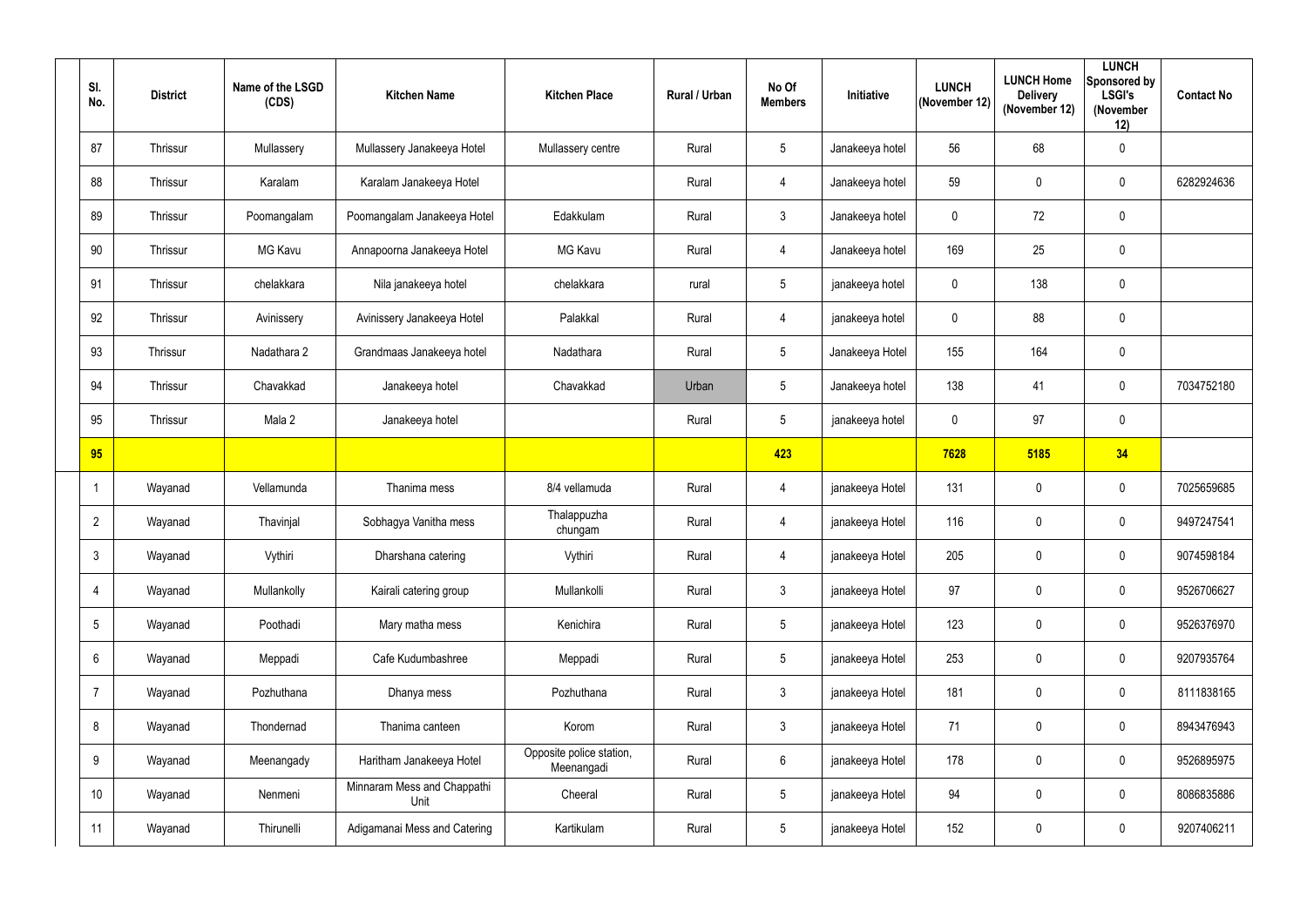| SI.<br>No.      | <b>District</b> | Name of the LSGD<br>(CDS) | <b>Kitchen Name</b>                 | <b>Kitchen Place</b>                   | Rural / Urban | No Of<br><b>Members</b> | Initiative      | <b>LUNCH</b><br>(November 12) | <b>LUNCH Home</b><br><b>Delivery</b><br>(November 12) | <b>LUNCH</b><br>Sponsored by<br><b>LSGI's</b><br>(November<br>12) | <b>Contact No</b> |
|-----------------|-----------------|---------------------------|-------------------------------------|----------------------------------------|---------------|-------------------------|-----------------|-------------------------------|-------------------------------------------------------|-------------------------------------------------------------------|-------------------|
| 87              | Thrissur        | Mullassery                | Mullassery Janakeeya Hotel          | Mullassery centre                      | Rural         | $5\phantom{.0}$         | Janakeeya hotel | 56                            | 68                                                    | $\mathbf 0$                                                       |                   |
| 88              | Thrissur        | Karalam                   | Karalam Janakeeya Hotel             |                                        | Rural         | 4                       | Janakeeya hotel | 59                            | $\mathbf 0$                                           | $\overline{0}$                                                    | 6282924636        |
| 89              | Thrissur        | Poomangalam               | Poomangalam Janakeeya Hotel         | Edakkulam                              | Rural         | $\mathbf{3}$            | Janakeeya hotel | $\mathbf 0$                   | 72                                                    | $\mathbf 0$                                                       |                   |
| 90              | Thrissur        | MG Kavu                   | Annapoorna Janakeeya Hotel          | <b>MG Kavu</b>                         | Rural         | 4                       | Janakeeya hotel | 169                           | 25                                                    | $\mathbf 0$                                                       |                   |
| 91              | Thrissur        | chelakkara                | Nila janakeeya hotel                | chelakkara                             | rural         | $5\phantom{.0}$         | janakeeya hotel | $\mathbf 0$                   | 138                                                   | $\mathbf 0$                                                       |                   |
| 92              | Thrissur        | Avinissery                | Avinissery Janakeeya Hotel          | Palakkal                               | Rural         | 4                       | janakeeya hotel | $\mathbf 0$                   | 88                                                    | $\mathbf 0$                                                       |                   |
| 93              | Thrissur        | Nadathara 2               | Grandmaas Janakeeya hotel           | Nadathara                              | Rural         | $5\overline{)}$         | Janakeeya Hotel | 155                           | 164                                                   | $\mathbf 0$                                                       |                   |
| 94              | Thrissur        | Chavakkad                 | Janakeeya hotel                     | Chavakkad                              | Urban         | $5\overline{)}$         | Janakeeya hotel | 138                           | 41                                                    | $\overline{0}$                                                    | 7034752180        |
| 95              | Thrissur        | Mala 2                    | Janakeeya hotel                     |                                        | Rural         | $5\phantom{.0}$         | janakeeya hotel | $\mathbf 0$                   | 97                                                    | $\mathbf 0$                                                       |                   |
| 95              |                 |                           |                                     |                                        |               | 423                     |                 | 7628                          | 5185                                                  | 34                                                                |                   |
| $\overline{1}$  | Wayanad         | Vellamunda                | Thanima mess                        | 8/4 vellamuda                          | Rural         | 4                       | janakeeya Hotel | 131                           | $\pmb{0}$                                             | $\overline{0}$                                                    | 7025659685        |
| $\overline{2}$  | Wayanad         | Thavinjal                 | Sobhagya Vanitha mess               | Thalappuzha<br>chungam                 | Rural         | 4                       | janakeeya Hotel | 116                           | $\overline{0}$                                        | $\overline{0}$                                                    | 9497247541        |
| $\mathfrak{Z}$  | Wayanad         | Vythiri                   | Dharshana catering                  | Vythiri                                | Rural         | 4                       | janakeeya Hotel | 205                           | $\mathbf 0$                                           | $\mathbf 0$                                                       | 9074598184        |
| $\overline{4}$  | Wayanad         | Mullankolly               | Kairali catering group              | Mullankolli                            | Rural         | 3 <sup>1</sup>          | janakeeya Hotel | 97                            | $\mathbf 0$                                           | $\mathbf 0$                                                       | 9526706627        |
| $\overline{5}$  | Wayanad         | Poothadi                  | Mary matha mess                     | Kenichira                              | Rural         | 5 <sub>5</sub>          | janakeeya Hotel | 123                           | $\mathbf 0$                                           | $\pmb{0}$                                                         | 9526376970        |
| $6\phantom{.}6$ | Wayanad         | Meppadi                   | Cafe Kudumbashree                   | Meppadi                                | Rural         | $5\overline{)}$         | janakeeya Hotel | 253                           | $\mathbf 0$                                           | $\mathbf 0$                                                       | 9207935764        |
| $\overline{7}$  | Wayanad         | Pozhuthana                | Dhanya mess                         | Pozhuthana                             | Rural         | 3 <sup>1</sup>          | janakeeya Hotel | 181                           | $\mathbf 0$                                           | $\pmb{0}$                                                         | 8111838165        |
| 8               | Wayanad         | Thondernad                | Thanima canteen                     | Korom                                  | Rural         | 3 <sup>1</sup>          | janakeeya Hotel | 71                            | $\mathbf 0$                                           | $\mathbf 0$                                                       | 8943476943        |
| $9\,$           | Wayanad         | Meenangady                | Haritham Janakeeya Hotel            | Opposite police station,<br>Meenangadi | Rural         | $6\overline{6}$         | janakeeya Hotel | 178                           | $\mathbf 0$                                           | $\mathbf 0$                                                       | 9526895975        |
| 10 <sup>°</sup> | Wayanad         | Nenmeni                   | Minnaram Mess and Chappathi<br>Unit | Cheeral                                | Rural         | $5\phantom{.0}$         | janakeeya Hotel | 94                            | $\mathbf 0$                                           | $\pmb{0}$                                                         | 8086835886        |
| 11              | Wayanad         | Thirunelli                | Adigamanai Mess and Catering        | Kartikulam                             | Rural         | 5 <sub>5</sub>          | janakeeya Hotel | 152                           | $\pmb{0}$                                             | $\boldsymbol{0}$                                                  | 9207406211        |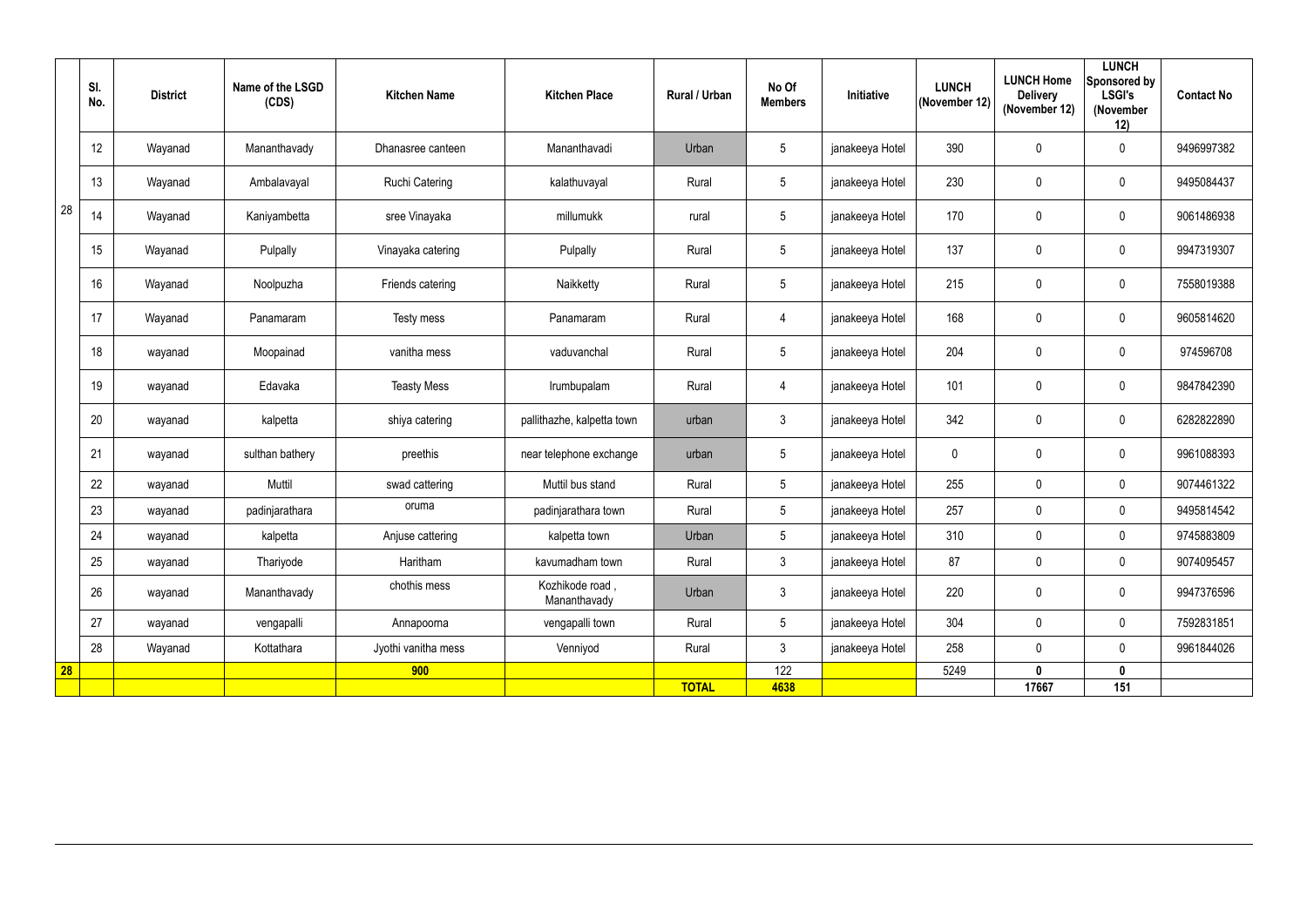|    | SI.<br>No. | <b>District</b> | Name of the LSGD<br>(CDS) | <b>Kitchen Name</b>   | <b>Kitchen Place</b>            | Rural / Urban | No Of<br><b>Members</b> | <b>Initiative</b> | <b>LUNCH</b><br>(November 12) | <b>LUNCH Home</b><br><b>Delivery</b><br>(November 12) | <b>LUNCH</b><br><b>Sponsored by</b><br><b>LSGI's</b><br>(November<br>12) | <b>Contact No</b> |
|----|------------|-----------------|---------------------------|-----------------------|---------------------------------|---------------|-------------------------|-------------------|-------------------------------|-------------------------------------------------------|--------------------------------------------------------------------------|-------------------|
|    | 12         | Wayanad         | Mananthavady              | Dhanasree canteen     | Mananthavadi                    | Urban         | $\sqrt{5}$              | janakeeya Hotel   | 390                           | $\mathbf 0$                                           | $\mathbf 0$                                                              | 9496997382        |
|    | 13         | Wayanad         | Ambalavayal               | <b>Ruchi Catering</b> | kalathuvayal                    | Rural         | $5\phantom{.0}$         | janakeeya Hotel   | 230                           | 0                                                     | $\mathbf 0$                                                              | 9495084437        |
| 28 | 14         | Wayanad         | Kaniyambetta              | sree Vinayaka         | millumukk                       | rural         | $5\phantom{.0}$         | janakeeya Hotel   | 170                           | 0                                                     | $\mathbf 0$                                                              | 9061486938        |
|    | 15         | Wayanad         | Pulpally                  | Vinayaka catering     | Pulpally                        | Rural         | $5\phantom{.0}$         | janakeeya Hotel   | 137                           | 0                                                     | $\overline{0}$                                                           | 9947319307        |
|    | 16         | Wayanad         | Noolpuzha                 | Friends catering      | Naikketty                       | Rural         | $5\phantom{.0}$         | janakeeya Hotel   | 215                           | $\mathbf 0$                                           | $\mathbf 0$                                                              | 7558019388        |
|    | 17         | Wayanad         | Panamaram                 | Testy mess            | Panamaram                       | Rural         | 4                       | janakeeya Hotel   | 168                           | $\pmb{0}$                                             | $\overline{0}$                                                           | 9605814620        |
|    | 18         | wayanad         | Moopainad                 | vanitha mess          | vaduvanchal                     | Rural         | $5\phantom{.0}$         | janakeeya Hotel   | 204                           | $\mathbf 0$                                           | $\mathbf 0$                                                              | 974596708         |
|    | 19         | wayanad         | Edavaka                   | <b>Teasty Mess</b>    | Irumbupalam                     | Rural         | 4                       | janakeeya Hotel   | 101                           | $\mathbf 0$                                           | $\mathbf 0$                                                              | 9847842390        |
|    | 20         | wayanad         | kalpetta                  | shiya catering        | pallithazhe, kalpetta town      | urban         | $\mathfrak{Z}$          | janakeeya Hotel   | 342                           | 0                                                     | $\mathbf 0$                                                              | 6282822890        |
|    | 21         | wayanad         | sulthan bathery           | preethis              | near telephone exchange         | urban         | $5\overline{)}$         | janakeeya Hotel   | $\mathbf 0$                   | $\mathbf 0$                                           | $\mathbf 0$                                                              | 9961088393        |
|    | 22         | wayanad         | Muttil                    | swad cattering        | Muttil bus stand                | Rural         | $5\phantom{.0}$         | janakeeya Hotel   | 255                           | $\mathbf 0$                                           | $\mathbf 0$                                                              | 9074461322        |
|    | 23         | wayanad         | padinjarathara            | oruma                 | padinjarathara town             | Rural         | $5\overline{)}$         | janakeeya Hotel   | 257                           | $\mathbf 0$                                           | $\mathbf 0$                                                              | 9495814542        |
|    | 24         | wayanad         | kalpetta                  | Anjuse cattering      | kalpetta town                   | Urban         | $5\phantom{.0}$         | janakeeya Hotel   | 310                           | $\pmb{0}$                                             | 0                                                                        | 9745883809        |
|    | 25         | wayanad         | Thariyode                 | Haritham              | kavumadham town                 | Rural         | $\mathfrak{Z}$          | janakeeya Hotel   | 87                            | $\pmb{0}$                                             | $\mathbf 0$                                                              | 9074095457        |
|    | 26         | wayanad         | Mananthavady              | chothis mess          | Kozhikode road,<br>Mananthavady | Urban         | $\mathfrak{Z}$          | janakeeya Hotel   | 220                           | $\pmb{0}$                                             | $\mathbf 0$                                                              | 9947376596        |
|    | 27         | wayanad         | vengapalli                | Annapoorna            | vengapalli town                 | Rural         | $5\phantom{.0}$         | janakeeya Hotel   | 304                           | $\mathbf 0$                                           | $\mathbf 0$                                                              | 7592831851        |
|    | 28         | Wayanad         | Kottathara                | Jyothi vanitha mess   | Venniyod                        | Rural         | $\mathfrak{Z}$          | janakeeya Hotel   | 258                           | $\pmb{0}$                                             | $\mathbf 0$                                                              | 9961844026        |
| 28 |            |                 |                           | 900                   |                                 |               | 122                     |                   | 5249                          | $\boldsymbol{0}$                                      | $\mathbf 0$                                                              |                   |
|    |            |                 |                           |                       |                                 | <b>TOTAL</b>  | 4638                    |                   |                               | 17667                                                 | 151                                                                      |                   |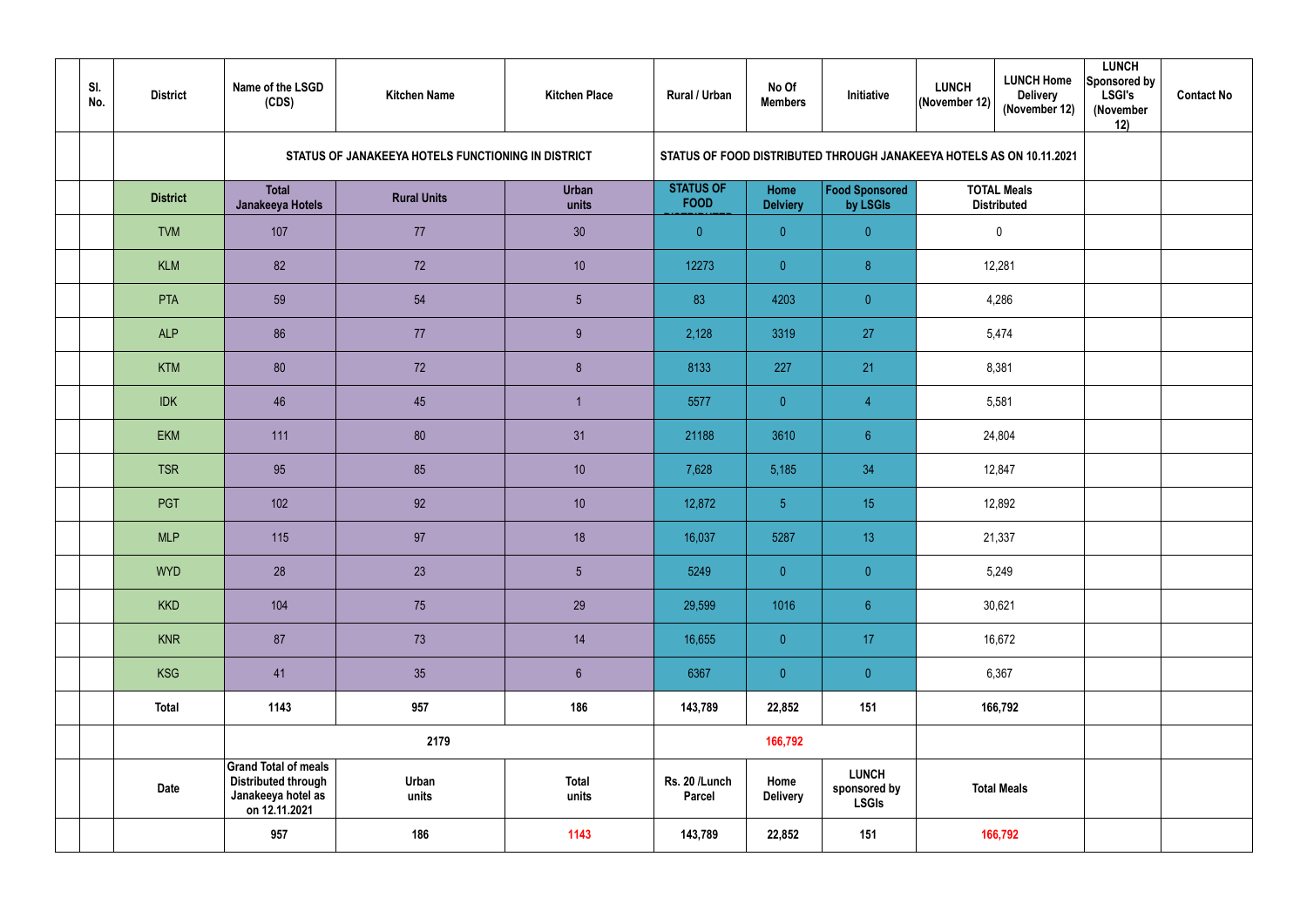| SI.<br>No. | <b>District</b> | Name of the LSGD<br>(CDS)                                                                        | <b>Kitchen Name</b>                                | <b>Kitchen Place</b>  | Rural / Urban                   | No Of<br><b>Members</b> | Initiative                                                           | <b>LUNCH</b><br>$ ($ November 12 $) $ | <b>LUNCH Home</b><br><b>Delivery</b><br>(November 12) | <b>LUNCH</b><br>Sponsored by<br><b>LSGI's</b><br>(November<br>12) | <b>Contact No</b> |
|------------|-----------------|--------------------------------------------------------------------------------------------------|----------------------------------------------------|-----------------------|---------------------------------|-------------------------|----------------------------------------------------------------------|---------------------------------------|-------------------------------------------------------|-------------------------------------------------------------------|-------------------|
|            |                 |                                                                                                  | STATUS OF JANAKEEYA HOTELS FUNCTIONING IN DISTRICT |                       |                                 |                         | STATUS OF FOOD DISTRIBUTED THROUGH JANAKEEYA HOTELS AS ON 10.11.2021 |                                       |                                                       |                                                                   |                   |
|            | <b>District</b> | <b>Total</b><br>Janakeeya Hotels                                                                 | <b>Rural Units</b>                                 | <b>Urban</b><br>units | <b>STATUS OF</b><br><b>FOOD</b> | Home<br><b>Delviery</b> | Food Sponsored<br>by LSGIs                                           |                                       | <b>TOTAL Meals</b><br><b>Distributed</b>              |                                                                   |                   |
|            | <b>TVM</b>      | 107                                                                                              | 77                                                 | 30                    | $\overline{0}$                  | $\overline{0}$          | $\overline{0}$                                                       |                                       | $\mathbf 0$                                           |                                                                   |                   |
|            | <b>KLM</b>      | 82                                                                                               | 72                                                 | 10                    | 12273                           | $\overline{0}$          | 8                                                                    |                                       | 12,281                                                |                                                                   |                   |
|            | <b>PTA</b>      | 59                                                                                               | 54                                                 | $5\phantom{.0}$       | 83                              | 4203                    | $\overline{0}$                                                       |                                       | 4,286                                                 |                                                                   |                   |
|            | <b>ALP</b>      | 86                                                                                               | 77                                                 | 9                     | 2,128                           | 3319                    | 27                                                                   |                                       | 5,474                                                 |                                                                   |                   |
|            | <b>KTM</b>      | 80                                                                                               | 72                                                 | 8 <sup>°</sup>        | 8133                            | 227                     | 21                                                                   |                                       | 8,381                                                 |                                                                   |                   |
|            | <b>IDK</b>      | 46                                                                                               | 45                                                 |                       | 5577                            | $\overline{0}$          | $\overline{4}$                                                       |                                       | 5,581                                                 |                                                                   |                   |
|            | <b>EKM</b>      | 111                                                                                              | 80                                                 | 31                    | 21188                           | 3610                    | $6\phantom{.}6$                                                      |                                       | 24,804                                                |                                                                   |                   |
|            | <b>TSR</b>      | 95                                                                                               | 85                                                 | 10                    | 7,628                           | 5,185                   | 34                                                                   |                                       | 12,847                                                |                                                                   |                   |
|            | PGT             | 102                                                                                              | 92                                                 | 10                    | 12,872                          | $\overline{5}$          | 15                                                                   |                                       | 12,892                                                |                                                                   |                   |
|            | <b>MLP</b>      | 115                                                                                              | 97                                                 | 18                    | 16,037                          | 5287                    | 13 <sup>°</sup>                                                      |                                       | 21,337                                                |                                                                   |                   |
|            | <b>WYD</b>      | 28                                                                                               | 23                                                 | 5 <sub>5</sub>        | 5249                            | $\overline{0}$          | $\overline{0}$                                                       |                                       | 5,249                                                 |                                                                   |                   |
|            | <b>KKD</b>      | 104                                                                                              | 75                                                 | 29                    | 29,599                          | 1016                    | 6 <sup>1</sup>                                                       |                                       | 30,621                                                |                                                                   |                   |
|            | <b>KNR</b>      | 87                                                                                               | 73                                                 | 14                    | 16,655                          | $\pmb{0}$               | 17                                                                   |                                       | 16,672                                                |                                                                   |                   |
|            | <b>KSG</b>      | 41                                                                                               | 35                                                 | $6\,$                 | 6367                            | $\pmb{0}$               | $\overline{0}$                                                       |                                       | 6,367                                                 |                                                                   |                   |
|            | <b>Total</b>    | 1143                                                                                             | 957                                                | 186                   | 143,789                         | 22,852                  | 151                                                                  |                                       | 166,792                                               |                                                                   |                   |
|            |                 |                                                                                                  | 2179                                               |                       |                                 | 166,792                 |                                                                      |                                       |                                                       |                                                                   |                   |
|            | Date            | <b>Grand Total of meals</b><br><b>Distributed through</b><br>Janakeeya hotel as<br>on 12.11.2021 | Urban<br>units                                     | <b>Total</b><br>units | Rs. 20 /Lunch<br><b>Parcel</b>  | Home<br><b>Delivery</b> | <b>LUNCH</b><br>sponsored by<br><b>LSGIs</b>                         |                                       | <b>Total Meals</b>                                    |                                                                   |                   |
|            |                 | 957                                                                                              | 186                                                | 1143                  | 143,789                         | 22,852                  | 151                                                                  |                                       | 166,792                                               |                                                                   |                   |